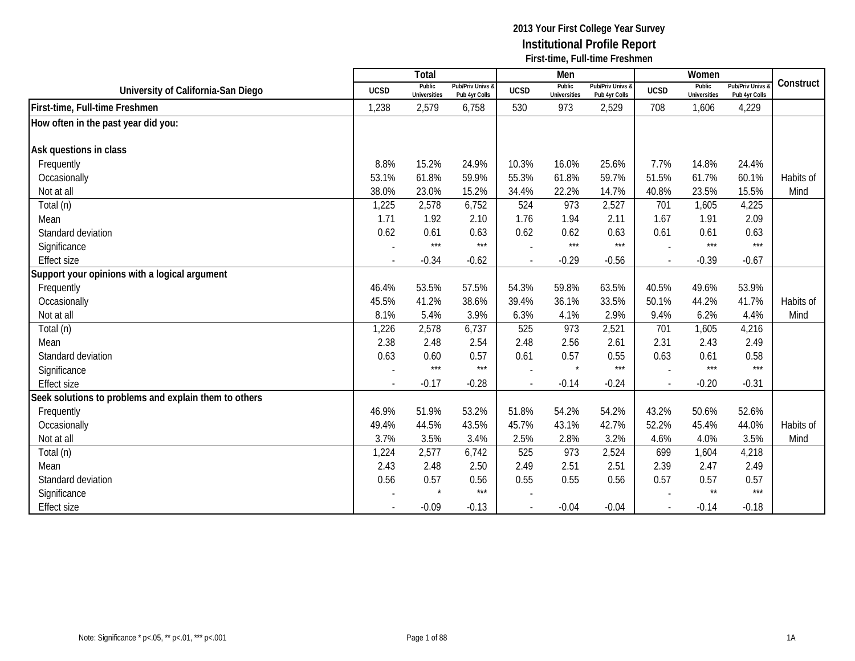|                                                       |                | <b>Total</b>                  |                                   |                | Men                           |                                   |             | Women                         |                                        |           |
|-------------------------------------------------------|----------------|-------------------------------|-----------------------------------|----------------|-------------------------------|-----------------------------------|-------------|-------------------------------|----------------------------------------|-----------|
| University of California-San Diego                    | <b>UCSD</b>    | Public<br><b>Universities</b> | Pub/Priv Univs &<br>Pub 4yr Colls | <b>UCSD</b>    | Public<br><b>Universities</b> | Pub/Priv Univs &<br>Pub 4yr Colls | <b>UCSD</b> | Public<br><b>Universities</b> | <b>Pub/Priv Univs</b><br>Pub 4yr Colls | Construct |
| First-time, Full-time Freshmen                        | 1,238          | 2,579                         | 6,758                             | 530            | 973                           | 2,529                             | 708         | 1,606                         | 4,229                                  |           |
| How often in the past year did you:                   |                |                               |                                   |                |                               |                                   |             |                               |                                        |           |
|                                                       |                |                               |                                   |                |                               |                                   |             |                               |                                        |           |
| Ask questions in class                                |                |                               |                                   |                |                               |                                   |             |                               |                                        |           |
| Frequently                                            | 8.8%           | 15.2%                         | 24.9%                             | 10.3%          | 16.0%                         | 25.6%                             | 7.7%        | 14.8%                         | 24.4%                                  |           |
| Occasionally                                          | 53.1%          | 61.8%                         | 59.9%                             | 55.3%          | 61.8%                         | 59.7%                             | 51.5%       | 61.7%                         | 60.1%                                  | Habits of |
| Not at all                                            | 38.0%          | 23.0%                         | 15.2%                             | 34.4%          | 22.2%                         | 14.7%                             | 40.8%       | 23.5%                         | 15.5%                                  | Mind      |
| Total (n)                                             | 1,225          | 2,578                         | 6,752                             | 524            | 973                           | 2,527                             | 701         | 1,605                         | 4,225                                  |           |
| Mean                                                  | 1.71           | 1.92                          | 2.10                              | 1.76           | 1.94                          | 2.11                              | 1.67        | 1.91                          | 2.09                                   |           |
| Standard deviation                                    | 0.62           | 0.61                          | 0.63                              | 0.62           | 0.62                          | 0.63                              | 0.61        | 0.61                          | 0.63                                   |           |
| Significance                                          |                | $***$                         | $***$                             |                | $***$                         | $***$                             |             | $***$                         | $***$                                  |           |
| <b>Effect size</b>                                    | $\blacksquare$ | $-0.34$                       | $-0.62$                           | $\overline{a}$ | $-0.29$                       | $-0.56$                           | $\sim$      | $-0.39$                       | $-0.67$                                |           |
| Support your opinions with a logical argument         |                |                               |                                   |                |                               |                                   |             |                               |                                        |           |
| Frequently                                            | 46.4%          | 53.5%                         | 57.5%                             | 54.3%          | 59.8%                         | 63.5%                             | 40.5%       | 49.6%                         | 53.9%                                  |           |
| Occasionally                                          | 45.5%          | 41.2%                         | 38.6%                             | 39.4%          | 36.1%                         | 33.5%                             | 50.1%       | 44.2%                         | 41.7%                                  | Habits of |
| Not at all                                            | 8.1%           | 5.4%                          | 3.9%                              | 6.3%           | 4.1%                          | 2.9%                              | 9.4%        | 6.2%                          | 4.4%                                   | Mind      |
| Total (n)                                             | 1,226          | 2,578                         | 6,737                             | 525            | 973                           | 2,521                             | 701         | 1,605                         | 4,216                                  |           |
| Mean                                                  | 2.38           | 2.48                          | 2.54                              | 2.48           | 2.56                          | 2.61                              | 2.31        | 2.43                          | 2.49                                   |           |
| Standard deviation                                    | 0.63           | 0.60                          | 0.57                              | 0.61           | 0.57                          | 0.55                              | 0.63        | 0.61                          | 0.58                                   |           |
| Significance                                          |                | $***$                         | $***$                             |                | $\star$                       | $***$                             |             | $***$                         | $***$                                  |           |
| <b>Effect size</b>                                    |                | $-0.17$                       | $-0.28$                           |                | $-0.14$                       | $-0.24$                           | $\sim$      | $-0.20$                       | $-0.31$                                |           |
| Seek solutions to problems and explain them to others |                |                               |                                   |                |                               |                                   |             |                               |                                        |           |
| Frequently                                            | 46.9%          | 51.9%                         | 53.2%                             | 51.8%          | 54.2%                         | 54.2%                             | 43.2%       | 50.6%                         | 52.6%                                  |           |
| Occasionally                                          | 49.4%          | 44.5%                         | 43.5%                             | 45.7%          | 43.1%                         | 42.7%                             | 52.2%       | 45.4%                         | 44.0%                                  | Habits of |
| Not at all                                            | 3.7%           | 3.5%                          | 3.4%                              | 2.5%           | 2.8%                          | 3.2%                              | 4.6%        | 4.0%                          | 3.5%                                   | Mind      |
| Total (n)                                             | 1,224          | 2,577                         | 6,742                             | 525            | 973                           | 2,524                             | 699         | 1,604                         | 4,218                                  |           |
| Mean                                                  | 2.43           | 2.48                          | 2.50                              | 2.49           | 2.51                          | 2.51                              | 2.39        | 2.47                          | 2.49                                   |           |
| Standard deviation                                    | 0.56           | 0.57                          | 0.56                              | 0.55           | 0.55                          | 0.56                              | 0.57        | 0.57                          | 0.57                                   |           |
| Significance                                          |                |                               | $***$                             |                |                               |                                   |             | $\star\star$                  | $***$                                  |           |
| <b>Effect size</b>                                    |                | $-0.09$                       | $-0.13$                           |                | $-0.04$                       | $-0.04$                           | $\sim$      | $-0.14$                       | $-0.18$                                |           |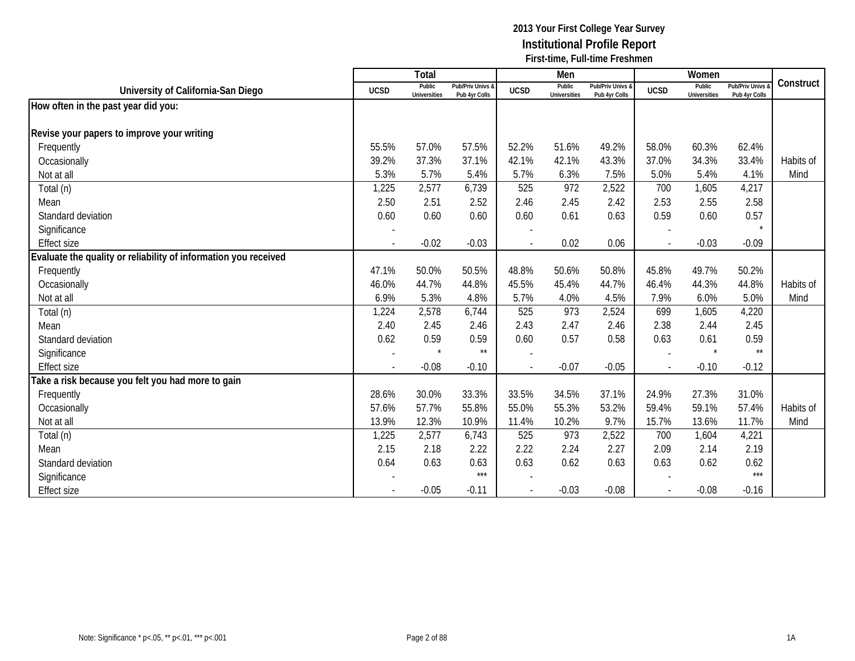|                                                                 |             | Total                         |                                   |                          | Men                           |                                   |             | Women                         |                                        |           |
|-----------------------------------------------------------------|-------------|-------------------------------|-----------------------------------|--------------------------|-------------------------------|-----------------------------------|-------------|-------------------------------|----------------------------------------|-----------|
| University of California-San Diego                              | <b>UCSD</b> | Public<br><b>Universities</b> | Pub/Priv Univs &<br>Pub 4yr Colls | <b>UCSD</b>              | Public<br><b>Universities</b> | Pub/Priv Univs &<br>Pub 4yr Colls | <b>UCSD</b> | Public<br><b>Universities</b> | <b>Pub/Priv Univs</b><br>Pub 4yr Colls | Construct |
| How often in the past year did you:                             |             |                               |                                   |                          |                               |                                   |             |                               |                                        |           |
|                                                                 |             |                               |                                   |                          |                               |                                   |             |                               |                                        |           |
| Revise your papers to improve your writing                      |             |                               |                                   |                          |                               |                                   |             |                               |                                        |           |
| Frequently                                                      | 55.5%       | 57.0%                         | 57.5%                             | 52.2%                    | 51.6%                         | 49.2%                             | 58.0%       | 60.3%                         | 62.4%                                  |           |
| Occasionally                                                    | 39.2%       | 37.3%                         | 37.1%                             | 42.1%                    | 42.1%                         | 43.3%                             | 37.0%       | 34.3%                         | 33.4%                                  | Habits of |
| Not at all                                                      | 5.3%        | 5.7%                          | 5.4%                              | 5.7%                     | 6.3%                          | 7.5%                              | 5.0%        | 5.4%                          | 4.1%                                   | Mind      |
| Total (n)                                                       | 1,225       | 2,577                         | 6,739                             | 525                      | 972                           | 2,522                             | 700         | 1,605                         | 4,217                                  |           |
| Mean                                                            | 2.50        | 2.51                          | 2.52                              | 2.46                     | 2.45                          | 2.42                              | 2.53        | 2.55                          | 2.58                                   |           |
| Standard deviation                                              | 0.60        | 0.60                          | 0.60                              | 0.60                     | 0.61                          | 0.63                              | 0.59        | 0.60                          | 0.57                                   |           |
| Significance                                                    |             |                               |                                   |                          |                               |                                   |             |                               |                                        |           |
| <b>Effect size</b>                                              |             | $-0.02$                       | $-0.03$                           |                          | 0.02                          | 0.06                              |             | $-0.03$                       | $-0.09$                                |           |
| Evaluate the quality or reliability of information you received |             |                               |                                   |                          |                               |                                   |             |                               |                                        |           |
| Frequently                                                      | 47.1%       | 50.0%                         | 50.5%                             | 48.8%                    | 50.6%                         | 50.8%                             | 45.8%       | 49.7%                         | 50.2%                                  |           |
| Occasionally                                                    | 46.0%       | 44.7%                         | 44.8%                             | 45.5%                    | 45.4%                         | 44.7%                             | 46.4%       | 44.3%                         | 44.8%                                  | Habits of |
| Not at all                                                      | 6.9%        | 5.3%                          | 4.8%                              | 5.7%                     | 4.0%                          | 4.5%                              | 7.9%        | 6.0%                          | 5.0%                                   | Mind      |
| Total (n)                                                       | 1,224       | 2,578                         | 6,744                             | 525                      | 973                           | 2,524                             | 699         | 1,605                         | 4,220                                  |           |
| Mean                                                            | 2.40        | 2.45                          | 2.46                              | 2.43                     | 2.47                          | 2.46                              | 2.38        | 2.44                          | 2.45                                   |           |
| Standard deviation                                              | 0.62        | 0.59                          | 0.59                              | 0.60                     | 0.57                          | 0.58                              | 0.63        | 0.61                          | 0.59                                   |           |
| Significance                                                    |             | $\star$                       | $\star\star$                      |                          |                               |                                   |             | $\star$                       | $\star\star$                           |           |
| <b>Effect size</b>                                              |             | $-0.08$                       | $-0.10$                           | $\overline{a}$           | $-0.07$                       | $-0.05$                           | $\sim$      | $-0.10$                       | $-0.12$                                |           |
| Take a risk because you felt you had more to gain               |             |                               |                                   |                          |                               |                                   |             |                               |                                        |           |
| Frequently                                                      | 28.6%       | 30.0%                         | 33.3%                             | 33.5%                    | 34.5%                         | 37.1%                             | 24.9%       | 27.3%                         | 31.0%                                  |           |
| Occasionally                                                    | 57.6%       | 57.7%                         | 55.8%                             | 55.0%                    | 55.3%                         | 53.2%                             | 59.4%       | 59.1%                         | 57.4%                                  | Habits of |
| Not at all                                                      | 13.9%       | 12.3%                         | 10.9%                             | 11.4%                    | 10.2%                         | 9.7%                              | 15.7%       | 13.6%                         | 11.7%                                  | Mind      |
| Total (n)                                                       | 1,225       | 2,577                         | 6,743                             | 525                      | 973                           | 2,522                             | 700         | 1,604                         | 4,221                                  |           |
| Mean                                                            | 2.15        | 2.18                          | 2.22                              | 2.22                     | 2.24                          | 2.27                              | 2.09        | 2.14                          | 2.19                                   |           |
| Standard deviation                                              | 0.64        | 0.63                          | 0.63                              | 0.63                     | 0.62                          | 0.63                              | 0.63        | 0.62                          | 0.62                                   |           |
| Significance                                                    |             |                               | $***$                             |                          |                               |                                   |             |                               | $***$                                  |           |
| <b>Effect size</b>                                              |             | $-0.05$                       | $-0.11$                           | $\overline{\phantom{a}}$ | $-0.03$                       | $-0.08$                           |             | $-0.08$                       | $-0.16$                                |           |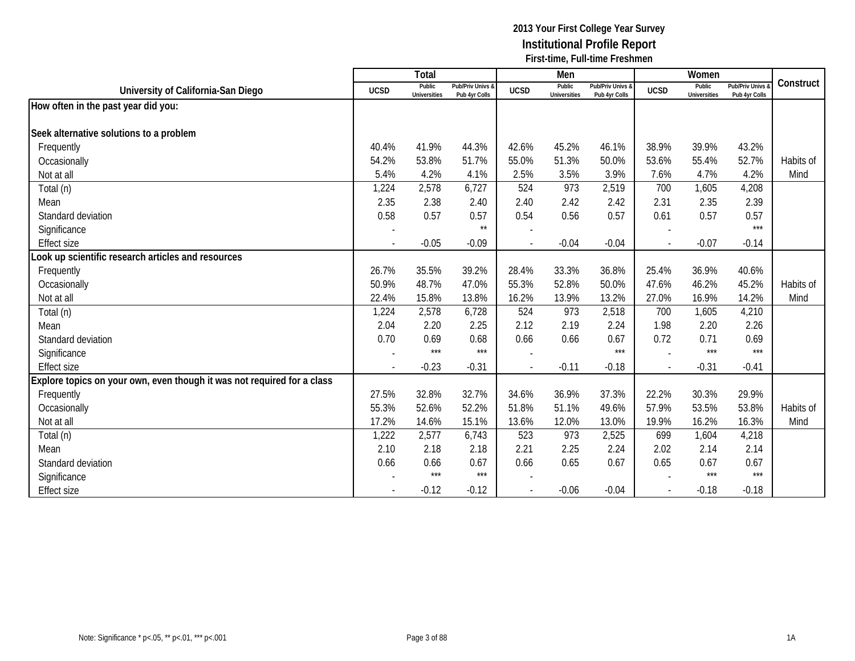|                                                                         |                          | Total                         |                                   |                | Men                           |                                   |              | Women                         |                                        |           |
|-------------------------------------------------------------------------|--------------------------|-------------------------------|-----------------------------------|----------------|-------------------------------|-----------------------------------|--------------|-------------------------------|----------------------------------------|-----------|
| University of California-San Diego                                      | <b>UCSD</b>              | Public<br><b>Universities</b> | Pub/Priv Univs &<br>Pub 4yr Colls | <b>UCSD</b>    | Public<br><b>Universities</b> | Pub/Priv Univs &<br>Pub 4yr Colls | <b>UCSD</b>  | Public<br><b>Universities</b> | <b>Pub/Priv Univs</b><br>Pub 4yr Colls | Construct |
| How often in the past year did you:                                     |                          |                               |                                   |                |                               |                                   |              |                               |                                        |           |
|                                                                         |                          |                               |                                   |                |                               |                                   |              |                               |                                        |           |
| Seek alternative solutions to a problem                                 |                          |                               |                                   |                |                               |                                   |              |                               |                                        |           |
| Frequently                                                              | 40.4%                    | 41.9%                         | 44.3%                             | 42.6%          | 45.2%                         | 46.1%                             | 38.9%        | 39.9%                         | 43.2%                                  |           |
| Occasionally                                                            | 54.2%                    | 53.8%                         | 51.7%                             | 55.0%          | 51.3%                         | 50.0%                             | 53.6%        | 55.4%                         | 52.7%                                  | Habits of |
| Not at all                                                              | 5.4%                     | 4.2%                          | 4.1%                              | 2.5%           | 3.5%                          | 3.9%                              | 7.6%         | 4.7%                          | 4.2%                                   | Mind      |
| Total (n)                                                               | 1,224                    | 2,578                         | 6,727                             | 524            | 973                           | 2,519                             | 700          | 1,605                         | 4,208                                  |           |
| Mean                                                                    | 2.35                     | 2.38                          | 2.40                              | 2.40           | 2.42                          | 2.42                              | 2.31         | 2.35                          | 2.39                                   |           |
| Standard deviation                                                      | 0.58                     | 0.57                          | 0.57                              | 0.54           | 0.56                          | 0.57                              | 0.61         | 0.57                          | 0.57                                   |           |
| Significance                                                            |                          |                               | $\star\star$                      |                |                               |                                   |              |                               | $***$                                  |           |
| <b>Effect size</b>                                                      |                          | $-0.05$                       | $-0.09$                           | $\overline{a}$ | $-0.04$                       | $-0.04$                           |              | $-0.07$                       | $-0.14$                                |           |
| Look up scientific research articles and resources                      |                          |                               |                                   |                |                               |                                   |              |                               |                                        |           |
| Frequently                                                              | 26.7%                    | 35.5%                         | 39.2%                             | 28.4%          | 33.3%                         | 36.8%                             | 25.4%        | 36.9%                         | 40.6%                                  |           |
| Occasionally                                                            | 50.9%                    | 48.7%                         | 47.0%                             | 55.3%          | 52.8%                         | 50.0%                             | 47.6%        | 46.2%                         | 45.2%                                  | Habits of |
| Not at all                                                              | 22.4%                    | 15.8%                         | 13.8%                             | 16.2%          | 13.9%                         | 13.2%                             | 27.0%        | 16.9%                         | 14.2%                                  | Mind      |
| Total (n)                                                               | 1,224                    | 2,578                         | 6,728                             | 524            | 973                           | 2,518                             | 700          | 1,605                         | 4,210                                  |           |
| Mean                                                                    | 2.04                     | 2.20                          | 2.25                              | 2.12           | 2.19                          | 2.24                              | 1.98         | 2.20                          | 2.26                                   |           |
| Standard deviation                                                      | 0.70                     | 0.69                          | 0.68                              | 0.66           | 0.66                          | 0.67                              | 0.72         | 0.71                          | 0.69                                   |           |
| Significance                                                            |                          | $***$                         | $***$                             |                |                               | $***$                             |              | $***$                         | $***$                                  |           |
| <b>Effect size</b>                                                      | $\overline{\phantom{a}}$ | $-0.23$                       | $-0.31$                           | $\sim$         | $-0.11$                       | $-0.18$                           | $\mathbf{r}$ | $-0.31$                       | $-0.41$                                |           |
| Explore topics on your own, even though it was not required for a class |                          |                               |                                   |                |                               |                                   |              |                               |                                        |           |
| Frequently                                                              | 27.5%                    | 32.8%                         | 32.7%                             | 34.6%          | 36.9%                         | 37.3%                             | 22.2%        | 30.3%                         | 29.9%                                  |           |
| Occasionally                                                            | 55.3%                    | 52.6%                         | 52.2%                             | 51.8%          | 51.1%                         | 49.6%                             | 57.9%        | 53.5%                         | 53.8%                                  | Habits of |
| Not at all                                                              | 17.2%                    | 14.6%                         | 15.1%                             | 13.6%          | 12.0%                         | 13.0%                             | 19.9%        | 16.2%                         | 16.3%                                  | Mind      |
| Total (n)                                                               | 1,222                    | 2,577                         | 6,743                             | 523            | 973                           | 2,525                             | 699          | 1,604                         | 4,218                                  |           |
| Mean                                                                    | 2.10                     | 2.18                          | 2.18                              | 2.21           | 2.25                          | 2.24                              | 2.02         | 2.14                          | 2.14                                   |           |
| Standard deviation                                                      | 0.66                     | 0.66                          | 0.67                              | 0.66           | 0.65                          | 0.67                              | 0.65         | 0.67                          | 0.67                                   |           |
| Significance                                                            |                          | ***                           | ***                               |                |                               |                                   |              | $***$                         | $***$                                  |           |
| <b>Effect size</b>                                                      |                          | $-0.12$                       | $-0.12$                           |                | $-0.06$                       | $-0.04$                           |              | $-0.18$                       | $-0.18$                                |           |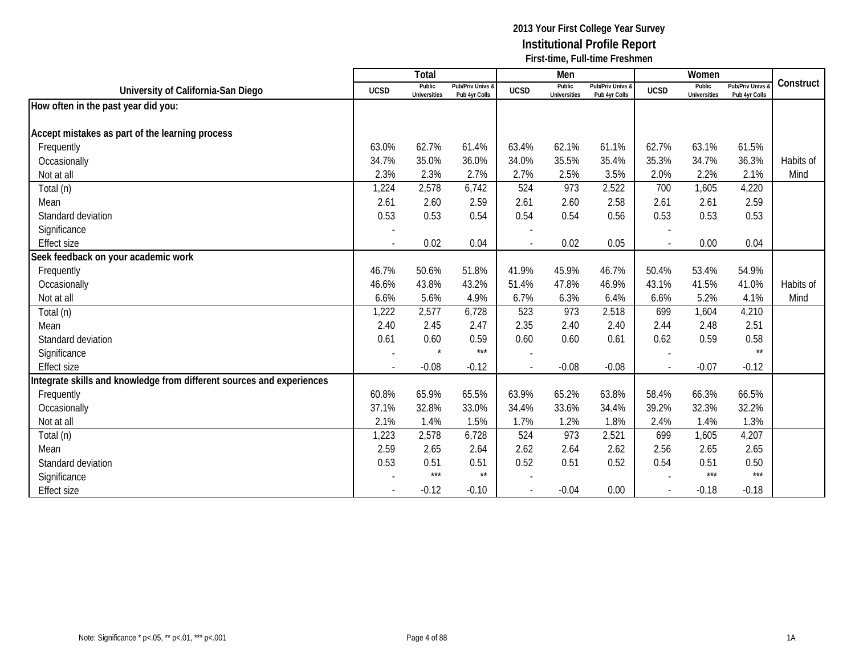|                                                                       |                          | Total                         |                                   |             | Men                           |                                   |             | Women                         |                                        |           |
|-----------------------------------------------------------------------|--------------------------|-------------------------------|-----------------------------------|-------------|-------------------------------|-----------------------------------|-------------|-------------------------------|----------------------------------------|-----------|
| University of California-San Diego                                    | <b>UCSD</b>              | Public<br><b>Universities</b> | Pub/Priv Univs &<br>Pub 4yr Colls | <b>UCSD</b> | Public<br><b>Universities</b> | Pub/Priv Univs &<br>Pub 4yr Colls | <b>UCSD</b> | Public<br><b>Universities</b> | <b>Pub/Priv Univs</b><br>Pub 4yr Colls | Construct |
| How often in the past year did you:                                   |                          |                               |                                   |             |                               |                                   |             |                               |                                        |           |
|                                                                       |                          |                               |                                   |             |                               |                                   |             |                               |                                        |           |
| Accept mistakes as part of the learning process                       |                          |                               |                                   |             |                               |                                   |             |                               |                                        |           |
| Frequently                                                            | 63.0%                    | 62.7%                         | 61.4%                             | 63.4%       | 62.1%                         | 61.1%                             | 62.7%       | 63.1%                         | 61.5%                                  |           |
| Occasionally                                                          | 34.7%                    | 35.0%                         | 36.0%                             | 34.0%       | 35.5%                         | 35.4%                             | 35.3%       | 34.7%                         | 36.3%                                  | Habits of |
| Not at all                                                            | 2.3%                     | 2.3%                          | 2.7%                              | 2.7%        | 2.5%                          | 3.5%                              | 2.0%        | 2.2%                          | 2.1%                                   | Mind      |
| Total (n)                                                             | 1,224                    | 2,578                         | 6,742                             | 524         | 973                           | 2,522                             | 700         | 1,605                         | 4,220                                  |           |
| Mean                                                                  | 2.61                     | 2.60                          | 2.59                              | 2.61        | 2.60                          | 2.58                              | 2.61        | 2.61                          | 2.59                                   |           |
| Standard deviation                                                    | 0.53                     | 0.53                          | 0.54                              | 0.54        | 0.54                          | 0.56                              | 0.53        | 0.53                          | 0.53                                   |           |
| Significance                                                          |                          |                               |                                   |             |                               |                                   |             |                               |                                        |           |
| <b>Effect size</b>                                                    | $\overline{\phantom{a}}$ | 0.02                          | 0.04                              |             | 0.02                          | 0.05                              |             | 0.00                          | 0.04                                   |           |
| Seek feedback on your academic work                                   |                          |                               |                                   |             |                               |                                   |             |                               |                                        |           |
| Frequently                                                            | 46.7%                    | 50.6%                         | 51.8%                             | 41.9%       | 45.9%                         | 46.7%                             | 50.4%       | 53.4%                         | 54.9%                                  |           |
| Occasionally                                                          | 46.6%                    | 43.8%                         | 43.2%                             | 51.4%       | 47.8%                         | 46.9%                             | 43.1%       | 41.5%                         | 41.0%                                  | Habits of |
| Not at all                                                            | 6.6%                     | 5.6%                          | 4.9%                              | 6.7%        | 6.3%                          | 6.4%                              | 6.6%        | 5.2%                          | 4.1%                                   | Mind      |
| Total (n)                                                             | 1,222                    | 2,577                         | 6,728                             | 523         | 973                           | 2,518                             | 699         | 1,604                         | 4,210                                  |           |
| Mean                                                                  | 2.40                     | 2.45                          | 2.47                              | 2.35        | 2.40                          | 2.40                              | 2.44        | 2.48                          | 2.51                                   |           |
| Standard deviation                                                    | 0.61                     | 0.60                          | 0.59                              | 0.60        | 0.60                          | 0.61                              | 0.62        | 0.59                          | 0.58                                   |           |
| Significance                                                          |                          | $\star$                       | $***$                             |             |                               |                                   |             |                               | $\star\star$                           |           |
| <b>Effect size</b>                                                    |                          | $-0.08$                       | $-0.12$                           |             | $-0.08$                       | $-0.08$                           | $\sim$      | $-0.07$                       | $-0.12$                                |           |
| Integrate skills and knowledge from different sources and experiences |                          |                               |                                   |             |                               |                                   |             |                               |                                        |           |
| Frequently                                                            | 60.8%                    | 65.9%                         | 65.5%                             | 63.9%       | 65.2%                         | 63.8%                             | 58.4%       | 66.3%                         | 66.5%                                  |           |
| Occasionally                                                          | 37.1%                    | 32.8%                         | 33.0%                             | 34.4%       | 33.6%                         | 34.4%                             | 39.2%       | 32.3%                         | 32.2%                                  |           |
| Not at all                                                            | 2.1%                     | 1.4%                          | 1.5%                              | 1.7%        | 1.2%                          | 1.8%                              | 2.4%        | 1.4%                          | 1.3%                                   |           |
| Total (n)                                                             | 1,223                    | 2,578                         | 6,728                             | 524         | 973                           | 2,521                             | 699         | 1,605                         | 4,207                                  |           |
| Mean                                                                  | 2.59                     | 2.65                          | 2.64                              | 2.62        | 2.64                          | 2.62                              | 2.56        | 2.65                          | 2.65                                   |           |
| Standard deviation                                                    | 0.53                     | 0.51                          | 0.51                              | 0.52        | 0.51                          | 0.52                              | 0.54        | 0.51                          | 0.50                                   |           |
| Significance                                                          |                          | $***$                         | $\star\star$                      |             |                               |                                   |             | $***$                         | $***$                                  |           |
| <b>Effect size</b>                                                    |                          | $-0.12$                       | $-0.10$                           |             | $-0.04$                       | 0.00                              |             | $-0.18$                       | $-0.18$                                |           |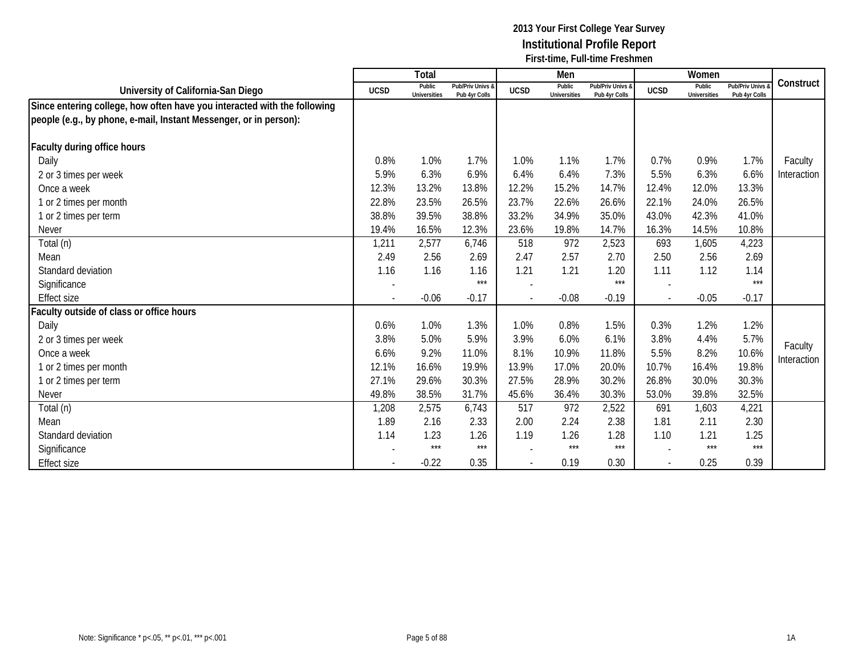|                                                                          |             | Total                         |                                   |                          | Men                           |                                   |             | Women                         |                                        |             |
|--------------------------------------------------------------------------|-------------|-------------------------------|-----------------------------------|--------------------------|-------------------------------|-----------------------------------|-------------|-------------------------------|----------------------------------------|-------------|
| University of California-San Diego                                       | <b>UCSD</b> | Public<br><b>Universities</b> | Pub/Priv Univs &<br>Pub 4yr Colls | <b>UCSD</b>              | Public<br><b>Universities</b> | Pub/Priv Univs &<br>Pub 4yr Colls | <b>UCSD</b> | Public<br><b>Universities</b> | <b>Pub/Priv Univs</b><br>Pub 4yr Colls | Construct   |
| Since entering college, how often have you interacted with the following |             |                               |                                   |                          |                               |                                   |             |                               |                                        |             |
| people (e.g., by phone, e-mail, Instant Messenger, or in person):        |             |                               |                                   |                          |                               |                                   |             |                               |                                        |             |
|                                                                          |             |                               |                                   |                          |                               |                                   |             |                               |                                        |             |
| Faculty during office hours                                              |             |                               |                                   |                          |                               |                                   |             |                               |                                        |             |
| Daily                                                                    | 0.8%        | 1.0%                          | 1.7%                              | 1.0%                     | 1.1%                          | 1.7%                              | 0.7%        | 0.9%                          | 1.7%                                   | Faculty     |
| 2 or 3 times per week                                                    | 5.9%        | 6.3%                          | 6.9%                              | 6.4%                     | 6.4%                          | 7.3%                              | 5.5%        | 6.3%                          | 6.6%                                   | Interaction |
| Once a week                                                              | 12.3%       | 13.2%                         | 13.8%                             | 12.2%                    | 15.2%                         | 14.7%                             | 12.4%       | 12.0%                         | 13.3%                                  |             |
| 1 or 2 times per month                                                   | 22.8%       | 23.5%                         | 26.5%                             | 23.7%                    | 22.6%                         | 26.6%                             | 22.1%       | 24.0%                         | 26.5%                                  |             |
| 1 or 2 times per term                                                    | 38.8%       | 39.5%                         | 38.8%                             | 33.2%                    | 34.9%                         | 35.0%                             | 43.0%       | 42.3%                         | 41.0%                                  |             |
| <b>Never</b>                                                             | 19.4%       | 16.5%                         | 12.3%                             | 23.6%                    | 19.8%                         | 14.7%                             | 16.3%       | 14.5%                         | 10.8%                                  |             |
| Total (n)                                                                | 1,211       | 2,577                         | 6,746                             | 518                      | 972                           | 2,523                             | 693         | 1,605                         | 4,223                                  |             |
| Mean                                                                     | 2.49        | 2.56                          | 2.69                              | 2.47                     | 2.57                          | 2.70                              | 2.50        | 2.56                          | 2.69                                   |             |
| Standard deviation                                                       | 1.16        | 1.16                          | 1.16                              | 1.21                     | 1.21                          | 1.20                              | 1.11        | 1.12                          | 1.14                                   |             |
| Significance                                                             |             |                               | $***$                             |                          |                               | $***$                             |             |                               | $***$                                  |             |
| <b>Effect size</b>                                                       |             | $-0.06$                       | $-0.17$                           | $\overline{\phantom{a}}$ | $-0.08$                       | $-0.19$                           |             | $-0.05$                       | $-0.17$                                |             |
| aculty outside of class or office hours                                  |             |                               |                                   |                          |                               |                                   |             |                               |                                        |             |
| Daily                                                                    | 0.6%        | 1.0%                          | 1.3%                              | 1.0%                     | 0.8%                          | 1.5%                              | 0.3%        | 1.2%                          | 1.2%                                   |             |
| 2 or 3 times per week                                                    | 3.8%        | 5.0%                          | 5.9%                              | 3.9%                     | 6.0%                          | 6.1%                              | 3.8%        | 4.4%                          | 5.7%                                   | Faculty     |
| Once a week                                                              | 6.6%        | 9.2%                          | 11.0%                             | 8.1%                     | 10.9%                         | 11.8%                             | 5.5%        | 8.2%                          | 10.6%                                  | Interaction |
| 1 or 2 times per month                                                   | 12.1%       | 16.6%                         | 19.9%                             | 13.9%                    | 17.0%                         | 20.0%                             | 10.7%       | 16.4%                         | 19.8%                                  |             |
| 1 or 2 times per term                                                    | 27.1%       | 29.6%                         | 30.3%                             | 27.5%                    | 28.9%                         | 30.2%                             | 26.8%       | 30.0%                         | 30.3%                                  |             |
| Never                                                                    | 49.8%       | 38.5%                         | 31.7%                             | 45.6%                    | 36.4%                         | 30.3%                             | 53.0%       | 39.8%                         | 32.5%                                  |             |
| Total (n)                                                                | 1,208       | 2,575                         | 6,743                             | 517                      | 972                           | 2,522                             | 691         | 1,603                         | 4,221                                  |             |
| Mean                                                                     | 1.89        | 2.16                          | 2.33                              | 2.00                     | 2.24                          | 2.38                              | 1.81        | 2.11                          | 2.30                                   |             |
| Standard deviation                                                       | 1.14        | 1.23                          | 1.26                              | 1.19                     | 1.26                          | 1.28                              | 1.10        | 1.21                          | 1.25                                   |             |
| Significance                                                             |             | $***$                         | $***$                             |                          | $***$                         | $***$                             |             | $***$                         | $***$                                  |             |
| <b>Effect size</b>                                                       |             | $-0.22$                       | 0.35                              |                          | 0.19                          | 0.30                              |             | 0.25                          | 0.39                                   |             |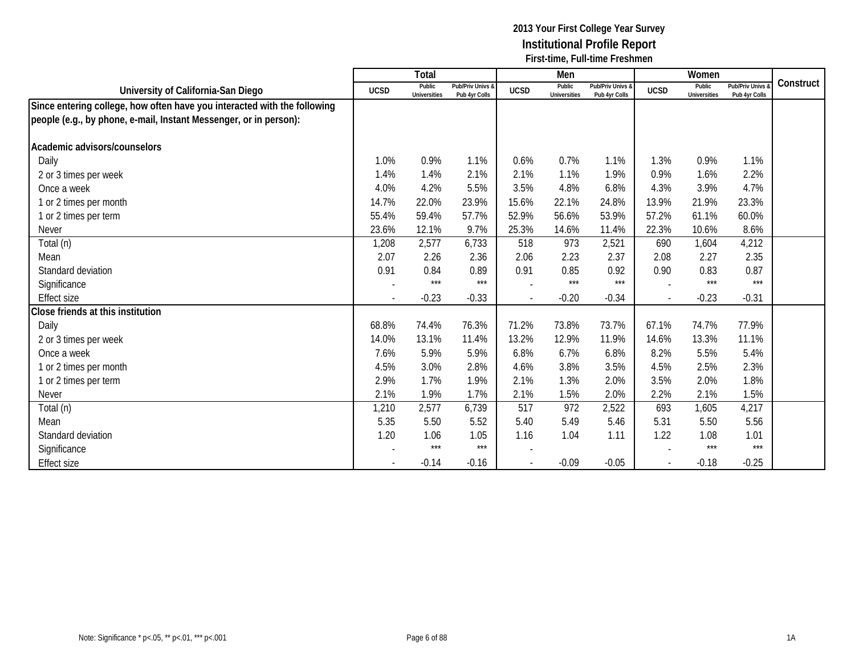|                                                                          |                | Total                         |                                   |             | Men                           |                                   |             | Women                         |                                 |           |
|--------------------------------------------------------------------------|----------------|-------------------------------|-----------------------------------|-------------|-------------------------------|-----------------------------------|-------------|-------------------------------|---------------------------------|-----------|
| University of California-San Diego                                       | <b>UCSD</b>    | Public<br><b>Universities</b> | Pub/Priv Univs &<br>Pub 4yr Colls | <b>UCSD</b> | Public<br><b>Universities</b> | Pub/Priv Univs &<br>Pub 4yr Colls | <b>UCSD</b> | Public<br><b>Universities</b> | Pub/Priv Univs<br>Pub 4yr Colls | Construct |
| Since entering college, how often have you interacted with the following |                |                               |                                   |             |                               |                                   |             |                               |                                 |           |
| people (e.g., by phone, e-mail, Instant Messenger, or in person):        |                |                               |                                   |             |                               |                                   |             |                               |                                 |           |
| Academic advisors/counselors                                             |                |                               |                                   |             |                               |                                   |             |                               |                                 |           |
| Daily                                                                    | 1.0%           | 0.9%                          | 1.1%                              | 0.6%        | 0.7%                          | 1.1%                              | 1.3%        | 0.9%                          | 1.1%                            |           |
| 2 or 3 times per week                                                    | 1.4%           | 1.4%                          | 2.1%                              | 2.1%        | 1.1%                          | 1.9%                              | 0.9%        | 1.6%                          | 2.2%                            |           |
| Once a week                                                              | 4.0%           | 4.2%                          | 5.5%                              | 3.5%        | 4.8%                          | 6.8%                              | 4.3%        | 3.9%                          | 4.7%                            |           |
| 1 or 2 times per month                                                   | 14.7%          | 22.0%                         | 23.9%                             | 15.6%       | 22.1%                         | 24.8%                             | 13.9%       | 21.9%                         | 23.3%                           |           |
| 1 or 2 times per term                                                    | 55.4%          | 59.4%                         | 57.7%                             | 52.9%       | 56.6%                         | 53.9%                             | 57.2%       | 61.1%                         | 60.0%                           |           |
| <b>Never</b>                                                             | 23.6%          | 12.1%                         | 9.7%                              | 25.3%       | 14.6%                         | 11.4%                             | 22.3%       | 10.6%                         | 8.6%                            |           |
| Total (n)                                                                | 1,208          | 2,577                         | 6,733                             | 518         | 973                           | 2,521                             | 690         | 1,604                         | 4,212                           |           |
| Mean                                                                     | 2.07           | 2.26                          | 2.36                              | 2.06        | 2.23                          | 2.37                              | 2.08        | 2.27                          | 2.35                            |           |
| Standard deviation                                                       | 0.91           | 0.84                          | 0.89                              | 0.91        | 0.85                          | 0.92                              | 0.90        | 0.83                          | 0.87                            |           |
| Significance                                                             |                | $***$                         | $***$                             |             | $***$                         | $***$                             |             | $***$                         | $***$                           |           |
| <b>Effect size</b>                                                       | $\blacksquare$ | $-0.23$                       | $-0.33$                           | $\sim$      | $-0.20$                       | $-0.34$                           | $\sim$      | $-0.23$                       | $-0.31$                         |           |
| Close friends at this institution                                        |                |                               |                                   |             |                               |                                   |             |                               |                                 |           |
| Daily                                                                    | 68.8%          | 74.4%                         | 76.3%                             | 71.2%       | 73.8%                         | 73.7%                             | 67.1%       | 74.7%                         | 77.9%                           |           |
| 2 or 3 times per week                                                    | 14.0%          | 13.1%                         | 11.4%                             | 13.2%       | 12.9%                         | 11.9%                             | 14.6%       | 13.3%                         | 11.1%                           |           |
| Once a week                                                              | 7.6%           | 5.9%                          | 5.9%                              | 6.8%        | 6.7%                          | 6.8%                              | 8.2%        | 5.5%                          | 5.4%                            |           |
| 1 or 2 times per month                                                   | 4.5%           | 3.0%                          | 2.8%                              | 4.6%        | 3.8%                          | 3.5%                              | 4.5%        | 2.5%                          | 2.3%                            |           |
| 1 or 2 times per term                                                    | 2.9%           | 1.7%                          | 1.9%                              | 2.1%        | 1.3%                          | 2.0%                              | 3.5%        | 2.0%                          | 1.8%                            |           |
| <b>Never</b>                                                             | 2.1%           | 1.9%                          | 1.7%                              | 2.1%        | 1.5%                          | 2.0%                              | 2.2%        | 2.1%                          | 1.5%                            |           |
| Total (n)                                                                | 1,210          | 2,577                         | 6,739                             | 517         | 972                           | 2,522                             | 693         | 1,605                         | 4,217                           |           |
| Mean                                                                     | 5.35           | 5.50                          | 5.52                              | 5.40        | 5.49                          | 5.46                              | 5.31        | 5.50                          | 5.56                            |           |
| Standard deviation                                                       | 1.20           | 1.06                          | 1.05                              | 1.16        | 1.04                          | 1.11                              | 1.22        | 1.08                          | 1.01                            |           |
| Significance                                                             |                | $***$                         | $***$                             |             |                               |                                   |             | $***$                         | $***$                           |           |
| <b>Effect size</b>                                                       |                | $-0.14$                       | $-0.16$                           |             | $-0.09$                       | $-0.05$                           |             | $-0.18$                       | $-0.25$                         |           |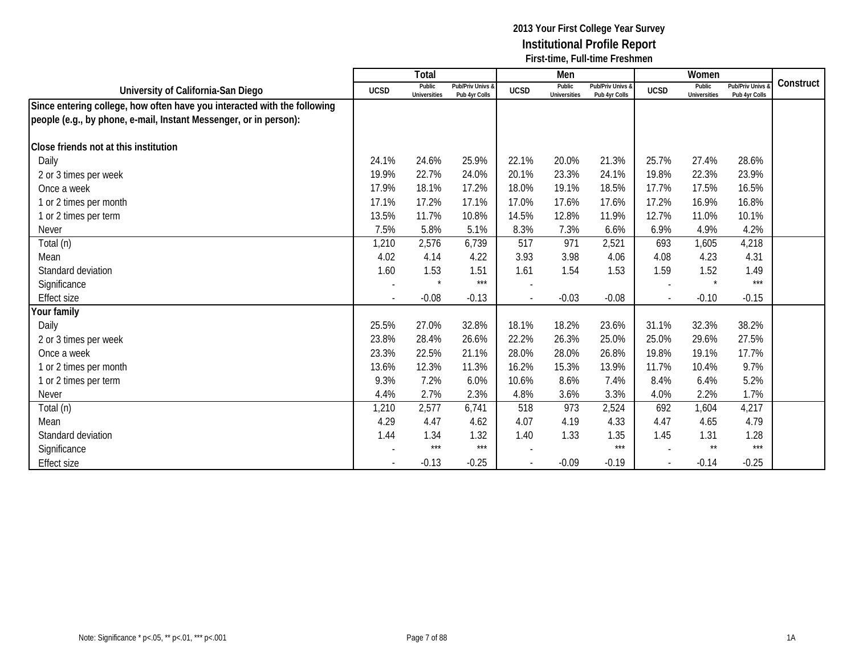|                                                                          |                          | Total                         |                                   |                          | Men                           |                                   |             | Women                         |                                        |           |
|--------------------------------------------------------------------------|--------------------------|-------------------------------|-----------------------------------|--------------------------|-------------------------------|-----------------------------------|-------------|-------------------------------|----------------------------------------|-----------|
| University of California-San Diego                                       | <b>UCSD</b>              | Public<br><b>Universities</b> | Pub/Priv Univs &<br>Pub 4yr Colls | <b>UCSD</b>              | Public<br><b>Universities</b> | Pub/Priv Univs &<br>Pub 4yr Colls | <b>UCSD</b> | Public<br><b>Universities</b> | <b>Pub/Priv Univs</b><br>Pub 4yr Colls | Construct |
| Since entering college, how often have you interacted with the following |                          |                               |                                   |                          |                               |                                   |             |                               |                                        |           |
| people (e.g., by phone, e-mail, Instant Messenger, or in person):        |                          |                               |                                   |                          |                               |                                   |             |                               |                                        |           |
|                                                                          |                          |                               |                                   |                          |                               |                                   |             |                               |                                        |           |
| Close friends not at this institution                                    |                          |                               |                                   |                          |                               |                                   |             |                               |                                        |           |
| Daily                                                                    | 24.1%                    | 24.6%                         | 25.9%                             | 22.1%                    | 20.0%                         | 21.3%                             | 25.7%       | 27.4%                         | 28.6%                                  |           |
| 2 or 3 times per week                                                    | 19.9%                    | 22.7%                         | 24.0%                             | 20.1%                    | 23.3%                         | 24.1%                             | 19.8%       | 22.3%                         | 23.9%                                  |           |
| Once a week                                                              | 17.9%                    | 18.1%                         | 17.2%                             | 18.0%                    | 19.1%                         | 18.5%                             | 17.7%       | 17.5%                         | 16.5%                                  |           |
| 1 or 2 times per month                                                   | 17.1%                    | 17.2%                         | 17.1%                             | 17.0%                    | 17.6%                         | 17.6%                             | 17.2%       | 16.9%                         | 16.8%                                  |           |
| 1 or 2 times per term                                                    | 13.5%                    | 11.7%                         | 10.8%                             | 14.5%                    | 12.8%                         | 11.9%                             | 12.7%       | 11.0%                         | 10.1%                                  |           |
| <b>Never</b>                                                             | 7.5%                     | 5.8%                          | 5.1%                              | 8.3%                     | 7.3%                          | 6.6%                              | 6.9%        | 4.9%                          | 4.2%                                   |           |
| Total (n)                                                                | 1,210                    | 2,576                         | 6,739                             | 517                      | 971                           | 2,521                             | 693         | 1,605                         | 4,218                                  |           |
| Mean                                                                     | 4.02                     | 4.14                          | 4.22                              | 3.93                     | 3.98                          | 4.06                              | 4.08        | 4.23                          | 4.31                                   |           |
| Standard deviation                                                       | 1.60                     | 1.53                          | 1.51                              | 1.61                     | 1.54                          | 1.53                              | 1.59        | 1.52                          | 1.49                                   |           |
| Significance                                                             | $\overline{\phantom{a}}$ | $\star$                       | $***$                             | $\overline{\phantom{a}}$ |                               |                                   |             | $\star$                       | $***$                                  |           |
| <b>Effect size</b>                                                       |                          | $-0.08$                       | $-0.13$                           | $\sim$                   | $-0.03$                       | $-0.08$                           |             | $-0.10$                       | $-0.15$                                |           |
| Your family                                                              |                          |                               |                                   |                          |                               |                                   |             |                               |                                        |           |
| Daily                                                                    | 25.5%                    | 27.0%                         | 32.8%                             | 18.1%                    | 18.2%                         | 23.6%                             | 31.1%       | 32.3%                         | 38.2%                                  |           |
| 2 or 3 times per week                                                    | 23.8%                    | 28.4%                         | 26.6%                             | 22.2%                    | 26.3%                         | 25.0%                             | 25.0%       | 29.6%                         | 27.5%                                  |           |
| Once a week                                                              | 23.3%                    | 22.5%                         | 21.1%                             | 28.0%                    | 28.0%                         | 26.8%                             | 19.8%       | 19.1%                         | 17.7%                                  |           |
| 1 or 2 times per month                                                   | 13.6%                    | 12.3%                         | 11.3%                             | 16.2%                    | 15.3%                         | 13.9%                             | 11.7%       | 10.4%                         | 9.7%                                   |           |
| 1 or 2 times per term                                                    | 9.3%                     | 7.2%                          | 6.0%                              | 10.6%                    | 8.6%                          | 7.4%                              | 8.4%        | 6.4%                          | 5.2%                                   |           |
| Never                                                                    | 4.4%                     | 2.7%                          | 2.3%                              | 4.8%                     | 3.6%                          | 3.3%                              | 4.0%        | 2.2%                          | 1.7%                                   |           |
| Total (n)                                                                | 1,210                    | 2,577                         | 6,741                             | 518                      | 973                           | 2,524                             | 692         | 1,604                         | 4,217                                  |           |
| Mean                                                                     | 4.29                     | 4.47                          | 4.62                              | 4.07                     | 4.19                          | 4.33                              | 4.47        | 4.65                          | 4.79                                   |           |
| Standard deviation                                                       | 1.44                     | 1.34                          | 1.32                              | 1.40                     | 1.33                          | 1.35                              | 1.45        | 1.31                          | 1.28                                   |           |
| Significance                                                             |                          | $***$                         | $***$                             |                          |                               | $***$                             |             | $^{\star\star}$               | $***$                                  |           |
| <b>Effect size</b>                                                       |                          | $-0.13$                       | $-0.25$                           |                          | $-0.09$                       | $-0.19$                           |             | $-0.14$                       | $-0.25$                                |           |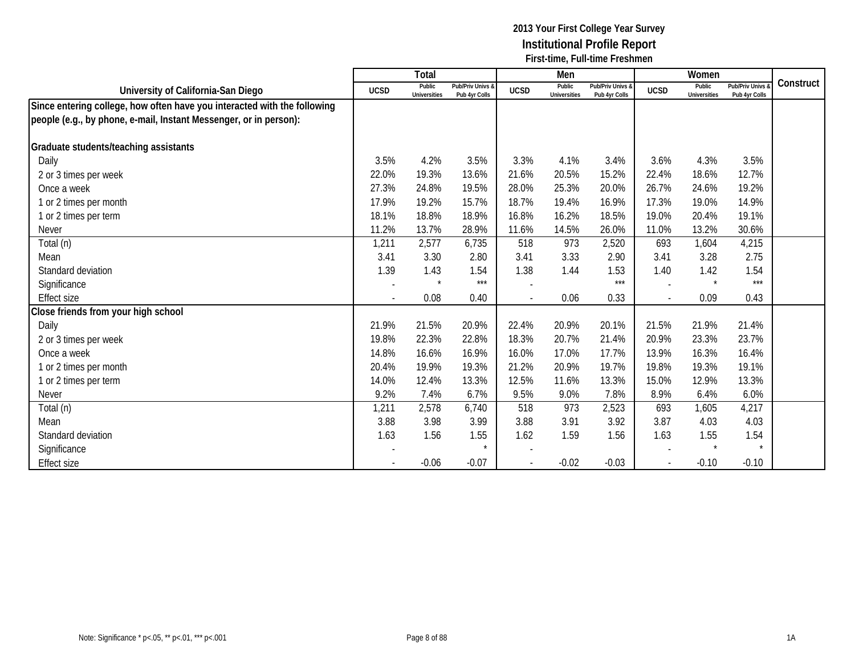|                                                                          |             | Total                         |                                   |             | Men                           |                                   |             | Women                         |                                        |           |
|--------------------------------------------------------------------------|-------------|-------------------------------|-----------------------------------|-------------|-------------------------------|-----------------------------------|-------------|-------------------------------|----------------------------------------|-----------|
| University of California-San Diego                                       | <b>UCSD</b> | Public<br><b>Universities</b> | Pub/Priv Univs &<br>Pub 4yr Colls | <b>UCSD</b> | Public<br><b>Universities</b> | Pub/Priv Univs &<br>Pub 4yr Colls | <b>UCSD</b> | Public<br><b>Universities</b> | <b>Pub/Priv Univs</b><br>Pub 4yr Colls | Construct |
| Since entering college, how often have you interacted with the following |             |                               |                                   |             |                               |                                   |             |                               |                                        |           |
| people (e.g., by phone, e-mail, Instant Messenger, or in person):        |             |                               |                                   |             |                               |                                   |             |                               |                                        |           |
|                                                                          |             |                               |                                   |             |                               |                                   |             |                               |                                        |           |
| Graduate students/teaching assistants                                    |             |                               |                                   |             |                               |                                   |             |                               |                                        |           |
| Daily                                                                    | 3.5%        | 4.2%                          | 3.5%                              | 3.3%        | 4.1%                          | 3.4%                              | 3.6%        | 4.3%                          | 3.5%                                   |           |
| 2 or 3 times per week                                                    | 22.0%       | 19.3%                         | 13.6%                             | 21.6%       | 20.5%                         | 15.2%                             | 22.4%       | 18.6%                         | 12.7%                                  |           |
| Once a week                                                              | 27.3%       | 24.8%                         | 19.5%                             | 28.0%       | 25.3%                         | 20.0%                             | 26.7%       | 24.6%                         | 19.2%                                  |           |
| 1 or 2 times per month                                                   | 17.9%       | 19.2%                         | 15.7%                             | 18.7%       | 19.4%                         | 16.9%                             | 17.3%       | 19.0%                         | 14.9%                                  |           |
| 1 or 2 times per term                                                    | 18.1%       | 18.8%                         | 18.9%                             | 16.8%       | 16.2%                         | 18.5%                             | 19.0%       | 20.4%                         | 19.1%                                  |           |
| <b>Never</b>                                                             | 11.2%       | 13.7%                         | 28.9%                             | 11.6%       | 14.5%                         | 26.0%                             | 11.0%       | 13.2%                         | 30.6%                                  |           |
| Total (n)                                                                | 1,211       | 2,577                         | 6,735                             | 518         | 973                           | 2,520                             | 693         | 1,604                         | 4,215                                  |           |
| Mean                                                                     | 3.41        | 3.30                          | 2.80                              | 3.41        | 3.33                          | 2.90                              | 3.41        | 3.28                          | 2.75                                   |           |
| Standard deviation                                                       | 1.39        | 1.43                          | 1.54                              | 1.38        | 1.44                          | 1.53                              | 1.40        | 1.42                          | 1.54                                   |           |
| Significance                                                             |             | $\star$                       | $***$                             |             |                               | $***$                             |             | $\star$                       | $***$                                  |           |
| <b>Effect size</b>                                                       |             | 0.08                          | 0.40                              | $\sim$      | 0.06                          | 0.33                              |             | 0.09                          | 0.43                                   |           |
| Close friends from your high school                                      |             |                               |                                   |             |                               |                                   |             |                               |                                        |           |
| Daily                                                                    | 21.9%       | 21.5%                         | 20.9%                             | 22.4%       | 20.9%                         | 20.1%                             | 21.5%       | 21.9%                         | 21.4%                                  |           |
| 2 or 3 times per week                                                    | 19.8%       | 22.3%                         | 22.8%                             | 18.3%       | 20.7%                         | 21.4%                             | 20.9%       | 23.3%                         | 23.7%                                  |           |
| Once a week                                                              | 14.8%       | 16.6%                         | 16.9%                             | 16.0%       | 17.0%                         | 17.7%                             | 13.9%       | 16.3%                         | 16.4%                                  |           |
| 1 or 2 times per month                                                   | 20.4%       | 19.9%                         | 19.3%                             | 21.2%       | 20.9%                         | 19.7%                             | 19.8%       | 19.3%                         | 19.1%                                  |           |
| 1 or 2 times per term                                                    | 14.0%       | 12.4%                         | 13.3%                             | 12.5%       | 11.6%                         | 13.3%                             | 15.0%       | 12.9%                         | 13.3%                                  |           |
| Never                                                                    | 9.2%        | 7.4%                          | 6.7%                              | 9.5%        | 9.0%                          | 7.8%                              | 8.9%        | 6.4%                          | 6.0%                                   |           |
| Total (n)                                                                | 1,211       | 2,578                         | 6,740                             | 518         | 973                           | 2,523                             | 693         | 1,605                         | 4,217                                  |           |
| Mean                                                                     | 3.88        | 3.98                          | 3.99                              | 3.88        | 3.91                          | 3.92                              | 3.87        | 4.03                          | 4.03                                   |           |
| Standard deviation                                                       | 1.63        | 1.56                          | 1.55                              | 1.62        | 1.59                          | 1.56                              | 1.63        | 1.55                          | 1.54                                   |           |
| Significance                                                             |             |                               |                                   |             |                               |                                   |             |                               | $\star$                                |           |
| <b>Effect size</b>                                                       |             | $-0.06$                       | $-0.07$                           |             | $-0.02$                       | $-0.03$                           |             | $-0.10$                       | $-0.10$                                |           |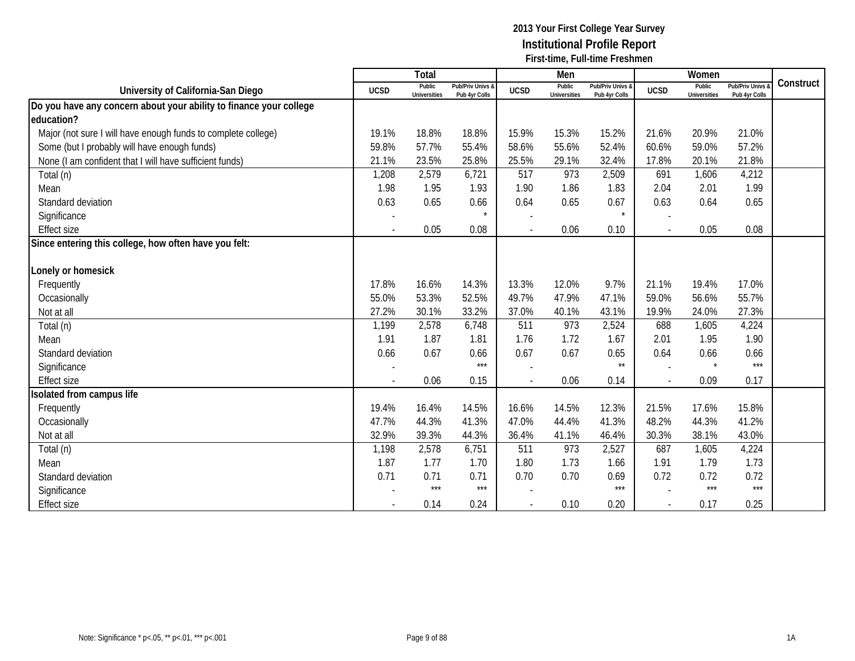|                                                                    |                          | <b>Total</b>                  |                                   |             | Men                           |                                   |                | Women                         |                                        |           |
|--------------------------------------------------------------------|--------------------------|-------------------------------|-----------------------------------|-------------|-------------------------------|-----------------------------------|----------------|-------------------------------|----------------------------------------|-----------|
| University of California-San Diego                                 | <b>UCSD</b>              | Public<br><b>Universities</b> | Pub/Priv Univs &<br>Pub 4yr Colls | <b>UCSD</b> | Public<br><b>Universities</b> | Pub/Priv Univs &<br>Pub 4yr Colls | <b>UCSD</b>    | Public<br><b>Universities</b> | <b>Pub/Priv Univs</b><br>Pub 4yr Colls | Construct |
| Do you have any concern about your ability to finance your college |                          |                               |                                   |             |                               |                                   |                |                               |                                        |           |
| education?                                                         |                          |                               |                                   |             |                               |                                   |                |                               |                                        |           |
| Major (not sure I will have enough funds to complete college)      | 19.1%                    | 18.8%                         | 18.8%                             | 15.9%       | 15.3%                         | 15.2%                             | 21.6%          | 20.9%                         | 21.0%                                  |           |
| Some (but I probably will have enough funds)                       | 59.8%                    | 57.7%                         | 55.4%                             | 58.6%       | 55.6%                         | 52.4%                             | 60.6%          | 59.0%                         | 57.2%                                  |           |
| None (I am confident that I will have sufficient funds)            | 21.1%                    | 23.5%                         | 25.8%                             | 25.5%       | 29.1%                         | 32.4%                             | 17.8%          | 20.1%                         | 21.8%                                  |           |
| Total (n)                                                          | 1,208                    | 2,579                         | 6,721                             | 517         | 973                           | 2,509                             | 691            | 1,606                         | 4,212                                  |           |
| Mean                                                               | 1.98                     | 1.95                          | 1.93                              | 1.90        | 1.86                          | 1.83                              | 2.04           | 2.01                          | 1.99                                   |           |
| Standard deviation                                                 | 0.63                     | 0.65                          | 0.66                              | 0.64        | 0.65                          | 0.67                              | 0.63           | 0.64                          | 0.65                                   |           |
| Significance                                                       |                          |                               |                                   |             |                               |                                   |                |                               |                                        |           |
| <b>Effect size</b>                                                 |                          | 0.05                          | 0.08                              |             | 0.06                          | 0.10                              | $\mathbf{r}$   | 0.05                          | 0.08                                   |           |
| Since entering this college, how often have you felt:              |                          |                               |                                   |             |                               |                                   |                |                               |                                        |           |
|                                                                    |                          |                               |                                   |             |                               |                                   |                |                               |                                        |           |
| Lonely or homesick                                                 |                          |                               |                                   |             |                               |                                   |                |                               |                                        |           |
| Frequently                                                         | 17.8%                    | 16.6%                         | 14.3%                             | 13.3%       | 12.0%                         | 9.7%                              | 21.1%          | 19.4%                         | 17.0%                                  |           |
| Occasionally                                                       | 55.0%                    | 53.3%                         | 52.5%                             | 49.7%       | 47.9%                         | 47.1%                             | 59.0%          | 56.6%                         | 55.7%                                  |           |
| Not at all                                                         | 27.2%                    | 30.1%                         | 33.2%                             | 37.0%       | 40.1%                         | 43.1%                             | 19.9%          | 24.0%                         | 27.3%                                  |           |
| Total (n)                                                          | 1,199                    | 2,578                         | 6,748                             | 511         | 973                           | 2,524                             | 688            | 1,605                         | 4,224                                  |           |
| Mean                                                               | 1.91                     | 1.87                          | 1.81                              | 1.76        | 1.72                          | 1.67                              | 2.01           | 1.95                          | 1.90                                   |           |
| Standard deviation                                                 | 0.66                     | 0.67                          | 0.66                              | 0.67        | 0.67                          | 0.65                              | 0.64           | 0.66                          | 0.66                                   |           |
| Significance                                                       | $\overline{\phantom{a}}$ |                               | $***$                             |             |                               | $\star\star$                      |                | $\star$                       | $***$                                  |           |
| <b>Effect size</b>                                                 |                          | 0.06                          | 0.15                              |             | 0.06                          | 0.14                              |                | 0.09                          | 0.17                                   |           |
| Isolated from campus life                                          |                          |                               |                                   |             |                               |                                   |                |                               |                                        |           |
| Frequently                                                         | 19.4%                    | 16.4%                         | 14.5%                             | 16.6%       | 14.5%                         | 12.3%                             | 21.5%          | 17.6%                         | 15.8%                                  |           |
| Occasionally                                                       | 47.7%                    | 44.3%                         | 41.3%                             | 47.0%       | 44.4%                         | 41.3%                             | 48.2%          | 44.3%                         | 41.2%                                  |           |
| Not at all                                                         | 32.9%                    | 39.3%                         | 44.3%                             | 36.4%       | 41.1%                         | 46.4%                             | 30.3%          | 38.1%                         | 43.0%                                  |           |
| Total (n)                                                          | 1,198                    | 2,578                         | 6,751                             | 511         | 973                           | 2,527                             | 687            | 1,605                         | 4,224                                  |           |
| Mean                                                               | 1.87                     | 1.77                          | 1.70                              | 1.80        | 1.73                          | 1.66                              | 1.91           | 1.79                          | 1.73                                   |           |
| Standard deviation                                                 | 0.71                     | 0.71                          | 0.71                              | 0.70        | 0.70                          | 0.69                              | 0.72           | 0.72                          | 0.72                                   |           |
| Significance                                                       |                          | $***$                         | $***$                             |             |                               | $***$                             |                | $***$                         | $***$                                  |           |
| <b>Effect size</b>                                                 |                          | 0.14                          | 0.24                              |             | 0.10                          | 0.20                              | $\blacksquare$ | 0.17                          | 0.25                                   |           |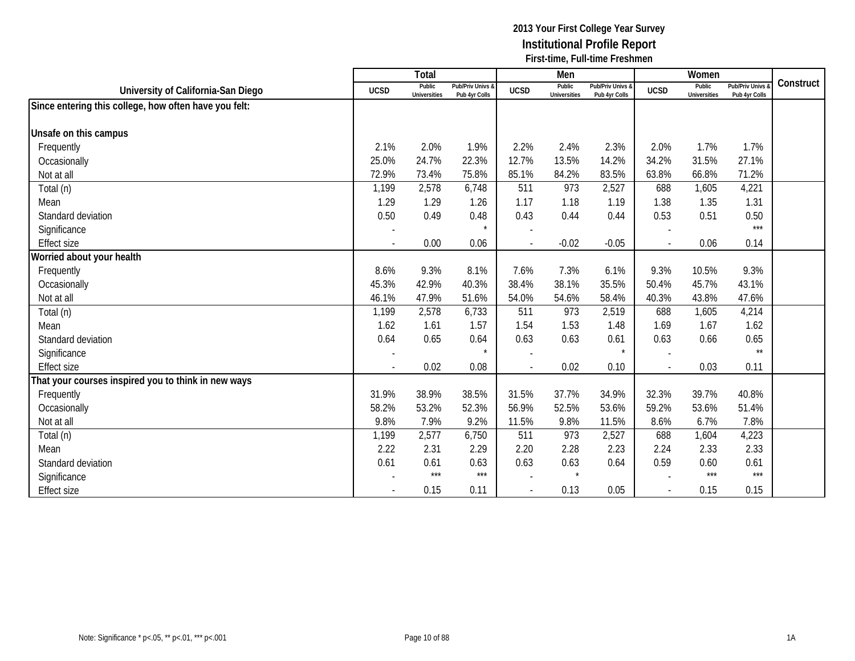|                                                       |                | Total                         |                                   |                          | Men                           |                                   |             | Women                         |                                        |           |
|-------------------------------------------------------|----------------|-------------------------------|-----------------------------------|--------------------------|-------------------------------|-----------------------------------|-------------|-------------------------------|----------------------------------------|-----------|
| University of California-San Diego                    | <b>UCSD</b>    | Public<br><b>Universities</b> | Pub/Priv Univs &<br>Pub 4yr Colls | <b>UCSD</b>              | Public<br><b>Universities</b> | Pub/Priv Univs &<br>Pub 4yr Colls | <b>UCSD</b> | Public<br><b>Universities</b> | <b>Pub/Priv Univs</b><br>Pub 4yr Colls | Construct |
| Since entering this college, how often have you felt: |                |                               |                                   |                          |                               |                                   |             |                               |                                        |           |
|                                                       |                |                               |                                   |                          |                               |                                   |             |                               |                                        |           |
| Unsafe on this campus                                 |                |                               |                                   |                          |                               |                                   |             |                               |                                        |           |
| Frequently                                            | 2.1%           | 2.0%                          | 1.9%                              | 2.2%                     | 2.4%                          | 2.3%                              | 2.0%        | 1.7%                          | 1.7%                                   |           |
| Occasionally                                          | 25.0%          | 24.7%                         | 22.3%                             | 12.7%                    | 13.5%                         | 14.2%                             | 34.2%       | 31.5%                         | 27.1%                                  |           |
| Not at all                                            | 72.9%          | 73.4%                         | 75.8%                             | 85.1%                    | 84.2%                         | 83.5%                             | 63.8%       | 66.8%                         | 71.2%                                  |           |
| Total (n)                                             | 1,199          | 2,578                         | 6,748                             | 511                      | 973                           | 2,527                             | 688         | 1,605                         | 4,221                                  |           |
| Mean                                                  | 1.29           | 1.29                          | 1.26                              | 1.17                     | 1.18                          | 1.19                              | 1.38        | 1.35                          | 1.31                                   |           |
| Standard deviation                                    | 0.50           | 0.49                          | 0.48                              | 0.43                     | 0.44                          | 0.44                              | 0.53        | 0.51                          | 0.50                                   |           |
| Significance                                          |                |                               | $\star$                           |                          |                               |                                   |             |                               | $***$                                  |           |
| <b>Effect size</b>                                    |                | 0.00                          | 0.06                              |                          | $-0.02$                       | $-0.05$                           |             | 0.06                          | 0.14                                   |           |
| Worried about your health                             |                |                               |                                   |                          |                               |                                   |             |                               |                                        |           |
| Frequently                                            | 8.6%           | 9.3%                          | 8.1%                              | 7.6%                     | 7.3%                          | 6.1%                              | 9.3%        | 10.5%                         | 9.3%                                   |           |
| Occasionally                                          | 45.3%          | 42.9%                         | 40.3%                             | 38.4%                    | 38.1%                         | 35.5%                             | 50.4%       | 45.7%                         | 43.1%                                  |           |
| Not at all                                            | 46.1%          | 47.9%                         | 51.6%                             | 54.0%                    | 54.6%                         | 58.4%                             | 40.3%       | 43.8%                         | 47.6%                                  |           |
| Total (n)                                             | 1,199          | 2,578                         | 6,733                             | 511                      | 973                           | 2,519                             | 688         | 1,605                         | 4,214                                  |           |
| Mean                                                  | 1.62           | 1.61                          | 1.57                              | 1.54                     | 1.53                          | 1.48                              | 1.69        | 1.67                          | 1.62                                   |           |
| Standard deviation                                    | 0.64           | 0.65                          | 0.64                              | 0.63                     | 0.63                          | 0.61                              | 0.63        | 0.66                          | 0.65                                   |           |
| Significance                                          |                |                               |                                   |                          |                               | $\star$                           |             |                               | $\star\star$                           |           |
| <b>Effect size</b>                                    | $\blacksquare$ | 0.02                          | 0.08                              | $\overline{\phantom{a}}$ | 0.02                          | 0.10                              | $\sim$      | 0.03                          | 0.11                                   |           |
| That your courses inspired you to think in new ways   |                |                               |                                   |                          |                               |                                   |             |                               |                                        |           |
| Frequently                                            | 31.9%          | 38.9%                         | 38.5%                             | 31.5%                    | 37.7%                         | 34.9%                             | 32.3%       | 39.7%                         | 40.8%                                  |           |
| Occasionally                                          | 58.2%          | 53.2%                         | 52.3%                             | 56.9%                    | 52.5%                         | 53.6%                             | 59.2%       | 53.6%                         | 51.4%                                  |           |
| Not at all                                            | 9.8%           | 7.9%                          | 9.2%                              | 11.5%                    | 9.8%                          | 11.5%                             | 8.6%        | 6.7%                          | 7.8%                                   |           |
| Total (n)                                             | 1,199          | 2,577                         | 6,750                             | 511                      | 973                           | 2,527                             | 688         | 1,604                         | 4,223                                  |           |
| Mean                                                  | 2.22           | 2.31                          | 2.29                              | 2.20                     | 2.28                          | 2.23                              | 2.24        | 2.33                          | 2.33                                   |           |
| Standard deviation                                    | 0.61           | 0.61                          | 0.63                              | 0.63                     | 0.63                          | 0.64                              | 0.59        | 0.60                          | 0.61                                   |           |
| Significance                                          |                | ***                           | ***                               |                          | $\star$                       |                                   |             | $***$                         | $***$                                  |           |
| <b>Effect size</b>                                    |                | 0.15                          | 0.11                              |                          | 0.13                          | 0.05                              |             | 0.15                          | 0.15                                   |           |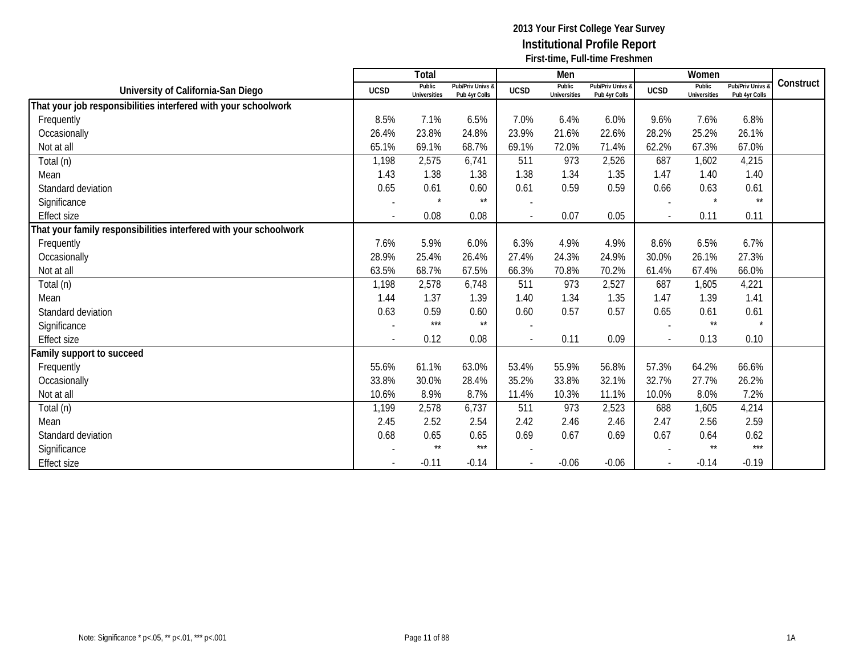|                                                                   |                | Total                         |                                   |                | Men                           |                                   |               | Women                         |                                 |           |
|-------------------------------------------------------------------|----------------|-------------------------------|-----------------------------------|----------------|-------------------------------|-----------------------------------|---------------|-------------------------------|---------------------------------|-----------|
| University of California-San Diego                                | <b>UCSD</b>    | Public<br><b>Universities</b> | Pub/Priv Univs &<br>Pub 4yr Colls | <b>UCSD</b>    | Public<br><b>Universities</b> | Pub/Priv Univs &<br>Pub 4yr Colls | <b>UCSD</b>   | Public<br><b>Universities</b> | Pub/Priv Univs<br>Pub 4yr Colls | Construct |
| That your job responsibilities interfered with your schoolwork    |                |                               |                                   |                |                               |                                   |               |                               |                                 |           |
| Frequently                                                        | 8.5%           | 7.1%                          | 6.5%                              | 7.0%           | 6.4%                          | 6.0%                              | 9.6%          | 7.6%                          | 6.8%                            |           |
| Occasionally                                                      | 26.4%          | 23.8%                         | 24.8%                             | 23.9%          | 21.6%                         | 22.6%                             | 28.2%         | 25.2%                         | 26.1%                           |           |
| Not at all                                                        | 65.1%          | 69.1%                         | 68.7%                             | 69.1%          | 72.0%                         | 71.4%                             | 62.2%         | 67.3%                         | 67.0%                           |           |
| Total (n)                                                         | 1,198          | 2,575                         | 6,741                             | 511            | 973                           | 2,526                             | 687           | 1,602                         | 4,215                           |           |
| Mean                                                              | 1.43           | 1.38                          | 1.38                              | 1.38           | 1.34                          | 1.35                              | 1.47          | 1.40                          | 1.40                            |           |
| Standard deviation                                                | 0.65           | 0.61                          | 0.60                              | 0.61           | 0.59                          | 0.59                              | 0.66          | 0.63                          | 0.61                            |           |
| Significance                                                      |                | $\star$                       | $\star\star$                      |                |                               |                                   |               |                               | $\star\star$                    |           |
| <b>Effect size</b>                                                |                | 0.08                          | 0.08                              | $\overline{a}$ | 0.07                          | 0.05                              | $\mathcal{L}$ | 0.11                          | 0.11                            |           |
| That your family responsibilities interfered with your schoolwork |                |                               |                                   |                |                               |                                   |               |                               |                                 |           |
| Frequently                                                        | 7.6%           | 5.9%                          | 6.0%                              | 6.3%           | 4.9%                          | 4.9%                              | 8.6%          | 6.5%                          | 6.7%                            |           |
| Occasionally                                                      | 28.9%          | 25.4%                         | 26.4%                             | 27.4%          | 24.3%                         | 24.9%                             | 30.0%         | 26.1%                         | 27.3%                           |           |
| Not at all                                                        | 63.5%          | 68.7%                         | 67.5%                             | 66.3%          | 70.8%                         | 70.2%                             | 61.4%         | 67.4%                         | 66.0%                           |           |
| Total (n)                                                         | 1,198          | 2,578                         | 6,748                             | 511            | 973                           | 2,527                             | 687           | 1,605                         | 4,221                           |           |
| Mean                                                              | 1.44           | 1.37                          | 1.39                              | 1.40           | 1.34                          | 1.35                              | 1.47          | 1.39                          | 1.41                            |           |
| Standard deviation                                                | 0.63           | 0.59                          | 0.60                              | 0.60           | 0.57                          | 0.57                              | 0.65          | 0.61                          | 0.61                            |           |
| Significance                                                      |                | $***$                         | $\star\star$                      |                |                               |                                   |               | $^{\star\star}$               | $\star$                         |           |
| <b>Effect size</b>                                                | $\overline{a}$ | 0.12                          | 0.08                              | $\overline{a}$ | 0.11                          | 0.09                              |               | 0.13                          | 0.10                            |           |
| Family support to succeed                                         |                |                               |                                   |                |                               |                                   |               |                               |                                 |           |
| Frequently                                                        | 55.6%          | 61.1%                         | 63.0%                             | 53.4%          | 55.9%                         | 56.8%                             | 57.3%         | 64.2%                         | 66.6%                           |           |
| Occasionally                                                      | 33.8%          | 30.0%                         | 28.4%                             | 35.2%          | 33.8%                         | 32.1%                             | 32.7%         | 27.7%                         | 26.2%                           |           |
| Not at all                                                        | 10.6%          | 8.9%                          | 8.7%                              | 11.4%          | 10.3%                         | 11.1%                             | 10.0%         | 8.0%                          | 7.2%                            |           |
| Total (n)                                                         | 1,199          | 2,578                         | 6,737                             | 511            | 973                           | 2,523                             | 688           | 1,605                         | 4,214                           |           |
| Mean                                                              | 2.45           | 2.52                          | 2.54                              | 2.42           | 2.46                          | 2.46                              | 2.47          | 2.56                          | 2.59                            |           |
| Standard deviation                                                | 0.68           | 0.65                          | 0.65                              | 0.69           | 0.67                          | 0.69                              | 0.67          | 0.64                          | 0.62                            |           |
| Significance                                                      |                | $***$                         | ***                               |                |                               |                                   |               | $\star\star$                  | $***$                           |           |
| <b>Effect size</b>                                                |                | $-0.11$                       | $-0.14$                           |                | $-0.06$                       | $-0.06$                           |               | $-0.14$                       | $-0.19$                         |           |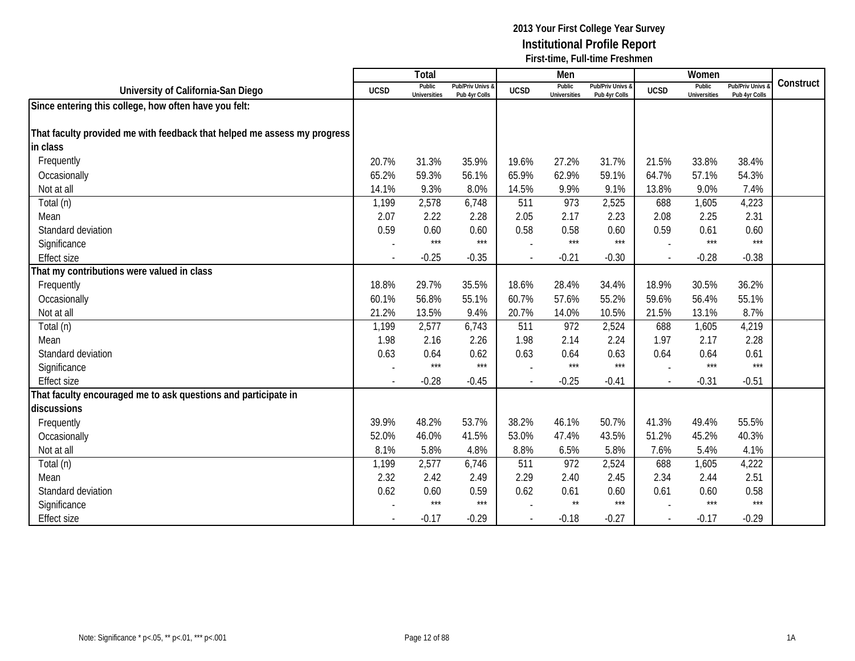|                                                                          |             | Total                         |                                   |             | Men                           |                                   |             | Women                         |                                        |           |
|--------------------------------------------------------------------------|-------------|-------------------------------|-----------------------------------|-------------|-------------------------------|-----------------------------------|-------------|-------------------------------|----------------------------------------|-----------|
| University of California-San Diego                                       | <b>UCSD</b> | Public<br><b>Universities</b> | Pub/Priv Univs &<br>Pub 4yr Colls | <b>UCSD</b> | Public<br><b>Universities</b> | Pub/Priv Univs &<br>Pub 4yr Colls | <b>UCSD</b> | Public<br><b>Universities</b> | <b>Pub/Priv Univs</b><br>Pub 4yr Colls | Construct |
| Since entering this college, how often have you felt:                    |             |                               |                                   |             |                               |                                   |             |                               |                                        |           |
|                                                                          |             |                               |                                   |             |                               |                                   |             |                               |                                        |           |
| That faculty provided me with feedback that helped me assess my progress |             |                               |                                   |             |                               |                                   |             |                               |                                        |           |
| in class                                                                 |             |                               |                                   |             |                               |                                   |             |                               |                                        |           |
| Frequently                                                               | 20.7%       | 31.3%                         | 35.9%                             | 19.6%       | 27.2%                         | 31.7%                             | 21.5%       | 33.8%                         | 38.4%                                  |           |
| Occasionally                                                             | 65.2%       | 59.3%                         | 56.1%                             | 65.9%       | 62.9%                         | 59.1%                             | 64.7%       | 57.1%                         | 54.3%                                  |           |
| Not at all                                                               | 14.1%       | 9.3%                          | 8.0%                              | 14.5%       | 9.9%                          | 9.1%                              | 13.8%       | 9.0%                          | 7.4%                                   |           |
| Total (n)                                                                | 1,199       | 2,578                         | 6,748                             | 511         | 973                           | 2,525                             | 688         | 1,605                         | 4,223                                  |           |
| Mean                                                                     | 2.07        | 2.22                          | 2.28                              | 2.05        | 2.17                          | 2.23                              | 2.08        | 2.25                          | 2.31                                   |           |
| Standard deviation                                                       | 0.59        | 0.60                          | 0.60                              | 0.58        | 0.58                          | 0.60                              | 0.59        | 0.61                          | 0.60                                   |           |
| Significance                                                             |             | $***$                         | $***$                             |             | $***$                         | $***$                             |             | $***$                         | $***$                                  |           |
| <b>Effect size</b>                                                       |             | $-0.25$                       | $-0.35$                           |             | $-0.21$                       | $-0.30$                           |             | $-0.28$                       | $-0.38$                                |           |
| That my contributions were valued in class                               |             |                               |                                   |             |                               |                                   |             |                               |                                        |           |
| Frequently                                                               | 18.8%       | 29.7%                         | 35.5%                             | 18.6%       | 28.4%                         | 34.4%                             | 18.9%       | 30.5%                         | 36.2%                                  |           |
| Occasionally                                                             | 60.1%       | 56.8%                         | 55.1%                             | 60.7%       | 57.6%                         | 55.2%                             | 59.6%       | 56.4%                         | 55.1%                                  |           |
| Not at all                                                               | 21.2%       | 13.5%                         | 9.4%                              | 20.7%       | 14.0%                         | 10.5%                             | 21.5%       | 13.1%                         | 8.7%                                   |           |
| Total (n)                                                                | 1,199       | 2,577                         | 6,743                             | 511         | 972                           | 2,524                             | 688         | 1,605                         | 4,219                                  |           |
| Mean                                                                     | 1.98        | 2.16                          | 2.26                              | 1.98        | 2.14                          | 2.24                              | 1.97        | 2.17                          | 2.28                                   |           |
| Standard deviation                                                       | 0.63        | 0.64                          | 0.62                              | 0.63        | 0.64                          | 0.63                              | 0.64        | 0.64                          | 0.61                                   |           |
| Significance                                                             |             | $***$                         | $***$                             |             | $***$                         | $***$                             |             | $***$                         | $***$                                  |           |
| <b>Effect size</b>                                                       |             | $-0.28$                       | $-0.45$                           |             | $-0.25$                       | $-0.41$                           |             | $-0.31$                       | $-0.51$                                |           |
| That faculty encouraged me to ask questions and participate in           |             |                               |                                   |             |                               |                                   |             |                               |                                        |           |
| discussions                                                              |             |                               |                                   |             |                               |                                   |             |                               |                                        |           |
| Frequently                                                               | 39.9%       | 48.2%                         | 53.7%                             | 38.2%       | 46.1%                         | 50.7%                             | 41.3%       | 49.4%                         | 55.5%                                  |           |
| Occasionally                                                             | 52.0%       | 46.0%                         | 41.5%                             | 53.0%       | 47.4%                         | 43.5%                             | 51.2%       | 45.2%                         | 40.3%                                  |           |
| Not at all                                                               | 8.1%        | 5.8%                          | 4.8%                              | 8.8%        | 6.5%                          | 5.8%                              | 7.6%        | 5.4%                          | 4.1%                                   |           |
| Total (n)                                                                | 1,199       | 2,577                         | 6,746                             | 511         | 972                           | 2,524                             | 688         | 1,605                         | 4,222                                  |           |
| Mean                                                                     | 2.32        | 2.42                          | 2.49                              | 2.29        | 2.40                          | 2.45                              | 2.34        | 2.44                          | 2.51                                   |           |
| Standard deviation                                                       | 0.62        | 0.60                          | 0.59                              | 0.62        | 0.61                          | 0.60                              | 0.61        | 0.60                          | 0.58                                   |           |
| Significance                                                             |             | $***$                         | $***$                             |             | $\star\star$                  | $***$                             |             | $***$                         | $***$                                  |           |
| <b>Effect size</b>                                                       |             | $-0.17$                       | $-0.29$                           |             | $-0.18$                       | $-0.27$                           | $\sim$      | $-0.17$                       | $-0.29$                                |           |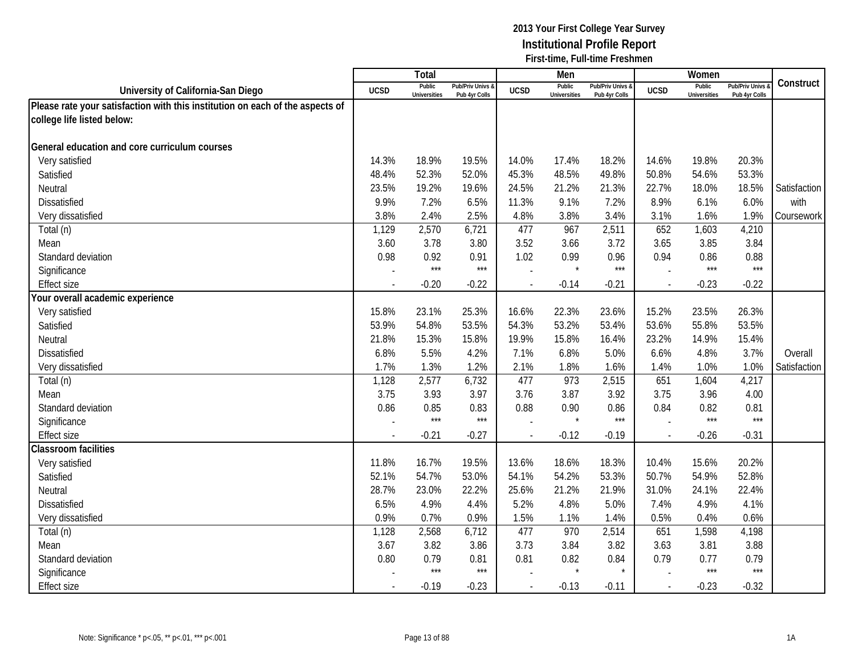|                                                                               |             | Total                         |                                   |                | Men                           |                                   |             | Women                         |                                        |              |
|-------------------------------------------------------------------------------|-------------|-------------------------------|-----------------------------------|----------------|-------------------------------|-----------------------------------|-------------|-------------------------------|----------------------------------------|--------------|
| University of California-San Diego                                            | <b>UCSD</b> | Public<br><b>Universities</b> | Pub/Priv Univs &<br>Pub 4yr Colls | <b>UCSD</b>    | Public<br><b>Universities</b> | Pub/Priv Univs &<br>Pub 4yr Colls | <b>UCSD</b> | Public<br><b>Universities</b> | <b>Pub/Priv Univs</b><br>Pub 4yr Colls | Construct    |
| Please rate your satisfaction with this institution on each of the aspects of |             |                               |                                   |                |                               |                                   |             |                               |                                        |              |
| college life listed below:                                                    |             |                               |                                   |                |                               |                                   |             |                               |                                        |              |
|                                                                               |             |                               |                                   |                |                               |                                   |             |                               |                                        |              |
| General education and core curriculum courses                                 |             |                               |                                   |                |                               |                                   |             |                               |                                        |              |
| Very satisfied                                                                | 14.3%       | 18.9%                         | 19.5%                             | 14.0%          | 17.4%                         | 18.2%                             | 14.6%       | 19.8%                         | 20.3%                                  |              |
| Satisfied                                                                     | 48.4%       | 52.3%                         | 52.0%                             | 45.3%          | 48.5%                         | 49.8%                             | 50.8%       | 54.6%                         | 53.3%                                  |              |
| Neutral                                                                       | 23.5%       | 19.2%                         | 19.6%                             | 24.5%          | 21.2%                         | 21.3%                             | 22.7%       | 18.0%                         | 18.5%                                  | Satisfaction |
| Dissatisfied                                                                  | 9.9%        | 7.2%                          | 6.5%                              | 11.3%          | 9.1%                          | 7.2%                              | 8.9%        | 6.1%                          | 6.0%                                   | with         |
| Very dissatisfied                                                             | 3.8%        | 2.4%                          | 2.5%                              | 4.8%           | 3.8%                          | 3.4%                              | 3.1%        | 1.6%                          | 1.9%                                   | Coursework   |
| Total (n)                                                                     | 1,129       | 2,570                         | 6,721                             | 477            | 967                           | 2,511                             | 652         | 1,603                         | 4,210                                  |              |
| Mean                                                                          | 3.60        | 3.78                          | 3.80                              | 3.52           | 3.66                          | 3.72                              | 3.65        | 3.85                          | 3.84                                   |              |
| Standard deviation                                                            | 0.98        | 0.92                          | 0.91                              | 1.02           | 0.99                          | 0.96                              | 0.94        | 0.86                          | 0.88                                   |              |
| Significance                                                                  |             | $***$                         | $***$                             |                | $\star$                       | $***$                             |             | $***$                         | $***$                                  |              |
| <b>Effect size</b>                                                            |             | $-0.20$                       | $-0.22$                           | $\blacksquare$ | $-0.14$                       | $-0.21$                           | $\sim$      | $-0.23$                       | $-0.22$                                |              |
| Your overall academic experience                                              |             |                               |                                   |                |                               |                                   |             |                               |                                        |              |
| Very satisfied                                                                | 15.8%       | 23.1%                         | 25.3%                             | 16.6%          | 22.3%                         | 23.6%                             | 15.2%       | 23.5%                         | 26.3%                                  |              |
| Satisfied                                                                     | 53.9%       | 54.8%                         | 53.5%                             | 54.3%          | 53.2%                         | 53.4%                             | 53.6%       | 55.8%                         | 53.5%                                  |              |
| Neutral                                                                       | 21.8%       | 15.3%                         | 15.8%                             | 19.9%          | 15.8%                         | 16.4%                             | 23.2%       | 14.9%                         | 15.4%                                  |              |
| <b>Dissatisfied</b>                                                           | 6.8%        | 5.5%                          | 4.2%                              | 7.1%           | 6.8%                          | 5.0%                              | 6.6%        | 4.8%                          | 3.7%                                   | Overall      |
| Very dissatisfied                                                             | 1.7%        | 1.3%                          | 1.2%                              | 2.1%           | 1.8%                          | 1.6%                              | 1.4%        | 1.0%                          | 1.0%                                   | Satisfaction |
| Total (n)                                                                     | 1,128       | 2,577                         | 6,732                             | 477            | 973                           | 2,515                             | 651         | 1,604                         | 4,217                                  |              |
| Mean                                                                          | 3.75        | 3.93                          | 3.97                              | 3.76           | 3.87                          | 3.92                              | 3.75        | 3.96                          | 4.00                                   |              |
| Standard deviation                                                            | 0.86        | 0.85                          | 0.83                              | 0.88           | 0.90                          | 0.86                              | 0.84        | 0.82                          | 0.81                                   |              |
| Significance                                                                  |             | $***$                         | $***$                             |                | $\star$                       | $***$                             |             | $***$                         | $***$                                  |              |
| <b>Effect size</b>                                                            |             | $-0.21$                       | $-0.27$                           |                | $-0.12$                       | $-0.19$                           | $\sim$      | $-0.26$                       | $-0.31$                                |              |
| <b>Classroom facilities</b>                                                   |             |                               |                                   |                |                               |                                   |             |                               |                                        |              |
| Very satisfied                                                                | 11.8%       | 16.7%                         | 19.5%                             | 13.6%          | 18.6%                         | 18.3%                             | 10.4%       | 15.6%                         | 20.2%                                  |              |
| Satisfied                                                                     | 52.1%       | 54.7%                         | 53.0%                             | 54.1%          | 54.2%                         | 53.3%                             | 50.7%       | 54.9%                         | 52.8%                                  |              |
| Neutral                                                                       | 28.7%       | 23.0%                         | 22.2%                             | 25.6%          | 21.2%                         | 21.9%                             | 31.0%       | 24.1%                         | 22.4%                                  |              |
| <b>Dissatisfied</b>                                                           | 6.5%        | 4.9%                          | 4.4%                              | 5.2%           | 4.8%                          | 5.0%                              | 7.4%        | 4.9%                          | 4.1%                                   |              |
| Very dissatisfied                                                             | 0.9%        | 0.7%                          | 0.9%                              | 1.5%           | 1.1%                          | 1.4%                              | 0.5%        | 0.4%                          | 0.6%                                   |              |
| Total (n)                                                                     | 1,128       | 2,568                         | 6,712                             | 477            | 970                           | 2,514                             | 651         | 1,598                         | 4,198                                  |              |
| Mean                                                                          | 3.67        | 3.82                          | 3.86                              | 3.73           | 3.84                          | 3.82                              | 3.63        | 3.81                          | 3.88                                   |              |
| Standard deviation                                                            | 0.80        | 0.79                          | 0.81                              | 0.81           | 0.82                          | 0.84                              | 0.79        | 0.77                          | 0.79                                   |              |
| Significance                                                                  |             | $***$                         | $***$                             |                |                               |                                   |             | $***$                         | $***$                                  |              |
| <b>Effect size</b>                                                            |             | $-0.19$                       | $-0.23$                           | $\blacksquare$ | $-0.13$                       | $-0.11$                           | $\sim$      | $-0.23$                       | $-0.32$                                |              |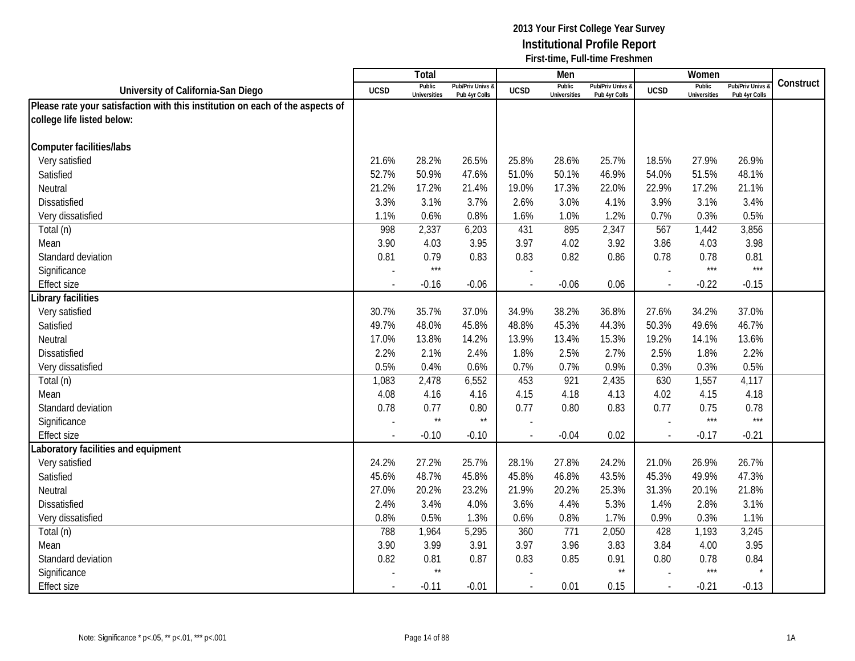|                                                                               |                | Total                         |                                   |                | Men                           |                                 |             | Women                         |                                        |           |
|-------------------------------------------------------------------------------|----------------|-------------------------------|-----------------------------------|----------------|-------------------------------|---------------------------------|-------------|-------------------------------|----------------------------------------|-----------|
| University of California-San Diego                                            | <b>UCSD</b>    | Public<br><b>Universities</b> | Pub/Priv Univs &<br>Pub 4yr Colls | <b>UCSD</b>    | Public<br><b>Universities</b> | Pub/Priv Univs<br>Pub 4yr Colls | <b>UCSD</b> | Public<br><b>Universities</b> | <b>Pub/Priv Univs</b><br>Pub 4yr Colls | Construct |
| Please rate your satisfaction with this institution on each of the aspects of |                |                               |                                   |                |                               |                                 |             |                               |                                        |           |
| college life listed below:                                                    |                |                               |                                   |                |                               |                                 |             |                               |                                        |           |
|                                                                               |                |                               |                                   |                |                               |                                 |             |                               |                                        |           |
| <b>Computer facilities/labs</b>                                               |                |                               |                                   |                |                               |                                 |             |                               |                                        |           |
| Very satisfied                                                                | 21.6%          | 28.2%                         | 26.5%                             | 25.8%          | 28.6%                         | 25.7%                           | 18.5%       | 27.9%                         | 26.9%                                  |           |
| Satisfied                                                                     | 52.7%          | 50.9%                         | 47.6%                             | 51.0%          | 50.1%                         | 46.9%                           | 54.0%       | 51.5%                         | 48.1%                                  |           |
| Neutral                                                                       | 21.2%          | 17.2%                         | 21.4%                             | 19.0%          | 17.3%                         | 22.0%                           | 22.9%       | 17.2%                         | 21.1%                                  |           |
| Dissatisfied                                                                  | 3.3%           | 3.1%                          | 3.7%                              | 2.6%           | 3.0%                          | 4.1%                            | 3.9%        | 3.1%                          | 3.4%                                   |           |
| Very dissatisfied                                                             | 1.1%           | 0.6%                          | 0.8%                              | 1.6%           | 1.0%                          | 1.2%                            | 0.7%        | 0.3%                          | 0.5%                                   |           |
| Total (n)                                                                     | 998            | 2,337                         | 6,203                             | 431            | 895                           | 2,347                           | 567         | 1,442                         | 3,856                                  |           |
| Mean                                                                          | 3.90           | 4.03                          | 3.95                              | 3.97           | 4.02                          | 3.92                            | 3.86        | 4.03                          | 3.98                                   |           |
| Standard deviation                                                            | 0.81           | 0.79                          | 0.83                              | 0.83           | 0.82                          | 0.86                            | 0.78        | 0.78                          | 0.81                                   |           |
| Significance                                                                  |                | $***$                         |                                   |                |                               |                                 |             | $***$                         | $***$                                  |           |
| <b>Effect size</b>                                                            |                | $-0.16$                       | $-0.06$                           |                | $-0.06$                       | 0.06                            |             | $-0.22$                       | $-0.15$                                |           |
| Library facilities                                                            |                |                               |                                   |                |                               |                                 |             |                               |                                        |           |
| Very satisfied                                                                | 30.7%          | 35.7%                         | 37.0%                             | 34.9%          | 38.2%                         | 36.8%                           | 27.6%       | 34.2%                         | 37.0%                                  |           |
| Satisfied                                                                     | 49.7%          | 48.0%                         | 45.8%                             | 48.8%          | 45.3%                         | 44.3%                           | 50.3%       | 49.6%                         | 46.7%                                  |           |
| Neutral                                                                       | 17.0%          | 13.8%                         | 14.2%                             | 13.9%          | 13.4%                         | 15.3%                           | 19.2%       | 14.1%                         | 13.6%                                  |           |
| <b>Dissatisfied</b>                                                           | 2.2%           | 2.1%                          | 2.4%                              | 1.8%           | 2.5%                          | 2.7%                            | 2.5%        | 1.8%                          | 2.2%                                   |           |
| Very dissatisfied                                                             | 0.5%           | 0.4%                          | 0.6%                              | 0.7%           | 0.7%                          | 0.9%                            | 0.3%        | 0.3%                          | 0.5%                                   |           |
| Total (n)                                                                     | 1,083          | 2,478                         | 6,552                             | 453            | 921                           | 2,435                           | 630         | 1,557                         | 4,117                                  |           |
| Mean                                                                          | 4.08           | 4.16                          | 4.16                              | 4.15           | 4.18                          | 4.13                            | 4.02        | 4.15                          | 4.18                                   |           |
| Standard deviation                                                            | 0.78           | 0.77                          | 0.80                              | 0.77           | 0.80                          | 0.83                            | 0.77        | 0.75                          | 0.78                                   |           |
| Significance                                                                  |                | $\star\star$                  | $\star\star$                      |                |                               |                                 |             | $***$                         | $***$                                  |           |
| <b>Effect size</b>                                                            |                | $-0.10$                       | $-0.10$                           |                | $-0.04$                       | 0.02                            | $\sim$      | $-0.17$                       | $-0.21$                                |           |
| Laboratory facilities and equipment                                           |                |                               |                                   |                |                               |                                 |             |                               |                                        |           |
| Very satisfied                                                                | 24.2%          | 27.2%                         | 25.7%                             | 28.1%          | 27.8%                         | 24.2%                           | 21.0%       | 26.9%                         | 26.7%                                  |           |
| Satisfied                                                                     | 45.6%          | 48.7%                         | 45.8%                             | 45.8%          | 46.8%                         | 43.5%                           | 45.3%       | 49.9%                         | 47.3%                                  |           |
| Neutral                                                                       | 27.0%          | 20.2%                         | 23.2%                             | 21.9%          | 20.2%                         | 25.3%                           | 31.3%       | 20.1%                         | 21.8%                                  |           |
| <b>Dissatisfied</b>                                                           | 2.4%           | 3.4%                          | 4.0%                              | 3.6%           | 4.4%                          | 5.3%                            | 1.4%        | 2.8%                          | 3.1%                                   |           |
| Very dissatisfied                                                             | 0.8%           | 0.5%                          | 1.3%                              | 0.6%           | 0.8%                          | 1.7%                            | 0.9%        | 0.3%                          | 1.1%                                   |           |
| Total (n)                                                                     | 788            | 1,964                         | 5,295                             | 360            | 771                           | 2,050                           | 428         | 1,193                         | 3,245                                  |           |
| Mean                                                                          | 3.90           | 3.99                          | 3.91                              | 3.97           | 3.96                          | 3.83                            | 3.84        | 4.00                          | 3.95                                   |           |
| Standard deviation                                                            | 0.82           | 0.81<br>$\star\star$          | 0.87                              | 0.83           | 0.85                          | 0.91<br>$\star\star$            | 0.80        | 0.78<br>$***$                 | 0.84                                   |           |
| Significance                                                                  |                |                               |                                   |                |                               |                                 |             |                               |                                        |           |
| <b>Effect size</b>                                                            | $\blacksquare$ | $-0.11$                       | $-0.01$                           | $\blacksquare$ | 0.01                          | 0.15                            | $\sim$      | $-0.21$                       | $-0.13$                                |           |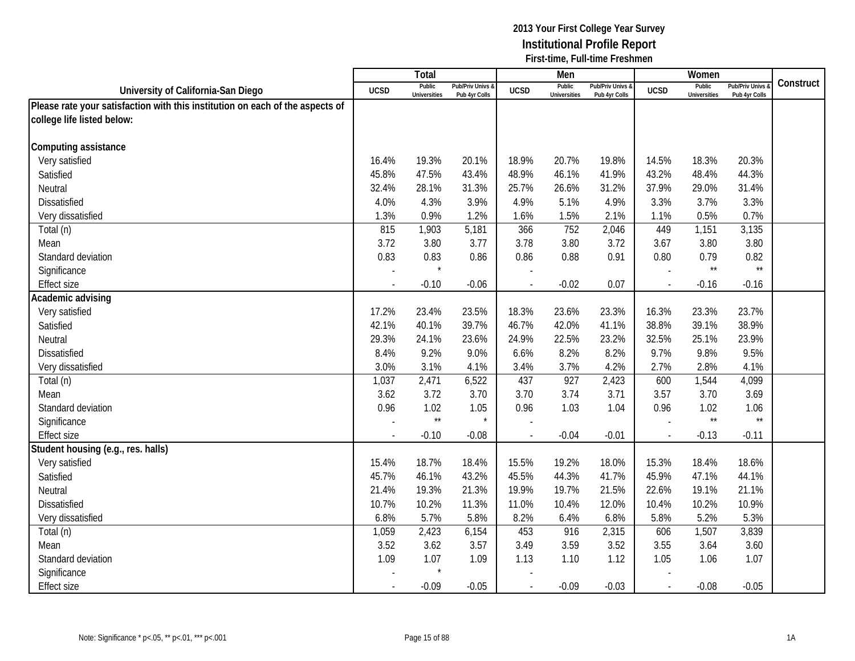|                                                                               |                | Total                         |                                   |                | Men                           |                                   |                          | Women                         |                                        |           |
|-------------------------------------------------------------------------------|----------------|-------------------------------|-----------------------------------|----------------|-------------------------------|-----------------------------------|--------------------------|-------------------------------|----------------------------------------|-----------|
| University of California-San Diego                                            | <b>UCSD</b>    | Public<br><b>Universities</b> | Pub/Priv Univs &<br>Pub 4yr Colls | <b>UCSD</b>    | Public<br><b>Universities</b> | Pub/Priv Univs &<br>Pub 4yr Colls | <b>UCSD</b>              | Public<br><b>Universities</b> | <b>Pub/Priv Univs</b><br>Pub 4yr Colls | Construct |
| Please rate your satisfaction with this institution on each of the aspects of |                |                               |                                   |                |                               |                                   |                          |                               |                                        |           |
| college life listed below:                                                    |                |                               |                                   |                |                               |                                   |                          |                               |                                        |           |
|                                                                               |                |                               |                                   |                |                               |                                   |                          |                               |                                        |           |
| Computing assistance                                                          |                |                               |                                   |                |                               |                                   |                          |                               |                                        |           |
| Very satisfied                                                                | 16.4%          | 19.3%                         | 20.1%                             | 18.9%          | 20.7%                         | 19.8%                             | 14.5%                    | 18.3%                         | 20.3%                                  |           |
| Satisfied                                                                     | 45.8%          | 47.5%                         | 43.4%                             | 48.9%          | 46.1%                         | 41.9%                             | 43.2%                    | 48.4%                         | 44.3%                                  |           |
| Neutral                                                                       | 32.4%          | 28.1%                         | 31.3%                             | 25.7%          | 26.6%                         | 31.2%                             | 37.9%                    | 29.0%                         | 31.4%                                  |           |
| Dissatisfied                                                                  | 4.0%           | 4.3%                          | 3.9%                              | 4.9%           | 5.1%                          | 4.9%                              | 3.3%                     | 3.7%                          | 3.3%                                   |           |
| Very dissatisfied                                                             | 1.3%           | 0.9%                          | 1.2%                              | 1.6%           | 1.5%                          | 2.1%                              | 1.1%                     | 0.5%                          | 0.7%                                   |           |
| Total (n)                                                                     | 815            | 1,903                         | 5,181                             | 366            | 752                           | 2,046                             | 449                      | 1,151                         | 3,135                                  |           |
| Mean                                                                          | 3.72           | 3.80                          | 3.77                              | 3.78           | 3.80                          | 3.72                              | 3.67                     | 3.80                          | 3.80                                   |           |
| Standard deviation                                                            | 0.83           | 0.83                          | 0.86                              | 0.86           | 0.88                          | 0.91                              | 0.80                     | 0.79                          | 0.82                                   |           |
| Significance                                                                  |                |                               |                                   |                |                               |                                   |                          | $\star\star$                  | $\star\star$                           |           |
| <b>Effect size</b>                                                            |                | $-0.10$                       | $-0.06$                           |                | $-0.02$                       | 0.07                              | $\blacksquare$           | $-0.16$                       | $-0.16$                                |           |
| Academic advising                                                             |                |                               |                                   |                |                               |                                   |                          |                               |                                        |           |
| Very satisfied                                                                | 17.2%          | 23.4%                         | 23.5%                             | 18.3%          | 23.6%                         | 23.3%                             | 16.3%                    | 23.3%                         | 23.7%                                  |           |
| Satisfied                                                                     | 42.1%          | 40.1%                         | 39.7%                             | 46.7%          | 42.0%                         | 41.1%                             | 38.8%                    | 39.1%                         | 38.9%                                  |           |
| Neutral                                                                       | 29.3%          | 24.1%                         | 23.6%                             | 24.9%          | 22.5%                         | 23.2%                             | 32.5%                    | 25.1%                         | 23.9%                                  |           |
| <b>Dissatisfied</b>                                                           | 8.4%           | 9.2%                          | 9.0%                              | 6.6%           | 8.2%                          | 8.2%                              | 9.7%                     | 9.8%                          | 9.5%                                   |           |
| Very dissatisfied                                                             | 3.0%           | 3.1%                          | 4.1%                              | 3.4%           | 3.7%                          | 4.2%                              | 2.7%                     | 2.8%                          | 4.1%                                   |           |
| Total (n)                                                                     | 1,037          | 2,471                         | 6,522                             | 437            | 927                           | 2,423                             | 600                      | 1,544                         | 4,099                                  |           |
| Mean                                                                          | 3.62           | 3.72                          | 3.70                              | 3.70           | 3.74                          | 3.71                              | 3.57                     | 3.70                          | 3.69                                   |           |
| Standard deviation                                                            | 0.96           | 1.02                          | 1.05                              | 0.96           | 1.03                          | 1.04                              | 0.96                     | 1.02                          | 1.06                                   |           |
| Significance                                                                  |                | $\star\star$                  | $\star$                           |                |                               |                                   |                          | $\star\star$                  | $\star\star$                           |           |
| <b>Effect size</b>                                                            |                | $-0.10$                       | $-0.08$                           |                | $-0.04$                       | $-0.01$                           | $\overline{\phantom{a}}$ | $-0.13$                       | $-0.11$                                |           |
| Student housing (e.g., res. halls)                                            |                |                               |                                   |                |                               |                                   |                          |                               |                                        |           |
| Very satisfied                                                                | 15.4%          | 18.7%                         | 18.4%                             | 15.5%          | 19.2%                         | 18.0%                             | 15.3%                    | 18.4%                         | 18.6%                                  |           |
| Satisfied                                                                     | 45.7%          | 46.1%                         | 43.2%                             | 45.5%          | 44.3%                         | 41.7%                             | 45.9%                    | 47.1%                         | 44.1%                                  |           |
| Neutral                                                                       | 21.4%          | 19.3%                         | 21.3%                             | 19.9%          | 19.7%                         | 21.5%                             | 22.6%                    | 19.1%                         | 21.1%                                  |           |
| <b>Dissatisfied</b>                                                           | 10.7%          | 10.2%                         | 11.3%                             | 11.0%          | 10.4%                         | 12.0%                             | 10.4%                    | 10.2%                         | 10.9%                                  |           |
| Very dissatisfied                                                             | 6.8%           | 5.7%                          | 5.8%                              | 8.2%           | 6.4%                          | 6.8%                              | 5.8%                     | 5.2%                          | 5.3%                                   |           |
| Total (n)                                                                     | 1,059          | 2,423                         | 6,154                             | 453            | 916                           | 2,315                             | 606                      | 1,507                         | 3,839                                  |           |
| Mean                                                                          | 3.52           | 3.62                          | 3.57                              | 3.49           | 3.59                          | 3.52                              | 3.55                     | 3.64                          | 3.60                                   |           |
| Standard deviation                                                            | 1.09           | 1.07                          | 1.09                              | 1.13           | 1.10                          | 1.12                              | 1.05                     | 1.06                          | 1.07                                   |           |
| Significance                                                                  |                |                               |                                   |                |                               |                                   |                          |                               |                                        |           |
| <b>Effect size</b>                                                            | $\blacksquare$ | $-0.09$                       | $-0.05$                           | $\blacksquare$ | $-0.09$                       | $-0.03$                           | $\sim$                   | $-0.08$                       | $-0.05$                                |           |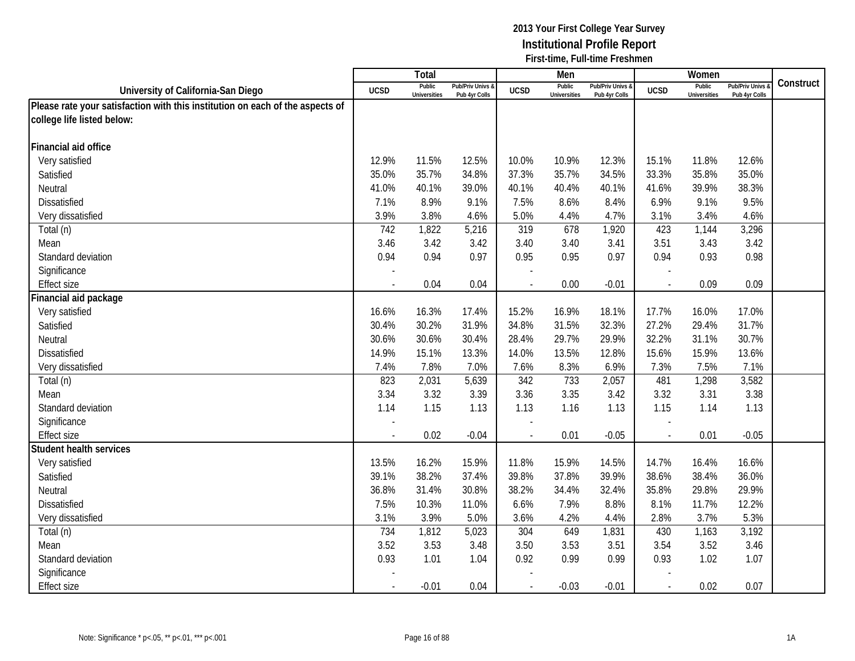|                                                                               |                | Total                         |                                   |                | Men                           |                                 |             | Women                         |                                        |           |
|-------------------------------------------------------------------------------|----------------|-------------------------------|-----------------------------------|----------------|-------------------------------|---------------------------------|-------------|-------------------------------|----------------------------------------|-----------|
| University of California-San Diego                                            | <b>UCSD</b>    | Public<br><b>Universities</b> | Pub/Priv Univs &<br>Pub 4yr Colls | <b>UCSD</b>    | Public<br><b>Universities</b> | Pub/Priv Univs<br>Pub 4yr Colls | <b>UCSD</b> | Public<br><b>Universities</b> | <b>Pub/Priv Univs</b><br>Pub 4yr Colls | Construct |
| Please rate your satisfaction with this institution on each of the aspects of |                |                               |                                   |                |                               |                                 |             |                               |                                        |           |
| college life listed below:                                                    |                |                               |                                   |                |                               |                                 |             |                               |                                        |           |
|                                                                               |                |                               |                                   |                |                               |                                 |             |                               |                                        |           |
| Financial aid office                                                          |                |                               |                                   |                |                               |                                 |             |                               |                                        |           |
| Very satisfied                                                                | 12.9%          | 11.5%                         | 12.5%                             | 10.0%          | 10.9%                         | 12.3%                           | 15.1%       | 11.8%                         | 12.6%                                  |           |
| Satisfied                                                                     | 35.0%          | 35.7%                         | 34.8%                             | 37.3%          | 35.7%                         | 34.5%                           | 33.3%       | 35.8%                         | 35.0%                                  |           |
| Neutral                                                                       | 41.0%          | 40.1%                         | 39.0%                             | 40.1%          | 40.4%                         | 40.1%                           | 41.6%       | 39.9%                         | 38.3%                                  |           |
| <b>Dissatisfied</b>                                                           | 7.1%           | 8.9%                          | 9.1%                              | 7.5%           | 8.6%                          | 8.4%                            | 6.9%        | 9.1%                          | 9.5%                                   |           |
| Very dissatisfied                                                             | 3.9%           | 3.8%                          | 4.6%                              | 5.0%           | 4.4%                          | 4.7%                            | 3.1%        | 3.4%                          | 4.6%                                   |           |
| Total (n)                                                                     | 742            | 1,822                         | 5,216                             | 319            | 678                           | 1,920                           | 423         | 1,144                         | 3,296                                  |           |
| Mean                                                                          | 3.46           | 3.42                          | 3.42                              | 3.40           | 3.40                          | 3.41                            | 3.51        | 3.43                          | 3.42                                   |           |
| Standard deviation                                                            | 0.94           | 0.94                          | 0.97                              | 0.95           | 0.95                          | 0.97                            | 0.94        | 0.93                          | 0.98                                   |           |
| Significance                                                                  |                |                               |                                   |                |                               |                                 |             |                               |                                        |           |
| <b>Effect size</b>                                                            |                | 0.04                          | 0.04                              | ÷,             | 0.00                          | $-0.01$                         |             | 0.09                          | 0.09                                   |           |
| Financial aid package                                                         |                |                               |                                   |                |                               |                                 |             |                               |                                        |           |
| Very satisfied                                                                | 16.6%          | 16.3%                         | 17.4%                             | 15.2%          | 16.9%                         | 18.1%                           | 17.7%       | 16.0%                         | 17.0%                                  |           |
| Satisfied                                                                     | 30.4%          | 30.2%                         | 31.9%                             | 34.8%          | 31.5%                         | 32.3%                           | 27.2%       | 29.4%                         | 31.7%                                  |           |
| Neutral                                                                       | 30.6%          | 30.6%                         | 30.4%                             | 28.4%          | 29.7%                         | 29.9%                           | 32.2%       | 31.1%                         | 30.7%                                  |           |
| <b>Dissatisfied</b>                                                           | 14.9%          | 15.1%                         | 13.3%                             | 14.0%          | 13.5%                         | 12.8%                           | 15.6%       | 15.9%                         | 13.6%                                  |           |
| Very dissatisfied                                                             | 7.4%           | 7.8%                          | 7.0%                              | 7.6%           | 8.3%                          | 6.9%                            | 7.3%        | 7.5%                          | 7.1%                                   |           |
| Total (n)                                                                     | 823            | 2,031                         | 5,639                             | 342            | 733                           | 2,057                           | 481         | 1,298                         | 3,582                                  |           |
| Mean                                                                          | 3.34           | 3.32                          | 3.39                              | 3.36           | 3.35                          | 3.42                            | 3.32        | 3.31                          | 3.38                                   |           |
| Standard deviation                                                            | 1.14           | 1.15                          | 1.13                              | 1.13           | 1.16                          | 1.13                            | 1.15        | 1.14                          | 1.13                                   |           |
| Significance                                                                  |                |                               |                                   |                |                               |                                 |             |                               |                                        |           |
| <b>Effect size</b>                                                            |                | 0.02                          | $-0.04$                           |                | 0.01                          | $-0.05$                         | $\sim$      | 0.01                          | $-0.05$                                |           |
| <b>Student health services</b>                                                |                |                               |                                   |                |                               |                                 |             |                               |                                        |           |
| Very satisfied                                                                | 13.5%          | 16.2%                         | 15.9%                             | 11.8%          | 15.9%                         | 14.5%                           | 14.7%       | 16.4%                         | 16.6%                                  |           |
| Satisfied                                                                     | 39.1%          | 38.2%                         | 37.4%                             | 39.8%          | 37.8%                         | 39.9%                           | 38.6%       | 38.4%                         | 36.0%                                  |           |
| Neutral                                                                       | 36.8%          | 31.4%                         | 30.8%                             | 38.2%          | 34.4%                         | 32.4%                           | 35.8%       | 29.8%                         | 29.9%                                  |           |
| <b>Dissatisfied</b>                                                           | 7.5%           | 10.3%                         | 11.0%                             | 6.6%           | 7.9%                          | 8.8%                            | 8.1%        | 11.7%                         | 12.2%                                  |           |
| Very dissatisfied                                                             | 3.1%           | 3.9%                          | 5.0%                              | 3.6%           | 4.2%                          | 4.4%                            | 2.8%        | 3.7%                          | 5.3%                                   |           |
| Total (n)                                                                     | 734            | 1,812                         | 5,023                             | 304            | 649                           | 1,831                           | 430         | 1,163                         | 3,192                                  |           |
| Mean                                                                          | 3.52           | 3.53                          | 3.48                              | 3.50           | 3.53                          | 3.51                            | 3.54        | 3.52                          | 3.46                                   |           |
| Standard deviation                                                            | 0.93           | 1.01                          | 1.04                              | 0.92           | 0.99                          | 0.99                            | 0.93        | 1.02                          | 1.07                                   |           |
| Significance                                                                  |                |                               |                                   |                |                               |                                 |             |                               |                                        |           |
| <b>Effect size</b>                                                            | $\blacksquare$ | $-0.01$                       | 0.04                              | $\blacksquare$ | $-0.03$                       | $-0.01$                         | $\sim$      | 0.02                          | 0.07                                   |           |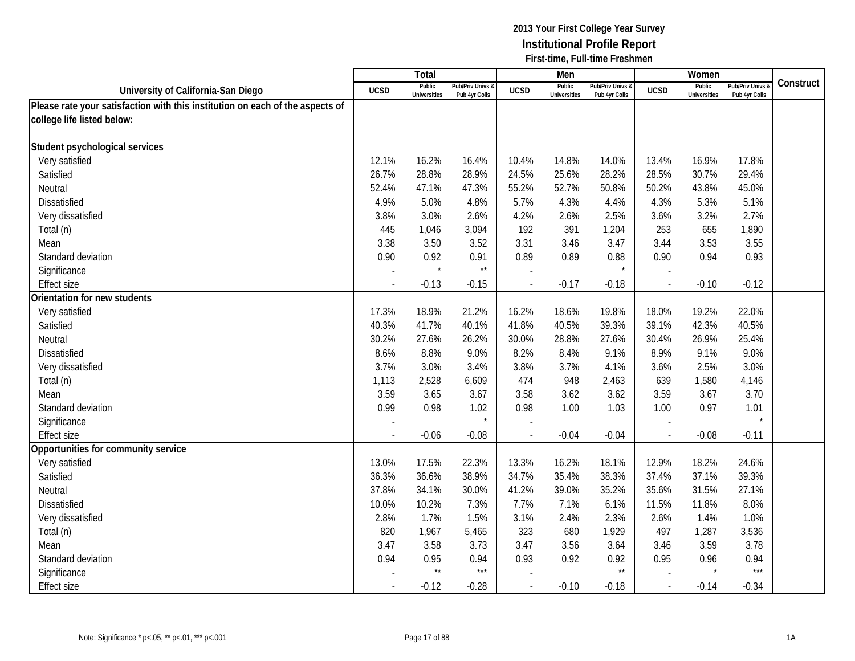|                                                                               |                | <b>Total</b>                  |                                   |                | Men                           |                                 |             | Women                         |                                        |           |
|-------------------------------------------------------------------------------|----------------|-------------------------------|-----------------------------------|----------------|-------------------------------|---------------------------------|-------------|-------------------------------|----------------------------------------|-----------|
| University of California-San Diego                                            | <b>UCSD</b>    | Public<br><b>Universities</b> | Pub/Priv Univs &<br>Pub 4yr Colls | <b>UCSD</b>    | Public<br><b>Universities</b> | Pub/Priv Univs<br>Pub 4yr Colls | <b>UCSD</b> | Public<br><b>Universities</b> | <b>Pub/Priv Univs</b><br>Pub 4yr Colls | Construct |
| Please rate your satisfaction with this institution on each of the aspects of |                |                               |                                   |                |                               |                                 |             |                               |                                        |           |
| college life listed below:                                                    |                |                               |                                   |                |                               |                                 |             |                               |                                        |           |
|                                                                               |                |                               |                                   |                |                               |                                 |             |                               |                                        |           |
| Student psychological services                                                |                |                               |                                   |                |                               |                                 |             |                               |                                        |           |
| Very satisfied                                                                | 12.1%          | 16.2%                         | 16.4%                             | 10.4%          | 14.8%                         | 14.0%                           | 13.4%       | 16.9%                         | 17.8%                                  |           |
| Satisfied                                                                     | 26.7%          | 28.8%                         | 28.9%                             | 24.5%          | 25.6%                         | 28.2%                           | 28.5%       | 30.7%                         | 29.4%                                  |           |
| Neutral                                                                       | 52.4%          | 47.1%                         | 47.3%                             | 55.2%          | 52.7%                         | 50.8%                           | 50.2%       | 43.8%                         | 45.0%                                  |           |
| <b>Dissatisfied</b>                                                           | 4.9%           | 5.0%                          | 4.8%                              | 5.7%           | 4.3%                          | 4.4%                            | 4.3%        | 5.3%                          | 5.1%                                   |           |
| Very dissatisfied                                                             | 3.8%           | 3.0%                          | 2.6%                              | 4.2%           | 2.6%                          | 2.5%                            | 3.6%        | 3.2%                          | 2.7%                                   |           |
| Total (n)                                                                     | 445            | 1,046                         | 3,094                             | 192            | 391                           | 1,204                           | 253         | 655                           | 1,890                                  |           |
| Mean                                                                          | 3.38           | 3.50                          | 3.52                              | 3.31           | 3.46                          | 3.47                            | 3.44        | 3.53                          | 3.55                                   |           |
| Standard deviation                                                            | 0.90           | 0.92                          | 0.91                              | 0.89           | 0.89                          | 0.88                            | 0.90        | 0.94                          | 0.93                                   |           |
| Significance                                                                  |                | $\star$                       | $\star\star$                      |                |                               |                                 |             |                               |                                        |           |
| <b>Effect size</b>                                                            |                | $-0.13$                       | $-0.15$                           |                | $-0.17$                       | $-0.18$                         |             | $-0.10$                       | $-0.12$                                |           |
| Orientation for new students                                                  |                |                               |                                   |                |                               |                                 |             |                               |                                        |           |
| Very satisfied                                                                | 17.3%          | 18.9%                         | 21.2%                             | 16.2%          | 18.6%                         | 19.8%                           | 18.0%       | 19.2%                         | 22.0%                                  |           |
| Satisfied                                                                     | 40.3%          | 41.7%                         | 40.1%                             | 41.8%          | 40.5%                         | 39.3%                           | 39.1%       | 42.3%                         | 40.5%                                  |           |
| Neutral                                                                       | 30.2%          | 27.6%                         | 26.2%                             | 30.0%          | 28.8%                         | 27.6%                           | 30.4%       | 26.9%                         | 25.4%                                  |           |
| <b>Dissatisfied</b>                                                           | 8.6%           | 8.8%                          | 9.0%                              | 8.2%           | 8.4%                          | 9.1%                            | 8.9%        | 9.1%                          | 9.0%                                   |           |
| Very dissatisfied                                                             | 3.7%           | 3.0%                          | 3.4%                              | 3.8%           | 3.7%                          | 4.1%                            | 3.6%        | 2.5%                          | 3.0%                                   |           |
| Total (n)                                                                     | 1,113          | 2,528                         | 6,609                             | 474            | 948                           | 2,463                           | 639         | 1,580                         | 4,146                                  |           |
| Mean                                                                          | 3.59           | 3.65                          | 3.67                              | 3.58           | 3.62                          | 3.62                            | 3.59        | 3.67                          | 3.70                                   |           |
| Standard deviation                                                            | 0.99           | 0.98                          | 1.02                              | 0.98           | 1.00                          | 1.03                            | 1.00        | 0.97                          | 1.01                                   |           |
| Significance                                                                  |                |                               | $\star$                           |                |                               |                                 |             |                               | $\star$                                |           |
| <b>Effect size</b>                                                            |                | $-0.06$                       | $-0.08$                           |                | $-0.04$                       | $-0.04$                         | $\sim$      | $-0.08$                       | $-0.11$                                |           |
| Opportunities for community service                                           |                |                               |                                   |                |                               |                                 |             |                               |                                        |           |
| Very satisfied                                                                | 13.0%          | 17.5%                         | 22.3%                             | 13.3%          | 16.2%                         | 18.1%                           | 12.9%       | 18.2%                         | 24.6%                                  |           |
| Satisfied                                                                     | 36.3%          | 36.6%                         | 38.9%                             | 34.7%          | 35.4%                         | 38.3%                           | 37.4%       | 37.1%                         | 39.3%                                  |           |
| Neutral                                                                       | 37.8%          | 34.1%                         | 30.0%                             | 41.2%          | 39.0%                         | 35.2%                           | 35.6%       | 31.5%                         | 27.1%                                  |           |
| <b>Dissatisfied</b>                                                           | 10.0%          | 10.2%                         | 7.3%                              | 7.7%           | 7.1%                          | 6.1%                            | 11.5%       | 11.8%                         | 8.0%                                   |           |
| Very dissatisfied                                                             | 2.8%           | 1.7%                          | 1.5%                              | 3.1%           | 2.4%                          | 2.3%                            | 2.6%        | 1.4%                          | 1.0%                                   |           |
| Total (n)                                                                     | 820            | 1,967                         | 5,465                             | 323            | 680                           | 1,929                           | 497         | 1,287                         | 3,536                                  |           |
| Mean                                                                          | 3.47           | 3.58                          | 3.73                              | 3.47           | 3.56                          | 3.64                            | 3.46        | 3.59                          | 3.78                                   |           |
| Standard deviation                                                            | 0.94           | 0.95<br>$\star\star$          | 0.94<br>$***$                     | 0.93           | 0.92                          | 0.92<br>$\star\star$            | 0.95        | 0.96                          | 0.94<br>$***$                          |           |
| Significance                                                                  |                |                               |                                   |                |                               |                                 |             |                               |                                        |           |
| <b>Effect size</b>                                                            | $\blacksquare$ | $-0.12$                       | $-0.28$                           | $\blacksquare$ | $-0.10$                       | $-0.18$                         | $\sim$      | $-0.14$                       | $-0.34$                                |           |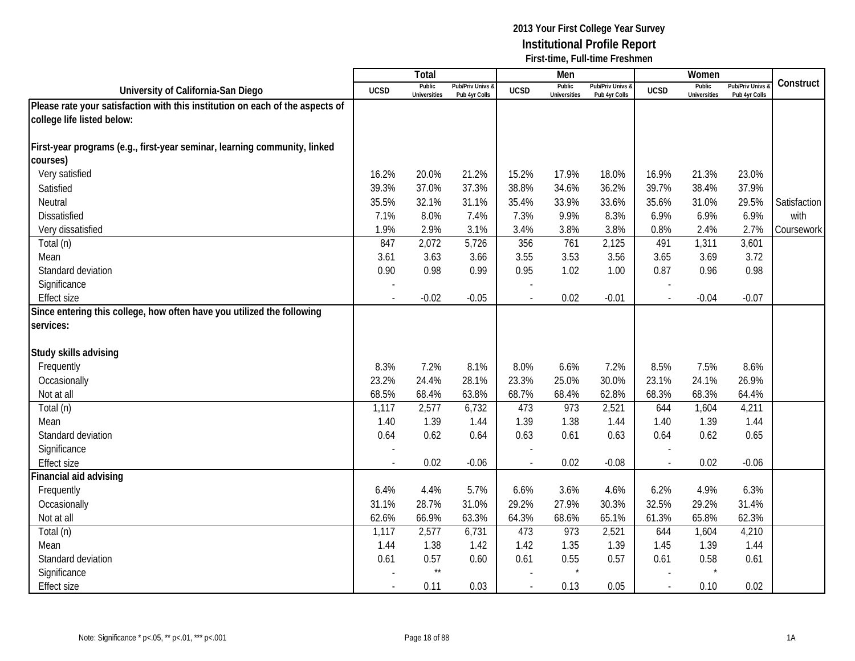|                                                                               |                          | Total                         |                                   |                          | Men                           |                                 |                | Women                         |                                        |              |
|-------------------------------------------------------------------------------|--------------------------|-------------------------------|-----------------------------------|--------------------------|-------------------------------|---------------------------------|----------------|-------------------------------|----------------------------------------|--------------|
| University of California-San Diego                                            | <b>UCSD</b>              | Public<br><b>Universities</b> | Pub/Priv Univs &<br>Pub 4yr Colls | <b>UCSD</b>              | Public<br><b>Universities</b> | Pub/Priv Univs<br>Pub 4yr Colls | <b>UCSD</b>    | Public<br><b>Universities</b> | <b>Pub/Priv Univs</b><br>Pub 4yr Colls | Construct    |
| Please rate your satisfaction with this institution on each of the aspects of |                          |                               |                                   |                          |                               |                                 |                |                               |                                        |              |
| college life listed below:                                                    |                          |                               |                                   |                          |                               |                                 |                |                               |                                        |              |
|                                                                               |                          |                               |                                   |                          |                               |                                 |                |                               |                                        |              |
| First-year programs (e.g., first-year seminar, learning community, linked     |                          |                               |                                   |                          |                               |                                 |                |                               |                                        |              |
| courses)                                                                      |                          |                               |                                   |                          |                               |                                 |                |                               |                                        |              |
| Very satisfied                                                                | 16.2%                    | 20.0%                         | 21.2%                             | 15.2%                    | 17.9%                         | 18.0%                           | 16.9%          | 21.3%                         | 23.0%                                  |              |
| Satisfied                                                                     | 39.3%                    | 37.0%                         | 37.3%                             | 38.8%                    | 34.6%                         | 36.2%                           | 39.7%          | 38.4%                         | 37.9%                                  |              |
| Neutral                                                                       | 35.5%                    | 32.1%                         | 31.1%                             | 35.4%                    | 33.9%                         | 33.6%                           | 35.6%          | 31.0%                         | 29.5%                                  | Satisfaction |
| <b>Dissatisfied</b>                                                           | 7.1%                     | 8.0%                          | 7.4%                              | 7.3%                     | 9.9%                          | 8.3%                            | 6.9%           | 6.9%                          | 6.9%                                   | with         |
| Very dissatisfied                                                             | 1.9%                     | 2.9%                          | 3.1%                              | 3.4%                     | 3.8%                          | 3.8%                            | 0.8%           | 2.4%                          | 2.7%                                   | Coursework   |
| Total (n)                                                                     | 847                      | 2,072                         | 5,726                             | 356                      | 761                           | 2,125                           | 491            | 1,311                         | 3,601                                  |              |
| Mean                                                                          | 3.61                     | 3.63                          | 3.66                              | 3.55                     | 3.53                          | 3.56                            | 3.65           | 3.69                          | 3.72                                   |              |
| Standard deviation                                                            | 0.90                     | 0.98                          | 0.99                              | 0.95                     | 1.02                          | 1.00                            | 0.87           | 0.96                          | 0.98                                   |              |
| Significance                                                                  |                          |                               |                                   |                          |                               |                                 |                |                               |                                        |              |
| <b>Effect size</b>                                                            |                          | $-0.02$                       | $-0.05$                           |                          | 0.02                          | $-0.01$                         |                | $-0.04$                       | $-0.07$                                |              |
| Since entering this college, how often have you utilized the following        |                          |                               |                                   |                          |                               |                                 |                |                               |                                        |              |
| services:                                                                     |                          |                               |                                   |                          |                               |                                 |                |                               |                                        |              |
|                                                                               |                          |                               |                                   |                          |                               |                                 |                |                               |                                        |              |
| Study skills advising                                                         |                          |                               |                                   |                          |                               |                                 |                |                               |                                        |              |
| Frequently                                                                    | 8.3%                     | 7.2%                          | 8.1%                              | 8.0%                     | 6.6%                          | 7.2%                            | 8.5%           | 7.5%                          | 8.6%                                   |              |
| Occasionally                                                                  | 23.2%                    | 24.4%                         | 28.1%                             | 23.3%                    | 25.0%                         | 30.0%                           | 23.1%          | 24.1%                         | 26.9%                                  |              |
| Not at all                                                                    | 68.5%                    | 68.4%                         | 63.8%                             | 68.7%                    | 68.4%                         | 62.8%                           | 68.3%          | 68.3%                         | 64.4%                                  |              |
| Total (n)                                                                     | 1,117                    | 2,577                         | 6,732                             | 473                      | 973                           | 2,521                           | 644            | 1,604                         | 4,211                                  |              |
| Mean                                                                          | 1.40                     | 1.39                          | 1.44                              | 1.39                     | 1.38                          | 1.44                            | 1.40           | 1.39                          | 1.44                                   |              |
| Standard deviation                                                            | 0.64                     | 0.62                          | 0.64                              | 0.63                     | 0.61                          | 0.63                            | 0.64           | 0.62                          | 0.65                                   |              |
| Significance                                                                  |                          |                               |                                   |                          |                               |                                 |                |                               |                                        |              |
| <b>Effect size</b>                                                            | $\overline{\phantom{a}}$ | 0.02                          | $-0.06$                           | $\overline{\phantom{a}}$ | 0.02                          | $-0.08$                         | $\overline{a}$ | 0.02                          | $-0.06$                                |              |
| Financial aid advising                                                        |                          |                               |                                   |                          |                               |                                 |                |                               |                                        |              |
| Frequently                                                                    | 6.4%                     | 4.4%                          | 5.7%                              | 6.6%                     | 3.6%                          | 4.6%                            | 6.2%           | 4.9%                          | 6.3%                                   |              |
| Occasionally                                                                  | 31.1%                    | 28.7%                         | 31.0%                             | 29.2%                    | 27.9%                         | 30.3%                           | 32.5%          | 29.2%                         | 31.4%                                  |              |
| Not at all                                                                    | 62.6%                    | 66.9%                         | 63.3%                             | 64.3%                    | 68.6%                         | 65.1%                           | 61.3%          | 65.8%                         | 62.3%                                  |              |
| Total (n)                                                                     | 1,117                    | 2,577                         | 6,731                             | 473                      | 973                           | 2,521                           | 644            | 1,604                         | 4,210                                  |              |
| Mean                                                                          | 1.44                     | 1.38                          | 1.42                              | 1.42                     | 1.35                          | 1.39                            | 1.45           | 1.39                          | 1.44                                   |              |
| Standard deviation                                                            | 0.61                     | 0.57                          | 0.60                              | 0.61                     | 0.55                          | 0.57                            | 0.61           | 0.58                          | 0.61                                   |              |
| Significance                                                                  |                          | $^{\star\star}$               |                                   |                          |                               |                                 |                |                               |                                        |              |
| <b>Effect size</b>                                                            | $\overline{\phantom{a}}$ | 0.11                          | 0.03                              | $\overline{\phantom{a}}$ | 0.13                          | 0.05                            | $\sim$         | 0.10                          | 0.02                                   |              |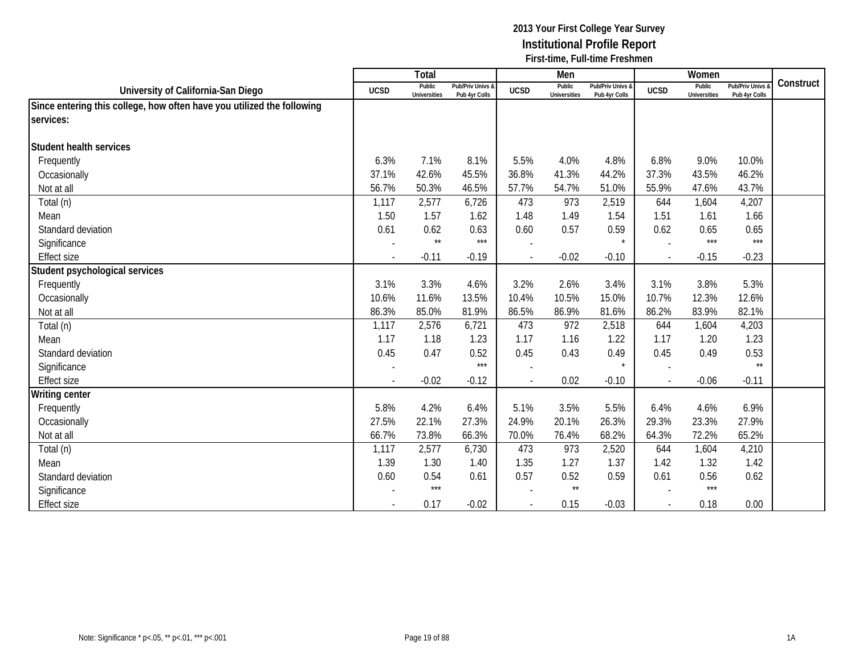|                                                                        |                          | <b>Total</b>                  |                                   |                          | Men                           |                                   |             | Women                         |                                 |           |
|------------------------------------------------------------------------|--------------------------|-------------------------------|-----------------------------------|--------------------------|-------------------------------|-----------------------------------|-------------|-------------------------------|---------------------------------|-----------|
| University of California-San Diego                                     | <b>UCSD</b>              | Public<br><b>Universities</b> | Pub/Priv Univs &<br>Pub 4yr Colls | <b>UCSD</b>              | Public<br><b>Universities</b> | Pub/Priv Univs &<br>Pub 4yr Colls | <b>UCSD</b> | Public<br><b>Universities</b> | Pub/Priv Univs<br>Pub 4yr Colls | Construct |
| Since entering this college, how often have you utilized the following |                          |                               |                                   |                          |                               |                                   |             |                               |                                 |           |
| services:                                                              |                          |                               |                                   |                          |                               |                                   |             |                               |                                 |           |
| <b>Student health services</b>                                         |                          |                               |                                   |                          |                               |                                   |             |                               |                                 |           |
| Frequently                                                             | 6.3%                     | 7.1%                          | 8.1%                              | 5.5%                     | 4.0%                          | 4.8%                              | 6.8%        | 9.0%                          | 10.0%                           |           |
| Occasionally                                                           | 37.1%                    | 42.6%                         | 45.5%                             | 36.8%                    | 41.3%                         | 44.2%                             | 37.3%       | 43.5%                         | 46.2%                           |           |
| Not at all                                                             | 56.7%                    | 50.3%                         | 46.5%                             | 57.7%                    | 54.7%                         | 51.0%                             | 55.9%       | 47.6%                         | 43.7%                           |           |
| Total (n)                                                              | 1,117                    | 2,577                         | 6,726                             | 473                      | 973                           | 2,519                             | 644         | 1,604                         | 4,207                           |           |
| Mean                                                                   | 1.50                     | 1.57                          | 1.62                              | 1.48                     | 1.49                          | 1.54                              | 1.51        | 1.61                          | 1.66                            |           |
| Standard deviation                                                     | 0.61                     | 0.62                          | 0.63                              | 0.60                     | 0.57                          | 0.59                              | 0.62        | 0.65                          | 0.65                            |           |
| Significance                                                           |                          | $\star\star$                  | $***$                             |                          |                               | $\star$                           |             | $***$                         | $***$                           |           |
| <b>Effect size</b>                                                     | $\overline{\phantom{a}}$ | $-0.11$                       | $-0.19$                           | $\overline{\phantom{a}}$ | $-0.02$                       | $-0.10$                           | $\sim$      | $-0.15$                       | $-0.23$                         |           |
| Student psychological services                                         |                          |                               |                                   |                          |                               |                                   |             |                               |                                 |           |
| Frequently                                                             | 3.1%                     | 3.3%                          | 4.6%                              | 3.2%                     | 2.6%                          | 3.4%                              | 3.1%        | 3.8%                          | 5.3%                            |           |
| Occasionally                                                           | 10.6%                    | 11.6%                         | 13.5%                             | 10.4%                    | 10.5%                         | 15.0%                             | 10.7%       | 12.3%                         | 12.6%                           |           |
| Not at all                                                             | 86.3%                    | 85.0%                         | 81.9%                             | 86.5%                    | 86.9%                         | 81.6%                             | 86.2%       | 83.9%                         | 82.1%                           |           |
| Total (n)                                                              | 1,117                    | 2,576                         | 6,721                             | 473                      | 972                           | 2,518                             | 644         | 1,604                         | 4,203                           |           |
| Mean                                                                   | 1.17                     | 1.18                          | 1.23                              | 1.17                     | 1.16                          | 1.22                              | 1.17        | 1.20                          | 1.23                            |           |
| Standard deviation                                                     | 0.45                     | 0.47                          | 0.52                              | 0.45                     | 0.43                          | 0.49                              | 0.45        | 0.49                          | 0.53                            |           |
| Significance                                                           |                          |                               | $***$                             |                          |                               | $\star$                           |             |                               | $\star\star$                    |           |
| <b>Effect size</b>                                                     |                          | $-0.02$                       | $-0.12$                           |                          | 0.02                          | $-0.10$                           |             | $-0.06$                       | $-0.11$                         |           |
| <b>Writing center</b>                                                  |                          |                               |                                   |                          |                               |                                   |             |                               |                                 |           |
| Frequently                                                             | 5.8%                     | 4.2%                          | 6.4%                              | 5.1%                     | 3.5%                          | 5.5%                              | 6.4%        | 4.6%                          | 6.9%                            |           |
| Occasionally                                                           | 27.5%                    | 22.1%                         | 27.3%                             | 24.9%                    | 20.1%                         | 26.3%                             | 29.3%       | 23.3%                         | 27.9%                           |           |
| Not at all                                                             | 66.7%                    | 73.8%                         | 66.3%                             | 70.0%                    | 76.4%                         | 68.2%                             | 64.3%       | 72.2%                         | 65.2%                           |           |
| Total (n)                                                              | 1,117                    | 2,577                         | 6,730                             | 473                      | 973                           | 2,520                             | 644         | 1,604                         | 4,210                           |           |
| Mean                                                                   | 1.39                     | 1.30                          | 1.40                              | 1.35                     | 1.27                          | 1.37                              | 1.42        | 1.32                          | 1.42                            |           |
| Standard deviation                                                     | 0.60                     | 0.54                          | 0.61                              | 0.57                     | 0.52                          | 0.59                              | 0.61        | 0.56                          | 0.62                            |           |
| Significance                                                           |                          | $***$                         |                                   |                          | $^{\star\star}$               |                                   |             | $***$                         |                                 |           |
| <b>Effect size</b>                                                     | $\overline{\phantom{a}}$ | 0.17                          | $-0.02$                           | $\overline{\phantom{a}}$ | 0.15                          | $-0.03$                           | $\sim$      | 0.18                          | 0.00                            |           |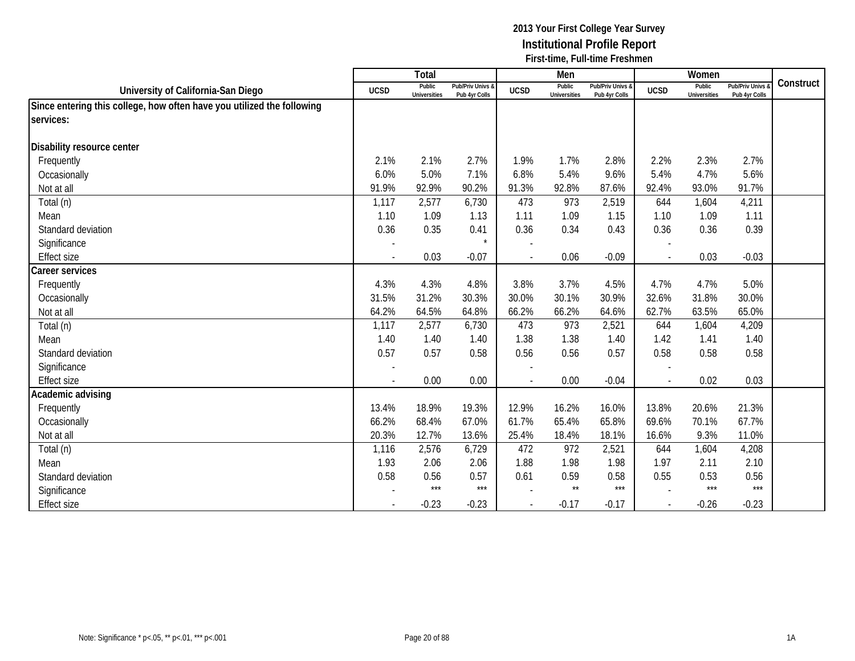|                                                                        |                          | <b>Total</b>                  |                                   |                          | Men                           |                                   |                          | Women                         |                                 |           |
|------------------------------------------------------------------------|--------------------------|-------------------------------|-----------------------------------|--------------------------|-------------------------------|-----------------------------------|--------------------------|-------------------------------|---------------------------------|-----------|
| University of California-San Diego                                     | <b>UCSD</b>              | Public<br><b>Universities</b> | Pub/Priv Univs &<br>Pub 4yr Colls | <b>UCSD</b>              | Public<br><b>Universities</b> | Pub/Priv Univs &<br>Pub 4yr Colls | <b>UCSD</b>              | Public<br><b>Universities</b> | Pub/Priv Univs<br>Pub 4yr Colls | Construct |
| Since entering this college, how often have you utilized the following |                          |                               |                                   |                          |                               |                                   |                          |                               |                                 |           |
| services:                                                              |                          |                               |                                   |                          |                               |                                   |                          |                               |                                 |           |
| Disability resource center                                             |                          |                               |                                   |                          |                               |                                   |                          |                               |                                 |           |
| Frequently                                                             | 2.1%                     | 2.1%                          | 2.7%                              | 1.9%                     | 1.7%                          | 2.8%                              | 2.2%                     | 2.3%                          | 2.7%                            |           |
| Occasionally                                                           | 6.0%                     | 5.0%                          | 7.1%                              | 6.8%                     | 5.4%                          | 9.6%                              | 5.4%                     | 4.7%                          | 5.6%                            |           |
| Not at all                                                             | 91.9%                    | 92.9%                         | 90.2%                             | 91.3%                    | 92.8%                         | 87.6%                             | 92.4%                    | 93.0%                         | 91.7%                           |           |
| Total (n)                                                              | 1,117                    | 2,577                         | 6,730                             | 473                      | 973                           | 2,519                             | 644                      | 1,604                         | 4,211                           |           |
| Mean                                                                   | 1.10                     | 1.09                          | 1.13                              | 1.11                     | 1.09                          | 1.15                              | 1.10                     | 1.09                          | 1.11                            |           |
| Standard deviation                                                     | 0.36                     | 0.35                          | 0.41                              | 0.36                     | 0.34                          | 0.43                              | 0.36                     | 0.36                          | 0.39                            |           |
| Significance                                                           |                          |                               |                                   |                          |                               |                                   |                          |                               |                                 |           |
| <b>Effect size</b>                                                     | $\overline{\phantom{a}}$ | 0.03                          | $-0.07$                           | $\overline{\phantom{a}}$ | 0.06                          | $-0.09$                           | $\overline{\phantom{a}}$ | 0.03                          | $-0.03$                         |           |
| Career services                                                        |                          |                               |                                   |                          |                               |                                   |                          |                               |                                 |           |
| Frequently                                                             | 4.3%                     | 4.3%                          | 4.8%                              | 3.8%                     | 3.7%                          | 4.5%                              | 4.7%                     | 4.7%                          | 5.0%                            |           |
| Occasionally                                                           | 31.5%                    | 31.2%                         | 30.3%                             | 30.0%                    | 30.1%                         | 30.9%                             | 32.6%                    | 31.8%                         | 30.0%                           |           |
| Not at all                                                             | 64.2%                    | 64.5%                         | 64.8%                             | 66.2%                    | 66.2%                         | 64.6%                             | 62.7%                    | 63.5%                         | 65.0%                           |           |
| Total (n)                                                              | 1,117                    | 2,577                         | 6,730                             | 473                      | 973                           | 2,521                             | 644                      | 1,604                         | 4,209                           |           |
| Mean                                                                   | 1.40                     | 1.40                          | 1.40                              | 1.38                     | 1.38                          | 1.40                              | 1.42                     | 1.41                          | 1.40                            |           |
| Standard deviation                                                     | 0.57                     | 0.57                          | 0.58                              | 0.56                     | 0.56                          | 0.57                              | 0.58                     | 0.58                          | 0.58                            |           |
| Significance                                                           |                          |                               |                                   |                          |                               |                                   |                          |                               |                                 |           |
| <b>Effect size</b>                                                     |                          | 0.00                          | 0.00                              |                          | 0.00                          | $-0.04$                           |                          | 0.02                          | 0.03                            |           |
| Academic advising                                                      |                          |                               |                                   |                          |                               |                                   |                          |                               |                                 |           |
| Frequently                                                             | 13.4%                    | 18.9%                         | 19.3%                             | 12.9%                    | 16.2%                         | 16.0%                             | 13.8%                    | 20.6%                         | 21.3%                           |           |
| Occasionally                                                           | 66.2%                    | 68.4%                         | 67.0%                             | 61.7%                    | 65.4%                         | 65.8%                             | 69.6%                    | 70.1%                         | 67.7%                           |           |
| Not at all                                                             | 20.3%                    | 12.7%                         | 13.6%                             | 25.4%                    | 18.4%                         | 18.1%                             | 16.6%                    | 9.3%                          | 11.0%                           |           |
| Total (n)                                                              | 1,116                    | 2,576                         | 6,729                             | 472                      | 972                           | 2,521                             | 644                      | 1,604                         | 4,208                           |           |
| Mean                                                                   | 1.93                     | 2.06                          | 2.06                              | 1.88                     | 1.98                          | 1.98                              | 1.97                     | 2.11                          | 2.10                            |           |
| Standard deviation                                                     | 0.58                     | 0.56                          | 0.57                              | 0.61                     | 0.59                          | 0.58                              | 0.55                     | 0.53                          | 0.56                            |           |
| Significance                                                           |                          | $***$                         | $***$                             |                          | $\star\star$                  | $***$                             |                          | $***$                         | $***$                           |           |
| <b>Effect size</b>                                                     | $\overline{\phantom{a}}$ | $-0.23$                       | $-0.23$                           | $\overline{\phantom{a}}$ | $-0.17$                       | $-0.17$                           | $\sim$                   | $-0.26$                       | $-0.23$                         |           |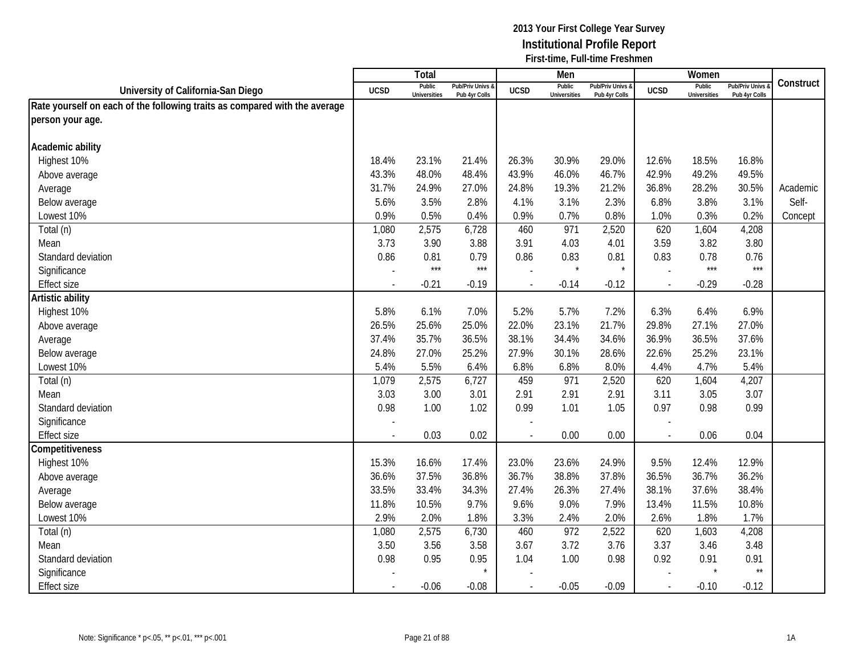|                                                                            |                          | Total                         |                                   |             | Men                           |                                   |                          | Women                         |                                        |           |
|----------------------------------------------------------------------------|--------------------------|-------------------------------|-----------------------------------|-------------|-------------------------------|-----------------------------------|--------------------------|-------------------------------|----------------------------------------|-----------|
| University of California-San Diego                                         | <b>UCSD</b>              | Public<br><b>Universities</b> | Pub/Priv Univs &<br>Pub 4yr Colls | <b>UCSD</b> | Public<br><b>Universities</b> | Pub/Priv Univs &<br>Pub 4yr Colls | <b>UCSD</b>              | Public<br><b>Universities</b> | <b>Pub/Priv Univs</b><br>Pub 4yr Colls | Construct |
| Rate yourself on each of the following traits as compared with the average |                          |                               |                                   |             |                               |                                   |                          |                               |                                        |           |
| person your age.                                                           |                          |                               |                                   |             |                               |                                   |                          |                               |                                        |           |
|                                                                            |                          |                               |                                   |             |                               |                                   |                          |                               |                                        |           |
| Academic ability                                                           |                          |                               |                                   |             |                               |                                   |                          |                               |                                        |           |
| Highest 10%                                                                | 18.4%                    | 23.1%                         | 21.4%                             | 26.3%       | 30.9%                         | 29.0%                             | 12.6%                    | 18.5%                         | 16.8%                                  |           |
| Above average                                                              | 43.3%                    | 48.0%                         | 48.4%                             | 43.9%       | 46.0%                         | 46.7%                             | 42.9%                    | 49.2%                         | 49.5%                                  |           |
| Average                                                                    | 31.7%                    | 24.9%                         | 27.0%                             | 24.8%       | 19.3%                         | 21.2%                             | 36.8%                    | 28.2%                         | 30.5%                                  | Academic  |
| Below average                                                              | 5.6%                     | 3.5%                          | 2.8%                              | 4.1%        | 3.1%                          | 2.3%                              | 6.8%                     | 3.8%                          | 3.1%                                   | Self-     |
| Lowest 10%                                                                 | 0.9%                     | 0.5%                          | 0.4%                              | 0.9%        | 0.7%                          | 0.8%                              | 1.0%                     | 0.3%                          | 0.2%                                   | Concept   |
| Total (n)                                                                  | 1,080                    | 2,575                         | 6,728                             | 460         | 971                           | 2,520                             | 620                      | 1,604                         | 4,208                                  |           |
| Mean                                                                       | 3.73                     | 3.90                          | 3.88                              | 3.91        | 4.03                          | 4.01                              | 3.59                     | 3.82                          | 3.80                                   |           |
| Standard deviation                                                         | 0.86                     | 0.81                          | 0.79                              | 0.86        | 0.83                          | 0.81                              | 0.83                     | 0.78                          | 0.76                                   |           |
| Significance                                                               |                          | $***$                         | $***$                             |             | $\star$                       | $\star$                           | ÷,                       | $***$                         | ***                                    |           |
| <b>Effect size</b>                                                         |                          | $-0.21$                       | $-0.19$                           |             | $-0.14$                       | $-0.12$                           | $\overline{\phantom{a}}$ | $-0.29$                       | $-0.28$                                |           |
| Artistic ability                                                           |                          |                               |                                   |             |                               |                                   |                          |                               |                                        |           |
| Highest 10%                                                                | 5.8%                     | 6.1%                          | 7.0%                              | 5.2%        | 5.7%                          | 7.2%                              | 6.3%                     | 6.4%                          | 6.9%                                   |           |
| Above average                                                              | 26.5%                    | 25.6%                         | 25.0%                             | 22.0%       | 23.1%                         | 21.7%                             | 29.8%                    | 27.1%                         | 27.0%                                  |           |
| Average                                                                    | 37.4%                    | 35.7%                         | 36.5%                             | 38.1%       | 34.4%                         | 34.6%                             | 36.9%                    | 36.5%                         | 37.6%                                  |           |
| Below average                                                              | 24.8%                    | 27.0%                         | 25.2%                             | 27.9%       | 30.1%                         | 28.6%                             | 22.6%                    | 25.2%                         | 23.1%                                  |           |
| Lowest 10%                                                                 | 5.4%                     | 5.5%                          | 6.4%                              | 6.8%        | 6.8%                          | 8.0%                              | 4.4%                     | 4.7%                          | 5.4%                                   |           |
| Total (n)                                                                  | 1,079                    | 2,575                         | 6,727                             | 459         | 971                           | 2,520                             | 620                      | 1,604                         | 4,207                                  |           |
| Mean                                                                       | 3.03                     | 3.00                          | 3.01                              | 2.91        | 2.91                          | 2.91                              | 3.11                     | 3.05                          | 3.07                                   |           |
| Standard deviation                                                         | 0.98                     | 1.00                          | 1.02                              | 0.99        | 1.01                          | 1.05                              | 0.97                     | 0.98                          | 0.99                                   |           |
| Significance                                                               |                          |                               |                                   |             |                               |                                   |                          |                               |                                        |           |
| <b>Effect size</b>                                                         |                          | 0.03                          | 0.02                              |             | 0.00                          | 0.00                              | $\overline{a}$           | 0.06                          | 0.04                                   |           |
| Competitiveness                                                            |                          |                               |                                   |             |                               |                                   |                          |                               |                                        |           |
| Highest 10%                                                                | 15.3%                    | 16.6%                         | 17.4%                             | 23.0%       | 23.6%                         | 24.9%                             | 9.5%                     | 12.4%                         | 12.9%                                  |           |
| Above average                                                              | 36.6%                    | 37.5%                         | 36.8%                             | 36.7%       | 38.8%                         | 37.8%                             | 36.5%                    | 36.7%                         | 36.2%                                  |           |
| Average                                                                    | 33.5%                    | 33.4%                         | 34.3%                             | 27.4%       | 26.3%                         | 27.4%                             | 38.1%                    | 37.6%                         | 38.4%                                  |           |
| Below average                                                              | 11.8%                    | 10.5%                         | 9.7%                              | 9.6%        | 9.0%                          | 7.9%                              | 13.4%                    | 11.5%                         | 10.8%                                  |           |
| Lowest 10%                                                                 | 2.9%                     | 2.0%                          | 1.8%                              | 3.3%        | 2.4%                          | 2.0%                              | 2.6%                     | 1.8%                          | 1.7%                                   |           |
| Total (n)                                                                  | 1,080                    | 2,575                         | 6,730                             | 460         | 972                           | 2,522                             | 620                      | 1,603                         | 4,208                                  |           |
| Mean                                                                       | 3.50                     | 3.56                          | 3.58                              | 3.67        | 3.72                          | 3.76                              | 3.37                     | 3.46                          | 3.48                                   |           |
| Standard deviation                                                         | 0.98                     | 0.95                          | 0.95                              | 1.04        | 1.00                          | 0.98                              | 0.92                     | 0.91                          | 0.91                                   |           |
| Significance                                                               |                          |                               | $\star$                           |             |                               |                                   |                          |                               | $\star\star$                           |           |
| <b>Effect size</b>                                                         | $\overline{\phantom{a}}$ | $-0.06$                       | $-0.08$                           | $\sim$      | $-0.05$                       | $-0.09$                           | $\mathcal{L}$            | $-0.10$                       | $-0.12$                                |           |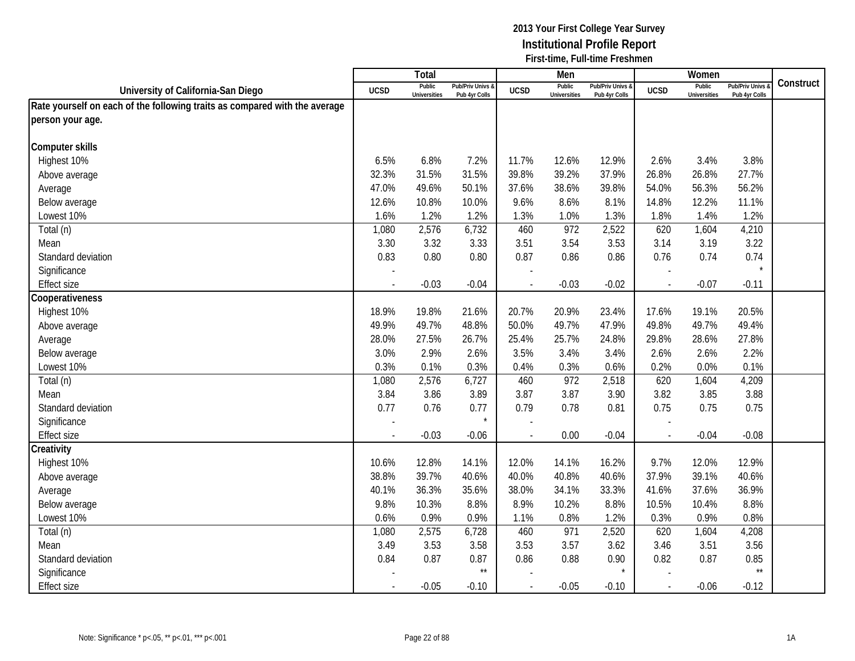|                                                                            |                | <b>Total</b>                  |                                   |                | Men                           |                                   |                          | Women                         |                                        |           |
|----------------------------------------------------------------------------|----------------|-------------------------------|-----------------------------------|----------------|-------------------------------|-----------------------------------|--------------------------|-------------------------------|----------------------------------------|-----------|
| University of California-San Diego                                         | <b>UCSD</b>    | Public<br><b>Universities</b> | Pub/Priv Univs &<br>Pub 4yr Colls | <b>UCSD</b>    | Public<br><b>Universities</b> | Pub/Priv Univs &<br>Pub 4yr Colls | <b>UCSD</b>              | Public<br><b>Universities</b> | <b>Pub/Priv Univs</b><br>Pub 4yr Colls | Construct |
| Rate yourself on each of the following traits as compared with the average |                |                               |                                   |                |                               |                                   |                          |                               |                                        |           |
| person your age.                                                           |                |                               |                                   |                |                               |                                   |                          |                               |                                        |           |
|                                                                            |                |                               |                                   |                |                               |                                   |                          |                               |                                        |           |
| <b>Computer skills</b>                                                     |                |                               |                                   |                |                               |                                   |                          |                               |                                        |           |
| Highest 10%                                                                | 6.5%           | 6.8%                          | 7.2%                              | 11.7%          | 12.6%                         | 12.9%                             | 2.6%                     | 3.4%                          | 3.8%                                   |           |
| Above average                                                              | 32.3%          | 31.5%                         | 31.5%                             | 39.8%          | 39.2%                         | 37.9%                             | 26.8%                    | 26.8%                         | 27.7%                                  |           |
| Average                                                                    | 47.0%          | 49.6%                         | 50.1%                             | 37.6%          | 38.6%                         | 39.8%                             | 54.0%                    | 56.3%                         | 56.2%                                  |           |
| Below average                                                              | 12.6%          | 10.8%                         | 10.0%                             | 9.6%           | 8.6%                          | 8.1%                              | 14.8%                    | 12.2%                         | 11.1%                                  |           |
| Lowest 10%                                                                 | 1.6%           | 1.2%                          | 1.2%                              | 1.3%           | 1.0%                          | 1.3%                              | 1.8%                     | 1.4%                          | 1.2%                                   |           |
| Total (n)                                                                  | 1,080          | 2,576                         | 6,732                             | 460            | 972                           | 2,522                             | 620                      | 1,604                         | 4,210                                  |           |
| Mean                                                                       | 3.30           | 3.32                          | 3.33                              | 3.51           | 3.54                          | 3.53                              | 3.14                     | 3.19                          | 3.22                                   |           |
| Standard deviation                                                         | 0.83           | 0.80                          | 0.80                              | 0.87           | 0.86                          | 0.86                              | 0.76                     | 0.74                          | 0.74                                   |           |
| Significance                                                               |                |                               |                                   |                |                               |                                   |                          |                               | $\star$                                |           |
| <b>Effect size</b>                                                         |                | $-0.03$                       | $-0.04$                           |                | $-0.03$                       | $-0.02$                           |                          | $-0.07$                       | $-0.11$                                |           |
| Cooperativeness                                                            |                |                               |                                   |                |                               |                                   |                          |                               |                                        |           |
| Highest 10%                                                                | 18.9%          | 19.8%                         | 21.6%                             | 20.7%          | 20.9%                         | 23.4%                             | 17.6%                    | 19.1%                         | 20.5%                                  |           |
| Above average                                                              | 49.9%          | 49.7%                         | 48.8%                             | 50.0%          | 49.7%                         | 47.9%                             | 49.8%                    | 49.7%                         | 49.4%                                  |           |
| Average                                                                    | 28.0%          | 27.5%                         | 26.7%                             | 25.4%          | 25.7%                         | 24.8%                             | 29.8%                    | 28.6%                         | 27.8%                                  |           |
| Below average                                                              | 3.0%           | 2.9%                          | 2.6%                              | 3.5%           | 3.4%                          | 3.4%                              | 2.6%                     | 2.6%                          | 2.2%                                   |           |
| Lowest 10%                                                                 | 0.3%           | 0.1%                          | 0.3%                              | 0.4%           | 0.3%                          | 0.6%                              | 0.2%                     | 0.0%                          | 0.1%                                   |           |
| Total (n)                                                                  | 1,080          | 2,576                         | 6,727                             | 460            | 972                           | 2,518                             | 620                      | 1,604                         | 4,209                                  |           |
| Mean                                                                       | 3.84           | 3.86                          | 3.89                              | 3.87           | 3.87                          | 3.90                              | 3.82                     | 3.85                          | 3.88                                   |           |
| Standard deviation                                                         | 0.77           | 0.76                          | 0.77                              | 0.79           | 0.78                          | 0.81                              | 0.75                     | 0.75                          | 0.75                                   |           |
| Significance                                                               |                |                               | $\star$                           |                |                               |                                   |                          |                               |                                        |           |
| <b>Effect size</b>                                                         |                | $-0.03$                       | $-0.06$                           |                | 0.00                          | $-0.04$                           | $\overline{\phantom{a}}$ | $-0.04$                       | $-0.08$                                |           |
| Creativity                                                                 |                |                               |                                   |                |                               |                                   |                          |                               |                                        |           |
| Highest 10%                                                                | 10.6%          | 12.8%                         | 14.1%                             | 12.0%          | 14.1%                         | 16.2%                             | 9.7%                     | 12.0%                         | 12.9%                                  |           |
| Above average                                                              | 38.8%          | 39.7%                         | 40.6%                             | 40.0%          | 40.8%                         | 40.6%                             | 37.9%                    | 39.1%                         | 40.6%                                  |           |
| Average                                                                    | 40.1%          | 36.3%                         | 35.6%                             | 38.0%          | 34.1%                         | 33.3%                             | 41.6%                    | 37.6%                         | 36.9%                                  |           |
| Below average                                                              | 9.8%           | 10.3%                         | 8.8%                              | 8.9%           | 10.2%                         | 8.8%                              | 10.5%                    | 10.4%                         | 8.8%                                   |           |
| Lowest 10%                                                                 | 0.6%           | 0.9%                          | 0.9%                              | 1.1%           | 0.8%                          | 1.2%                              | 0.3%                     | 0.9%                          | 0.8%                                   |           |
| Total (n)                                                                  | 1,080          | 2,575                         | 6,728                             | 460            | 971                           | 2,520                             | 620                      | 1,604                         | 4,208                                  |           |
| Mean                                                                       | 3.49           | 3.53                          | 3.58                              | 3.53           | 3.57                          | 3.62                              | 3.46                     | 3.51                          | 3.56                                   |           |
| Standard deviation                                                         | 0.84           | 0.87                          | 0.87                              | 0.86           | 0.88                          | 0.90                              | 0.82                     | 0.87                          | 0.85<br>$\star\star$                   |           |
| Significance                                                               |                |                               | $^{\star\star}$                   |                |                               |                                   |                          |                               |                                        |           |
| <b>Effect size</b>                                                         | $\blacksquare$ | $-0.05$                       | $-0.10$                           | $\blacksquare$ | $-0.05$                       | $-0.10$                           | $\sim$                   | $-0.06$                       | $-0.12$                                |           |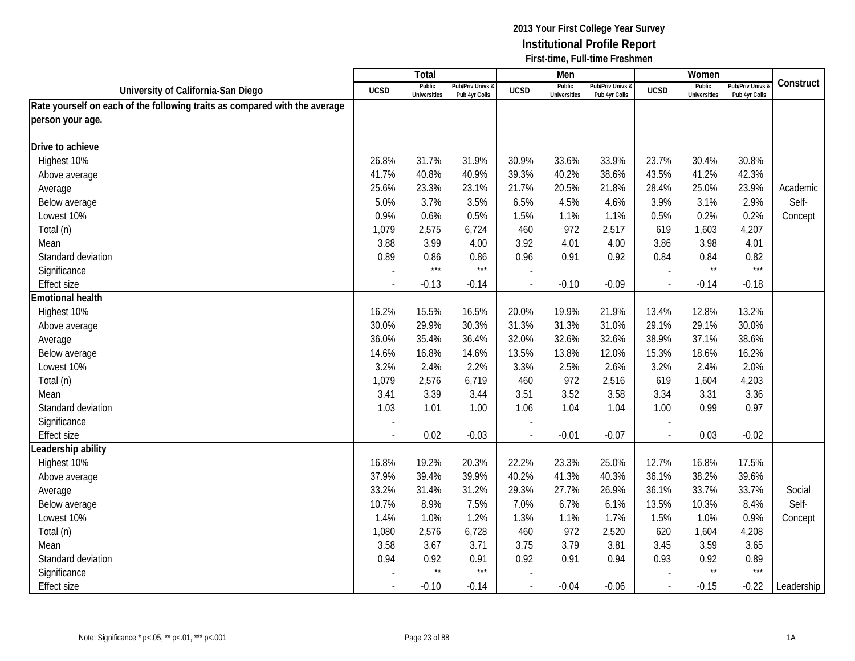|                                                                            |                | <b>Total</b>                  |                                   |                | Men                           |                                   |                          | Women                         |                                        |            |
|----------------------------------------------------------------------------|----------------|-------------------------------|-----------------------------------|----------------|-------------------------------|-----------------------------------|--------------------------|-------------------------------|----------------------------------------|------------|
| University of California-San Diego                                         | <b>UCSD</b>    | Public<br><b>Universities</b> | Pub/Priv Univs &<br>Pub 4yr Colls | <b>UCSD</b>    | Public<br><b>Universities</b> | Pub/Priv Univs &<br>Pub 4yr Colls | <b>UCSD</b>              | Public<br><b>Universities</b> | <b>Pub/Priv Univs</b><br>Pub 4yr Colls | Construct  |
| Rate yourself on each of the following traits as compared with the average |                |                               |                                   |                |                               |                                   |                          |                               |                                        |            |
| person your age.                                                           |                |                               |                                   |                |                               |                                   |                          |                               |                                        |            |
|                                                                            |                |                               |                                   |                |                               |                                   |                          |                               |                                        |            |
| Drive to achieve                                                           |                |                               |                                   |                |                               |                                   |                          |                               |                                        |            |
| Highest 10%                                                                | 26.8%          | 31.7%                         | 31.9%                             | 30.9%          | 33.6%                         | 33.9%                             | 23.7%                    | 30.4%                         | 30.8%                                  |            |
| Above average                                                              | 41.7%          | 40.8%                         | 40.9%                             | 39.3%          | 40.2%                         | 38.6%                             | 43.5%                    | 41.2%                         | 42.3%                                  |            |
| Average                                                                    | 25.6%          | 23.3%                         | 23.1%                             | 21.7%          | 20.5%                         | 21.8%                             | 28.4%                    | 25.0%                         | 23.9%                                  | Academic   |
| Below average                                                              | 5.0%           | 3.7%                          | 3.5%                              | 6.5%           | 4.5%                          | 4.6%                              | 3.9%                     | 3.1%                          | 2.9%                                   | Self-      |
| Lowest 10%                                                                 | 0.9%           | 0.6%                          | 0.5%                              | 1.5%           | 1.1%                          | 1.1%                              | 0.5%                     | 0.2%                          | 0.2%                                   | Concept    |
| Total (n)                                                                  | 1,079          | 2,575                         | 6,724                             | 460            | 972                           | 2,517                             | 619                      | 1,603                         | 4,207                                  |            |
| Mean                                                                       | 3.88           | 3.99                          | 4.00                              | 3.92           | 4.01                          | 4.00                              | 3.86                     | 3.98                          | 4.01                                   |            |
| Standard deviation                                                         | 0.89           | 0.86                          | 0.86                              | 0.96           | 0.91                          | 0.92                              | 0.84                     | 0.84                          | 0.82                                   |            |
| Significance                                                               |                | $***$                         | $***$                             |                |                               |                                   |                          | $\star\star$                  | ***                                    |            |
| <b>Effect size</b>                                                         |                | $-0.13$                       | $-0.14$                           |                | $-0.10$                       | $-0.09$                           |                          | $-0.14$                       | $-0.18$                                |            |
| <b>Emotional health</b>                                                    |                |                               |                                   |                |                               |                                   |                          |                               |                                        |            |
| Highest 10%                                                                | 16.2%          | 15.5%                         | 16.5%                             | 20.0%          | 19.9%                         | 21.9%                             | 13.4%                    | 12.8%                         | 13.2%                                  |            |
| Above average                                                              | 30.0%          | 29.9%                         | 30.3%                             | 31.3%          | 31.3%                         | 31.0%                             | 29.1%                    | 29.1%                         | 30.0%                                  |            |
| Average                                                                    | 36.0%          | 35.4%                         | 36.4%                             | 32.0%          | 32.6%                         | 32.6%                             | 38.9%                    | 37.1%                         | 38.6%                                  |            |
| Below average                                                              | 14.6%          | 16.8%                         | 14.6%                             | 13.5%          | 13.8%                         | 12.0%                             | 15.3%                    | 18.6%                         | 16.2%                                  |            |
| Lowest 10%                                                                 | 3.2%           | 2.4%                          | 2.2%                              | 3.3%           | 2.5%                          | 2.6%                              | 3.2%                     | 2.4%                          | 2.0%                                   |            |
| Total (n)                                                                  | 1,079          | 2,576                         | 6,719                             | 460            | 972                           | 2,516                             | 619                      | 1,604                         | 4,203                                  |            |
| Mean                                                                       | 3.41           | 3.39                          | 3.44                              | 3.51           | 3.52                          | 3.58                              | 3.34                     | 3.31                          | 3.36                                   |            |
| Standard deviation                                                         | 1.03           | 1.01                          | 1.00                              | 1.06           | 1.04                          | 1.04                              | 1.00                     | 0.99                          | 0.97                                   |            |
| Significance                                                               |                |                               |                                   |                |                               |                                   |                          |                               |                                        |            |
| <b>Effect size</b>                                                         | $\blacksquare$ | 0.02                          | $-0.03$                           |                | $-0.01$                       | $-0.07$                           | $\overline{\phantom{a}}$ | 0.03                          | $-0.02$                                |            |
| Leadership ability                                                         |                |                               |                                   |                |                               |                                   |                          |                               |                                        |            |
| Highest 10%                                                                | 16.8%          | 19.2%                         | 20.3%                             | 22.2%          | 23.3%                         | 25.0%                             | 12.7%                    | 16.8%                         | 17.5%                                  |            |
| Above average                                                              | 37.9%          | 39.4%                         | 39.9%                             | 40.2%          | 41.3%                         | 40.3%                             | 36.1%                    | 38.2%                         | 39.6%                                  |            |
| Average                                                                    | 33.2%          | 31.4%                         | 31.2%                             | 29.3%          | 27.7%                         | 26.9%                             | 36.1%                    | 33.7%                         | 33.7%                                  | Social     |
| Below average                                                              | 10.7%          | 8.9%                          | 7.5%                              | 7.0%           | 6.7%                          | 6.1%                              | 13.5%                    | 10.3%                         | 8.4%                                   | Self-      |
| Lowest 10%                                                                 | 1.4%           | 1.0%                          | 1.2%                              | 1.3%           | 1.1%                          | 1.7%                              | 1.5%                     | 1.0%                          | 0.9%                                   | Concept    |
| Total (n)                                                                  | 1,080          | 2,576                         | 6,728                             | 460            | 972                           | 2,520                             | 620                      | 1,604                         | 4,208                                  |            |
| Mean                                                                       | 3.58           | 3.67                          | 3.71                              | 3.75           | 3.79                          | 3.81                              | 3.45                     | 3.59                          | 3.65                                   |            |
| Standard deviation                                                         | 0.94           | 0.92                          | 0.91                              | 0.92           | 0.91                          | 0.94                              | 0.93                     | 0.92                          | 0.89                                   |            |
| Significance                                                               |                | $\star\star$                  | $***$                             |                |                               |                                   |                          | $^{\star\star}$               | $***$                                  |            |
| <b>Effect size</b>                                                         | $\blacksquare$ | $-0.10$                       | $-0.14$                           | $\blacksquare$ | $-0.04$                       | $-0.06$                           | $\mathcal{L}$            | $-0.15$                       | $-0.22$                                | Leadership |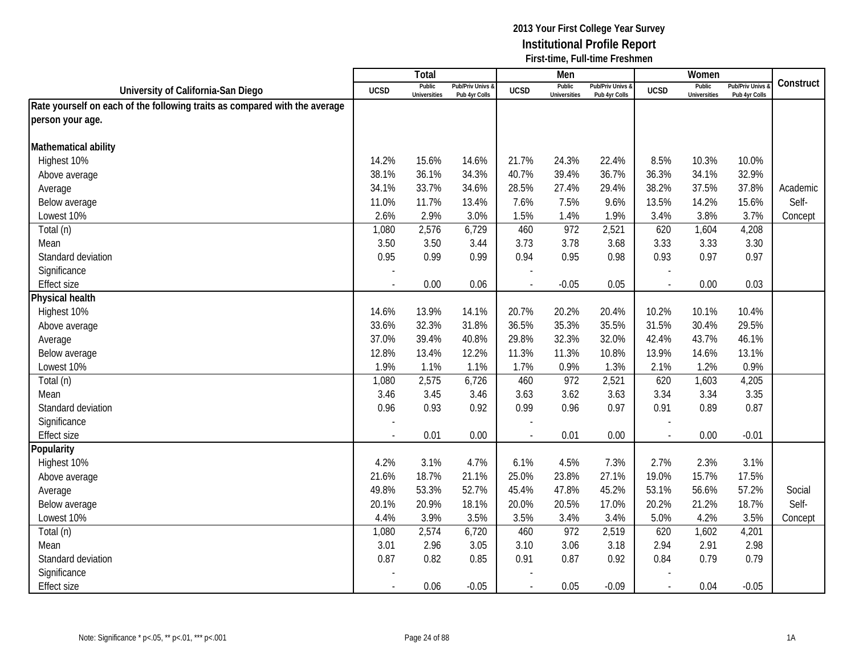|                                                                            |                | <b>Total</b>                  |                                   |                | Men                           |                                 |             | Women                         |                                        |           |
|----------------------------------------------------------------------------|----------------|-------------------------------|-----------------------------------|----------------|-------------------------------|---------------------------------|-------------|-------------------------------|----------------------------------------|-----------|
| University of California-San Diego                                         | <b>UCSD</b>    | Public<br><b>Universities</b> | Pub/Priv Univs &<br>Pub 4yr Colls | <b>UCSD</b>    | Public<br><b>Universities</b> | Pub/Priv Univs<br>Pub 4yr Colls | <b>UCSD</b> | Public<br><b>Universities</b> | <b>Pub/Priv Univs</b><br>Pub 4yr Colls | Construct |
| Rate yourself on each of the following traits as compared with the average |                |                               |                                   |                |                               |                                 |             |                               |                                        |           |
| person your age.                                                           |                |                               |                                   |                |                               |                                 |             |                               |                                        |           |
|                                                                            |                |                               |                                   |                |                               |                                 |             |                               |                                        |           |
| Mathematical ability                                                       |                |                               |                                   |                |                               |                                 |             |                               |                                        |           |
| Highest 10%                                                                | 14.2%          | 15.6%                         | 14.6%                             | 21.7%          | 24.3%                         | 22.4%                           | 8.5%        | 10.3%                         | 10.0%                                  |           |
| Above average                                                              | 38.1%          | 36.1%                         | 34.3%                             | 40.7%          | 39.4%                         | 36.7%                           | 36.3%       | 34.1%                         | 32.9%                                  |           |
| Average                                                                    | 34.1%          | 33.7%                         | 34.6%                             | 28.5%          | 27.4%                         | 29.4%                           | 38.2%       | 37.5%                         | 37.8%                                  | Academic  |
| Below average                                                              | 11.0%          | 11.7%                         | 13.4%                             | 7.6%           | 7.5%                          | 9.6%                            | 13.5%       | 14.2%                         | 15.6%                                  | Self-     |
| Lowest 10%                                                                 | 2.6%           | 2.9%                          | 3.0%                              | 1.5%           | 1.4%                          | 1.9%                            | 3.4%        | 3.8%                          | 3.7%                                   | Concept   |
| Total (n)                                                                  | 1,080          | 2,576                         | 6,729                             | 460            | 972                           | 2,521                           | 620         | 1,604                         | 4,208                                  |           |
| Mean                                                                       | 3.50           | 3.50                          | 3.44                              | 3.73           | 3.78                          | 3.68                            | 3.33        | 3.33                          | 3.30                                   |           |
| Standard deviation                                                         | 0.95           | 0.99                          | 0.99                              | 0.94           | 0.95                          | 0.98                            | 0.93        | 0.97                          | 0.97                                   |           |
| Significance                                                               |                |                               |                                   |                |                               |                                 |             |                               |                                        |           |
| <b>Effect size</b>                                                         |                | 0.00                          | 0.06                              |                | $-0.05$                       | 0.05                            |             | 0.00                          | 0.03                                   |           |
| <b>Physical health</b>                                                     |                |                               |                                   |                |                               |                                 |             |                               |                                        |           |
| Highest 10%                                                                | 14.6%          | 13.9%                         | 14.1%                             | 20.7%          | 20.2%                         | 20.4%                           | 10.2%       | 10.1%                         | 10.4%                                  |           |
| Above average                                                              | 33.6%          | 32.3%                         | 31.8%                             | 36.5%          | 35.3%                         | 35.5%                           | 31.5%       | 30.4%                         | 29.5%                                  |           |
| Average                                                                    | 37.0%          | 39.4%                         | 40.8%                             | 29.8%          | 32.3%                         | 32.0%                           | 42.4%       | 43.7%                         | 46.1%                                  |           |
| Below average                                                              | 12.8%          | 13.4%                         | 12.2%                             | 11.3%          | 11.3%                         | 10.8%                           | 13.9%       | 14.6%                         | 13.1%                                  |           |
| Lowest 10%                                                                 | 1.9%           | 1.1%                          | 1.1%                              | 1.7%           | 0.9%                          | 1.3%                            | 2.1%        | 1.2%                          | 0.9%                                   |           |
| Total (n)                                                                  | 1,080          | 2,575                         | 6,726                             | 460            | 972                           | 2,521                           | 620         | 1,603                         | 4,205                                  |           |
| Mean                                                                       | 3.46           | 3.45                          | 3.46                              | 3.63           | 3.62                          | 3.63                            | 3.34        | 3.34                          | 3.35                                   |           |
| Standard deviation                                                         | 0.96           | 0.93                          | 0.92                              | 0.99           | 0.96                          | 0.97                            | 0.91        | 0.89                          | 0.87                                   |           |
| Significance                                                               |                |                               |                                   |                |                               |                                 |             |                               |                                        |           |
| <b>Effect size</b>                                                         | $\blacksquare$ | 0.01                          | 0.00                              |                | 0.01                          | 0.00                            | $\sim$      | 0.00                          | $-0.01$                                |           |
| Popularity                                                                 |                |                               |                                   |                |                               |                                 |             |                               |                                        |           |
| Highest 10%                                                                | 4.2%           | 3.1%                          | 4.7%                              | 6.1%           | 4.5%                          | 7.3%                            | 2.7%        | 2.3%                          | 3.1%                                   |           |
| Above average                                                              | 21.6%          | 18.7%                         | 21.1%                             | 25.0%          | 23.8%                         | 27.1%                           | 19.0%       | 15.7%                         | 17.5%                                  |           |
| Average                                                                    | 49.8%          | 53.3%                         | 52.7%                             | 45.4%          | 47.8%                         | 45.2%                           | 53.1%       | 56.6%                         | 57.2%                                  | Social    |
| Below average                                                              | 20.1%          | 20.9%                         | 18.1%                             | 20.0%          | 20.5%                         | 17.0%                           | 20.2%       | 21.2%                         | 18.7%                                  | Self-     |
| Lowest 10%                                                                 | 4.4%           | 3.9%                          | 3.5%                              | 3.5%           | 3.4%                          | 3.4%                            | 5.0%        | 4.2%                          | 3.5%                                   | Concept   |
| Total (n)                                                                  | 1,080          | 2,574                         | 6,720                             | 460            | 972                           | 2,519                           | 620         | 1,602                         | 4,201                                  |           |
| Mean                                                                       | 3.01           | 2.96                          | 3.05                              | 3.10           | 3.06                          | 3.18                            | 2.94        | 2.91                          | 2.98                                   |           |
| Standard deviation                                                         | 0.87           | 0.82                          | 0.85                              | 0.91           | 0.87                          | 0.92                            | 0.84        | 0.79                          | 0.79                                   |           |
| Significance                                                               |                |                               |                                   |                |                               |                                 |             |                               |                                        |           |
| <b>Effect size</b>                                                         | $\blacksquare$ | 0.06                          | $-0.05$                           | $\blacksquare$ | 0.05                          | $-0.09$                         | $\sim$      | 0.04                          | $-0.05$                                |           |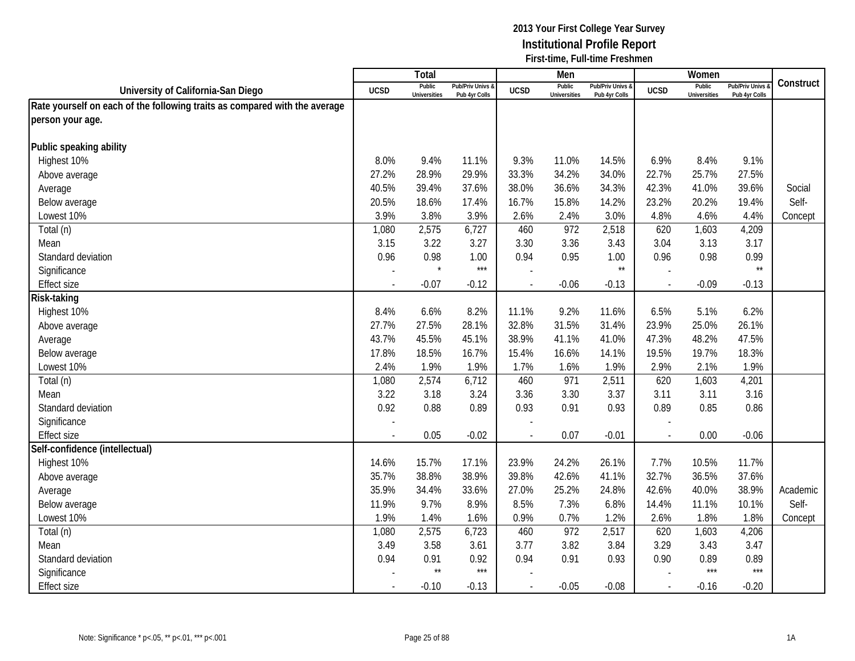|                                                                            |             | Total                         |                                   |                | Men                           |                                   |             | Women                         |                                        |           |
|----------------------------------------------------------------------------|-------------|-------------------------------|-----------------------------------|----------------|-------------------------------|-----------------------------------|-------------|-------------------------------|----------------------------------------|-----------|
| University of California-San Diego                                         | <b>UCSD</b> | Public<br><b>Universities</b> | Pub/Priv Univs &<br>Pub 4yr Colls | <b>UCSD</b>    | Public<br><b>Universities</b> | Pub/Priv Univs &<br>Pub 4yr Colls | <b>UCSD</b> | Public<br><b>Universities</b> | <b>Pub/Priv Univs</b><br>Pub 4yr Colls | Construct |
| Rate yourself on each of the following traits as compared with the average |             |                               |                                   |                |                               |                                   |             |                               |                                        |           |
| person your age.                                                           |             |                               |                                   |                |                               |                                   |             |                               |                                        |           |
|                                                                            |             |                               |                                   |                |                               |                                   |             |                               |                                        |           |
| Public speaking ability                                                    |             |                               |                                   |                |                               |                                   |             |                               |                                        |           |
| Highest 10%                                                                | 8.0%        | 9.4%                          | 11.1%                             | 9.3%           | 11.0%                         | 14.5%                             | 6.9%        | 8.4%                          | 9.1%                                   |           |
| Above average                                                              | 27.2%       | 28.9%                         | 29.9%                             | 33.3%          | 34.2%                         | 34.0%                             | 22.7%       | 25.7%                         | 27.5%                                  |           |
| Average                                                                    | 40.5%       | 39.4%                         | 37.6%                             | 38.0%          | 36.6%                         | 34.3%                             | 42.3%       | 41.0%                         | 39.6%                                  | Social    |
| Below average                                                              | 20.5%       | 18.6%                         | 17.4%                             | 16.7%          | 15.8%                         | 14.2%                             | 23.2%       | 20.2%                         | 19.4%                                  | Self-     |
| Lowest 10%                                                                 | 3.9%        | 3.8%                          | 3.9%                              | 2.6%           | 2.4%                          | 3.0%                              | 4.8%        | 4.6%                          | 4.4%                                   | Concept   |
| Total (n)                                                                  | 1,080       | 2,575                         | 6,727                             | 460            | 972                           | 2,518                             | 620         | 1,603                         | 4,209                                  |           |
| Mean                                                                       | 3.15        | 3.22                          | 3.27                              | 3.30           | 3.36                          | 3.43                              | 3.04        | 3.13                          | 3.17                                   |           |
| Standard deviation                                                         | 0.96        | 0.98                          | 1.00                              | 0.94           | 0.95                          | 1.00                              | 0.96        | 0.98                          | 0.99                                   |           |
| Significance                                                               |             |                               | $***$                             |                |                               | $^{\star\star}$                   |             |                               | $\star\star$                           |           |
| <b>Effect size</b>                                                         |             | $-0.07$                       | $-0.12$                           | $\overline{a}$ | $-0.06$                       | $-0.13$                           | $\sim$      | $-0.09$                       | $-0.13$                                |           |
| Risk-taking                                                                |             |                               |                                   |                |                               |                                   |             |                               |                                        |           |
| Highest 10%                                                                | 8.4%        | 6.6%                          | 8.2%                              | 11.1%          | 9.2%                          | 11.6%                             | 6.5%        | 5.1%                          | 6.2%                                   |           |
| Above average                                                              | 27.7%       | 27.5%                         | 28.1%                             | 32.8%          | 31.5%                         | 31.4%                             | 23.9%       | 25.0%                         | 26.1%                                  |           |
| Average                                                                    | 43.7%       | 45.5%                         | 45.1%                             | 38.9%          | 41.1%                         | 41.0%                             | 47.3%       | 48.2%                         | 47.5%                                  |           |
| Below average                                                              | 17.8%       | 18.5%                         | 16.7%                             | 15.4%          | 16.6%                         | 14.1%                             | 19.5%       | 19.7%                         | 18.3%                                  |           |
| Lowest 10%                                                                 | 2.4%        | 1.9%                          | 1.9%                              | 1.7%           | 1.6%                          | 1.9%                              | 2.9%        | 2.1%                          | 1.9%                                   |           |
| Total (n)                                                                  | 1,080       | 2,574                         | 6,712                             | 460            | 971                           | 2,511                             | 620         | 1,603                         | 4,201                                  |           |
| Mean                                                                       | 3.22        | 3.18                          | 3.24                              | 3.36           | 3.30                          | 3.37                              | 3.11        | 3.11                          | 3.16                                   |           |
| Standard deviation                                                         | 0.92        | 0.88                          | 0.89                              | 0.93           | 0.91                          | 0.93                              | 0.89        | 0.85                          | 0.86                                   |           |
| Significance                                                               |             |                               |                                   |                |                               |                                   |             |                               |                                        |           |
| <b>Effect size</b>                                                         |             | 0.05                          | $-0.02$                           |                | 0.07                          | $-0.01$                           | $\sim$      | 0.00                          | $-0.06$                                |           |
| Self-confidence (intellectual)                                             |             |                               |                                   |                |                               |                                   |             |                               |                                        |           |
| Highest 10%                                                                | 14.6%       | 15.7%                         | 17.1%                             | 23.9%          | 24.2%                         | 26.1%                             | 7.7%        | 10.5%                         | 11.7%                                  |           |
| Above average                                                              | 35.7%       | 38.8%                         | 38.9%                             | 39.8%          | 42.6%                         | 41.1%                             | 32.7%       | 36.5%                         | 37.6%                                  |           |
| Average                                                                    | 35.9%       | 34.4%                         | 33.6%                             | 27.0%          | 25.2%                         | 24.8%                             | 42.6%       | 40.0%                         | 38.9%                                  | Academic  |
| Below average                                                              | 11.9%       | 9.7%                          | 8.9%                              | 8.5%           | 7.3%                          | 6.8%                              | 14.4%       | 11.1%                         | 10.1%                                  | Self-     |
| Lowest 10%                                                                 | 1.9%        | 1.4%                          | 1.6%                              | 0.9%           | 0.7%                          | 1.2%                              | 2.6%        | 1.8%                          | 1.8%                                   | Concept   |
| Total (n)                                                                  | 1,080       | 2,575                         | 6,723                             | 460            | 972                           | 2,517                             | 620         | 1,603                         | 4,206                                  |           |
| Mean                                                                       | 3.49        | 3.58                          | 3.61                              | 3.77           | 3.82                          | 3.84                              | 3.29        | 3.43                          | 3.47                                   |           |
| Standard deviation                                                         | 0.94        | 0.91                          | 0.92                              | 0.94           | 0.91                          | 0.93                              | 0.90        | 0.89                          | 0.89                                   |           |
| Significance                                                               |             | $^{\star\star}$               | $***$                             |                |                               |                                   |             | $***$                         | $***$                                  |           |
| <b>Effect size</b>                                                         |             | $-0.10$                       | $-0.13$                           | $\overline{a}$ | $-0.05$                       | $-0.08$                           | $\sim$      | $-0.16$                       | $-0.20$                                |           |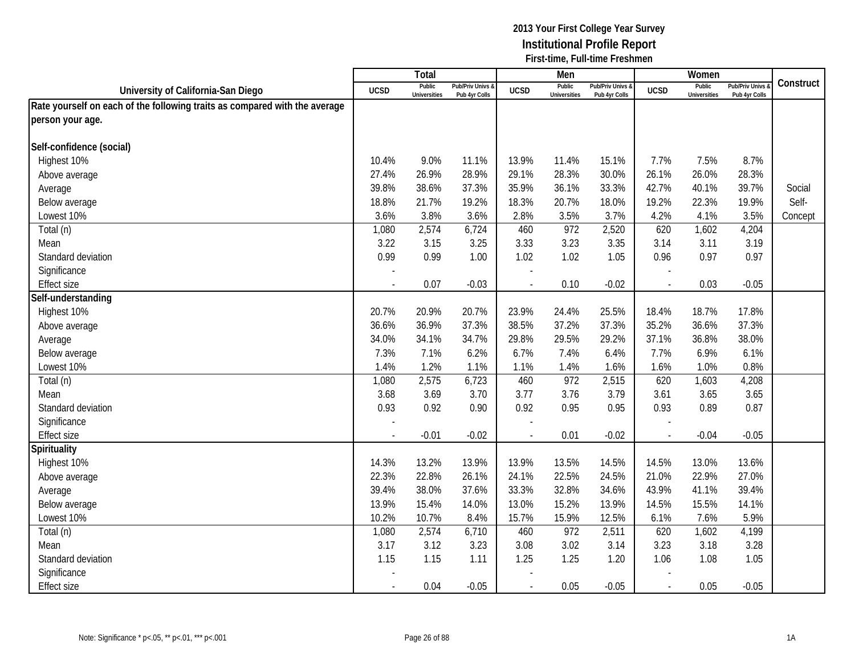|                                                                            |                | <b>Total</b>                  |                                   |                | Men                           |                                 |             | Women                         |                                        |           |
|----------------------------------------------------------------------------|----------------|-------------------------------|-----------------------------------|----------------|-------------------------------|---------------------------------|-------------|-------------------------------|----------------------------------------|-----------|
| University of California-San Diego                                         | <b>UCSD</b>    | Public<br><b>Universities</b> | Pub/Priv Univs &<br>Pub 4yr Colls | <b>UCSD</b>    | Public<br><b>Universities</b> | Pub/Priv Univs<br>Pub 4yr Colls | <b>UCSD</b> | Public<br><b>Universities</b> | <b>Pub/Priv Univs</b><br>Pub 4yr Colls | Construct |
| Rate yourself on each of the following traits as compared with the average |                |                               |                                   |                |                               |                                 |             |                               |                                        |           |
| person your age.                                                           |                |                               |                                   |                |                               |                                 |             |                               |                                        |           |
|                                                                            |                |                               |                                   |                |                               |                                 |             |                               |                                        |           |
| Self-confidence (social)                                                   |                |                               |                                   |                |                               |                                 |             |                               |                                        |           |
| Highest 10%                                                                | 10.4%          | 9.0%                          | 11.1%                             | 13.9%          | 11.4%                         | 15.1%                           | 7.7%        | 7.5%                          | 8.7%                                   |           |
| Above average                                                              | 27.4%          | 26.9%                         | 28.9%                             | 29.1%          | 28.3%                         | 30.0%                           | 26.1%       | 26.0%                         | 28.3%                                  |           |
| Average                                                                    | 39.8%          | 38.6%                         | 37.3%                             | 35.9%          | 36.1%                         | 33.3%                           | 42.7%       | 40.1%                         | 39.7%                                  | Social    |
| Below average                                                              | 18.8%          | 21.7%                         | 19.2%                             | 18.3%          | 20.7%                         | 18.0%                           | 19.2%       | 22.3%                         | 19.9%                                  | Self-     |
| Lowest 10%                                                                 | 3.6%           | 3.8%                          | 3.6%                              | 2.8%           | 3.5%                          | 3.7%                            | 4.2%        | 4.1%                          | 3.5%                                   | Concept   |
| Total (n)                                                                  | 1,080          | 2,574                         | 6,724                             | 460            | 972                           | 2,520                           | 620         | 1,602                         | 4,204                                  |           |
| Mean                                                                       | 3.22           | 3.15                          | 3.25                              | 3.33           | 3.23                          | 3.35                            | 3.14        | 3.11                          | 3.19                                   |           |
| Standard deviation                                                         | 0.99           | 0.99                          | 1.00                              | 1.02           | 1.02                          | 1.05                            | 0.96        | 0.97                          | 0.97                                   |           |
| Significance                                                               |                |                               |                                   |                |                               |                                 |             |                               |                                        |           |
| <b>Effect size</b>                                                         |                | 0.07                          | $-0.03$                           |                | 0.10                          | $-0.02$                         |             | 0.03                          | $-0.05$                                |           |
| Self-understanding                                                         |                |                               |                                   |                |                               |                                 |             |                               |                                        |           |
| Highest 10%                                                                | 20.7%          | 20.9%                         | 20.7%                             | 23.9%          | 24.4%                         | 25.5%                           | 18.4%       | 18.7%                         | 17.8%                                  |           |
| Above average                                                              | 36.6%          | 36.9%                         | 37.3%                             | 38.5%          | 37.2%                         | 37.3%                           | 35.2%       | 36.6%                         | 37.3%                                  |           |
| Average                                                                    | 34.0%          | 34.1%                         | 34.7%                             | 29.8%          | 29.5%                         | 29.2%                           | 37.1%       | 36.8%                         | 38.0%                                  |           |
| Below average                                                              | 7.3%           | 7.1%                          | 6.2%                              | 6.7%           | 7.4%                          | 6.4%                            | 7.7%        | 6.9%                          | 6.1%                                   |           |
| Lowest 10%                                                                 | 1.4%           | 1.2%                          | 1.1%                              | 1.1%           | 1.4%                          | 1.6%                            | 1.6%        | 1.0%                          | 0.8%                                   |           |
| Total (n)                                                                  | 1,080          | 2,575                         | 6,723                             | 460            | 972                           | 2,515                           | 620         | 1,603                         | 4,208                                  |           |
| Mean                                                                       | 3.68           | 3.69                          | 3.70                              | 3.77           | 3.76                          | 3.79                            | 3.61        | 3.65                          | 3.65                                   |           |
| Standard deviation                                                         | 0.93           | 0.92                          | 0.90                              | 0.92           | 0.95                          | 0.95                            | 0.93        | 0.89                          | 0.87                                   |           |
| Significance                                                               |                |                               |                                   |                |                               |                                 |             |                               |                                        |           |
| <b>Effect size</b>                                                         |                | $-0.01$                       | $-0.02$                           |                | 0.01                          | $-0.02$                         | $\sim$      | $-0.04$                       | $-0.05$                                |           |
| Spirituality                                                               |                |                               |                                   |                |                               |                                 |             |                               |                                        |           |
| Highest 10%                                                                | 14.3%          | 13.2%                         | 13.9%                             | 13.9%          | 13.5%                         | 14.5%                           | 14.5%       | 13.0%                         | 13.6%                                  |           |
| Above average                                                              | 22.3%          | 22.8%                         | 26.1%                             | 24.1%          | 22.5%                         | 24.5%                           | 21.0%       | 22.9%                         | 27.0%                                  |           |
| Average                                                                    | 39.4%          | 38.0%                         | 37.6%                             | 33.3%          | 32.8%                         | 34.6%                           | 43.9%       | 41.1%                         | 39.4%                                  |           |
| Below average                                                              | 13.9%          | 15.4%                         | 14.0%                             | 13.0%          | 15.2%                         | 13.9%                           | 14.5%       | 15.5%                         | 14.1%                                  |           |
| Lowest 10%                                                                 | 10.2%          | 10.7%                         | 8.4%                              | 15.7%          | 15.9%                         | 12.5%                           | 6.1%        | 7.6%                          | 5.9%                                   |           |
| Total (n)                                                                  | 1,080          | 2,574                         | 6,710                             | 460            | 972                           | 2,511                           | 620         | 1,602                         | 4,199                                  |           |
| Mean                                                                       | 3.17           | 3.12                          | 3.23                              | 3.08           | 3.02                          | 3.14                            | 3.23        | 3.18                          | 3.28                                   |           |
| Standard deviation                                                         | 1.15           | 1.15                          | 1.11                              | 1.25           | 1.25                          | 1.20                            | 1.06        | 1.08                          | 1.05                                   |           |
| Significance                                                               |                |                               |                                   |                |                               |                                 |             |                               |                                        |           |
| <b>Effect size</b>                                                         | $\blacksquare$ | 0.04                          | $-0.05$                           | $\blacksquare$ | 0.05                          | $-0.05$                         | $\sim$      | 0.05                          | $-0.05$                                |           |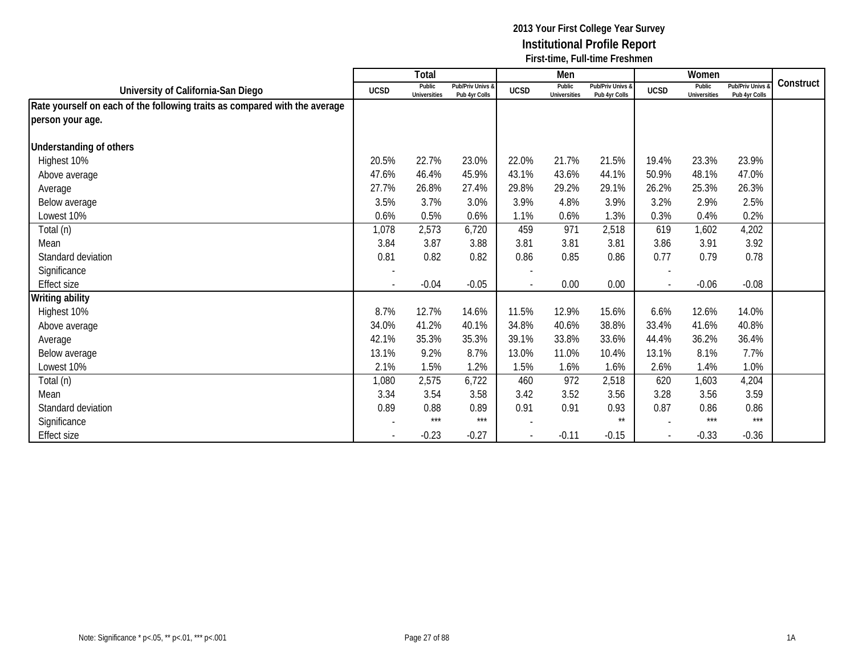|                                                                            |                          | Total                         |                                   |                          | Men                           |                                   |                | Women                         |                                 |           |
|----------------------------------------------------------------------------|--------------------------|-------------------------------|-----------------------------------|--------------------------|-------------------------------|-----------------------------------|----------------|-------------------------------|---------------------------------|-----------|
| University of California-San Diego                                         | <b>UCSD</b>              | Public<br><b>Universities</b> | Pub/Priv Univs &<br>Pub 4yr Colls | <b>UCSD</b>              | Public<br><b>Universities</b> | Pub/Priv Univs &<br>Pub 4yr Colls | <b>UCSD</b>    | Public<br><b>Universities</b> | Pub/Priv Univs<br>Pub 4yr Colls | Construct |
| Rate yourself on each of the following traits as compared with the average |                          |                               |                                   |                          |                               |                                   |                |                               |                                 |           |
| person your age.                                                           |                          |                               |                                   |                          |                               |                                   |                |                               |                                 |           |
|                                                                            |                          |                               |                                   |                          |                               |                                   |                |                               |                                 |           |
| <b>Understanding of others</b>                                             |                          |                               |                                   |                          |                               |                                   |                |                               |                                 |           |
| Highest 10%                                                                | 20.5%                    | 22.7%                         | 23.0%                             | 22.0%                    | 21.7%                         | 21.5%                             | 19.4%          | 23.3%                         | 23.9%                           |           |
| Above average                                                              | 47.6%                    | 46.4%                         | 45.9%                             | 43.1%                    | 43.6%                         | 44.1%                             | 50.9%          | 48.1%                         | 47.0%                           |           |
| Average                                                                    | 27.7%                    | 26.8%                         | 27.4%                             | 29.8%                    | 29.2%                         | 29.1%                             | 26.2%          | 25.3%                         | 26.3%                           |           |
| Below average                                                              | 3.5%                     | 3.7%                          | 3.0%                              | 3.9%                     | 4.8%                          | 3.9%                              | 3.2%           | 2.9%                          | 2.5%                            |           |
| Lowest 10%                                                                 | 0.6%                     | 0.5%                          | 0.6%                              | 1.1%                     | 0.6%                          | 1.3%                              | 0.3%           | 0.4%                          | 0.2%                            |           |
| Total (n)                                                                  | 1,078                    | 2,573                         | 6,720                             | 459                      | 971                           | 2,518                             | 619            | 1,602                         | 4,202                           |           |
| Mean                                                                       | 3.84                     | 3.87                          | 3.88                              | 3.81                     | 3.81                          | 3.81                              | 3.86           | 3.91                          | 3.92                            |           |
| Standard deviation                                                         | 0.81                     | 0.82                          | 0.82                              | 0.86                     | 0.85                          | 0.86                              | 0.77           | 0.79                          | 0.78                            |           |
| Significance                                                               |                          |                               |                                   |                          |                               |                                   |                |                               |                                 |           |
| Effect size                                                                | $\overline{\phantom{a}}$ | $-0.04$                       | $-0.05$                           | $\overline{\phantom{a}}$ | 0.00                          | 0.00                              | $\blacksquare$ | $-0.06$                       | $-0.08$                         |           |
| <b>Writing ability</b>                                                     |                          |                               |                                   |                          |                               |                                   |                |                               |                                 |           |
| Highest 10%                                                                | 8.7%                     | 12.7%                         | 14.6%                             | 11.5%                    | 12.9%                         | 15.6%                             | 6.6%           | 12.6%                         | 14.0%                           |           |
| Above average                                                              | 34.0%                    | 41.2%                         | 40.1%                             | 34.8%                    | 40.6%                         | 38.8%                             | 33.4%          | 41.6%                         | 40.8%                           |           |
| Average                                                                    | 42.1%                    | 35.3%                         | 35.3%                             | 39.1%                    | 33.8%                         | 33.6%                             | 44.4%          | 36.2%                         | 36.4%                           |           |
| Below average                                                              | 13.1%                    | 9.2%                          | 8.7%                              | 13.0%                    | 11.0%                         | 10.4%                             | 13.1%          | 8.1%                          | 7.7%                            |           |
| Lowest 10%                                                                 | 2.1%                     | 1.5%                          | 1.2%                              | 1.5%                     | 1.6%                          | 1.6%                              | 2.6%           | 1.4%                          | 1.0%                            |           |
| Total (n)                                                                  | 1,080                    | 2,575                         | 6,722                             | 460                      | 972                           | 2,518                             | 620            | 1,603                         | 4,204                           |           |
| Mean                                                                       | 3.34                     | 3.54                          | 3.58                              | 3.42                     | 3.52                          | 3.56                              | 3.28           | 3.56                          | 3.59                            |           |
| Standard deviation                                                         | 0.89                     | 0.88                          | 0.89                              | 0.91                     | 0.91                          | 0.93                              | 0.87           | 0.86                          | 0.86                            |           |
| Significance                                                               |                          | $***$                         | $***$                             |                          |                               | $***$                             |                | $***$                         | $***$                           |           |
| Effect size                                                                |                          | $-0.23$                       | $-0.27$                           |                          | $-0.11$                       | $-0.15$                           |                | $-0.33$                       | $-0.36$                         |           |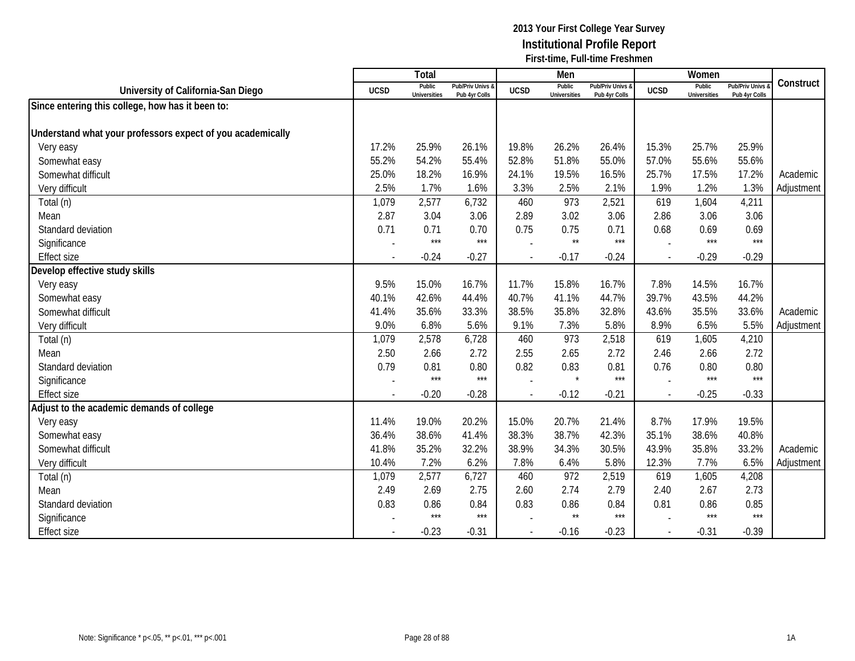|                                                            |                          | Total                         |                                   |                | Men                           |                                   |                          | Women                         |                                        |            |
|------------------------------------------------------------|--------------------------|-------------------------------|-----------------------------------|----------------|-------------------------------|-----------------------------------|--------------------------|-------------------------------|----------------------------------------|------------|
| University of California-San Diego                         | <b>UCSD</b>              | Public<br><b>Universities</b> | Pub/Priv Univs &<br>Pub 4yr Colls | <b>UCSD</b>    | Public<br><b>Universities</b> | Pub/Priv Univs &<br>Pub 4yr Colls | <b>UCSD</b>              | Public<br><b>Universities</b> | <b>Pub/Priv Univs</b><br>Pub 4yr Colls | Construct  |
| Since entering this college, how has it been to:           |                          |                               |                                   |                |                               |                                   |                          |                               |                                        |            |
|                                                            |                          |                               |                                   |                |                               |                                   |                          |                               |                                        |            |
| Understand what your professors expect of you academically |                          |                               |                                   |                |                               |                                   |                          |                               |                                        |            |
| Very easy                                                  | 17.2%                    | 25.9%                         | 26.1%                             | 19.8%          | 26.2%                         | 26.4%                             | 15.3%                    | 25.7%                         | 25.9%                                  |            |
| Somewhat easy                                              | 55.2%                    | 54.2%                         | 55.4%                             | 52.8%          | 51.8%                         | 55.0%                             | 57.0%                    | 55.6%                         | 55.6%                                  |            |
| Somewhat difficult                                         | 25.0%                    | 18.2%                         | 16.9%                             | 24.1%          | 19.5%                         | 16.5%                             | 25.7%                    | 17.5%                         | 17.2%                                  | Academic   |
| Very difficult                                             | 2.5%                     | 1.7%                          | 1.6%                              | 3.3%           | 2.5%                          | 2.1%                              | 1.9%                     | 1.2%                          | 1.3%                                   | Adjustment |
| Total (n)                                                  | 1,079                    | 2,577                         | 6,732                             | 460            | 973                           | 2,521                             | 619                      | 1,604                         | 4,211                                  |            |
| Mean                                                       | 2.87                     | 3.04                          | 3.06                              | 2.89           | 3.02                          | 3.06                              | 2.86                     | 3.06                          | 3.06                                   |            |
| Standard deviation                                         | 0.71                     | 0.71                          | 0.70                              | 0.75           | 0.75                          | 0.71                              | 0.68                     | 0.69                          | 0.69                                   |            |
| Significance                                               |                          | $***$                         | $***$                             |                | $\star\star$                  | $***$                             |                          | $***$                         | $***$                                  |            |
| <b>Effect size</b>                                         |                          | $-0.24$                       | $-0.27$                           | $\blacksquare$ | $-0.17$                       | $-0.24$                           | $\sim$                   | $-0.29$                       | $-0.29$                                |            |
| Develop effective study skills                             |                          |                               |                                   |                |                               |                                   |                          |                               |                                        |            |
| Very easy                                                  | 9.5%                     | 15.0%                         | 16.7%                             | 11.7%          | 15.8%                         | 16.7%                             | 7.8%                     | 14.5%                         | 16.7%                                  |            |
| Somewhat easy                                              | 40.1%                    | 42.6%                         | 44.4%                             | 40.7%          | 41.1%                         | 44.7%                             | 39.7%                    | 43.5%                         | 44.2%                                  |            |
| Somewhat difficult                                         | 41.4%                    | 35.6%                         | 33.3%                             | 38.5%          | 35.8%                         | 32.8%                             | 43.6%                    | 35.5%                         | 33.6%                                  | Academic   |
| Very difficult                                             | 9.0%                     | 6.8%                          | 5.6%                              | 9.1%           | 7.3%                          | 5.8%                              | 8.9%                     | 6.5%                          | 5.5%                                   | Adjustment |
| Total (n)                                                  | 1,079                    | 2,578                         | 6,728                             | 460            | 973                           | 2,518                             | 619                      | 1,605                         | 4,210                                  |            |
| Mean                                                       | 2.50                     | 2.66                          | 2.72                              | 2.55           | 2.65                          | 2.72                              | 2.46                     | 2.66                          | 2.72                                   |            |
| Standard deviation                                         | 0.79                     | 0.81                          | 0.80                              | 0.82           | 0.83                          | 0.81                              | 0.76                     | 0.80                          | 0.80                                   |            |
| Significance                                               |                          | $***$                         | $***$                             |                | $\star$                       | $***$                             |                          | ***                           | $***$                                  |            |
| <b>Effect size</b>                                         | $\overline{\phantom{a}}$ | $-0.20$                       | $-0.28$                           | $\blacksquare$ | $-0.12$                       | $-0.21$                           | $\overline{\phantom{a}}$ | $-0.25$                       | $-0.33$                                |            |
| Adjust to the academic demands of college                  |                          |                               |                                   |                |                               |                                   |                          |                               |                                        |            |
| Very easy                                                  | 11.4%                    | 19.0%                         | 20.2%                             | 15.0%          | 20.7%                         | 21.4%                             | 8.7%                     | 17.9%                         | 19.5%                                  |            |
| Somewhat easy                                              | 36.4%                    | 38.6%                         | 41.4%                             | 38.3%          | 38.7%                         | 42.3%                             | 35.1%                    | 38.6%                         | 40.8%                                  |            |
| Somewhat difficult                                         | 41.8%                    | 35.2%                         | 32.2%                             | 38.9%          | 34.3%                         | 30.5%                             | 43.9%                    | 35.8%                         | 33.2%                                  | Academic   |
| Very difficult                                             | 10.4%                    | 7.2%                          | 6.2%                              | 7.8%           | 6.4%                          | 5.8%                              | 12.3%                    | 7.7%                          | 6.5%                                   | Adjustment |
| Total (n)                                                  | 1,079                    | 2,577                         | 6,727                             | 460            | 972                           | 2,519                             | 619                      | 1,605                         | 4,208                                  |            |
| Mean                                                       | 2.49                     | 2.69                          | 2.75                              | 2.60           | 2.74                          | 2.79                              | 2.40                     | 2.67                          | 2.73                                   |            |
| Standard deviation                                         | 0.83                     | 0.86                          | 0.84                              | 0.83           | 0.86                          | 0.84                              | 0.81                     | 0.86                          | 0.85                                   |            |
| Significance                                               |                          | $***$                         | $***$                             |                | $\star\star$                  | $***$                             |                          | ***                           | $***$                                  |            |
| <b>Effect size</b>                                         |                          | $-0.23$                       | $-0.31$                           | $\overline{a}$ | $-0.16$                       | $-0.23$                           |                          | $-0.31$                       | $-0.39$                                |            |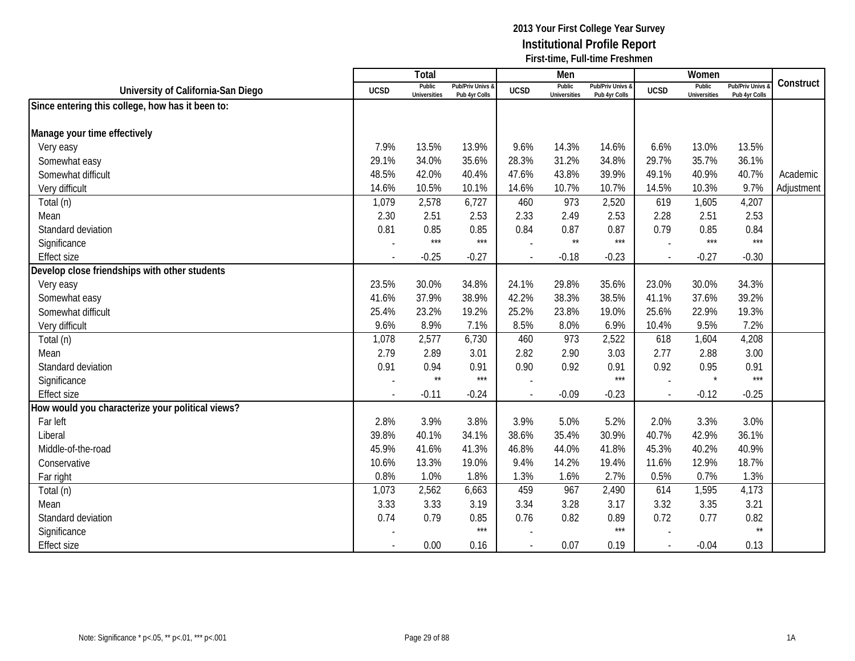|                                                  |                          | Total                         |                                   |                | Men                           |                                   |                          | Women                         |                                        |            |
|--------------------------------------------------|--------------------------|-------------------------------|-----------------------------------|----------------|-------------------------------|-----------------------------------|--------------------------|-------------------------------|----------------------------------------|------------|
| University of California-San Diego               | <b>UCSD</b>              | Public<br><b>Universities</b> | Pub/Priv Univs &<br>Pub 4yr Colls | <b>UCSD</b>    | Public<br><b>Universities</b> | Pub/Priv Univs &<br>Pub 4yr Colls | <b>UCSD</b>              | Public<br><b>Universities</b> | <b>Pub/Priv Univs</b><br>Pub 4yr Colls | Construct  |
| Since entering this college, how has it been to: |                          |                               |                                   |                |                               |                                   |                          |                               |                                        |            |
|                                                  |                          |                               |                                   |                |                               |                                   |                          |                               |                                        |            |
| Manage your time effectively                     |                          |                               |                                   |                |                               |                                   |                          |                               |                                        |            |
| Very easy                                        | 7.9%                     | 13.5%                         | 13.9%                             | 9.6%           | 14.3%                         | 14.6%                             | 6.6%                     | 13.0%                         | 13.5%                                  |            |
| Somewhat easy                                    | 29.1%                    | 34.0%                         | 35.6%                             | 28.3%          | 31.2%                         | 34.8%                             | 29.7%                    | 35.7%                         | 36.1%                                  |            |
| Somewhat difficult                               | 48.5%                    | 42.0%                         | 40.4%                             | 47.6%          | 43.8%                         | 39.9%                             | 49.1%                    | 40.9%                         | 40.7%                                  | Academic   |
| Very difficult                                   | 14.6%                    | 10.5%                         | 10.1%                             | 14.6%          | 10.7%                         | 10.7%                             | 14.5%                    | 10.3%                         | 9.7%                                   | Adjustment |
| Total (n)                                        | 1,079                    | 2,578                         | 6,727                             | 460            | 973                           | 2,520                             | 619                      | 1,605                         | 4,207                                  |            |
| Mean                                             | 2.30                     | 2.51                          | 2.53                              | 2.33           | 2.49                          | 2.53                              | 2.28                     | 2.51                          | 2.53                                   |            |
| Standard deviation                               | 0.81                     | 0.85                          | 0.85                              | 0.84           | 0.87                          | 0.87                              | 0.79                     | 0.85                          | 0.84                                   |            |
| Significance                                     |                          | $***$                         | $***$                             |                | $\star\star$                  | $***$                             |                          | ***                           | $***$                                  |            |
| <b>Effect size</b>                               |                          | $-0.25$                       | $-0.27$                           |                | $-0.18$                       | $-0.23$                           |                          | $-0.27$                       | $-0.30$                                |            |
| Develop close friendships with other students    |                          |                               |                                   |                |                               |                                   |                          |                               |                                        |            |
| Very easy                                        | 23.5%                    | 30.0%                         | 34.8%                             | 24.1%          | 29.8%                         | 35.6%                             | 23.0%                    | 30.0%                         | 34.3%                                  |            |
| Somewhat easy                                    | 41.6%                    | 37.9%                         | 38.9%                             | 42.2%          | 38.3%                         | 38.5%                             | 41.1%                    | 37.6%                         | 39.2%                                  |            |
| Somewhat difficult                               | 25.4%                    | 23.2%                         | 19.2%                             | 25.2%          | 23.8%                         | 19.0%                             | 25.6%                    | 22.9%                         | 19.3%                                  |            |
| Very difficult                                   | 9.6%                     | 8.9%                          | 7.1%                              | 8.5%           | 8.0%                          | 6.9%                              | 10.4%                    | 9.5%                          | 7.2%                                   |            |
| Total (n)                                        | 1,078                    | 2,577                         | 6,730                             | 460            | 973                           | 2,522                             | 618                      | 1,604                         | 4,208                                  |            |
| Mean                                             | 2.79                     | 2.89                          | 3.01                              | 2.82           | 2.90                          | 3.03                              | 2.77                     | 2.88                          | 3.00                                   |            |
| Standard deviation                               | 0.91                     | 0.94                          | 0.91                              | 0.90           | 0.92                          | 0.91                              | 0.92                     | 0.95                          | 0.91                                   |            |
| Significance                                     |                          | $\star\star$                  | $***$                             |                |                               | $***$                             |                          |                               | $***$                                  |            |
| <b>Effect size</b>                               | $\overline{\phantom{a}}$ | $-0.11$                       | $-0.24$                           |                | $-0.09$                       | $-0.23$                           | $\overline{\phantom{a}}$ | $-0.12$                       | $-0.25$                                |            |
| How would you characterize your political views? |                          |                               |                                   |                |                               |                                   |                          |                               |                                        |            |
| Far left                                         | 2.8%                     | 3.9%                          | 3.8%                              | 3.9%           | 5.0%                          | 5.2%                              | 2.0%                     | 3.3%                          | 3.0%                                   |            |
| Liberal                                          | 39.8%                    | 40.1%                         | 34.1%                             | 38.6%          | 35.4%                         | 30.9%                             | 40.7%                    | 42.9%                         | 36.1%                                  |            |
| Middle-of-the-road                               | 45.9%                    | 41.6%                         | 41.3%                             | 46.8%          | 44.0%                         | 41.8%                             | 45.3%                    | 40.2%                         | 40.9%                                  |            |
| Conservative                                     | 10.6%                    | 13.3%                         | 19.0%                             | 9.4%           | 14.2%                         | 19.4%                             | 11.6%                    | 12.9%                         | 18.7%                                  |            |
| Far right                                        | 0.8%                     | 1.0%                          | 1.8%                              | 1.3%           | 1.6%                          | 2.7%                              | 0.5%                     | 0.7%                          | 1.3%                                   |            |
| Total (n)                                        | 1,073                    | 2,562                         | 6,663                             | 459            | 967                           | 2,490                             | 614                      | 1,595                         | 4,173                                  |            |
| Mean                                             | 3.33                     | 3.33                          | 3.19                              | 3.34           | 3.28                          | 3.17                              | 3.32                     | 3.35                          | 3.21                                   |            |
| Standard deviation                               | 0.74                     | 0.79                          | 0.85                              | 0.76           | 0.82                          | 0.89                              | 0.72                     | 0.77                          | 0.82                                   |            |
| Significance                                     |                          |                               | $***$                             |                |                               | $***$                             |                          |                               | $\star\star$                           |            |
| <b>Effect size</b>                               |                          | 0.00                          | 0.16                              | $\overline{a}$ | 0.07                          | 0.19                              | $\overline{\phantom{a}}$ | $-0.04$                       | 0.13                                   |            |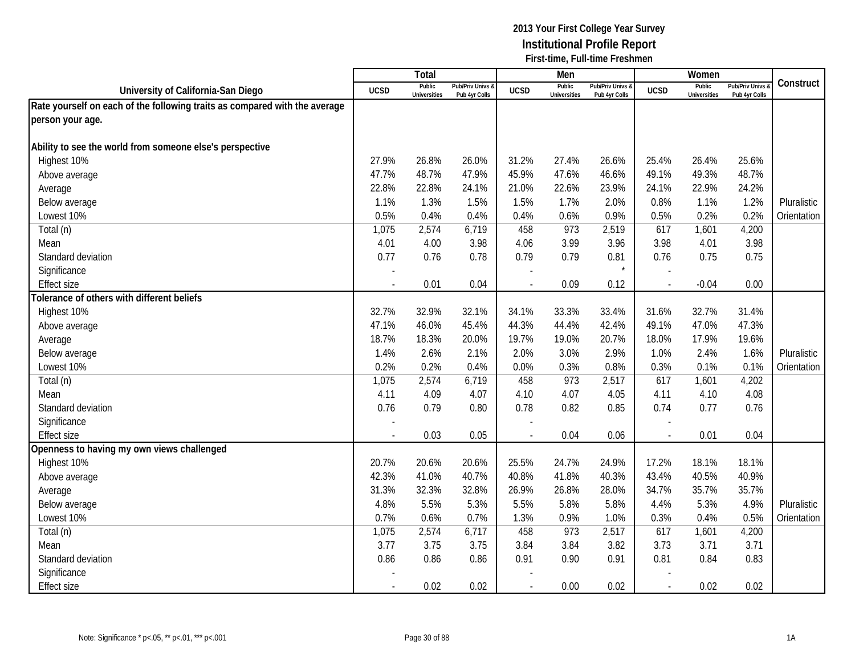|                                                                            |                | <b>Total</b>                  |                                   |                          | Men                           |                                 |             | Women                         |                                        |             |
|----------------------------------------------------------------------------|----------------|-------------------------------|-----------------------------------|--------------------------|-------------------------------|---------------------------------|-------------|-------------------------------|----------------------------------------|-------------|
| University of California-San Diego                                         | <b>UCSD</b>    | Public<br><b>Universities</b> | Pub/Priv Univs &<br>Pub 4yr Colls | <b>UCSD</b>              | Public<br><b>Universities</b> | Pub/Priv Univs<br>Pub 4yr Colls | <b>UCSD</b> | Public<br><b>Universities</b> | <b>Pub/Priv Univs</b><br>Pub 4yr Colls | Construct   |
| Rate yourself on each of the following traits as compared with the average |                |                               |                                   |                          |                               |                                 |             |                               |                                        |             |
| person your age.                                                           |                |                               |                                   |                          |                               |                                 |             |                               |                                        |             |
|                                                                            |                |                               |                                   |                          |                               |                                 |             |                               |                                        |             |
| Ability to see the world from someone else's perspective                   |                |                               |                                   |                          |                               |                                 |             |                               |                                        |             |
| Highest 10%                                                                | 27.9%          | 26.8%                         | 26.0%                             | 31.2%                    | 27.4%                         | 26.6%                           | 25.4%       | 26.4%                         | 25.6%                                  |             |
| Above average                                                              | 47.7%          | 48.7%                         | 47.9%                             | 45.9%                    | 47.6%                         | 46.6%                           | 49.1%       | 49.3%                         | 48.7%                                  |             |
| Average                                                                    | 22.8%          | 22.8%                         | 24.1%                             | 21.0%                    | 22.6%                         | 23.9%                           | 24.1%       | 22.9%                         | 24.2%                                  |             |
| Below average                                                              | 1.1%           | 1.3%                          | 1.5%                              | 1.5%                     | 1.7%                          | 2.0%                            | 0.8%        | 1.1%                          | 1.2%                                   | Pluralistic |
| Lowest 10%                                                                 | 0.5%           | 0.4%                          | 0.4%                              | 0.4%                     | 0.6%                          | 0.9%                            | 0.5%        | 0.2%                          | 0.2%                                   | Orientation |
| Total (n)                                                                  | 1,075          | 2,574                         | 6,719                             | 458                      | 973                           | 2,519                           | 617         | 1,601                         | 4,200                                  |             |
| Mean                                                                       | 4.01           | 4.00                          | 3.98                              | 4.06                     | 3.99                          | 3.96                            | 3.98        | 4.01                          | 3.98                                   |             |
| Standard deviation                                                         | 0.77           | 0.76                          | 0.78                              | 0.79                     | 0.79                          | 0.81                            | 0.76        | 0.75                          | 0.75                                   |             |
| Significance                                                               |                |                               |                                   |                          |                               | $\star$                         |             |                               |                                        |             |
| <b>Effect size</b>                                                         |                | 0.01                          | 0.04                              |                          | 0.09                          | 0.12                            |             | $-0.04$                       | 0.00                                   |             |
| Tolerance of others with different beliefs                                 |                |                               |                                   |                          |                               |                                 |             |                               |                                        |             |
| Highest 10%                                                                | 32.7%          | 32.9%                         | 32.1%                             | 34.1%                    | 33.3%                         | 33.4%                           | 31.6%       | 32.7%                         | 31.4%                                  |             |
| Above average                                                              | 47.1%          | 46.0%                         | 45.4%                             | 44.3%                    | 44.4%                         | 42.4%                           | 49.1%       | 47.0%                         | 47.3%                                  |             |
| Average                                                                    | 18.7%          | 18.3%                         | 20.0%                             | 19.7%                    | 19.0%                         | 20.7%                           | 18.0%       | 17.9%                         | 19.6%                                  |             |
| Below average                                                              | 1.4%           | 2.6%                          | 2.1%                              | 2.0%                     | 3.0%                          | 2.9%                            | 1.0%        | 2.4%                          | 1.6%                                   | Pluralistic |
| Lowest 10%                                                                 | 0.2%           | 0.2%                          | 0.4%                              | 0.0%                     | 0.3%                          | 0.8%                            | 0.3%        | 0.1%                          | 0.1%                                   | Orientation |
| Total (n)                                                                  | 1,075          | 2,574                         | 6,719                             | 458                      | 973                           | 2,517                           | 617         | 1,601                         | 4,202                                  |             |
| Mean                                                                       | 4.11           | 4.09                          | 4.07                              | 4.10                     | 4.07                          | 4.05                            | 4.11        | 4.10                          | 4.08                                   |             |
| Standard deviation                                                         | 0.76           | 0.79                          | 0.80                              | 0.78                     | 0.82                          | 0.85                            | 0.74        | 0.77                          | 0.76                                   |             |
| Significance                                                               |                |                               |                                   |                          |                               |                                 |             |                               |                                        |             |
| <b>Effect size</b>                                                         |                | 0.03                          | 0.05                              |                          | 0.04                          | 0.06                            | $\sim$      | 0.01                          | 0.04                                   |             |
| Openness to having my own views challenged                                 |                |                               |                                   |                          |                               |                                 |             |                               |                                        |             |
| Highest 10%                                                                | 20.7%          | 20.6%                         | 20.6%                             | 25.5%                    | 24.7%                         | 24.9%                           | 17.2%       | 18.1%                         | 18.1%                                  |             |
| Above average                                                              | 42.3%          | 41.0%                         | 40.7%                             | 40.8%                    | 41.8%                         | 40.3%                           | 43.4%       | 40.5%                         | 40.9%                                  |             |
| Average                                                                    | 31.3%          | 32.3%                         | 32.8%                             | 26.9%                    | 26.8%                         | 28.0%                           | 34.7%       | 35.7%                         | 35.7%                                  |             |
| Below average                                                              | 4.8%           | 5.5%                          | 5.3%                              | 5.5%                     | 5.8%                          | 5.8%                            | 4.4%        | 5.3%                          | 4.9%                                   | Pluralistic |
| Lowest 10%                                                                 | 0.7%           | 0.6%                          | 0.7%                              | 1.3%                     | 0.9%                          | 1.0%                            | 0.3%        | 0.4%                          | 0.5%                                   | Orientation |
| Total (n)                                                                  | 1,075          | 2,574                         | 6,717                             | 458                      | 973                           | 2,517                           | 617         | 1,601                         | 4,200                                  |             |
| Mean                                                                       | 3.77           | 3.75                          | 3.75                              | 3.84                     | 3.84                          | 3.82                            | 3.73        | 3.71                          | 3.71                                   |             |
| Standard deviation                                                         | 0.86           | 0.86                          | 0.86                              | 0.91                     | 0.90                          | 0.91                            | 0.81        | 0.84                          | 0.83                                   |             |
| Significance                                                               |                |                               |                                   |                          |                               |                                 |             |                               |                                        |             |
| <b>Effect size</b>                                                         | $\blacksquare$ | 0.02                          | 0.02                              | $\overline{\phantom{a}}$ | 0.00                          | 0.02                            | $\sim$      | 0.02                          | 0.02                                   |             |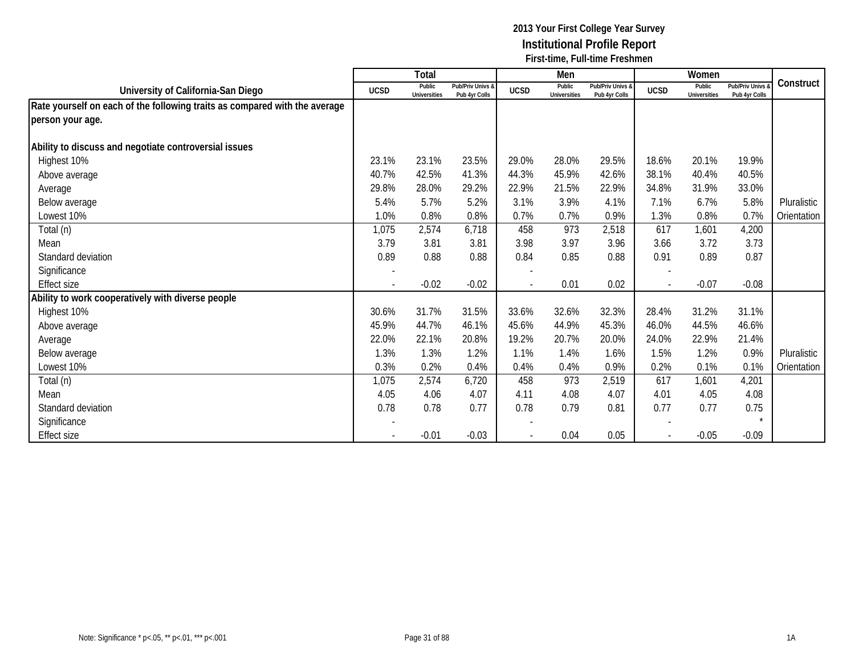|                                                                            |                          | Total                         |                                   |             | Men                           |                                   |                          | Women                         |                                   |             |
|----------------------------------------------------------------------------|--------------------------|-------------------------------|-----------------------------------|-------------|-------------------------------|-----------------------------------|--------------------------|-------------------------------|-----------------------------------|-------------|
| University of California-San Diego                                         | <b>UCSD</b>              | Public<br><b>Universities</b> | Pub/Priv Univs &<br>Pub 4yr Colls | <b>UCSD</b> | Public<br><b>Universities</b> | Pub/Priv Univs &<br>Pub 4yr Colls | <b>UCSD</b>              | Public<br><b>Universities</b> | Pub/Priv Univs &<br>Pub 4yr Colls | Construct   |
| Rate yourself on each of the following traits as compared with the average |                          |                               |                                   |             |                               |                                   |                          |                               |                                   |             |
| person your age.                                                           |                          |                               |                                   |             |                               |                                   |                          |                               |                                   |             |
| Ability to discuss and negotiate controversial issues                      |                          |                               |                                   |             |                               |                                   |                          |                               |                                   |             |
| Highest 10%                                                                | 23.1%                    | 23.1%                         | 23.5%                             | 29.0%       | 28.0%                         | 29.5%                             | 18.6%                    | 20.1%                         | 19.9%                             |             |
| Above average                                                              | 40.7%                    | 42.5%                         | 41.3%                             | 44.3%       | 45.9%                         | 42.6%                             | 38.1%                    | 40.4%                         | 40.5%                             |             |
| Average                                                                    | 29.8%                    | 28.0%                         | 29.2%                             | 22.9%       | 21.5%                         | 22.9%                             | 34.8%                    | 31.9%                         | 33.0%                             |             |
| Below average                                                              | 5.4%                     | 5.7%                          | 5.2%                              | 3.1%        | 3.9%                          | 4.1%                              | 7.1%                     | 6.7%                          | 5.8%                              | Pluralistic |
| Lowest 10%                                                                 | 1.0%                     | 0.8%                          | 0.8%                              | 0.7%        | 0.7%                          | 0.9%                              | 1.3%                     | 0.8%                          | 0.7%                              | Orientation |
| Total (n)                                                                  | 1,075                    | 2,574                         | 6,718                             | 458         | 973                           | 2,518                             | 617                      | 1,601                         | 4,200                             |             |
| Mean                                                                       | 3.79                     | 3.81                          | 3.81                              | 3.98        | 3.97                          | 3.96                              | 3.66                     | 3.72                          | 3.73                              |             |
| Standard deviation                                                         | 0.89                     | 0.88                          | 0.88                              | 0.84        | 0.85                          | 0.88                              | 0.91                     | 0.89                          | 0.87                              |             |
| Significance                                                               |                          |                               |                                   |             |                               |                                   |                          |                               |                                   |             |
| <b>Effect size</b>                                                         | $\overline{\phantom{a}}$ | $-0.02$                       | $-0.02$                           |             | 0.01                          | 0.02                              | $\overline{\phantom{a}}$ | $-0.07$                       | $-0.08$                           |             |
| Ability to work cooperatively with diverse people                          |                          |                               |                                   |             |                               |                                   |                          |                               |                                   |             |
| Highest 10%                                                                | 30.6%                    | 31.7%                         | 31.5%                             | 33.6%       | 32.6%                         | 32.3%                             | 28.4%                    | 31.2%                         | 31.1%                             |             |
| Above average                                                              | 45.9%                    | 44.7%                         | 46.1%                             | 45.6%       | 44.9%                         | 45.3%                             | 46.0%                    | 44.5%                         | 46.6%                             |             |
| Average                                                                    | 22.0%                    | 22.1%                         | 20.8%                             | 19.2%       | 20.7%                         | 20.0%                             | 24.0%                    | 22.9%                         | 21.4%                             |             |
| Below average                                                              | 1.3%                     | 1.3%                          | 1.2%                              | 1.1%        | 1.4%                          | 1.6%                              | 1.5%                     | 1.2%                          | 0.9%                              | Pluralistic |
| Lowest 10%                                                                 | 0.3%                     | 0.2%                          | 0.4%                              | 0.4%        | 0.4%                          | 0.9%                              | 0.2%                     | 0.1%                          | 0.1%                              | Orientation |
| Total (n)                                                                  | 1,075                    | 2,574                         | 6,720                             | 458         | 973                           | 2,519                             | 617                      | 1,601                         | 4,201                             |             |
| Mean                                                                       | 4.05                     | 4.06                          | 4.07                              | 4.11        | 4.08                          | 4.07                              | 4.01                     | 4.05                          | 4.08                              |             |
| Standard deviation                                                         | 0.78                     | 0.78                          | 0.77                              | 0.78        | 0.79                          | 0.81                              | 0.77                     | 0.77                          | 0.75                              |             |
| Significance                                                               |                          |                               |                                   |             |                               |                                   |                          |                               | $\star$                           |             |
| <b>Effect size</b>                                                         |                          | $-0.01$                       | $-0.03$                           |             | 0.04                          | 0.05                              |                          | $-0.05$                       | $-0.09$                           |             |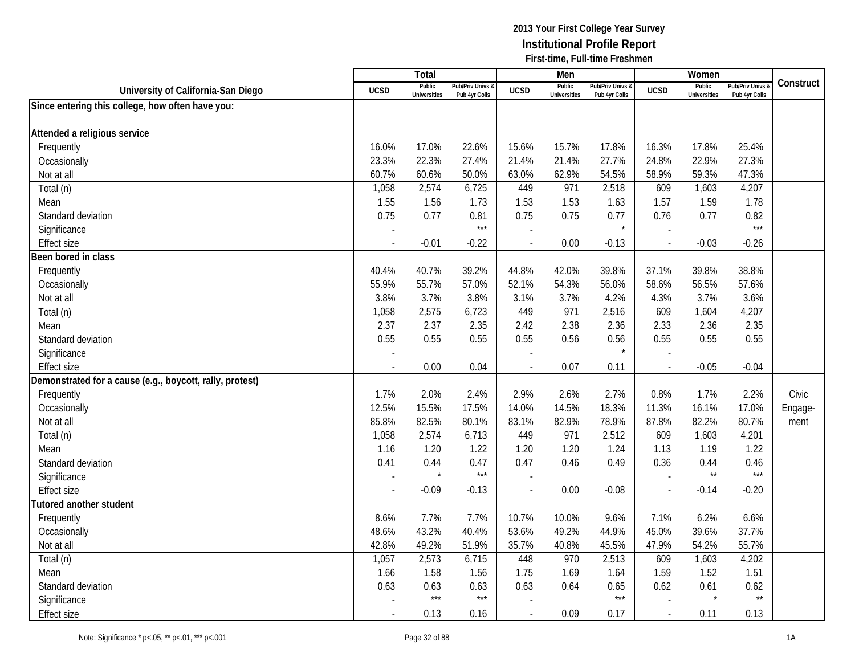|                                                          |                          | <b>Total</b>                  |                                   |                          | Men                           |                                   |                          | Women                         |                                        |           |
|----------------------------------------------------------|--------------------------|-------------------------------|-----------------------------------|--------------------------|-------------------------------|-----------------------------------|--------------------------|-------------------------------|----------------------------------------|-----------|
| University of California-San Diego                       | <b>UCSD</b>              | Public<br><b>Universities</b> | Pub/Priv Univs &<br>Pub 4yr Colls | <b>UCSD</b>              | Public<br><b>Universities</b> | Pub/Priv Univs &<br>Pub 4yr Colls | <b>UCSD</b>              | Public<br><b>Universities</b> | <b>Pub/Priv Univs</b><br>Pub 4yr Colls | Construct |
| Since entering this college, how often have you:         |                          |                               |                                   |                          |                               |                                   |                          |                               |                                        |           |
|                                                          |                          |                               |                                   |                          |                               |                                   |                          |                               |                                        |           |
| Attended a religious service                             |                          |                               |                                   |                          |                               |                                   |                          |                               |                                        |           |
| Frequently                                               | 16.0%                    | 17.0%                         | 22.6%                             | 15.6%                    | 15.7%                         | 17.8%                             | 16.3%                    | 17.8%                         | 25.4%                                  |           |
| Occasionally                                             | 23.3%                    | 22.3%                         | 27.4%                             | 21.4%                    | 21.4%                         | 27.7%                             | 24.8%                    | 22.9%                         | 27.3%                                  |           |
| Not at all                                               | 60.7%                    | 60.6%                         | 50.0%                             | 63.0%                    | 62.9%                         | 54.5%                             | 58.9%                    | 59.3%                         | 47.3%                                  |           |
| Total (n)                                                | 1,058                    | 2,574                         | 6,725                             | 449                      | 971                           | 2,518                             | 609                      | 1,603                         | 4,207                                  |           |
| Mean                                                     | 1.55                     | 1.56                          | 1.73                              | 1.53                     | 1.53                          | 1.63                              | 1.57                     | 1.59                          | 1.78                                   |           |
| Standard deviation                                       | 0.75                     | 0.77                          | 0.81                              | 0.75                     | 0.75                          | 0.77                              | 0.76                     | 0.77                          | 0.82                                   |           |
| Significance                                             |                          |                               | $***$                             |                          |                               |                                   |                          |                               | $***$                                  |           |
| <b>Effect size</b>                                       | $\overline{\phantom{a}}$ | $-0.01$                       | $-0.22$                           | $\overline{\phantom{a}}$ | 0.00                          | $-0.13$                           | $\sim$                   | $-0.03$                       | $-0.26$                                |           |
| Been bored in class                                      |                          |                               |                                   |                          |                               |                                   |                          |                               |                                        |           |
| Frequently                                               | 40.4%                    | 40.7%                         | 39.2%                             | 44.8%                    | 42.0%                         | 39.8%                             | 37.1%                    | 39.8%                         | 38.8%                                  |           |
| Occasionally                                             | 55.9%                    | 55.7%                         | 57.0%                             | 52.1%                    | 54.3%                         | 56.0%                             | 58.6%                    | 56.5%                         | 57.6%                                  |           |
| Not at all                                               | 3.8%                     | 3.7%                          | 3.8%                              | 3.1%                     | 3.7%                          | 4.2%                              | 4.3%                     | 3.7%                          | 3.6%                                   |           |
| Total (n)                                                | 1,058                    | 2,575                         | 6,723                             | 449                      | 971                           | 2,516                             | 609                      | 1,604                         | 4,207                                  |           |
| Mean                                                     | 2.37                     | 2.37                          | 2.35                              | 2.42                     | 2.38                          | 2.36                              | 2.33                     | 2.36                          | 2.35                                   |           |
| Standard deviation                                       | 0.55                     | 0.55                          | 0.55                              | 0.55                     | 0.56                          | 0.56                              | 0.55                     | 0.55                          | 0.55                                   |           |
| Significance                                             |                          |                               |                                   |                          |                               |                                   | $\overline{a}$           |                               |                                        |           |
| <b>Effect size</b>                                       | $\blacksquare$           | 0.00                          | 0.04                              |                          | 0.07                          | 0.11                              | $\overline{\phantom{a}}$ | $-0.05$                       | $-0.04$                                |           |
| Demonstrated for a cause (e.g., boycott, rally, protest) |                          |                               |                                   |                          |                               |                                   |                          |                               |                                        |           |
| Frequently                                               | 1.7%                     | 2.0%                          | 2.4%                              | 2.9%                     | 2.6%                          | 2.7%                              | 0.8%                     | 1.7%                          | 2.2%                                   | Civic     |
| Occasionally                                             | 12.5%                    | 15.5%                         | 17.5%                             | 14.0%                    | 14.5%                         | 18.3%                             | 11.3%                    | 16.1%                         | 17.0%                                  | Engage-   |
| Not at all                                               | 85.8%                    | 82.5%                         | 80.1%                             | 83.1%                    | 82.9%                         | 78.9%                             | 87.8%                    | 82.2%                         | 80.7%                                  | ment      |
| Total (n)                                                | 1,058                    | 2,574                         | 6,713                             | 449                      | 971                           | 2,512                             | 609                      | 1,603                         | 4,201                                  |           |
| Mean                                                     | 1.16                     | 1.20                          | 1.22                              | 1.20                     | 1.20                          | 1.24                              | 1.13                     | 1.19                          | 1.22                                   |           |
| Standard deviation                                       | 0.41                     | 0.44                          | 0.47                              | 0.47                     | 0.46                          | 0.49                              | 0.36                     | 0.44                          | 0.46                                   |           |
| Significance                                             |                          | $\star$                       | $***$                             |                          |                               |                                   |                          | $\star\star$                  | $***$                                  |           |
| <b>Effect size</b>                                       |                          | $-0.09$                       | $-0.13$                           |                          | 0.00                          | $-0.08$                           |                          | $-0.14$                       | $-0.20$                                |           |
| <b>Tutored another student</b>                           |                          |                               |                                   |                          |                               |                                   |                          |                               |                                        |           |
| Frequently                                               | 8.6%                     | 7.7%                          | 7.7%                              | 10.7%                    | 10.0%                         | 9.6%                              | 7.1%                     | 6.2%                          | 6.6%                                   |           |
| Occasionally                                             | 48.6%                    | 43.2%                         | 40.4%                             | 53.6%                    | 49.2%                         | 44.9%                             | 45.0%                    | 39.6%                         | 37.7%                                  |           |
| Not at all                                               | 42.8%                    | 49.2%                         | 51.9%                             | 35.7%                    | 40.8%                         | 45.5%                             | 47.9%                    | 54.2%                         | 55.7%                                  |           |
| Total (n)                                                | 1,057                    | 2,573                         | 6,715                             | 448                      | 970                           | 2,513                             | 609                      | 1,603                         | 4,202                                  |           |
| Mean                                                     | 1.66                     | 1.58                          | 1.56                              | 1.75                     | 1.69                          | 1.64                              | 1.59                     | 1.52                          | 1.51                                   |           |
| Standard deviation                                       | 0.63                     | 0.63                          | 0.63                              | 0.63                     | 0.64                          | 0.65                              | 0.62                     | 0.61                          | 0.62                                   |           |
| Significance                                             |                          | $***$                         | $***$                             |                          |                               | $***$                             |                          | $\star$                       | $\star\star$                           |           |
| <b>Effect size</b>                                       |                          | 0.13                          | 0.16                              |                          | 0.09                          | 0.17                              | $\mathcal{L}$            | 0.11                          | 0.13                                   |           |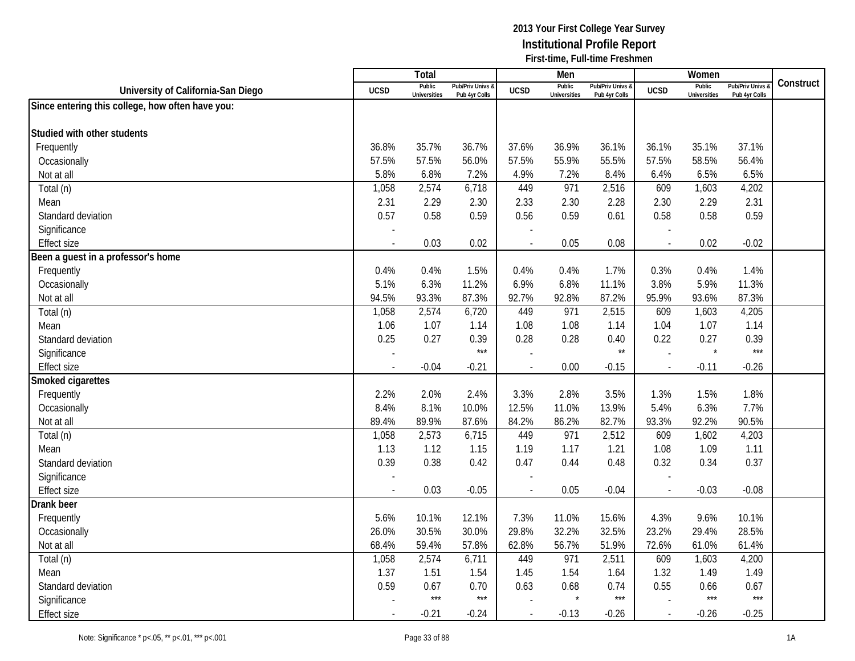|                                                  |                          | <b>Total</b>                  |                                              |                          | Men                           |                                              |                          | Women                         |                                        |           |
|--------------------------------------------------|--------------------------|-------------------------------|----------------------------------------------|--------------------------|-------------------------------|----------------------------------------------|--------------------------|-------------------------------|----------------------------------------|-----------|
| University of California-San Diego               | <b>UCSD</b>              | Public<br><b>Universities</b> | <b>Pub/Priv Univs &amp;</b><br>Pub 4yr Colls | <b>UCSD</b>              | Public<br><b>Universities</b> | <b>Pub/Priv Univs &amp;</b><br>Pub 4yr Colls | <b>UCSD</b>              | Public<br><b>Universities</b> | <b>Pub/Priv Univs</b><br>Pub 4yr Colls | Construct |
| Since entering this college, how often have you: |                          |                               |                                              |                          |                               |                                              |                          |                               |                                        |           |
|                                                  |                          |                               |                                              |                          |                               |                                              |                          |                               |                                        |           |
| Studied with other students                      |                          |                               |                                              |                          |                               |                                              |                          |                               |                                        |           |
| Frequently                                       | 36.8%                    | 35.7%                         | 36.7%                                        | 37.6%                    | 36.9%                         | 36.1%                                        | 36.1%                    | 35.1%                         | 37.1%                                  |           |
| Occasionally                                     | 57.5%                    | 57.5%                         | 56.0%                                        | 57.5%                    | 55.9%                         | 55.5%                                        | 57.5%                    | 58.5%                         | 56.4%                                  |           |
| Not at all                                       | 5.8%                     | 6.8%                          | 7.2%                                         | 4.9%                     | 7.2%                          | 8.4%                                         | 6.4%                     | 6.5%                          | 6.5%                                   |           |
| Total (n)                                        | 1,058                    | 2,574                         | 6,718                                        | 449                      | 971                           | 2,516                                        | 609                      | 1,603                         | 4,202                                  |           |
| Mean                                             | 2.31                     | 2.29                          | 2.30                                         | 2.33                     | 2.30                          | 2.28                                         | 2.30                     | 2.29                          | 2.31                                   |           |
| Standard deviation                               | 0.57                     | 0.58                          | 0.59                                         | 0.56                     | 0.59                          | 0.61                                         | 0.58                     | 0.58                          | 0.59                                   |           |
| Significance                                     |                          |                               |                                              |                          |                               |                                              |                          |                               |                                        |           |
| <b>Effect size</b>                               | $\overline{a}$           | 0.03                          | 0.02                                         | $\overline{a}$           | 0.05                          | 0.08                                         | $\overline{\phantom{a}}$ | 0.02                          | $-0.02$                                |           |
| Been a guest in a professor's home               |                          |                               |                                              |                          |                               |                                              |                          |                               |                                        |           |
| Frequently                                       | 0.4%                     | 0.4%                          | 1.5%                                         | 0.4%                     | 0.4%                          | 1.7%                                         | 0.3%                     | 0.4%                          | 1.4%                                   |           |
| Occasionally                                     | 5.1%                     | 6.3%                          | 11.2%                                        | 6.9%                     | 6.8%                          | 11.1%                                        | 3.8%                     | 5.9%                          | 11.3%                                  |           |
| Not at all                                       | 94.5%                    | 93.3%                         | 87.3%                                        | 92.7%                    | 92.8%                         | 87.2%                                        | 95.9%                    | 93.6%                         | 87.3%                                  |           |
| Total (n)                                        | 1,058                    | 2,574                         | 6,720                                        | 449                      | 971                           | 2,515                                        | 609                      | 1,603                         | 4,205                                  |           |
| Mean                                             | 1.06                     | 1.07                          | 1.14                                         | 1.08                     | 1.08                          | 1.14                                         | 1.04                     | 1.07                          | 1.14                                   |           |
| Standard deviation                               | 0.25                     | 0.27                          | 0.39                                         | 0.28                     | 0.28                          | 0.40                                         | 0.22                     | 0.27                          | 0.39                                   |           |
| Significance                                     |                          |                               | $***$                                        |                          |                               | $\star\star$                                 | $\overline{a}$           | $\star$                       | $***$                                  |           |
| <b>Effect size</b>                               | $\overline{\phantom{a}}$ | $-0.04$                       | $-0.21$                                      | $\overline{\phantom{a}}$ | 0.00                          | $-0.15$                                      | $\mathbf{r}$             | $-0.11$                       | $-0.26$                                |           |
| Smoked cigarettes                                |                          |                               |                                              |                          |                               |                                              |                          |                               |                                        |           |
| Frequently                                       | 2.2%                     | 2.0%                          | 2.4%                                         | 3.3%                     | 2.8%                          | 3.5%                                         | 1.3%                     | 1.5%                          | 1.8%                                   |           |
| Occasionally                                     | 8.4%                     | 8.1%                          | 10.0%                                        | 12.5%                    | 11.0%                         | 13.9%                                        | 5.4%                     | 6.3%                          | 7.7%                                   |           |
| Not at all                                       | 89.4%                    | 89.9%                         | 87.6%                                        | 84.2%                    | 86.2%                         | 82.7%                                        | 93.3%                    | 92.2%                         | 90.5%                                  |           |
| Total (n)                                        | 1,058                    | 2,573                         | 6,715                                        | 449                      | 971                           | 2,512                                        | 609                      | 1,602                         | 4,203                                  |           |
| Mean                                             | 1.13                     | 1.12                          | 1.15                                         | 1.19                     | 1.17                          | 1.21                                         | 1.08                     | 1.09                          | 1.11                                   |           |
| Standard deviation                               | 0.39                     | 0.38                          | 0.42                                         | 0.47                     | 0.44                          | 0.48                                         | 0.32                     | 0.34                          | 0.37                                   |           |
| Significance                                     |                          |                               |                                              |                          |                               |                                              |                          |                               |                                        |           |
| <b>Effect size</b>                               |                          | 0.03                          | $-0.05$                                      |                          | 0.05                          | $-0.04$                                      |                          | $-0.03$                       | $-0.08$                                |           |
| Drank beer                                       |                          |                               |                                              |                          |                               |                                              |                          |                               |                                        |           |
| Frequently                                       | 5.6%                     | 10.1%                         | 12.1%                                        | 7.3%                     | 11.0%                         | 15.6%                                        | 4.3%                     | 9.6%                          | 10.1%                                  |           |
| Occasionally                                     | 26.0%                    | 30.5%                         | 30.0%                                        | 29.8%                    | 32.2%                         | 32.5%                                        | 23.2%                    | 29.4%                         | 28.5%                                  |           |
| Not at all                                       | 68.4%                    | 59.4%                         | 57.8%                                        | 62.8%                    | 56.7%                         | 51.9%                                        | 72.6%                    | 61.0%                         | 61.4%                                  |           |
| Total (n)                                        | 1,058                    | 2,574                         | 6,711                                        | 449                      | 971                           | 2,511                                        | 609                      | 1,603                         | 4,200                                  |           |
| Mean                                             | 1.37                     | 1.51                          | 1.54                                         | 1.45                     | 1.54                          | 1.64                                         | 1.32                     | 1.49                          | 1.49                                   |           |
| Standard deviation                               | 0.59                     | 0.67                          | 0.70                                         | 0.63                     | 0.68                          | 0.74                                         | 0.55                     | 0.66                          | 0.67                                   |           |
| Significance                                     |                          | $***$                         | $***$                                        |                          | $\star$                       | $***$                                        |                          | $***$                         | $***$                                  |           |
| <b>Effect size</b>                               |                          | $-0.21$                       | $-0.24$                                      |                          | $-0.13$                       | $-0.26$                                      | $\mathcal{L}$            | $-0.26$                       | $-0.25$                                |           |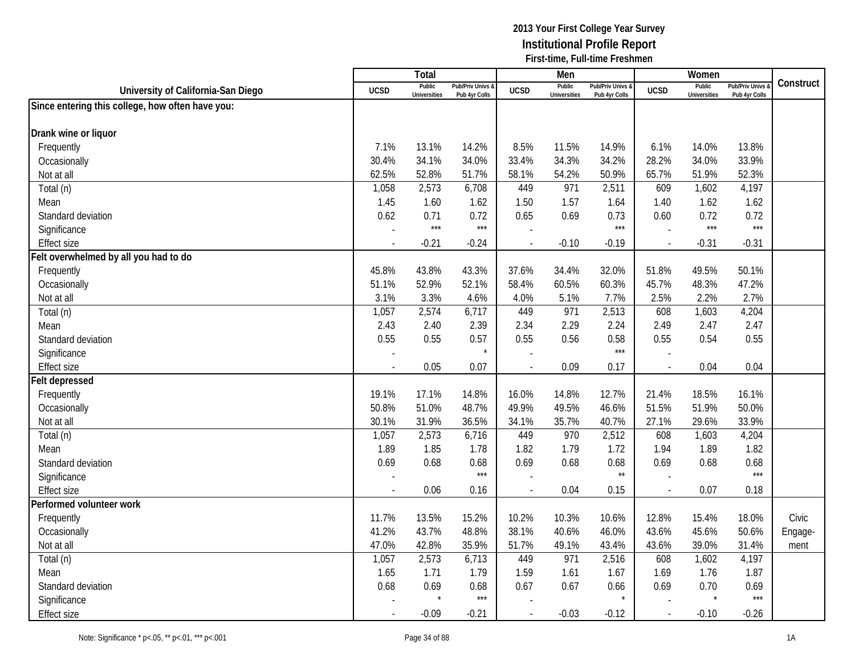|                                                  |             | <b>Total</b>                  |                                   |                | Men                           |                                   |                          | Women                         |                                        |           |
|--------------------------------------------------|-------------|-------------------------------|-----------------------------------|----------------|-------------------------------|-----------------------------------|--------------------------|-------------------------------|----------------------------------------|-----------|
| University of California-San Diego               | <b>UCSD</b> | Public<br><b>Universities</b> | Pub/Priv Univs &<br>Pub 4yr Colls | <b>UCSD</b>    | Public<br><b>Universities</b> | Pub/Priv Univs &<br>Pub 4yr Colls | <b>UCSD</b>              | Public<br><b>Universities</b> | <b>Pub/Priv Univs</b><br>Pub 4yr Colls | Construct |
| Since entering this college, how often have you: |             |                               |                                   |                |                               |                                   |                          |                               |                                        |           |
|                                                  |             |                               |                                   |                |                               |                                   |                          |                               |                                        |           |
| Drank wine or liquor                             |             |                               |                                   |                |                               |                                   |                          |                               |                                        |           |
| Frequently                                       | 7.1%        | 13.1%                         | 14.2%                             | 8.5%           | 11.5%                         | 14.9%                             | 6.1%                     | 14.0%                         | 13.8%                                  |           |
| Occasionally                                     | 30.4%       | 34.1%                         | 34.0%                             | 33.4%          | 34.3%                         | 34.2%                             | 28.2%                    | 34.0%                         | 33.9%                                  |           |
| Not at all                                       | 62.5%       | 52.8%                         | 51.7%                             | 58.1%          | 54.2%                         | 50.9%                             | 65.7%                    | 51.9%                         | 52.3%                                  |           |
| Total (n)                                        | 1,058       | 2,573                         | 6,708                             | 449            | 971                           | 2,511                             | 609                      | 1,602                         | 4,197                                  |           |
| Mean                                             | 1.45        | 1.60                          | 1.62                              | 1.50           | 1.57                          | 1.64                              | 1.40                     | 1.62                          | 1.62                                   |           |
| Standard deviation                               | 0.62        | 0.71                          | 0.72                              | 0.65           | 0.69                          | 0.73                              | 0.60                     | 0.72                          | 0.72                                   |           |
| Significance                                     |             | $***$                         | $***$                             |                |                               | $***$                             |                          | $***$                         | $***$                                  |           |
| <b>Effect size</b>                               |             | $-0.21$                       | $-0.24$                           |                | $-0.10$                       | $-0.19$                           | $\overline{a}$           | $-0.31$                       | $-0.31$                                |           |
| Felt overwhelmed by all you had to do            |             |                               |                                   |                |                               |                                   |                          |                               |                                        |           |
| Frequently                                       | 45.8%       | 43.8%                         | 43.3%                             | 37.6%          | 34.4%                         | 32.0%                             | 51.8%                    | 49.5%                         | 50.1%                                  |           |
| Occasionally                                     | 51.1%       | 52.9%                         | 52.1%                             | 58.4%          | 60.5%                         | 60.3%                             | 45.7%                    | 48.3%                         | 47.2%                                  |           |
| Not at all                                       | 3.1%        | 3.3%                          | 4.6%                              | 4.0%           | 5.1%                          | 7.7%                              | 2.5%                     | 2.2%                          | 2.7%                                   |           |
| Total (n)                                        | 1,057       | 2,574                         | 6,717                             | 449            | 971                           | 2,513                             | 608                      | 1,603                         | 4,204                                  |           |
| Mean                                             | 2.43        | 2.40                          | 2.39                              | 2.34           | 2.29                          | 2.24                              | 2.49                     | 2.47                          | 2.47                                   |           |
| Standard deviation                               | 0.55        | 0.55                          | 0.57                              | 0.55           | 0.56                          | 0.58                              | 0.55                     | 0.54                          | 0.55                                   |           |
| Significance                                     |             |                               | $\star$                           | $\overline{a}$ |                               | $***$                             |                          |                               |                                        |           |
| <b>Effect size</b>                               |             | 0.05                          | 0.07                              | $\blacksquare$ | 0.09                          | 0.17                              | $\overline{\phantom{a}}$ | 0.04                          | 0.04                                   |           |
| Felt depressed                                   |             |                               |                                   |                |                               |                                   |                          |                               |                                        |           |
| Frequently                                       | 19.1%       | 17.1%                         | 14.8%                             | 16.0%          | 14.8%                         | 12.7%                             | 21.4%                    | 18.5%                         | 16.1%                                  |           |
| Occasionally                                     | 50.8%       | 51.0%                         | 48.7%                             | 49.9%          | 49.5%                         | 46.6%                             | 51.5%                    | 51.9%                         | 50.0%                                  |           |
| Not at all                                       | 30.1%       | 31.9%                         | 36.5%                             | 34.1%          | 35.7%                         | 40.7%                             | 27.1%                    | 29.6%                         | 33.9%                                  |           |
| Total (n)                                        | 1,057       | 2,573                         | 6,716                             | 449            | 970                           | 2,512                             | 608                      | 1,603                         | 4,204                                  |           |
| Mean                                             | 1.89        | 1.85                          | 1.78                              | 1.82           | 1.79                          | 1.72                              | 1.94                     | 1.89                          | 1.82                                   |           |
| Standard deviation                               | 0.69        | 0.68                          | 0.68                              | 0.69           | 0.68                          | 0.68                              | 0.69                     | 0.68                          | 0.68                                   |           |
| Significance                                     |             |                               | $***$                             |                |                               | $\star\star$                      |                          |                               | $***$                                  |           |
| <b>Effect size</b>                               |             | 0.06                          | 0.16                              | $\overline{a}$ | 0.04                          | 0.15                              | $\overline{a}$           | 0.07                          | 0.18                                   |           |
| Performed volunteer work                         |             |                               |                                   |                |                               |                                   |                          |                               |                                        |           |
| Frequently                                       | 11.7%       | 13.5%                         | 15.2%                             | 10.2%          | 10.3%                         | 10.6%                             | 12.8%                    | 15.4%                         | 18.0%                                  | Civic     |
| Occasionally                                     | 41.2%       | 43.7%                         | 48.8%                             | 38.1%          | 40.6%                         | 46.0%                             | 43.6%                    | 45.6%                         | 50.6%                                  | Engage-   |
| Not at all                                       | 47.0%       | 42.8%                         | 35.9%                             | 51.7%          | 49.1%                         | 43.4%                             | 43.6%                    | 39.0%                         | 31.4%                                  | ment      |
| Total (n)                                        | 1,057       | 2,573                         | 6,713                             | 449            | 971                           | 2,516                             | 608                      | 1,602                         | 4,197                                  |           |
| Mean                                             | 1.65        | 1.71                          | 1.79                              | 1.59           | 1.61                          | 1.67                              | 1.69                     | 1.76                          | 1.87                                   |           |
| Standard deviation                               | 0.68        | 0.69                          | 0.68                              | 0.67           | 0.67                          | 0.66                              | 0.69                     | 0.70                          | 0.69                                   |           |
| Significance                                     |             | $\star$                       | $***$                             |                |                               | $\star$                           |                          | $\star$                       | $***$                                  |           |
| <b>Effect size</b>                               |             | $-0.09$                       | $-0.21$                           | $\overline{a}$ | $-0.03$                       | $-0.12$                           | $\overline{a}$           | $-0.10$                       | $-0.26$                                |           |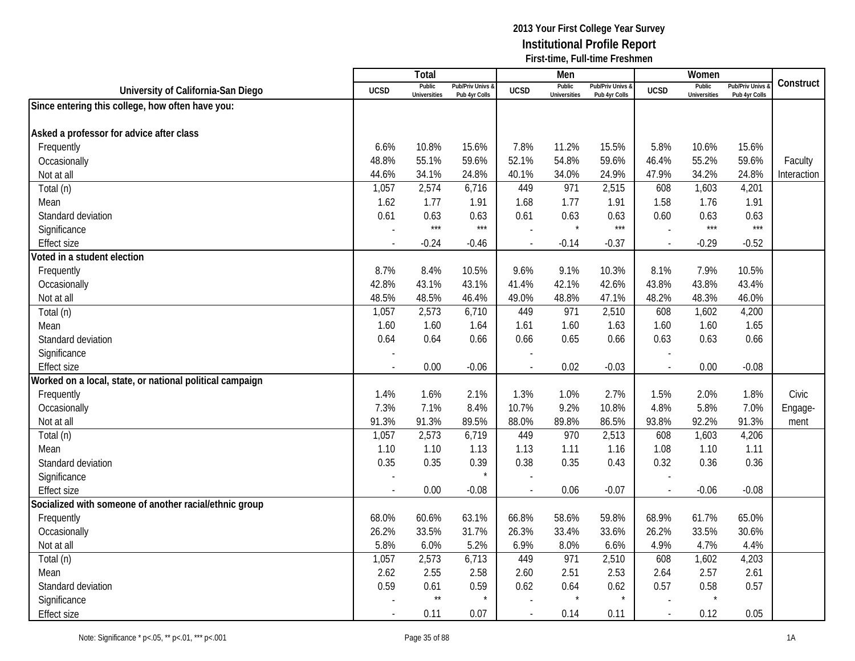|                                                          |             | <b>Total</b>                  |                                   |                          | Men                           |                                   |                          | Women                         |                                        |             |
|----------------------------------------------------------|-------------|-------------------------------|-----------------------------------|--------------------------|-------------------------------|-----------------------------------|--------------------------|-------------------------------|----------------------------------------|-------------|
| University of California-San Diego                       | <b>UCSD</b> | Public<br><b>Universities</b> | Pub/Priv Univs &<br>Pub 4yr Colls | <b>UCSD</b>              | Public<br><b>Universities</b> | Pub/Priv Univs &<br>Pub 4vr Colls | <b>UCSD</b>              | Public<br><b>Universities</b> | <b>Pub/Priv Univs</b><br>Pub 4yr Colls | Construct   |
| Since entering this college, how often have you:         |             |                               |                                   |                          |                               |                                   |                          |                               |                                        |             |
|                                                          |             |                               |                                   |                          |                               |                                   |                          |                               |                                        |             |
| Asked a professor for advice after class                 |             |                               |                                   |                          |                               |                                   |                          |                               |                                        |             |
| Frequently                                               | 6.6%        | 10.8%                         | 15.6%                             | 7.8%                     | 11.2%                         | 15.5%                             | 5.8%                     | 10.6%                         | 15.6%                                  |             |
| Occasionally                                             | 48.8%       | 55.1%                         | 59.6%                             | 52.1%                    | 54.8%                         | 59.6%                             | 46.4%                    | 55.2%                         | 59.6%                                  | Faculty     |
| Not at all                                               | 44.6%       | 34.1%                         | 24.8%                             | 40.1%                    | 34.0%                         | 24.9%                             | 47.9%                    | 34.2%                         | 24.8%                                  | Interaction |
| Total (n)                                                | 1,057       | 2,574                         | 6,716                             | 449                      | 971                           | 2,515                             | 608                      | 1,603                         | 4,201                                  |             |
| Mean                                                     | 1.62        | 1.77                          | 1.91                              | 1.68                     | 1.77                          | 1.91                              | 1.58                     | 1.76                          | 1.91                                   |             |
| Standard deviation                                       | 0.61        | 0.63                          | 0.63                              | 0.61                     | 0.63                          | 0.63                              | 0.60                     | 0.63                          | 0.63                                   |             |
| Significance                                             |             | $***$                         | $***$                             |                          | $\star$                       | $***$                             |                          | $***$                         | $***$                                  |             |
| <b>Effect size</b>                                       |             | $-0.24$                       | -0.46                             | $\overline{\phantom{a}}$ | $-0.14$                       | $-0.37$                           | $\sim$                   | $-0.29$                       | $-0.52$                                |             |
| Voted in a student election                              |             |                               |                                   |                          |                               |                                   |                          |                               |                                        |             |
| Frequently                                               | 8.7%        | 8.4%                          | 10.5%                             | 9.6%                     | 9.1%                          | 10.3%                             | 8.1%                     | 7.9%                          | 10.5%                                  |             |
| Occasionally                                             | 42.8%       | 43.1%                         | 43.1%                             | 41.4%                    | 42.1%                         | 42.6%                             | 43.8%                    | 43.8%                         | 43.4%                                  |             |
| Not at all                                               | 48.5%       | 48.5%                         | 46.4%                             | 49.0%                    | 48.8%                         | 47.1%                             | 48.2%                    | 48.3%                         | 46.0%                                  |             |
| Total (n)                                                | 1,057       | 2,573                         | 6,710                             | 449                      | 971                           | 2,510                             | 608                      | 1,602                         | 4,200                                  |             |
| Mean                                                     | 1.60        | 1.60                          | 1.64                              | 1.61                     | 1.60                          | 1.63                              | 1.60                     | 1.60                          | 1.65                                   |             |
| Standard deviation                                       | 0.64        | 0.64                          | 0.66                              | 0.66                     | 0.65                          | 0.66                              | 0.63                     | 0.63                          | 0.66                                   |             |
| Significance                                             |             |                               |                                   |                          |                               |                                   |                          |                               |                                        |             |
| <b>Effect size</b>                                       | $\sim$      | 0.00                          | $-0.06$                           |                          | 0.02                          | $-0.03$                           | $\overline{\phantom{a}}$ | 0.00                          | $-0.08$                                |             |
| Worked on a local, state, or national political campaign |             |                               |                                   |                          |                               |                                   |                          |                               |                                        |             |
| Frequently                                               | 1.4%        | 1.6%                          | 2.1%                              | 1.3%                     | 1.0%                          | 2.7%                              | 1.5%                     | 2.0%                          | 1.8%                                   | Civic       |
| Occasionally                                             | 7.3%        | 7.1%                          | 8.4%                              | 10.7%                    | 9.2%                          | 10.8%                             | 4.8%                     | 5.8%                          | 7.0%                                   | Engage-     |
| Not at all                                               | 91.3%       | 91.3%                         | 89.5%                             | 88.0%                    | 89.8%                         | 86.5%                             | 93.8%                    | 92.2%                         | 91.3%                                  | ment        |
| Total (n)                                                | 1,057       | 2,573                         | 6,719                             | 449                      | 970                           | 2,513                             | 608                      | 1,603                         | 4,206                                  |             |
| Mean                                                     | 1.10        | 1.10                          | 1.13                              | 1.13                     | 1.11                          | 1.16                              | 1.08                     | 1.10                          | 1.11                                   |             |
| Standard deviation                                       | 0.35        | 0.35                          | 0.39                              | 0.38                     | 0.35                          | 0.43                              | 0.32                     | 0.36                          | 0.36                                   |             |
| Significance                                             |             |                               | $\star$                           |                          |                               |                                   |                          |                               |                                        |             |
| <b>Effect size</b>                                       |             | 0.00                          | $-0.08$                           |                          | 0.06                          | $-0.07$                           |                          | $-0.06$                       | $-0.08$                                |             |
| Socialized with someone of another racial/ethnic group   |             |                               |                                   |                          |                               |                                   |                          |                               |                                        |             |
| Frequently                                               | 68.0%       | 60.6%                         | 63.1%                             | 66.8%                    | 58.6%                         | 59.8%                             | 68.9%                    | 61.7%                         | 65.0%                                  |             |
| Occasionally                                             | 26.2%       | 33.5%                         | 31.7%                             | 26.3%                    | 33.4%                         | 33.6%                             | 26.2%                    | 33.5%                         | 30.6%                                  |             |
| Not at all                                               | 5.8%        | 6.0%                          | 5.2%                              | 6.9%                     | 8.0%                          | 6.6%                              | 4.9%                     | 4.7%                          | 4.4%                                   |             |
| Total (n)                                                | 1,057       | 2,573                         | 6,713                             | 449                      | 971                           | 2,510                             | 608                      | 1,602                         | 4,203                                  |             |
| Mean                                                     | 2.62        | 2.55                          | 2.58                              | 2.60                     | 2.51                          | 2.53                              | 2.64                     | 2.57                          | 2.61                                   |             |
| Standard deviation                                       | 0.59        | 0.61                          | 0.59                              | 0.62                     | 0.64                          | 0.62                              | 0.57                     | 0.58                          | 0.57                                   |             |
| Significance                                             |             | $^{\star\star}$               | $\star$                           |                          | $\star$                       |                                   |                          |                               |                                        |             |
| <b>Effect size</b>                                       |             | 0.11                          | 0.07                              |                          | 0.14                          | 0.11                              | $\blacksquare$           | 0.12                          | 0.05                                   |             |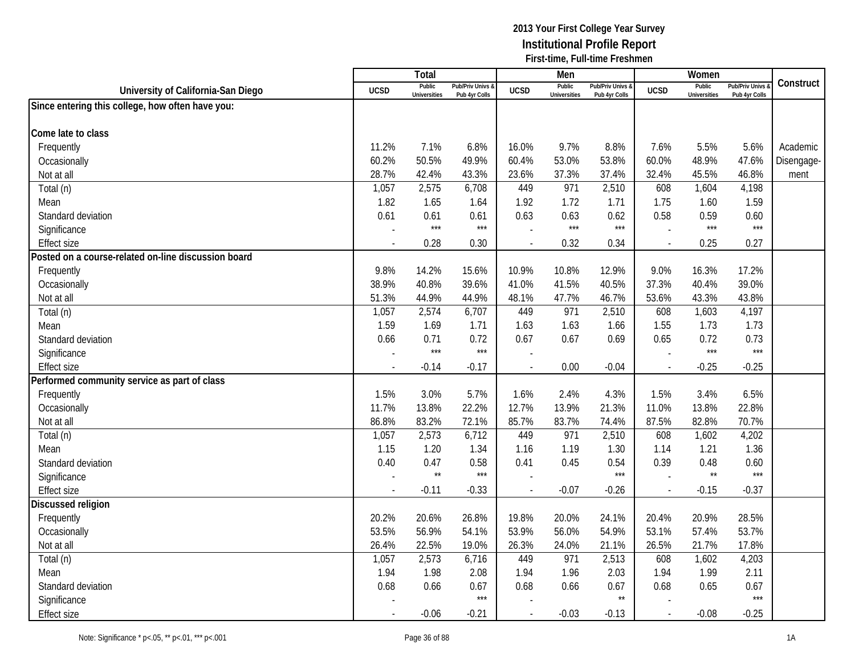|                                                     |                          | <b>Total</b>                  |                                              |                          | Men                           |                                   |             | Women                         |                                        |            |
|-----------------------------------------------------|--------------------------|-------------------------------|----------------------------------------------|--------------------------|-------------------------------|-----------------------------------|-------------|-------------------------------|----------------------------------------|------------|
| University of California-San Diego                  | <b>UCSD</b>              | Public<br><b>Universities</b> | <b>Pub/Priv Univs &amp;</b><br>Pub 4yr Colls | <b>UCSD</b>              | Public<br><b>Universities</b> | Pub/Priv Univs &<br>Pub 4yr Colls | <b>UCSD</b> | Public<br><b>Universities</b> | <b>Pub/Priv Univs</b><br>Pub 4yr Colls | Construct  |
| Since entering this college, how often have you:    |                          |                               |                                              |                          |                               |                                   |             |                               |                                        |            |
|                                                     |                          |                               |                                              |                          |                               |                                   |             |                               |                                        |            |
| Come late to class                                  |                          |                               |                                              |                          |                               |                                   |             |                               |                                        |            |
| Frequently                                          | 11.2%                    | 7.1%                          | 6.8%                                         | 16.0%                    | 9.7%                          | 8.8%                              | 7.6%        | 5.5%                          | 5.6%                                   | Academic   |
| Occasionally                                        | 60.2%                    | 50.5%                         | 49.9%                                        | 60.4%                    | 53.0%                         | 53.8%                             | 60.0%       | 48.9%                         | 47.6%                                  | Disengage- |
| Not at all                                          | 28.7%                    | 42.4%                         | 43.3%                                        | 23.6%                    | 37.3%                         | 37.4%                             | 32.4%       | 45.5%                         | 46.8%                                  | ment       |
| Total (n)                                           | 1,057                    | 2,575                         | 6,708                                        | 449                      | 971                           | 2,510                             | 608         | 1,604                         | 4,198                                  |            |
| Mean                                                | 1.82                     | 1.65                          | 1.64                                         | 1.92                     | 1.72                          | 1.71                              | 1.75        | 1.60                          | 1.59                                   |            |
| Standard deviation                                  | 0.61                     | 0.61                          | 0.61                                         | 0.63                     | 0.63                          | 0.62                              | 0.58        | 0.59                          | 0.60                                   |            |
| Significance                                        |                          | $***$                         | $***$                                        |                          | $***$                         | $***$                             |             | $***$                         | $***$                                  |            |
| <b>Effect size</b>                                  | $\overline{\phantom{a}}$ | 0.28                          | 0.30                                         |                          | 0.32                          | 0.34                              |             | 0.25                          | 0.27                                   |            |
| Posted on a course-related on-line discussion board |                          |                               |                                              |                          |                               |                                   |             |                               |                                        |            |
| Frequently                                          | 9.8%                     | 14.2%                         | 15.6%                                        | 10.9%                    | 10.8%                         | 12.9%                             | 9.0%        | 16.3%                         | 17.2%                                  |            |
| Occasionally                                        | 38.9%                    | 40.8%                         | 39.6%                                        | 41.0%                    | 41.5%                         | 40.5%                             | 37.3%       | 40.4%                         | 39.0%                                  |            |
| Not at all                                          | 51.3%                    | 44.9%                         | 44.9%                                        | 48.1%                    | 47.7%                         | 46.7%                             | 53.6%       | 43.3%                         | 43.8%                                  |            |
| Total (n)                                           | 1,057                    | 2,574                         | 6,707                                        | 449                      | 971                           | 2,510                             | 608         | 1,603                         | 4,197                                  |            |
| Mean                                                | 1.59                     | 1.69                          | 1.71                                         | 1.63                     | 1.63                          | 1.66                              | 1.55        | 1.73                          | 1.73                                   |            |
| Standard deviation                                  | 0.66                     | 0.71                          | 0.72                                         | 0.67                     | 0.67                          | 0.69                              | 0.65        | 0.72                          | 0.73                                   |            |
| Significance                                        |                          | $***$                         | $***$                                        |                          |                               |                                   |             | $***$                         | $***$                                  |            |
| <b>Effect size</b>                                  | $\blacksquare$           | $-0.14$                       | $-0.17$                                      | $\overline{\phantom{a}}$ | 0.00                          | $-0.04$                           | $\sim$      | $-0.25$                       | $-0.25$                                |            |
| Performed community service as part of class        |                          |                               |                                              |                          |                               |                                   |             |                               |                                        |            |
| Frequently                                          | 1.5%                     | 3.0%                          | 5.7%                                         | 1.6%                     | 2.4%                          | 4.3%                              | 1.5%        | 3.4%                          | 6.5%                                   |            |
| Occasionally                                        | 11.7%                    | 13.8%                         | 22.2%                                        | 12.7%                    | 13.9%                         | 21.3%                             | 11.0%       | 13.8%                         | 22.8%                                  |            |
| Not at all                                          | 86.8%                    | 83.2%                         | 72.1%                                        | 85.7%                    | 83.7%                         | 74.4%                             | 87.5%       | 82.8%                         | 70.7%                                  |            |
| Total (n)                                           | 1,057                    | 2,573                         | 6,712                                        | 449                      | 971                           | 2,510                             | 608         | 1,602                         | 4,202                                  |            |
| Mean                                                | 1.15                     | 1.20                          | 1.34                                         | 1.16                     | 1.19                          | 1.30                              | 1.14        | 1.21                          | 1.36                                   |            |
| Standard deviation                                  | 0.40                     | 0.47                          | 0.58                                         | 0.41                     | 0.45                          | 0.54                              | 0.39        | 0.48                          | 0.60                                   |            |
| Significance                                        |                          | $\star\star$                  | $***$                                        |                          |                               | $***$                             |             | $\star\star$                  | $***$                                  |            |
| <b>Effect size</b>                                  |                          | $-0.11$                       | $-0.33$                                      |                          | $-0.07$                       | $-0.26$                           |             | $-0.15$                       | $-0.37$                                |            |
| Discussed religion                                  |                          |                               |                                              |                          |                               |                                   |             |                               |                                        |            |
| Frequently                                          | 20.2%                    | 20.6%                         | 26.8%                                        | 19.8%                    | 20.0%                         | 24.1%                             | 20.4%       | 20.9%                         | 28.5%                                  |            |
| Occasionally                                        | 53.5%                    | 56.9%                         | 54.1%                                        | 53.9%                    | 56.0%                         | 54.9%                             | 53.1%       | 57.4%                         | 53.7%                                  |            |
| Not at all                                          | 26.4%                    | 22.5%                         | 19.0%                                        | 26.3%                    | 24.0%                         | 21.1%                             | 26.5%       | 21.7%                         | 17.8%                                  |            |
| Total (n)                                           | 1,057                    | 2,573                         | 6,716                                        | 449                      | 971                           | 2,513                             | 608         | 1,602                         | 4,203                                  |            |
| Mean                                                | 1.94                     | 1.98                          | 2.08                                         | 1.94                     | 1.96                          | 2.03                              | 1.94        | 1.99                          | 2.11                                   |            |
| Standard deviation                                  | 0.68                     | 0.66                          | 0.67                                         | 0.68                     | 0.66                          | 0.67                              | 0.68        | 0.65                          | 0.67                                   |            |
| Significance                                        |                          |                               | $***$                                        |                          |                               | $\star\star$                      |             |                               | $***$                                  |            |
| <b>Effect size</b>                                  | $\overline{\phantom{a}}$ | $-0.06$                       | $-0.21$                                      |                          | $-0.03$                       | $-0.13$                           |             | $-0.08$                       | $-0.25$                                |            |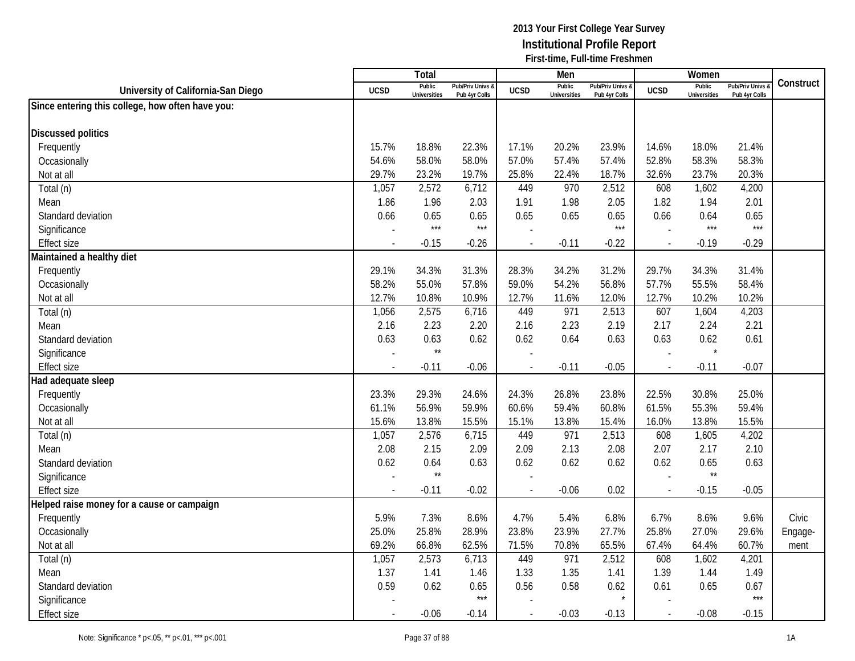|                                                  |             | <b>Total</b>                  |                                   |                | Men                           |                                   |                          | Women                         |                                        |           |
|--------------------------------------------------|-------------|-------------------------------|-----------------------------------|----------------|-------------------------------|-----------------------------------|--------------------------|-------------------------------|----------------------------------------|-----------|
| University of California-San Diego               | <b>UCSD</b> | Public<br><b>Universities</b> | Pub/Priv Univs &<br>Pub 4yr Colls | <b>UCSD</b>    | Public<br><b>Universities</b> | Pub/Priv Univs &<br>Pub 4yr Colls | <b>UCSD</b>              | Public<br><b>Universities</b> | <b>Pub/Priv Univs</b><br>Pub 4yr Colls | Construct |
| Since entering this college, how often have you: |             |                               |                                   |                |                               |                                   |                          |                               |                                        |           |
|                                                  |             |                               |                                   |                |                               |                                   |                          |                               |                                        |           |
| <b>Discussed politics</b>                        |             |                               |                                   |                |                               |                                   |                          |                               |                                        |           |
| Frequently                                       | 15.7%       | 18.8%                         | 22.3%                             | 17.1%          | 20.2%                         | 23.9%                             | 14.6%                    | 18.0%                         | 21.4%                                  |           |
| Occasionally                                     | 54.6%       | 58.0%                         | 58.0%                             | 57.0%          | 57.4%                         | 57.4%                             | 52.8%                    | 58.3%                         | 58.3%                                  |           |
| Not at all                                       | 29.7%       | 23.2%                         | 19.7%                             | 25.8%          | 22.4%                         | 18.7%                             | 32.6%                    | 23.7%                         | 20.3%                                  |           |
| Total (n)                                        | 1,057       | 2,572                         | 6,712                             | 449            | 970                           | 2,512                             | 608                      | 1,602                         | 4,200                                  |           |
| Mean                                             | 1.86        | 1.96                          | 2.03                              | 1.91           | 1.98                          | 2.05                              | 1.82                     | 1.94                          | 2.01                                   |           |
| Standard deviation                               | 0.66        | 0.65                          | 0.65                              | 0.65           | 0.65                          | 0.65                              | 0.66                     | 0.64                          | 0.65                                   |           |
| Significance                                     |             | $***$                         | $***$                             |                |                               | $***$                             |                          | $***$                         | $***$                                  |           |
| <b>Effect size</b>                               |             | $-0.15$                       | $-0.26$                           | $\blacksquare$ | $-0.11$                       | $-0.22$                           | $\sim$                   | $-0.19$                       | $-0.29$                                |           |
| Maintained a healthy diet                        |             |                               |                                   |                |                               |                                   |                          |                               |                                        |           |
| Frequently                                       | 29.1%       | 34.3%                         | 31.3%                             | 28.3%          | 34.2%                         | 31.2%                             | 29.7%                    | 34.3%                         | 31.4%                                  |           |
| Occasionally                                     | 58.2%       | 55.0%                         | 57.8%                             | 59.0%          | 54.2%                         | 56.8%                             | 57.7%                    | 55.5%                         | 58.4%                                  |           |
| Not at all                                       | 12.7%       | 10.8%                         | 10.9%                             | 12.7%          | 11.6%                         | 12.0%                             | 12.7%                    | 10.2%                         | 10.2%                                  |           |
| Total (n)                                        | 1,056       | 2,575                         | 6,716                             | 449            | 971                           | 2,513                             | 607                      | 1,604                         | 4,203                                  |           |
| Mean                                             | 2.16        | 2.23                          | 2.20                              | 2.16           | 2.23                          | 2.19                              | 2.17                     | 2.24                          | 2.21                                   |           |
| Standard deviation                               | 0.63        | 0.63                          | 0.62                              | 0.62           | 0.64                          | 0.63                              | 0.63                     | 0.62                          | 0.61                                   |           |
| Significance                                     |             | $\star\star$                  |                                   |                |                               |                                   |                          | $\star$                       |                                        |           |
| <b>Effect size</b>                               | $\sim$      | $-0.11$                       | $-0.06$                           | ÷,             | $-0.11$                       | $-0.05$                           | $\overline{\phantom{a}}$ | $-0.11$                       | $-0.07$                                |           |
| Had adequate sleep                               |             |                               |                                   |                |                               |                                   |                          |                               |                                        |           |
| Frequently                                       | 23.3%       | 29.3%                         | 24.6%                             | 24.3%          | 26.8%                         | 23.8%                             | 22.5%                    | 30.8%                         | 25.0%                                  |           |
| Occasionally                                     | 61.1%       | 56.9%                         | 59.9%                             | 60.6%          | 59.4%                         | 60.8%                             | 61.5%                    | 55.3%                         | 59.4%                                  |           |
| Not at all                                       | 15.6%       | 13.8%                         | 15.5%                             | 15.1%          | 13.8%                         | 15.4%                             | 16.0%                    | 13.8%                         | 15.5%                                  |           |
| Total (n)                                        | 1,057       | 2,576                         | 6,715                             | 449            | 971                           | 2,513                             | 608                      | 1,605                         | 4,202                                  |           |
| Mean                                             | 2.08        | 2.15                          | 2.09                              | 2.09           | 2.13                          | 2.08                              | 2.07                     | 2.17                          | 2.10                                   |           |
| Standard deviation                               | 0.62        | 0.64                          | 0.63                              | 0.62           | 0.62                          | 0.62                              | 0.62                     | 0.65                          | 0.63                                   |           |
| Significance                                     |             | $\star\star$                  |                                   | $\overline{a}$ |                               |                                   |                          | $\star\star$                  |                                        |           |
| <b>Effect size</b>                               |             | $-0.11$                       | $-0.02$                           |                | $-0.06$                       | 0.02                              | $\overline{\phantom{a}}$ | $-0.15$                       | $-0.05$                                |           |
| Helped raise money for a cause or campaign       |             |                               |                                   |                |                               |                                   |                          |                               |                                        |           |
| Frequently                                       | 5.9%        | 7.3%                          | 8.6%                              | 4.7%           | 5.4%                          | 6.8%                              | 6.7%                     | 8.6%                          | 9.6%                                   | Civic     |
| Occasionally                                     | 25.0%       | 25.8%                         | 28.9%                             | 23.8%          | 23.9%                         | 27.7%                             | 25.8%                    | 27.0%                         | 29.6%                                  | Engage-   |
| Not at all                                       | 69.2%       | 66.8%                         | 62.5%                             | 71.5%          | 70.8%                         | 65.5%                             | 67.4%                    | 64.4%                         | 60.7%                                  | ment      |
| Total (n)                                        | 1,057       | 2,573                         | 6,713                             | 449            | 971                           | 2,512                             | 608                      | 1,602                         | 4,201                                  |           |
| Mean                                             | 1.37        | 1.41                          | 1.46                              | 1.33           | 1.35                          | 1.41                              | 1.39                     | 1.44                          | 1.49                                   |           |
| Standard deviation                               | 0.59        | 0.62                          | 0.65                              | 0.56           | 0.58                          | 0.62                              | 0.61                     | 0.65                          | 0.67                                   |           |
| Significance                                     |             |                               | $***$                             |                |                               |                                   |                          |                               | $***$                                  |           |
| <b>Effect size</b>                               |             | $-0.06$                       | $-0.14$                           | $\blacksquare$ | $-0.03$                       | $-0.13$                           | $\overline{\phantom{a}}$ | $-0.08$                       | $-0.15$                                |           |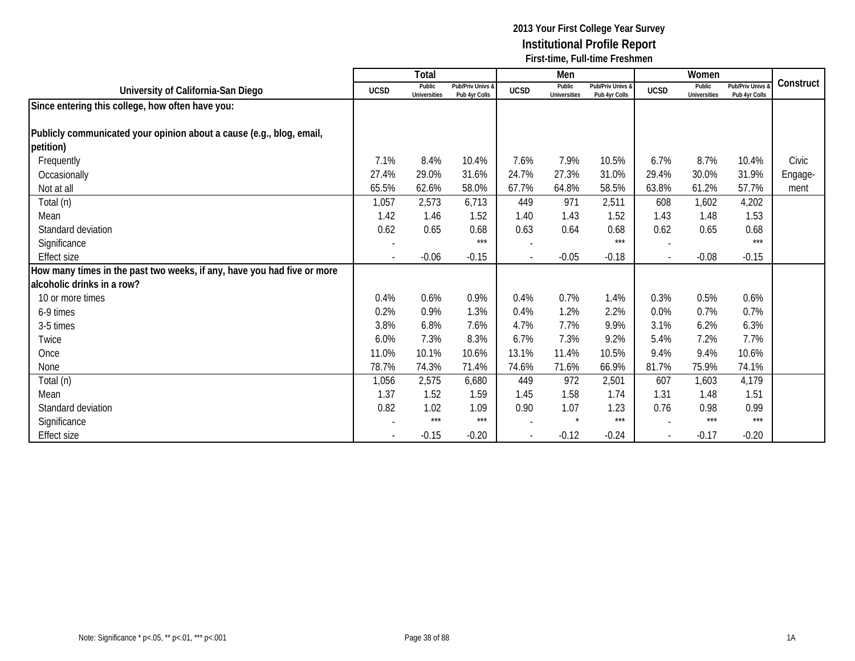|                                                                         |             | Total                         |                                   |                          | Men                           |                                   |                          | Women                         |                                 |           |
|-------------------------------------------------------------------------|-------------|-------------------------------|-----------------------------------|--------------------------|-------------------------------|-----------------------------------|--------------------------|-------------------------------|---------------------------------|-----------|
| University of California-San Diego                                      | <b>UCSD</b> | Public<br><b>Universities</b> | Pub/Priv Univs &<br>Pub 4yr Colls | <b>UCSD</b>              | Public<br><b>Universities</b> | Pub/Priv Univs &<br>Pub 4yr Colls | <b>UCSD</b>              | Public<br><b>Universities</b> | Pub/Priv Univs<br>Pub 4yr Colls | Construct |
| Since entering this college, how often have you:                        |             |                               |                                   |                          |                               |                                   |                          |                               |                                 |           |
|                                                                         |             |                               |                                   |                          |                               |                                   |                          |                               |                                 |           |
| Publicly communicated your opinion about a cause (e.g., blog, email,    |             |                               |                                   |                          |                               |                                   |                          |                               |                                 |           |
| petition)                                                               |             |                               |                                   |                          |                               |                                   |                          |                               |                                 |           |
| Frequently                                                              | 7.1%        | 8.4%                          | 10.4%                             | 7.6%                     | 7.9%                          | 10.5%                             | 6.7%                     | 8.7%                          | 10.4%                           | Civic     |
| Occasionally                                                            | 27.4%       | 29.0%                         | 31.6%                             | 24.7%                    | 27.3%                         | 31.0%                             | 29.4%                    | 30.0%                         | 31.9%                           | Engage-   |
| Not at all                                                              | 65.5%       | 62.6%                         | 58.0%                             | 67.7%                    | 64.8%                         | 58.5%                             | 63.8%                    | 61.2%                         | 57.7%                           | ment      |
| Total (n)                                                               | 1,057       | 2,573                         | 6,713                             | 449                      | 971                           | 2,511                             | 608                      | 1,602                         | 4,202                           |           |
| Mean                                                                    | 1.42        | 1.46                          | 1.52                              | 1.40                     | 1.43                          | 1.52                              | 1.43                     | 1.48                          | 1.53                            |           |
| Standard deviation                                                      | 0.62        | 0.65                          | 0.68                              | 0.63                     | 0.64                          | 0.68                              | 0.62                     | 0.65                          | 0.68                            |           |
| Significance                                                            |             |                               | $***$                             |                          |                               | $***$                             |                          |                               | $***$                           |           |
| <b>Effect size</b>                                                      |             | $-0.06$                       | $-0.15$                           | $\overline{\phantom{a}}$ | $-0.05$                       | $-0.18$                           | $\mathbf{r}$             | $-0.08$                       | $-0.15$                         |           |
| How many times in the past two weeks, if any, have you had five or more |             |                               |                                   |                          |                               |                                   |                          |                               |                                 |           |
| alcoholic drinks in a row?                                              |             |                               |                                   |                          |                               |                                   |                          |                               |                                 |           |
| 10 or more times                                                        | 0.4%        | 0.6%                          | 0.9%                              | 0.4%                     | 0.7%                          | 1.4%                              | 0.3%                     | 0.5%                          | 0.6%                            |           |
| 6-9 times                                                               | 0.2%        | 0.9%                          | 1.3%                              | 0.4%                     | 1.2%                          | 2.2%                              | 0.0%                     | 0.7%                          | 0.7%                            |           |
| 3-5 times                                                               | 3.8%        | 6.8%                          | 7.6%                              | 4.7%                     | 7.7%                          | 9.9%                              | 3.1%                     | 6.2%                          | 6.3%                            |           |
| Twice                                                                   | 6.0%        | 7.3%                          | 8.3%                              | 6.7%                     | 7.3%                          | 9.2%                              | 5.4%                     | 7.2%                          | 7.7%                            |           |
| Once                                                                    | 11.0%       | 10.1%                         | 10.6%                             | 13.1%                    | 11.4%                         | 10.5%                             | 9.4%                     | 9.4%                          | 10.6%                           |           |
| None                                                                    | 78.7%       | 74.3%                         | 71.4%                             | 74.6%                    | 71.6%                         | 66.9%                             | 81.7%                    | 75.9%                         | 74.1%                           |           |
| Total (n)                                                               | 1,056       | 2,575                         | 6,680                             | 449                      | 972                           | 2,501                             | 607                      | 1,603                         | 4,179                           |           |
| Mean                                                                    | 1.37        | 1.52                          | 1.59                              | 1.45                     | 1.58                          | 1.74                              | 1.31                     | 1.48                          | 1.51                            |           |
| Standard deviation                                                      | 0.82        | 1.02                          | 1.09                              | 0.90                     | 1.07                          | 1.23                              | 0.76                     | 0.98                          | 0.99                            |           |
| Significance                                                            |             | $***$                         | $***$                             |                          | $\star$                       | ***                               |                          | $***$                         | $***$                           |           |
| Effect size                                                             |             | $-0.15$                       | $-0.20$                           | $\overline{\phantom{a}}$ | $-0.12$                       | $-0.24$                           | $\overline{\phantom{a}}$ | $-0.17$                       | $-0.20$                         |           |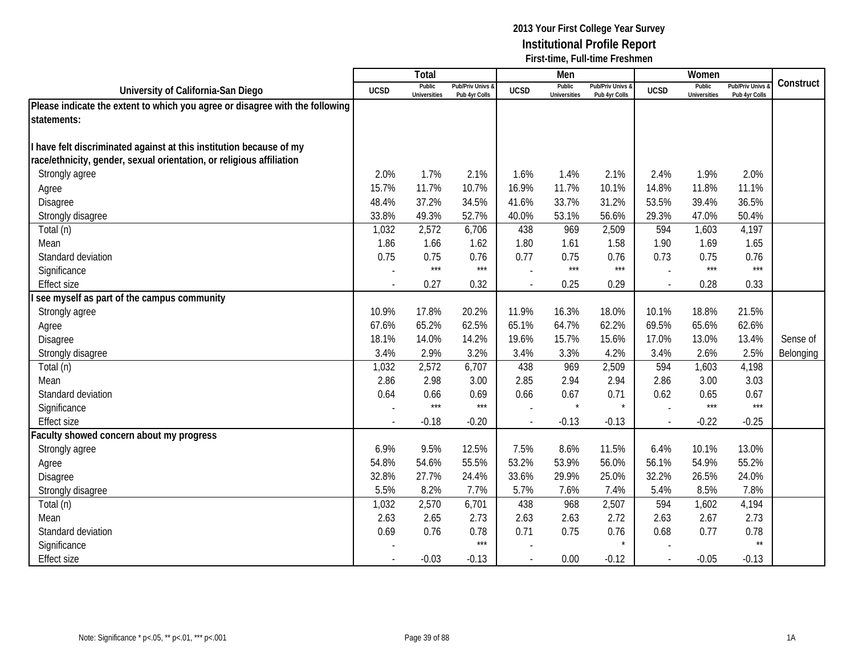|                                                                              |                          | Total                         |                                   |                          | Men                           |                                   |                          | Women                         |                                        |           |
|------------------------------------------------------------------------------|--------------------------|-------------------------------|-----------------------------------|--------------------------|-------------------------------|-----------------------------------|--------------------------|-------------------------------|----------------------------------------|-----------|
| University of California-San Diego                                           | <b>UCSD</b>              | Public<br><b>Universities</b> | Pub/Priv Univs 8<br>Pub 4yr Colls | <b>UCSD</b>              | Public<br><b>Universities</b> | Pub/Priv Univs &<br>Pub 4yr Colls | <b>UCSD</b>              | Public<br><b>Universities</b> | <b>Pub/Priv Univs</b><br>Pub 4yr Colls | Construct |
| Please indicate the extent to which you agree or disagree with the following |                          |                               |                                   |                          |                               |                                   |                          |                               |                                        |           |
| statements:                                                                  |                          |                               |                                   |                          |                               |                                   |                          |                               |                                        |           |
|                                                                              |                          |                               |                                   |                          |                               |                                   |                          |                               |                                        |           |
| have felt discriminated against at this institution because of my            |                          |                               |                                   |                          |                               |                                   |                          |                               |                                        |           |
| ace/ethnicity, gender, sexual orientation, or religious affiliation          |                          |                               |                                   |                          |                               |                                   |                          |                               |                                        |           |
| Strongly agree                                                               | 2.0%                     | 1.7%                          | 2.1%                              | 1.6%                     | 1.4%                          | 2.1%                              | 2.4%                     | 1.9%                          | 2.0%                                   |           |
| Agree                                                                        | 15.7%                    | 11.7%                         | 10.7%                             | 16.9%                    | 11.7%                         | 10.1%                             | 14.8%                    | 11.8%                         | 11.1%                                  |           |
| <b>Disagree</b>                                                              | 48.4%                    | 37.2%                         | 34.5%                             | 41.6%                    | 33.7%                         | 31.2%                             | 53.5%                    | 39.4%                         | 36.5%                                  |           |
| Strongly disagree                                                            | 33.8%                    | 49.3%                         | 52.7%                             | 40.0%                    | 53.1%                         | 56.6%                             | 29.3%                    | 47.0%                         | 50.4%                                  |           |
| Total (n)                                                                    | 1,032                    | 2,572                         | 6,706                             | 438                      | 969                           | 2,509                             | 594                      | 1,603                         | 4,197                                  |           |
| Mean                                                                         | 1.86                     | 1.66                          | 1.62                              | 1.80                     | 1.61                          | 1.58                              | 1.90                     | 1.69                          | 1.65                                   |           |
| Standard deviation                                                           | 0.75                     | 0.75                          | 0.76                              | 0.77                     | 0.75                          | 0.76                              | 0.73                     | 0.75                          | 0.76                                   |           |
| Significance                                                                 |                          | $***$                         | $***$                             |                          | $***$                         | $***$                             |                          | ***                           | $***$                                  |           |
| <b>Effect size</b>                                                           | $\overline{\phantom{a}}$ | 0.27                          | 0.32                              |                          | 0.25                          | 0.29                              | $\overline{\phantom{a}}$ | 0.28                          | 0.33                                   |           |
| see myself as part of the campus community                                   |                          |                               |                                   |                          |                               |                                   |                          |                               |                                        |           |
| Strongly agree                                                               | 10.9%                    | 17.8%                         | 20.2%                             | 11.9%                    | 16.3%                         | 18.0%                             | 10.1%                    | 18.8%                         | 21.5%                                  |           |
| Agree                                                                        | 67.6%                    | 65.2%                         | 62.5%                             | 65.1%                    | 64.7%                         | 62.2%                             | 69.5%                    | 65.6%                         | 62.6%                                  |           |
| Disagree                                                                     | 18.1%                    | 14.0%                         | 14.2%                             | 19.6%                    | 15.7%                         | 15.6%                             | 17.0%                    | 13.0%                         | 13.4%                                  | Sense of  |
| Strongly disagree                                                            | 3.4%                     | 2.9%                          | 3.2%                              | 3.4%                     | 3.3%                          | 4.2%                              | 3.4%                     | 2.6%                          | 2.5%                                   | Belonging |
| Total (n)                                                                    | 1,032                    | 2,572                         | 6,707                             | 438                      | 969                           | 2,509                             | 594                      | 1,603                         | 4,198                                  |           |
| Mean                                                                         | 2.86                     | 2.98                          | 3.00                              | 2.85                     | 2.94                          | 2.94                              | 2.86                     | 3.00                          | 3.03                                   |           |
| Standard deviation                                                           | 0.64                     | 0.66                          | 0.69                              | 0.66                     | 0.67                          | 0.71                              | 0.62                     | 0.65                          | 0.67                                   |           |
| Significance                                                                 |                          | $***$                         | $***$                             |                          | $\star$                       | $\star$                           |                          | ***                           | $***$                                  |           |
| <b>Effect size</b>                                                           |                          | $-0.18$                       | $-0.20$                           | $\blacksquare$           | $-0.13$                       | $-0.13$                           | $\sim$                   | $-0.22$                       | $-0.25$                                |           |
| Faculty showed concern about my progress                                     |                          |                               |                                   |                          |                               |                                   |                          |                               |                                        |           |
| Strongly agree                                                               | 6.9%                     | 9.5%                          | 12.5%                             | 7.5%                     | 8.6%                          | 11.5%                             | 6.4%                     | 10.1%                         | 13.0%                                  |           |
| Agree                                                                        | 54.8%                    | 54.6%                         | 55.5%                             | 53.2%                    | 53.9%                         | 56.0%                             | 56.1%                    | 54.9%                         | 55.2%                                  |           |
| Disagree                                                                     | 32.8%                    | 27.7%                         | 24.4%                             | 33.6%                    | 29.9%                         | 25.0%                             | 32.2%                    | 26.5%                         | 24.0%                                  |           |
| Strongly disagree                                                            | 5.5%                     | 8.2%                          | 7.7%                              | 5.7%                     | 7.6%                          | 7.4%                              | 5.4%                     | 8.5%                          | 7.8%                                   |           |
| Total (n)                                                                    | 1,032                    | 2,570                         | 6,701                             | 438                      | 968                           | 2,507                             | 594                      | 1,602                         | 4,194                                  |           |
| Mean                                                                         | 2.63                     | 2.65                          | 2.73                              | 2.63                     | 2.63                          | 2.72                              | 2.63                     | 2.67                          | 2.73                                   |           |
| Standard deviation                                                           | 0.69                     | 0.76                          | 0.78                              | 0.71                     | 0.75                          | 0.76                              | 0.68                     | 0.77                          | 0.78                                   |           |
| Significance                                                                 |                          |                               | $***$                             |                          |                               | $\star$                           |                          |                               | $\star\star$                           |           |
| <b>Effect size</b>                                                           |                          | $-0.03$                       | $-0.13$                           | $\overline{\phantom{a}}$ | 0.00                          | $-0.12$                           | $\sim$                   | $-0.05$                       | $-0.13$                                |           |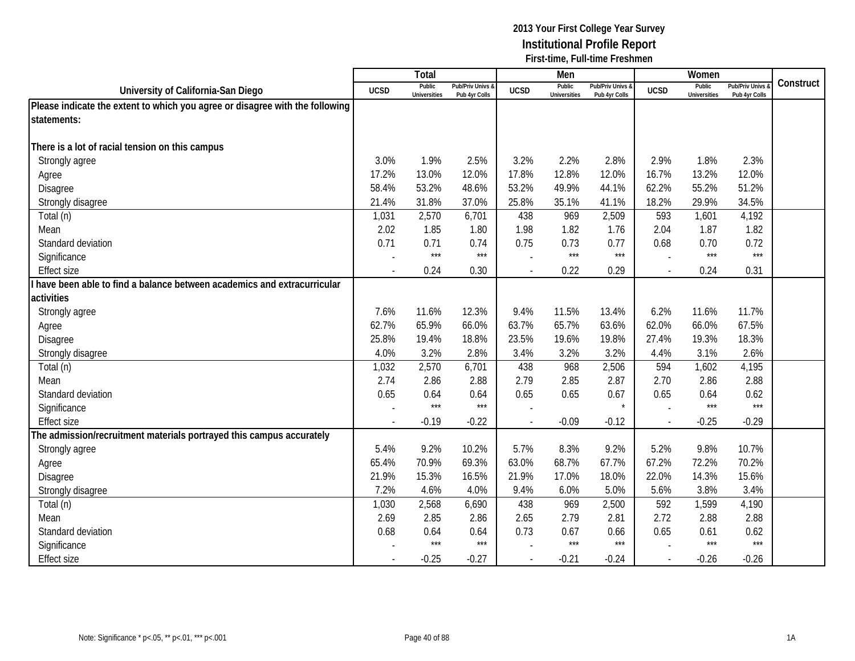|                                                                              |                          | <b>Total</b>                  |                                   |                          | Men                           |                                   |             | Women                         |                                        |           |
|------------------------------------------------------------------------------|--------------------------|-------------------------------|-----------------------------------|--------------------------|-------------------------------|-----------------------------------|-------------|-------------------------------|----------------------------------------|-----------|
| University of California-San Diego                                           | <b>UCSD</b>              | Public<br><b>Universities</b> | Pub/Priv Univs &<br>Pub 4yr Colls | <b>UCSD</b>              | Public<br><b>Universities</b> | Pub/Priv Univs &<br>Pub 4yr Colls | <b>UCSD</b> | Public<br><b>Universities</b> | <b>Pub/Priv Univs</b><br>Pub 4yr Colls | Construct |
| Please indicate the extent to which you agree or disagree with the following |                          |                               |                                   |                          |                               |                                   |             |                               |                                        |           |
| statements:                                                                  |                          |                               |                                   |                          |                               |                                   |             |                               |                                        |           |
|                                                                              |                          |                               |                                   |                          |                               |                                   |             |                               |                                        |           |
| There is a lot of racial tension on this campus                              |                          |                               |                                   |                          |                               |                                   |             |                               |                                        |           |
| Strongly agree                                                               | 3.0%                     | 1.9%                          | 2.5%                              | 3.2%                     | 2.2%                          | 2.8%                              | 2.9%        | 1.8%                          | 2.3%                                   |           |
| Agree                                                                        | 17.2%                    | 13.0%                         | 12.0%                             | 17.8%                    | 12.8%                         | 12.0%                             | 16.7%       | 13.2%                         | 12.0%                                  |           |
| Disagree                                                                     | 58.4%                    | 53.2%                         | 48.6%                             | 53.2%                    | 49.9%                         | 44.1%                             | 62.2%       | 55.2%                         | 51.2%                                  |           |
| Strongly disagree                                                            | 21.4%                    | 31.8%                         | 37.0%                             | 25.8%                    | 35.1%                         | 41.1%                             | 18.2%       | 29.9%                         | 34.5%                                  |           |
| Total (n)                                                                    | 1,031                    | 2,570                         | 6,701                             | 438                      | 969                           | 2,509                             | 593         | 1,601                         | 4,192                                  |           |
| Mean                                                                         | 2.02                     | 1.85                          | 1.80                              | 1.98                     | 1.82                          | 1.76                              | 2.04        | 1.87                          | 1.82                                   |           |
| Standard deviation                                                           | 0.71                     | 0.71                          | 0.74                              | 0.75                     | 0.73                          | 0.77                              | 0.68        | 0.70                          | 0.72                                   |           |
| Significance                                                                 |                          | $***$                         | $***$                             |                          | $***$                         | $***$                             |             | $***$                         | $***$                                  |           |
| <b>Effect size</b>                                                           | $\overline{\phantom{a}}$ | 0.24                          | 0.30                              | $\overline{a}$           | 0.22                          | 0.29                              | $\sim$      | 0.24                          | 0.31                                   |           |
| have been able to find a balance between academics and extracurricular       |                          |                               |                                   |                          |                               |                                   |             |                               |                                        |           |
| activities                                                                   |                          |                               |                                   |                          |                               |                                   |             |                               |                                        |           |
| Strongly agree                                                               | 7.6%                     | 11.6%                         | 12.3%                             | 9.4%                     | 11.5%                         | 13.4%                             | 6.2%        | 11.6%                         | 11.7%                                  |           |
| Agree                                                                        | 62.7%                    | 65.9%                         | 66.0%                             | 63.7%                    | 65.7%                         | 63.6%                             | 62.0%       | 66.0%                         | 67.5%                                  |           |
| Disagree                                                                     | 25.8%                    | 19.4%                         | 18.8%                             | 23.5%                    | 19.6%                         | 19.8%                             | 27.4%       | 19.3%                         | 18.3%                                  |           |
| Strongly disagree                                                            | 4.0%                     | 3.2%                          | 2.8%                              | 3.4%                     | 3.2%                          | 3.2%                              | 4.4%        | 3.1%                          | 2.6%                                   |           |
| Total (n)                                                                    | 1,032                    | 2,570                         | 6,701                             | 438                      | 968                           | 2,506                             | 594         | 1,602                         | 4,195                                  |           |
| Mean                                                                         | 2.74                     | 2.86                          | 2.88                              | 2.79                     | 2.85                          | 2.87                              | 2.70        | 2.86                          | 2.88                                   |           |
| Standard deviation                                                           | 0.65                     | 0.64                          | 0.64                              | 0.65                     | 0.65                          | 0.67                              | 0.65        | 0.64                          | 0.62                                   |           |
| Significance                                                                 |                          | $***$                         | $***$                             |                          |                               | $\star$                           |             | $***$                         | $***$                                  |           |
| <b>Effect size</b>                                                           |                          | $-0.19$                       | $-0.22$                           |                          | $-0.09$                       | $-0.12$                           | $\sim$      | $-0.25$                       | $-0.29$                                |           |
| The admission/recruitment materials portrayed this campus accurately         |                          |                               |                                   |                          |                               |                                   |             |                               |                                        |           |
| Strongly agree                                                               | 5.4%                     | 9.2%                          | 10.2%                             | 5.7%                     | 8.3%                          | 9.2%                              | 5.2%        | 9.8%                          | 10.7%                                  |           |
| Agree                                                                        | 65.4%                    | 70.9%                         | 69.3%                             | 63.0%                    | 68.7%                         | 67.7%                             | 67.2%       | 72.2%                         | 70.2%                                  |           |
| Disagree                                                                     | 21.9%                    | 15.3%                         | 16.5%                             | 21.9%                    | 17.0%                         | 18.0%                             | 22.0%       | 14.3%                         | 15.6%                                  |           |
| Strongly disagree                                                            | 7.2%                     | 4.6%                          | 4.0%                              | 9.4%                     | 6.0%                          | 5.0%                              | 5.6%        | 3.8%                          | 3.4%                                   |           |
| Total (n)                                                                    | 1,030                    | 2,568                         | 6,690                             | 438                      | 969                           | 2,500                             | 592         | 1,599                         | 4,190                                  |           |
| Mean                                                                         | 2.69                     | 2.85                          | 2.86                              | 2.65                     | 2.79                          | 2.81                              | 2.72        | 2.88                          | 2.88                                   |           |
| Standard deviation                                                           | 0.68                     | 0.64                          | 0.64                              | 0.73                     | 0.67                          | 0.66                              | 0.65        | 0.61                          | 0.62                                   |           |
| Significance                                                                 |                          | $***$                         | ***                               |                          | $***$                         | $***$                             |             | $***$                         | $***$                                  |           |
| <b>Effect size</b>                                                           |                          | $-0.25$                       | $-0.27$                           | $\overline{\phantom{a}}$ | $-0.21$                       | $-0.24$                           | $\sim$      | $-0.26$                       | $-0.26$                                |           |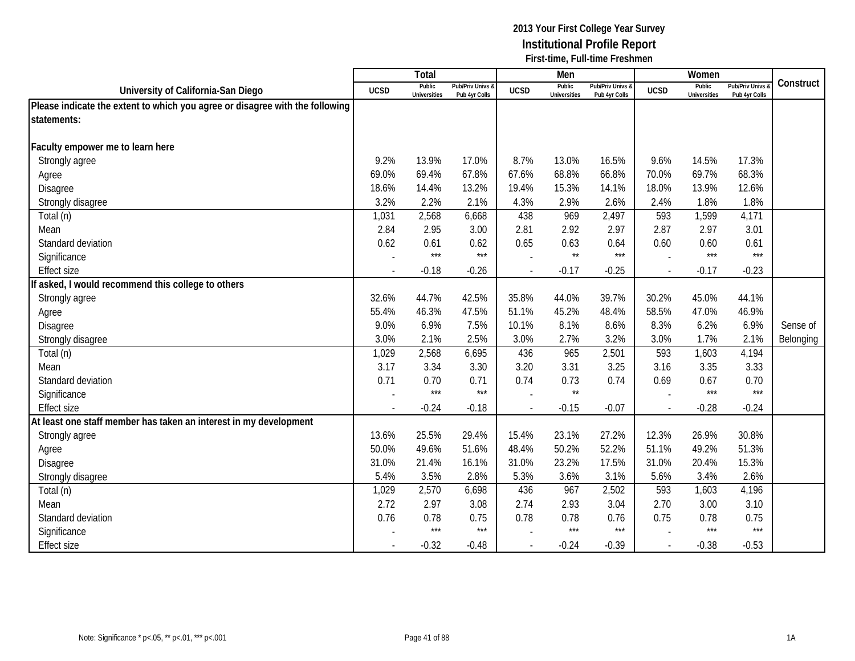|                                                                              |                          | <b>Total</b>                  |                                   |             | Men                           |                                   |                          | Women                         |                                        |           |
|------------------------------------------------------------------------------|--------------------------|-------------------------------|-----------------------------------|-------------|-------------------------------|-----------------------------------|--------------------------|-------------------------------|----------------------------------------|-----------|
| University of California-San Diego                                           | <b>UCSD</b>              | Public<br><b>Universities</b> | Pub/Priv Univs &<br>Pub 4yr Colls | <b>UCSD</b> | Public<br><b>Universities</b> | Pub/Priv Univs &<br>Pub 4yr Colls | <b>UCSD</b>              | Public<br><b>Universities</b> | <b>Pub/Priv Univs</b><br>Pub 4yr Colls | Construct |
| Please indicate the extent to which you agree or disagree with the following |                          |                               |                                   |             |                               |                                   |                          |                               |                                        |           |
| statements:                                                                  |                          |                               |                                   |             |                               |                                   |                          |                               |                                        |           |
|                                                                              |                          |                               |                                   |             |                               |                                   |                          |                               |                                        |           |
| Faculty empower me to learn here                                             |                          |                               |                                   |             |                               |                                   |                          |                               |                                        |           |
| Strongly agree                                                               | 9.2%                     | 13.9%                         | 17.0%                             | 8.7%        | 13.0%                         | 16.5%                             | 9.6%                     | 14.5%                         | 17.3%                                  |           |
| Agree                                                                        | 69.0%                    | 69.4%                         | 67.8%                             | 67.6%       | 68.8%                         | 66.8%                             | 70.0%                    | 69.7%                         | 68.3%                                  |           |
| Disagree                                                                     | 18.6%                    | 14.4%                         | 13.2%                             | 19.4%       | 15.3%                         | 14.1%                             | 18.0%                    | 13.9%                         | 12.6%                                  |           |
| Strongly disagree                                                            | 3.2%                     | 2.2%                          | 2.1%                              | 4.3%        | 2.9%                          | 2.6%                              | 2.4%                     | 1.8%                          | 1.8%                                   |           |
| Total (n)                                                                    | 1,031                    | 2,568                         | 6,668                             | 438         | 969                           | 2,497                             | 593                      | 1,599                         | 4,171                                  |           |
| Mean                                                                         | 2.84                     | 2.95                          | 3.00                              | 2.81        | 2.92                          | 2.97                              | 2.87                     | 2.97                          | 3.01                                   |           |
| Standard deviation                                                           | 0.62                     | 0.61                          | 0.62                              | 0.65        | 0.63                          | 0.64                              | 0.60                     | 0.60                          | 0.61                                   |           |
| Significance                                                                 |                          | $***$                         | $***$                             |             | $^{\star\star}$               | $***$                             |                          | $***$                         | ***                                    |           |
| <b>Effect size</b>                                                           |                          | $-0.18$                       | $-0.26$                           |             | $-0.17$                       | $-0.25$                           | $\overline{\phantom{a}}$ | $-0.17$                       | $-0.23$                                |           |
| f asked, I would recommend this college to others                            |                          |                               |                                   |             |                               |                                   |                          |                               |                                        |           |
| Strongly agree                                                               | 32.6%                    | 44.7%                         | 42.5%                             | 35.8%       | 44.0%                         | 39.7%                             | 30.2%                    | 45.0%                         | 44.1%                                  |           |
| Agree                                                                        | 55.4%                    | 46.3%                         | 47.5%                             | 51.1%       | 45.2%                         | 48.4%                             | 58.5%                    | 47.0%                         | 46.9%                                  |           |
| Disagree                                                                     | 9.0%                     | 6.9%                          | 7.5%                              | 10.1%       | 8.1%                          | 8.6%                              | 8.3%                     | 6.2%                          | 6.9%                                   | Sense of  |
| Strongly disagree                                                            | 3.0%                     | 2.1%                          | 2.5%                              | 3.0%        | 2.7%                          | 3.2%                              | 3.0%                     | 1.7%                          | 2.1%                                   | Belonging |
| Total (n)                                                                    | 1,029                    | 2,568                         | 6,695                             | 436         | 965                           | 2,501                             | 593                      | 1,603                         | 4,194                                  |           |
| Mean                                                                         | 3.17                     | 3.34                          | 3.30                              | 3.20        | 3.31                          | 3.25                              | 3.16                     | 3.35                          | 3.33                                   |           |
| Standard deviation                                                           | 0.71                     | 0.70                          | 0.71                              | 0.74        | 0.73                          | 0.74                              | 0.69                     | 0.67                          | 0.70                                   |           |
| Significance                                                                 |                          | $***$                         | $***$                             |             | $^{\star\star}$               |                                   |                          | $***$                         | $***$                                  |           |
| <b>Effect size</b>                                                           | $\overline{\phantom{a}}$ | $-0.24$                       | $-0.18$                           |             | $-0.15$                       | $-0.07$                           | $\sim$                   | $-0.28$                       | $-0.24$                                |           |
| At least one staff member has taken an interest in my development            |                          |                               |                                   |             |                               |                                   |                          |                               |                                        |           |
| Strongly agree                                                               | 13.6%                    | 25.5%                         | 29.4%                             | 15.4%       | 23.1%                         | 27.2%                             | 12.3%                    | 26.9%                         | 30.8%                                  |           |
| Agree                                                                        | 50.0%                    | 49.6%                         | 51.6%                             | 48.4%       | 50.2%                         | 52.2%                             | 51.1%                    | 49.2%                         | 51.3%                                  |           |
| Disagree                                                                     | 31.0%                    | 21.4%                         | 16.1%                             | 31.0%       | 23.2%                         | 17.5%                             | 31.0%                    | 20.4%                         | 15.3%                                  |           |
| Strongly disagree                                                            | 5.4%                     | 3.5%                          | 2.8%                              | 5.3%        | 3.6%                          | 3.1%                              | 5.6%                     | 3.4%                          | 2.6%                                   |           |
| Total (n)                                                                    | 1,029                    | 2,570                         | 6,698                             | 436         | 967                           | 2,502                             | 593                      | 1,603                         | 4,196                                  |           |
| Mean                                                                         | 2.72                     | 2.97                          | 3.08                              | 2.74        | 2.93                          | 3.04                              | 2.70                     | 3.00                          | 3.10                                   |           |
| Standard deviation                                                           | 0.76                     | 0.78                          | 0.75                              | 0.78        | 0.78                          | 0.76                              | 0.75                     | 0.78                          | 0.75                                   |           |
| Significance                                                                 |                          | $***$                         | $***$                             |             | $***$                         | $***$                             |                          | $***$                         | $***$                                  |           |
| <b>Effect size</b>                                                           |                          | $-0.32$                       | $-0.48$                           |             | $-0.24$                       | $-0.39$                           | $\overline{\phantom{a}}$ | $-0.38$                       | $-0.53$                                |           |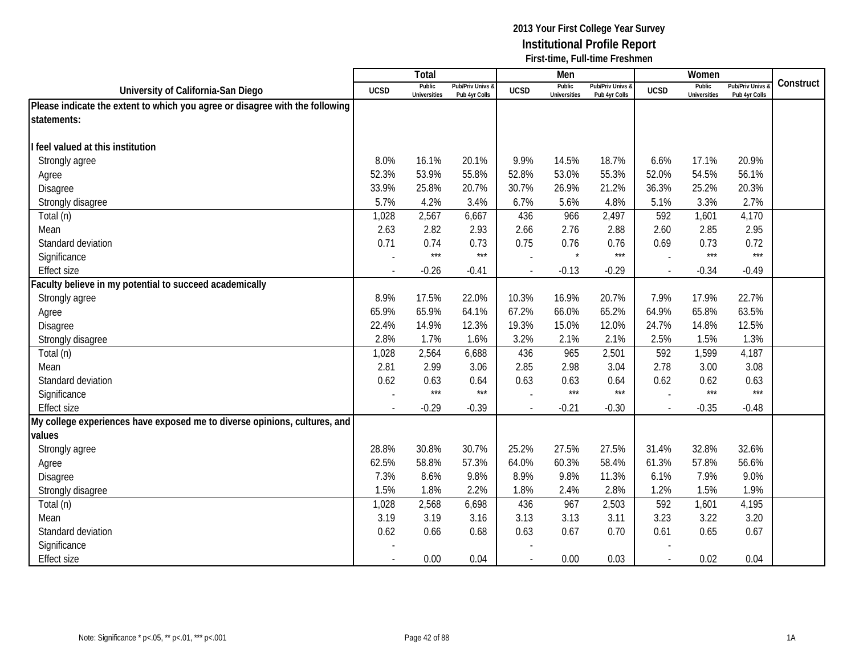|                                                                              |                | Total                         |                                   |                          | Men                           |                                   |                | Women                         |                                        |           |
|------------------------------------------------------------------------------|----------------|-------------------------------|-----------------------------------|--------------------------|-------------------------------|-----------------------------------|----------------|-------------------------------|----------------------------------------|-----------|
| University of California-San Diego                                           | <b>UCSD</b>    | Public<br><b>Universities</b> | Pub/Priv Univs &<br>Pub 4yr Colls | <b>UCSD</b>              | Public<br><b>Universities</b> | Pub/Priv Univs &<br>Pub 4yr Colls | <b>UCSD</b>    | Public<br><b>Universities</b> | <b>Pub/Priv Univs</b><br>Pub 4yr Colls | Construct |
| Please indicate the extent to which you agree or disagree with the following |                |                               |                                   |                          |                               |                                   |                |                               |                                        |           |
| statements:                                                                  |                |                               |                                   |                          |                               |                                   |                |                               |                                        |           |
|                                                                              |                |                               |                                   |                          |                               |                                   |                |                               |                                        |           |
| feel valued at this institution                                              |                |                               |                                   |                          |                               |                                   |                |                               |                                        |           |
| Strongly agree                                                               | 8.0%           | 16.1%                         | 20.1%                             | 9.9%                     | 14.5%                         | 18.7%                             | 6.6%           | 17.1%                         | 20.9%                                  |           |
| Agree                                                                        | 52.3%          | 53.9%                         | 55.8%                             | 52.8%                    | 53.0%                         | 55.3%                             | 52.0%          | 54.5%                         | 56.1%                                  |           |
| Disagree                                                                     | 33.9%          | 25.8%                         | 20.7%                             | 30.7%                    | 26.9%                         | 21.2%                             | 36.3%          | 25.2%                         | 20.3%                                  |           |
| Strongly disagree                                                            | 5.7%           | 4.2%                          | 3.4%                              | 6.7%                     | 5.6%                          | 4.8%                              | 5.1%           | 3.3%                          | 2.7%                                   |           |
| Total (n)                                                                    | 1,028          | 2,567                         | 6,667                             | 436                      | 966                           | 2,497                             | 592            | 1,601                         | 4,170                                  |           |
| Mean                                                                         | 2.63           | 2.82                          | 2.93                              | 2.66                     | 2.76                          | 2.88                              | 2.60           | 2.85                          | 2.95                                   |           |
| Standard deviation                                                           | 0.71           | 0.74                          | 0.73                              | 0.75                     | 0.76                          | 0.76                              | 0.69           | 0.73                          | 0.72                                   |           |
| Significance                                                                 |                | $***$                         | $***$                             |                          | $\star$                       | $***$                             |                | $***$                         | $***$                                  |           |
| <b>Effect size</b>                                                           |                | $-0.26$                       | $-0.41$                           | $\overline{\phantom{a}}$ | $-0.13$                       | $-0.29$                           | $\overline{a}$ | $-0.34$                       | $-0.49$                                |           |
| aculty believe in my potential to succeed academically                       |                |                               |                                   |                          |                               |                                   |                |                               |                                        |           |
| Strongly agree                                                               | 8.9%           | 17.5%                         | 22.0%                             | 10.3%                    | 16.9%                         | 20.7%                             | 7.9%           | 17.9%                         | 22.7%                                  |           |
| Agree                                                                        | 65.9%          | 65.9%                         | 64.1%                             | 67.2%                    | 66.0%                         | 65.2%                             | 64.9%          | 65.8%                         | 63.5%                                  |           |
| Disagree                                                                     | 22.4%          | 14.9%                         | 12.3%                             | 19.3%                    | 15.0%                         | 12.0%                             | 24.7%          | 14.8%                         | 12.5%                                  |           |
| Strongly disagree                                                            | 2.8%           | 1.7%                          | 1.6%                              | 3.2%                     | 2.1%                          | 2.1%                              | 2.5%           | 1.5%                          | 1.3%                                   |           |
| Total (n)                                                                    | 1,028          | 2,564                         | 6,688                             | 436                      | 965                           | 2,501                             | 592            | 1,599                         | 4,187                                  |           |
| Mean                                                                         | 2.81           | 2.99                          | 3.06                              | 2.85                     | 2.98                          | 3.04                              | 2.78           | 3.00                          | 3.08                                   |           |
| Standard deviation                                                           | 0.62           | 0.63                          | 0.64                              | 0.63                     | 0.63                          | 0.64                              | 0.62           | 0.62                          | 0.63                                   |           |
| Significance                                                                 |                | $***$                         | $***$                             |                          | $***$                         | $***$                             | $\sim$         | $***$                         | $***$                                  |           |
| <b>Effect size</b>                                                           |                | $-0.29$                       | $-0.39$                           | $\overline{\phantom{a}}$ | $-0.21$                       | $-0.30$                           | $\overline{a}$ | $-0.35$                       | $-0.48$                                |           |
| My college experiences have exposed me to diverse opinions, cultures, and    |                |                               |                                   |                          |                               |                                   |                |                               |                                        |           |
| values                                                                       |                |                               |                                   |                          |                               |                                   |                |                               |                                        |           |
| Strongly agree                                                               | 28.8%          | 30.8%                         | 30.7%                             | 25.2%                    | 27.5%                         | 27.5%                             | 31.4%          | 32.8%                         | 32.6%                                  |           |
| Agree                                                                        | 62.5%          | 58.8%                         | 57.3%                             | 64.0%                    | 60.3%                         | 58.4%                             | 61.3%          | 57.8%                         | 56.6%                                  |           |
| Disagree                                                                     | 7.3%           | 8.6%                          | 9.8%                              | 8.9%                     | 9.8%                          | 11.3%                             | 6.1%           | 7.9%                          | 9.0%                                   |           |
| Strongly disagree                                                            | 1.5%           | 1.8%                          | 2.2%                              | 1.8%                     | 2.4%                          | 2.8%                              | 1.2%           | 1.5%                          | 1.9%                                   |           |
| Total (n)                                                                    | 1,028          | 2,568                         | 6,698                             | 436                      | 967                           | 2,503                             | 592            | 1,601                         | 4,195                                  |           |
| Mean                                                                         | 3.19           | 3.19                          | 3.16                              | 3.13                     | 3.13                          | 3.11                              | 3.23           | 3.22                          | 3.20                                   |           |
| Standard deviation                                                           | 0.62           | 0.66                          | 0.68                              | 0.63                     | 0.67                          | 0.70                              | 0.61           | 0.65                          | 0.67                                   |           |
| Significance                                                                 |                |                               |                                   |                          |                               |                                   |                |                               |                                        |           |
| <b>Effect size</b>                                                           | $\overline{a}$ | 0.00                          | 0.04                              | $\overline{\phantom{a}}$ | 0.00                          | 0.03                              | $\sim$         | 0.02                          | 0.04                                   |           |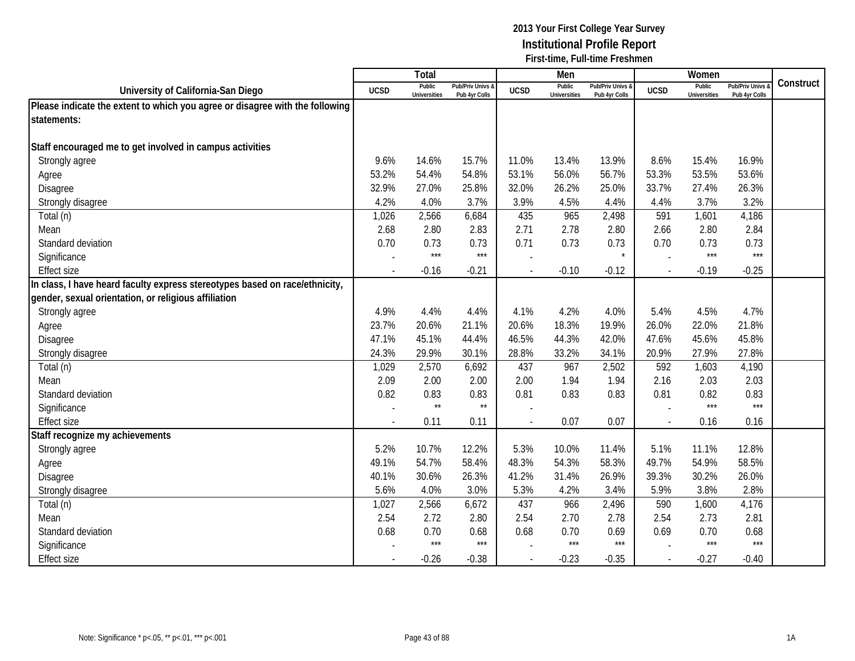|                                                                              |                | Total                         |                                   |                | Men                           |                                   |                          | Women                         |                                        |           |
|------------------------------------------------------------------------------|----------------|-------------------------------|-----------------------------------|----------------|-------------------------------|-----------------------------------|--------------------------|-------------------------------|----------------------------------------|-----------|
| University of California-San Diego                                           | <b>UCSD</b>    | Public<br><b>Universities</b> | Pub/Priv Univs &<br>Pub 4yr Colls | <b>UCSD</b>    | Public<br><b>Universities</b> | Pub/Priv Univs &<br>Pub 4yr Colls | <b>UCSD</b>              | Public<br><b>Universities</b> | <b>Pub/Priv Univs</b><br>Pub 4yr Colls | Construct |
| Please indicate the extent to which you agree or disagree with the following |                |                               |                                   |                |                               |                                   |                          |                               |                                        |           |
| statements:                                                                  |                |                               |                                   |                |                               |                                   |                          |                               |                                        |           |
|                                                                              |                |                               |                                   |                |                               |                                   |                          |                               |                                        |           |
| Staff encouraged me to get involved in campus activities                     |                |                               |                                   |                |                               |                                   |                          |                               |                                        |           |
| Strongly agree                                                               | 9.6%           | 14.6%                         | 15.7%                             | 11.0%          | 13.4%                         | 13.9%                             | 8.6%                     | 15.4%                         | 16.9%                                  |           |
| Agree                                                                        | 53.2%          | 54.4%                         | 54.8%                             | 53.1%          | 56.0%                         | 56.7%                             | 53.3%                    | 53.5%                         | 53.6%                                  |           |
| <b>Disagree</b>                                                              | 32.9%          | 27.0%                         | 25.8%                             | 32.0%          | 26.2%                         | 25.0%                             | 33.7%                    | 27.4%                         | 26.3%                                  |           |
| Strongly disagree                                                            | 4.2%           | 4.0%                          | 3.7%                              | 3.9%           | 4.5%                          | 4.4%                              | 4.4%                     | 3.7%                          | 3.2%                                   |           |
| Total (n)                                                                    | 1,026          | 2,566                         | 6,684                             | 435            | 965                           | 2,498                             | 591                      | 1,601                         | 4,186                                  |           |
| Mean                                                                         | 2.68           | 2.80                          | 2.83                              | 2.71           | 2.78                          | 2.80                              | 2.66                     | 2.80                          | 2.84                                   |           |
| Standard deviation                                                           | 0.70           | 0.73                          | 0.73                              | 0.71           | 0.73                          | 0.73                              | 0.70                     | 0.73                          | 0.73                                   |           |
| Significance                                                                 |                | $***$                         | $***$                             |                |                               |                                   | $\overline{a}$           | $***$                         | $***$                                  |           |
| <b>Effect size</b>                                                           | $\blacksquare$ | $-0.16$                       | $-0.21$                           |                | $-0.10$                       | $-0.12$                           | $\sim$                   | $-0.19$                       | $-0.25$                                |           |
| In class, I have heard faculty express stereotypes based on race/ethnicity,  |                |                               |                                   |                |                               |                                   |                          |                               |                                        |           |
| gender, sexual orientation, or religious affiliation                         |                |                               |                                   |                |                               |                                   |                          |                               |                                        |           |
| Strongly agree                                                               | 4.9%           | 4.4%                          | 4.4%                              | 4.1%           | 4.2%                          | 4.0%                              | 5.4%                     | 4.5%                          | 4.7%                                   |           |
| Agree                                                                        | 23.7%          | 20.6%                         | 21.1%                             | 20.6%          | 18.3%                         | 19.9%                             | 26.0%                    | 22.0%                         | 21.8%                                  |           |
| Disagree                                                                     | 47.1%          | 45.1%                         | 44.4%                             | 46.5%          | 44.3%                         | 42.0%                             | 47.6%                    | 45.6%                         | 45.8%                                  |           |
| Strongly disagree                                                            | 24.3%          | 29.9%                         | 30.1%                             | 28.8%          | 33.2%                         | 34.1%                             | 20.9%                    | 27.9%                         | 27.8%                                  |           |
| Total (n)                                                                    | 1,029          | 2,570                         | 6,692                             | 437            | 967                           | 2,502                             | 592                      | 1,603                         | 4,190                                  |           |
| Mean                                                                         | 2.09           | 2.00                          | 2.00                              | 2.00           | 1.94                          | 1.94                              | 2.16                     | 2.03                          | 2.03                                   |           |
| Standard deviation                                                           | 0.82           | 0.83                          | 0.83                              | 0.81           | 0.83                          | 0.83                              | 0.81                     | 0.82                          | 0.83                                   |           |
| Significance                                                                 |                | $\star\star$                  | $\star\star$                      |                |                               |                                   |                          | $***$                         | $***$                                  |           |
| <b>Effect size</b>                                                           |                | 0.11                          | 0.11                              | $\overline{a}$ | 0.07                          | 0.07                              | $\overline{\phantom{a}}$ | 0.16                          | 0.16                                   |           |
| Staff recognize my achievements                                              |                |                               |                                   |                |                               |                                   |                          |                               |                                        |           |
| Strongly agree                                                               | 5.2%           | 10.7%                         | 12.2%                             | 5.3%           | 10.0%                         | 11.4%                             | 5.1%                     | 11.1%                         | 12.8%                                  |           |
| Agree                                                                        | 49.1%          | 54.7%                         | 58.4%                             | 48.3%          | 54.3%                         | 58.3%                             | 49.7%                    | 54.9%                         | 58.5%                                  |           |
| Disagree                                                                     | 40.1%          | 30.6%                         | 26.3%                             | 41.2%          | 31.4%                         | 26.9%                             | 39.3%                    | 30.2%                         | 26.0%                                  |           |
| Strongly disagree                                                            | 5.6%           | 4.0%                          | 3.0%                              | 5.3%           | 4.2%                          | 3.4%                              | 5.9%                     | 3.8%                          | 2.8%                                   |           |
| Total (n)                                                                    | 1,027          | 2,566                         | 6,672                             | 437            | 966                           | 2,496                             | 590                      | 1,600                         | 4,176                                  |           |
| Mean                                                                         | 2.54           | 2.72                          | 2.80                              | 2.54           | 2.70                          | 2.78                              | 2.54                     | 2.73                          | 2.81                                   |           |
| Standard deviation                                                           | 0.68           | 0.70                          | 0.68                              | 0.68           | 0.70                          | 0.69                              | 0.69                     | 0.70                          | 0.68                                   |           |
| Significance                                                                 |                | $***$                         | $***$                             |                | $***$                         | $***$                             |                          | $***$                         | $***$                                  |           |
| <b>Effect size</b>                                                           |                | $-0.26$                       | $-0.38$                           | $\sim$         | $-0.23$                       | $-0.35$                           | $\sim$                   | $-0.27$                       | $-0.40$                                |           |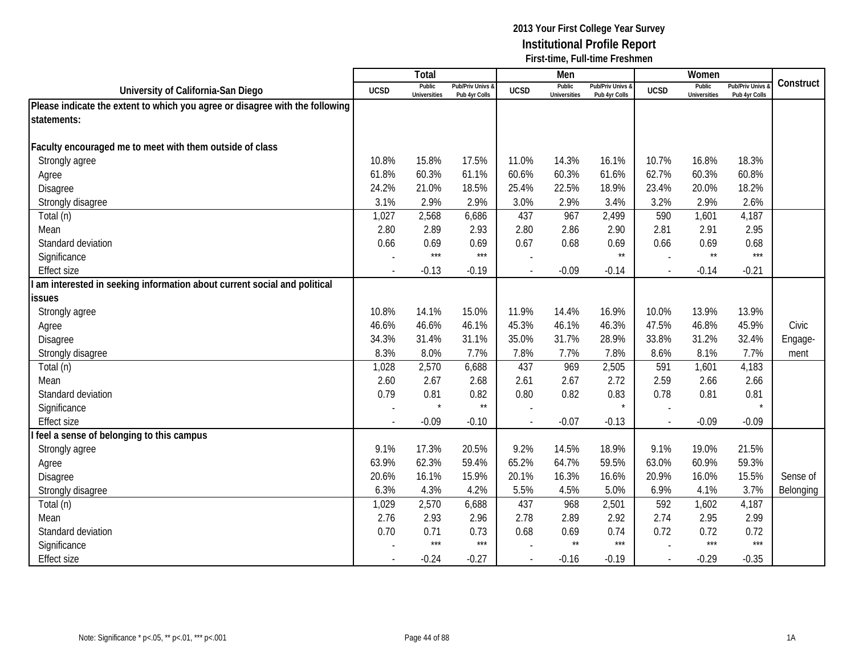|                                                                              |                          | Total                         |                                   |                          | Men                           |                                   |                | Women                         |                                        |           |
|------------------------------------------------------------------------------|--------------------------|-------------------------------|-----------------------------------|--------------------------|-------------------------------|-----------------------------------|----------------|-------------------------------|----------------------------------------|-----------|
| University of California-San Diego                                           | <b>UCSD</b>              | Public<br><b>Universities</b> | Pub/Priv Univs &<br>Pub 4yr Colls | <b>UCSD</b>              | Public<br><b>Universities</b> | Pub/Priv Univs &<br>Pub 4yr Colls | <b>UCSD</b>    | Public<br><b>Universities</b> | <b>Pub/Priv Univs</b><br>Pub 4yr Colls | Construct |
| Please indicate the extent to which you agree or disagree with the following |                          |                               |                                   |                          |                               |                                   |                |                               |                                        |           |
| statements:                                                                  |                          |                               |                                   |                          |                               |                                   |                |                               |                                        |           |
|                                                                              |                          |                               |                                   |                          |                               |                                   |                |                               |                                        |           |
| Faculty encouraged me to meet with them outside of class                     |                          |                               |                                   |                          |                               |                                   |                |                               |                                        |           |
| Strongly agree                                                               | 10.8%                    | 15.8%                         | 17.5%                             | 11.0%                    | 14.3%                         | 16.1%                             | 10.7%          | 16.8%                         | 18.3%                                  |           |
| Agree                                                                        | 61.8%                    | 60.3%                         | 61.1%                             | 60.6%                    | 60.3%                         | 61.6%                             | 62.7%          | 60.3%                         | 60.8%                                  |           |
| Disagree                                                                     | 24.2%                    | 21.0%                         | 18.5%                             | 25.4%                    | 22.5%                         | 18.9%                             | 23.4%          | 20.0%                         | 18.2%                                  |           |
| Strongly disagree                                                            | 3.1%                     | 2.9%                          | 2.9%                              | 3.0%                     | 2.9%                          | 3.4%                              | 3.2%           | 2.9%                          | 2.6%                                   |           |
| Total (n)                                                                    | 1,027                    | 2,568                         | 6,686                             | 437                      | 967                           | 2,499                             | 590            | 1,601                         | 4,187                                  |           |
| Mean                                                                         | 2.80                     | 2.89                          | 2.93                              | 2.80                     | 2.86                          | 2.90                              | 2.81           | 2.91                          | 2.95                                   |           |
| Standard deviation                                                           | 0.66                     | 0.69                          | 0.69                              | 0.67                     | 0.68                          | 0.69                              | 0.66           | 0.69                          | 0.68                                   |           |
| Significance                                                                 |                          | $***$                         | $***$                             |                          |                               | $\star\star$                      | $\sim$         | $^{\star\star}$               | $***$                                  |           |
| <b>Effect size</b>                                                           | $\overline{\phantom{a}}$ | $-0.13$                       | $-0.19$                           |                          | $-0.09$                       | $-0.14$                           | $\sim$         | $-0.14$                       | $-0.21$                                |           |
| am interested in seeking information about current social and political      |                          |                               |                                   |                          |                               |                                   |                |                               |                                        |           |
| <b>issues</b>                                                                |                          |                               |                                   |                          |                               |                                   |                |                               |                                        |           |
| Strongly agree                                                               | 10.8%                    | 14.1%                         | 15.0%                             | 11.9%                    | 14.4%                         | 16.9%                             | 10.0%          | 13.9%                         | 13.9%                                  |           |
| Agree                                                                        | 46.6%                    | 46.6%                         | 46.1%                             | 45.3%                    | 46.1%                         | 46.3%                             | 47.5%          | 46.8%                         | 45.9%                                  | Civic     |
| Disagree                                                                     | 34.3%                    | 31.4%                         | 31.1%                             | 35.0%                    | 31.7%                         | 28.9%                             | 33.8%          | 31.2%                         | 32.4%                                  | Engage-   |
| Strongly disagree                                                            | 8.3%                     | 8.0%                          | 7.7%                              | 7.8%                     | 7.7%                          | 7.8%                              | 8.6%           | 8.1%                          | 7.7%                                   | ment      |
| Total (n)                                                                    | 1,028                    | 2,570                         | 6,688                             | 437                      | 969                           | 2,505                             | 591            | 1,601                         | 4,183                                  |           |
| Mean                                                                         | 2.60                     | 2.67                          | 2.68                              | 2.61                     | 2.67                          | 2.72                              | 2.59           | 2.66                          | 2.66                                   |           |
| Standard deviation                                                           | 0.79                     | 0.81                          | 0.82                              | 0.80                     | 0.82                          | 0.83                              | 0.78           | 0.81                          | 0.81                                   |           |
| Significance                                                                 |                          | $\star$                       | $\star\star$                      |                          |                               |                                   |                |                               |                                        |           |
| <b>Effect size</b>                                                           |                          | $-0.09$                       | $-0.10$                           | $\overline{a}$           | $-0.07$                       | $-0.13$                           | $\overline{a}$ | $-0.09$                       | $-0.09$                                |           |
| feel a sense of belonging to this campus                                     |                          |                               |                                   |                          |                               |                                   |                |                               |                                        |           |
| Strongly agree                                                               | 9.1%                     | 17.3%                         | 20.5%                             | 9.2%                     | 14.5%                         | 18.9%                             | 9.1%           | 19.0%                         | 21.5%                                  |           |
| Agree                                                                        | 63.9%                    | 62.3%                         | 59.4%                             | 65.2%                    | 64.7%                         | 59.5%                             | 63.0%          | 60.9%                         | 59.3%                                  |           |
| <b>Disagree</b>                                                              | 20.6%                    | 16.1%                         | 15.9%                             | 20.1%                    | 16.3%                         | 16.6%                             | 20.9%          | 16.0%                         | 15.5%                                  | Sense of  |
| Strongly disagree                                                            | 6.3%                     | 4.3%                          | 4.2%                              | 5.5%                     | 4.5%                          | 5.0%                              | 6.9%           | 4.1%                          | 3.7%                                   | Belonging |
| Total (n)                                                                    | 1,029                    | 2,570                         | 6,688                             | 437                      | 968                           | 2,501                             | 592            | 1,602                         | 4,187                                  |           |
| Mean                                                                         | 2.76                     | 2.93                          | 2.96                              | 2.78                     | 2.89                          | 2.92                              | 2.74           | 2.95                          | 2.99                                   |           |
| Standard deviation                                                           | 0.70                     | 0.71                          | 0.73                              | 0.68                     | 0.69                          | 0.74                              | 0.72           | 0.72                          | 0.72                                   |           |
| Significance                                                                 |                          | $***$                         | $***$                             |                          | $\star\star$                  | $***$                             |                | $***$                         | $***$                                  |           |
| <b>Effect size</b>                                                           |                          | $-0.24$                       | $-0.27$                           | $\overline{\phantom{a}}$ | $-0.16$                       | $-0.19$                           | $\sim$         | $-0.29$                       | $-0.35$                                |           |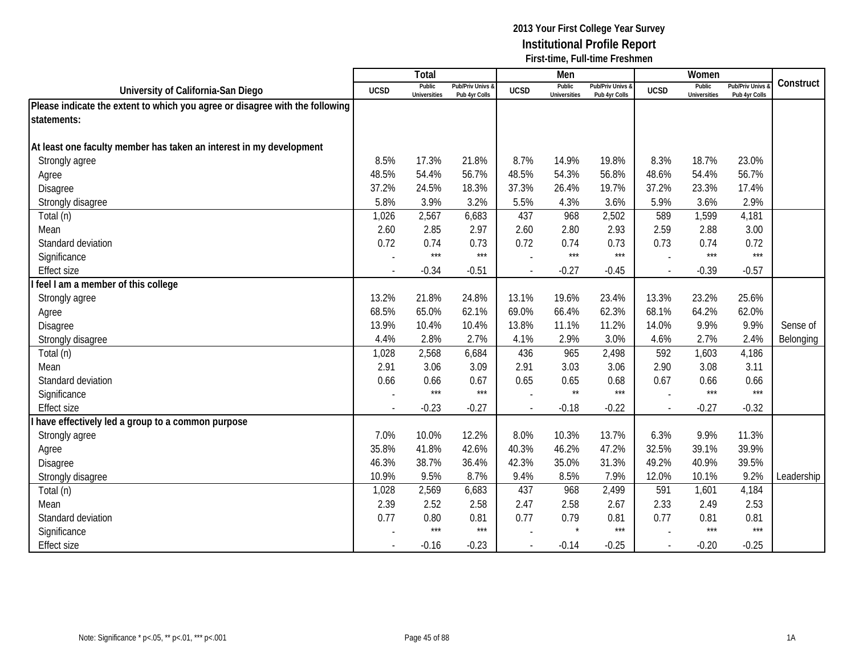|                                                                              |                          | <b>Total</b>                  |                                   |             | Men                           |                                   |                | Women                         |                                        |            |
|------------------------------------------------------------------------------|--------------------------|-------------------------------|-----------------------------------|-------------|-------------------------------|-----------------------------------|----------------|-------------------------------|----------------------------------------|------------|
| University of California-San Diego                                           | <b>UCSD</b>              | Public<br><b>Universities</b> | Pub/Priv Univs &<br>Pub 4yr Colls | <b>UCSD</b> | Public<br><b>Universities</b> | Pub/Priv Univs &<br>Pub 4yr Colls | <b>UCSD</b>    | Public<br><b>Universities</b> | <b>Pub/Priv Univs</b><br>Pub 4yr Colls | Construct  |
| Please indicate the extent to which you agree or disagree with the following |                          |                               |                                   |             |                               |                                   |                |                               |                                        |            |
| statements:                                                                  |                          |                               |                                   |             |                               |                                   |                |                               |                                        |            |
|                                                                              |                          |                               |                                   |             |                               |                                   |                |                               |                                        |            |
| At least one faculty member has taken an interest in my development          |                          |                               |                                   |             |                               |                                   |                |                               |                                        |            |
| Strongly agree                                                               | 8.5%                     | 17.3%                         | 21.8%                             | 8.7%        | 14.9%                         | 19.8%                             | 8.3%           | 18.7%                         | 23.0%                                  |            |
| Agree                                                                        | 48.5%                    | 54.4%                         | 56.7%                             | 48.5%       | 54.3%                         | 56.8%                             | 48.6%          | 54.4%                         | 56.7%                                  |            |
| Disagree                                                                     | 37.2%                    | 24.5%                         | 18.3%                             | 37.3%       | 26.4%                         | 19.7%                             | 37.2%          | 23.3%                         | 17.4%                                  |            |
| Strongly disagree                                                            | 5.8%                     | 3.9%                          | 3.2%                              | 5.5%        | 4.3%                          | 3.6%                              | 5.9%           | 3.6%                          | 2.9%                                   |            |
| Total (n)                                                                    | 1,026                    | 2,567                         | 6,683                             | 437         | 968                           | 2,502                             | 589            | 1,599                         | 4,181                                  |            |
| Mean                                                                         | 2.60                     | 2.85                          | 2.97                              | 2.60        | 2.80                          | 2.93                              | 2.59           | 2.88                          | 3.00                                   |            |
| Standard deviation                                                           | 0.72                     | 0.74                          | 0.73                              | 0.72        | 0.74                          | 0.73                              | 0.73           | 0.74                          | 0.72                                   |            |
| Significance                                                                 |                          | $***$                         | $***$                             |             | $***$                         | $***$                             |                | $***$                         | $***$                                  |            |
| <b>Effect size</b>                                                           |                          | $-0.34$                       | $-0.51$                           |             | $-0.27$                       | $-0.45$                           | $\sim$         | $-0.39$                       | $-0.57$                                |            |
| feel I am a member of this college                                           |                          |                               |                                   |             |                               |                                   |                |                               |                                        |            |
| Strongly agree                                                               | 13.2%                    | 21.8%                         | 24.8%                             | 13.1%       | 19.6%                         | 23.4%                             | 13.3%          | 23.2%                         | 25.6%                                  |            |
| Agree                                                                        | 68.5%                    | 65.0%                         | 62.1%                             | 69.0%       | 66.4%                         | 62.3%                             | 68.1%          | 64.2%                         | 62.0%                                  |            |
| <b>Disagree</b>                                                              | 13.9%                    | 10.4%                         | 10.4%                             | 13.8%       | 11.1%                         | 11.2%                             | 14.0%          | 9.9%                          | 9.9%                                   | Sense of   |
| Strongly disagree                                                            | 4.4%                     | 2.8%                          | 2.7%                              | 4.1%        | 2.9%                          | 3.0%                              | 4.6%           | 2.7%                          | 2.4%                                   | Belonging  |
| Total (n)                                                                    | 1,028                    | 2,568                         | 6,684                             | 436         | 965                           | 2,498                             | 592            | 1,603                         | 4,186                                  |            |
| Mean                                                                         | 2.91                     | 3.06                          | 3.09                              | 2.91        | 3.03                          | 3.06                              | 2.90           | 3.08                          | 3.11                                   |            |
| Standard deviation                                                           | 0.66                     | 0.66                          | 0.67                              | 0.65        | 0.65                          | 0.68                              | 0.67           | 0.66                          | 0.66                                   |            |
| Significance                                                                 |                          | $***$                         | $***$                             |             | $\star\star$                  | $***$                             |                | $***$                         | $***$                                  |            |
| <b>Effect size</b>                                                           | $\overline{\phantom{a}}$ | $-0.23$                       | $-0.27$                           |             | $-0.18$                       | $-0.22$                           | $\sim$         | $-0.27$                       | $-0.32$                                |            |
| have effectively led a group to a common purpose                             |                          |                               |                                   |             |                               |                                   |                |                               |                                        |            |
| Strongly agree                                                               | 7.0%                     | 10.0%                         | 12.2%                             | 8.0%        | 10.3%                         | 13.7%                             | 6.3%           | 9.9%                          | 11.3%                                  |            |
| Agree                                                                        | 35.8%                    | 41.8%                         | 42.6%                             | 40.3%       | 46.2%                         | 47.2%                             | 32.5%          | 39.1%                         | 39.9%                                  |            |
| Disagree                                                                     | 46.3%                    | 38.7%                         | 36.4%                             | 42.3%       | 35.0%                         | 31.3%                             | 49.2%          | 40.9%                         | 39.5%                                  |            |
| Strongly disagree                                                            | 10.9%                    | 9.5%                          | 8.7%                              | 9.4%        | 8.5%                          | 7.9%                              | 12.0%          | 10.1%                         | 9.2%                                   | Leadership |
| Total (n)                                                                    | 1,028                    | 2,569                         | 6,683                             | 437         | 968                           | 2,499                             | 591            | 1,601                         | 4,184                                  |            |
| Mean                                                                         | 2.39                     | 2.52                          | 2.58                              | 2.47        | 2.58                          | 2.67                              | 2.33           | 2.49                          | 2.53                                   |            |
| Standard deviation                                                           | 0.77                     | 0.80                          | 0.81                              | 0.77        | 0.79                          | 0.81                              | 0.77           | 0.81                          | 0.81                                   |            |
| Significance                                                                 |                          | $***$                         | $***$                             |             |                               | $***$                             |                | $***$                         | $***$                                  |            |
| <b>Effect size</b>                                                           |                          | $-0.16$                       | $-0.23$                           |             | $-0.14$                       | $-0.25$                           | $\overline{a}$ | $-0.20$                       | $-0.25$                                |            |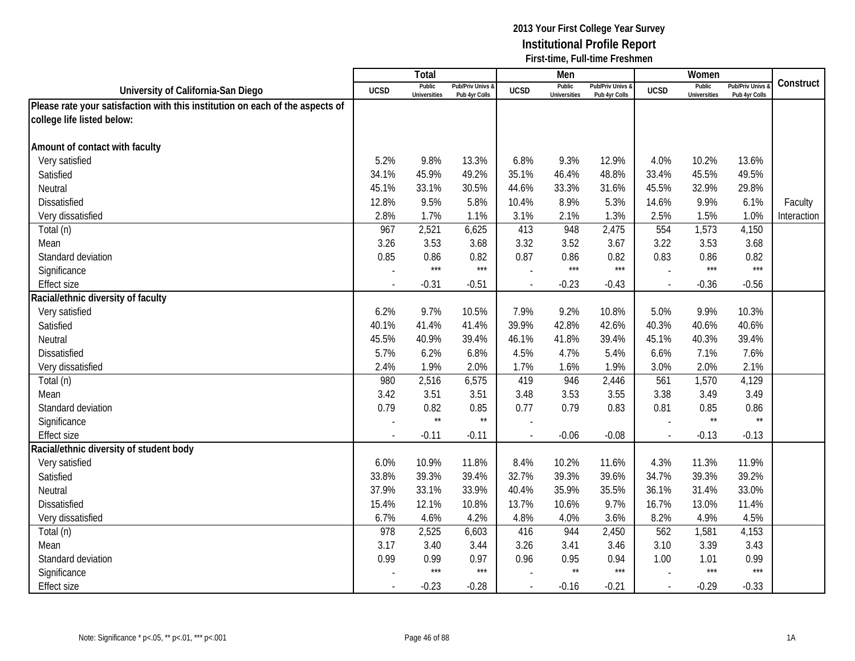|                                                                               |             | Total                         |                                   |                | Men                           |                                   |                          | Women                         |                                        |             |
|-------------------------------------------------------------------------------|-------------|-------------------------------|-----------------------------------|----------------|-------------------------------|-----------------------------------|--------------------------|-------------------------------|----------------------------------------|-------------|
| University of California-San Diego                                            | <b>UCSD</b> | Public<br><b>Universities</b> | Pub/Priv Univs &<br>Pub 4yr Colls | <b>UCSD</b>    | Public<br><b>Universities</b> | Pub/Priv Univs &<br>Pub 4yr Colls | <b>UCSD</b>              | Public<br><b>Universities</b> | <b>Pub/Priv Univs</b><br>Pub 4yr Colls | Construct   |
| Please rate your satisfaction with this institution on each of the aspects of |             |                               |                                   |                |                               |                                   |                          |                               |                                        |             |
| college life listed below:                                                    |             |                               |                                   |                |                               |                                   |                          |                               |                                        |             |
|                                                                               |             |                               |                                   |                |                               |                                   |                          |                               |                                        |             |
| Amount of contact with faculty                                                |             |                               |                                   |                |                               |                                   |                          |                               |                                        |             |
| Very satisfied                                                                | 5.2%        | 9.8%                          | 13.3%                             | 6.8%           | 9.3%                          | 12.9%                             | 4.0%                     | 10.2%                         | 13.6%                                  |             |
| Satisfied                                                                     | 34.1%       | 45.9%                         | 49.2%                             | 35.1%          | 46.4%                         | 48.8%                             | 33.4%                    | 45.5%                         | 49.5%                                  |             |
| Neutral                                                                       | 45.1%       | 33.1%                         | 30.5%                             | 44.6%          | 33.3%                         | 31.6%                             | 45.5%                    | 32.9%                         | 29.8%                                  |             |
| Dissatisfied                                                                  | 12.8%       | 9.5%                          | 5.8%                              | 10.4%          | 8.9%                          | 5.3%                              | 14.6%                    | 9.9%                          | 6.1%                                   | Faculty     |
| Very dissatisfied                                                             | 2.8%        | 1.7%                          | 1.1%                              | 3.1%           | 2.1%                          | 1.3%                              | 2.5%                     | 1.5%                          | 1.0%                                   | Interaction |
| Total (n)                                                                     | 967         | 2,521                         | 6,625                             | 413            | 948                           | 2,475                             | 554                      | 1,573                         | 4,150                                  |             |
| Mean                                                                          | 3.26        | 3.53                          | 3.68                              | 3.32           | 3.52                          | 3.67                              | 3.22                     | 3.53                          | 3.68                                   |             |
| Standard deviation                                                            | 0.85        | 0.86                          | 0.82                              | 0.87           | 0.86                          | 0.82                              | 0.83                     | 0.86                          | 0.82                                   |             |
| Significance                                                                  |             | $***$                         | $***$                             |                | $***$                         | $***$                             |                          | $***$                         | ***                                    |             |
| <b>Effect size</b>                                                            |             | $-0.31$                       | $-0.51$                           | $\blacksquare$ | $-0.23$                       | $-0.43$                           | $\overline{\phantom{a}}$ | $-0.36$                       | $-0.56$                                |             |
| Racial/ethnic diversity of faculty                                            |             |                               |                                   |                |                               |                                   |                          |                               |                                        |             |
| Very satisfied                                                                | 6.2%        | 9.7%                          | 10.5%                             | 7.9%           | 9.2%                          | 10.8%                             | 5.0%                     | 9.9%                          | 10.3%                                  |             |
| Satisfied                                                                     | 40.1%       | 41.4%                         | 41.4%                             | 39.9%          | 42.8%                         | 42.6%                             | 40.3%                    | 40.6%                         | 40.6%                                  |             |
| Neutral                                                                       | 45.5%       | 40.9%                         | 39.4%                             | 46.1%          | 41.8%                         | 39.4%                             | 45.1%                    | 40.3%                         | 39.4%                                  |             |
| <b>Dissatisfied</b>                                                           | 5.7%        | 6.2%                          | 6.8%                              | 4.5%           | 4.7%                          | 5.4%                              | 6.6%                     | 7.1%                          | 7.6%                                   |             |
| Very dissatisfied                                                             | 2.4%        | 1.9%                          | 2.0%                              | 1.7%           | 1.6%                          | 1.9%                              | 3.0%                     | 2.0%                          | 2.1%                                   |             |
| Total (n)                                                                     | 980         | 2,516                         | 6,575                             | 419            | 946                           | 2,446                             | 561                      | 1,570                         | 4,129                                  |             |
| Mean                                                                          | 3.42        | 3.51                          | 3.51                              | 3.48           | 3.53                          | 3.55                              | 3.38                     | 3.49                          | 3.49                                   |             |
| Standard deviation                                                            | 0.79        | 0.82                          | 0.85                              | 0.77           | 0.79                          | 0.83                              | 0.81                     | 0.85                          | 0.86                                   |             |
| Significance                                                                  |             | $\star\star$                  | $\star\star$                      |                |                               |                                   |                          | $\star\star$                  | $\star\star$                           |             |
| <b>Effect size</b>                                                            |             | $-0.11$                       | $-0.11$                           |                | $-0.06$                       | $-0.08$                           | $\overline{\phantom{a}}$ | $-0.13$                       | $-0.13$                                |             |
| Racial/ethnic diversity of student body                                       |             |                               |                                   |                |                               |                                   |                          |                               |                                        |             |
| Very satisfied                                                                | 6.0%        | 10.9%                         | 11.8%                             | 8.4%           | 10.2%                         | 11.6%                             | 4.3%                     | 11.3%                         | 11.9%                                  |             |
| Satisfied                                                                     | 33.8%       | 39.3%                         | 39.4%                             | 32.7%          | 39.3%                         | 39.6%                             | 34.7%                    | 39.3%                         | 39.2%                                  |             |
| Neutral                                                                       | 37.9%       | 33.1%                         | 33.9%                             | 40.4%          | 35.9%                         | 35.5%                             | 36.1%                    | 31.4%                         | 33.0%                                  |             |
| <b>Dissatisfied</b>                                                           | 15.4%       | 12.1%                         | 10.8%                             | 13.7%          | 10.6%                         | 9.7%                              | 16.7%                    | 13.0%                         | 11.4%                                  |             |
| Very dissatisfied                                                             | 6.7%        | 4.6%                          | 4.2%                              | 4.8%           | 4.0%                          | 3.6%                              | 8.2%                     | 4.9%                          | 4.5%                                   |             |
| Total (n)                                                                     | 978         | 2,525                         | 6,603                             | 416            | 944                           | 2,450                             | 562                      | 1,581                         | 4,153                                  |             |
| Mean                                                                          | 3.17        | 3.40                          | 3.44                              | 3.26           | 3.41                          | 3.46                              | 3.10                     | 3.39                          | 3.43                                   |             |
| Standard deviation                                                            | 0.99        | 0.99                          | 0.97                              | 0.96           | 0.95                          | 0.94                              | 1.00                     | 1.01                          | 0.99                                   |             |
| Significance                                                                  |             | $***$                         | $***$                             |                | $\star\star$                  | $***$                             |                          | $***$                         | $***$                                  |             |
| <b>Effect size</b>                                                            |             | $-0.23$                       | $-0.28$                           | $\blacksquare$ | $-0.16$                       | $-0.21$                           | $\mathbf{r}$             | $-0.29$                       | $-0.33$                                |             |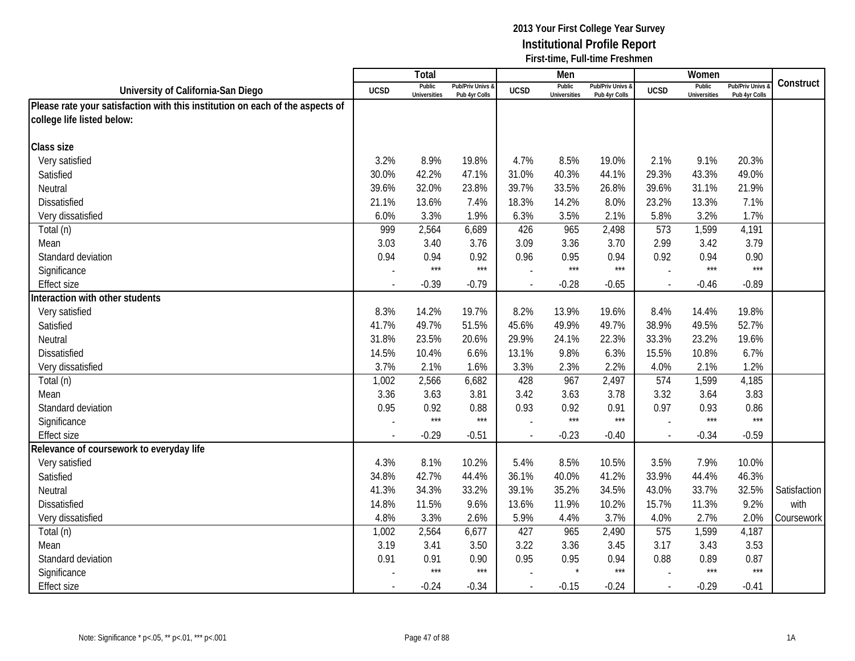|                                                                               |             | Total                         |                                   |                | Men                           |                                 |             | Women                         |                                        |              |
|-------------------------------------------------------------------------------|-------------|-------------------------------|-----------------------------------|----------------|-------------------------------|---------------------------------|-------------|-------------------------------|----------------------------------------|--------------|
| University of California-San Diego                                            | <b>UCSD</b> | Public<br><b>Universities</b> | Pub/Priv Univs &<br>Pub 4yr Colls | <b>UCSD</b>    | Public<br><b>Universities</b> | Pub/Priv Univs<br>Pub 4yr Colls | <b>UCSD</b> | Public<br><b>Universities</b> | <b>Pub/Priv Univs</b><br>Pub 4yr Colls | Construct    |
| Please rate your satisfaction with this institution on each of the aspects of |             |                               |                                   |                |                               |                                 |             |                               |                                        |              |
| college life listed below:                                                    |             |                               |                                   |                |                               |                                 |             |                               |                                        |              |
|                                                                               |             |                               |                                   |                |                               |                                 |             |                               |                                        |              |
| Class size                                                                    |             |                               |                                   |                |                               |                                 |             |                               |                                        |              |
| Very satisfied                                                                | 3.2%        | 8.9%                          | 19.8%                             | 4.7%           | 8.5%                          | 19.0%                           | 2.1%        | 9.1%                          | 20.3%                                  |              |
| Satisfied                                                                     | 30.0%       | 42.2%                         | 47.1%                             | 31.0%          | 40.3%                         | 44.1%                           | 29.3%       | 43.3%                         | 49.0%                                  |              |
| Neutral                                                                       | 39.6%       | 32.0%                         | 23.8%                             | 39.7%          | 33.5%                         | 26.8%                           | 39.6%       | 31.1%                         | 21.9%                                  |              |
| <b>Dissatisfied</b>                                                           | 21.1%       | 13.6%                         | 7.4%                              | 18.3%          | 14.2%                         | 8.0%                            | 23.2%       | 13.3%                         | 7.1%                                   |              |
| Very dissatisfied                                                             | 6.0%        | 3.3%                          | 1.9%                              | 6.3%           | 3.5%                          | 2.1%                            | 5.8%        | 3.2%                          | 1.7%                                   |              |
| Total (n)                                                                     | 999         | 2,564                         | 6,689                             | 426            | 965                           | 2,498                           | 573         | 1,599                         | 4,191                                  |              |
| Mean                                                                          | 3.03        | 3.40                          | 3.76                              | 3.09           | 3.36                          | 3.70                            | 2.99        | 3.42                          | 3.79                                   |              |
| Standard deviation                                                            | 0.94        | 0.94                          | 0.92                              | 0.96           | 0.95                          | 0.94                            | 0.92        | 0.94                          | 0.90                                   |              |
| Significance                                                                  |             | $***$                         | $***$                             |                | $***$                         | $***$                           |             | $***$                         | $***$                                  |              |
| <b>Effect size</b>                                                            |             | $-0.39$                       | $-0.79$                           |                | $-0.28$                       | $-0.65$                         |             | $-0.46$                       | $-0.89$                                |              |
| Interaction with other students                                               |             |                               |                                   |                |                               |                                 |             |                               |                                        |              |
| Very satisfied                                                                | 8.3%        | 14.2%                         | 19.7%                             | 8.2%           | 13.9%                         | 19.6%                           | 8.4%        | 14.4%                         | 19.8%                                  |              |
| Satisfied                                                                     | 41.7%       | 49.7%                         | 51.5%                             | 45.6%          | 49.9%                         | 49.7%                           | 38.9%       | 49.5%                         | 52.7%                                  |              |
| Neutral                                                                       | 31.8%       | 23.5%                         | 20.6%                             | 29.9%          | 24.1%                         | 22.3%                           | 33.3%       | 23.2%                         | 19.6%                                  |              |
| <b>Dissatisfied</b>                                                           | 14.5%       | 10.4%                         | 6.6%                              | 13.1%          | 9.8%                          | 6.3%                            | 15.5%       | 10.8%                         | 6.7%                                   |              |
| Very dissatisfied                                                             | 3.7%        | 2.1%                          | 1.6%                              | 3.3%           | 2.3%                          | 2.2%                            | 4.0%        | 2.1%                          | 1.2%                                   |              |
| Total (n)                                                                     | 1,002       | 2,566                         | 6,682                             | 428            | 967                           | 2,497                           | 574         | 1,599                         | 4,185                                  |              |
| Mean                                                                          | 3.36        | 3.63                          | 3.81                              | 3.42           | 3.63                          | 3.78                            | 3.32        | 3.64                          | 3.83                                   |              |
| Standard deviation                                                            | 0.95        | 0.92                          | 0.88                              | 0.93           | 0.92                          | 0.91                            | 0.97        | 0.93                          | 0.86                                   |              |
| Significance                                                                  |             | $***$                         | $***$                             |                | $***$                         | $***$                           |             | $***$                         | $***$                                  |              |
| <b>Effect size</b>                                                            |             | $-0.29$                       | $-0.51$                           |                | $-0.23$                       | $-0.40$                         |             | $-0.34$                       | $-0.59$                                |              |
| Relevance of coursework to everyday life                                      |             |                               |                                   |                |                               |                                 |             |                               |                                        |              |
| Very satisfied                                                                | 4.3%        | 8.1%                          | 10.2%                             | 5.4%           | 8.5%                          | 10.5%                           | 3.5%        | 7.9%                          | 10.0%                                  |              |
| Satisfied                                                                     | 34.8%       | 42.7%                         | 44.4%                             | 36.1%          | 40.0%                         | 41.2%                           | 33.9%       | 44.4%                         | 46.3%                                  |              |
| Neutral                                                                       | 41.3%       | 34.3%                         | 33.2%                             | 39.1%          | 35.2%                         | 34.5%                           | 43.0%       | 33.7%                         | 32.5%                                  | Satisfaction |
| Dissatisfied                                                                  | 14.8%       | 11.5%                         | 9.6%                              | 13.6%          | 11.9%                         | 10.2%                           | 15.7%       | 11.3%                         | 9.2%                                   | with         |
| Very dissatisfied                                                             | 4.8%        | 3.3%                          | 2.6%                              | 5.9%           | 4.4%                          | 3.7%                            | 4.0%        | 2.7%                          | 2.0%                                   | Coursework   |
| Total (n)                                                                     | 1,002       | 2,564                         | 6,677                             | 427            | 965                           | 2,490                           | 575         | 1,599                         | 4,187                                  |              |
| Mean                                                                          | 3.19        | 3.41                          | 3.50                              | 3.22           | 3.36                          | 3.45                            | 3.17        | 3.43                          | 3.53                                   |              |
| Standard deviation                                                            | 0.91        | 0.91                          | 0.90                              | 0.95           | 0.95                          | 0.94                            | 0.88        | 0.89                          | 0.87                                   |              |
| Significance                                                                  |             | $***$                         | $***$                             |                |                               | $***$                           |             | $***$                         | $***$                                  |              |
| <b>Effect size</b>                                                            |             | $-0.24$                       | $-0.34$                           | $\blacksquare$ | $-0.15$                       | $-0.24$                         | $\sim$      | $-0.29$                       | $-0.41$                                |              |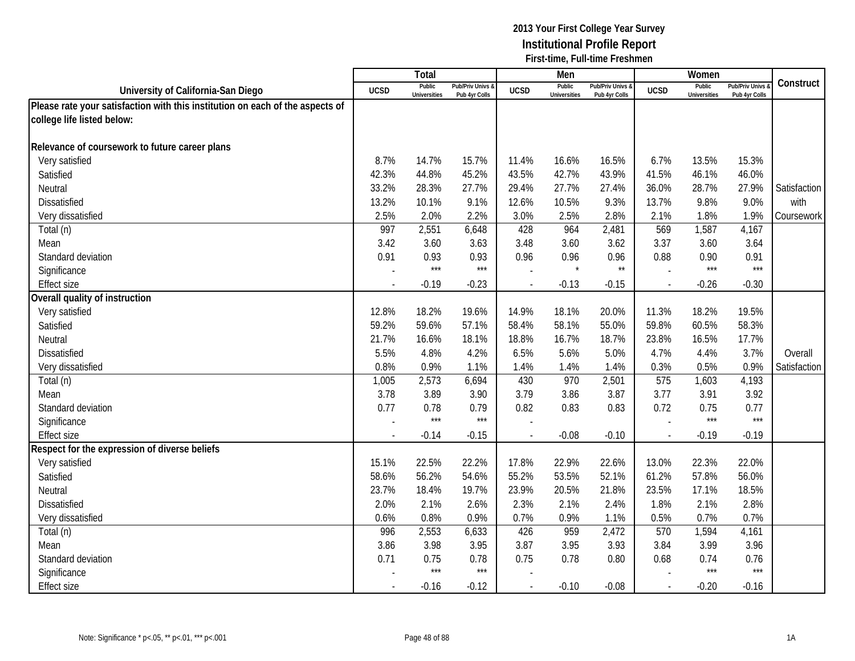|                                                                               |             | Total                         |                                   |                | Men                           |                                   |              | Women                         |                                        |              |
|-------------------------------------------------------------------------------|-------------|-------------------------------|-----------------------------------|----------------|-------------------------------|-----------------------------------|--------------|-------------------------------|----------------------------------------|--------------|
| University of California-San Diego                                            | <b>UCSD</b> | Public<br><b>Universities</b> | Pub/Priv Univs 8<br>Pub 4yr Colls | <b>UCSD</b>    | Public<br><b>Universities</b> | Pub/Priv Univs &<br>Pub 4yr Colls | <b>UCSD</b>  | Public<br><b>Universities</b> | <b>Pub/Priv Univs</b><br>Pub 4yr Colls | Construct    |
| Please rate your satisfaction with this institution on each of the aspects of |             |                               |                                   |                |                               |                                   |              |                               |                                        |              |
| college life listed below:                                                    |             |                               |                                   |                |                               |                                   |              |                               |                                        |              |
|                                                                               |             |                               |                                   |                |                               |                                   |              |                               |                                        |              |
| Relevance of coursework to future career plans                                |             |                               |                                   |                |                               |                                   |              |                               |                                        |              |
| Very satisfied                                                                | 8.7%        | 14.7%                         | 15.7%                             | 11.4%          | 16.6%                         | 16.5%                             | 6.7%         | 13.5%                         | 15.3%                                  |              |
| Satisfied                                                                     | 42.3%       | 44.8%                         | 45.2%                             | 43.5%          | 42.7%                         | 43.9%                             | 41.5%        | 46.1%                         | 46.0%                                  |              |
| Neutral                                                                       | 33.2%       | 28.3%                         | 27.7%                             | 29.4%          | 27.7%                         | 27.4%                             | 36.0%        | 28.7%                         | 27.9%                                  | Satisfaction |
| <b>Dissatisfied</b>                                                           | 13.2%       | 10.1%                         | 9.1%                              | 12.6%          | 10.5%                         | 9.3%                              | 13.7%        | 9.8%                          | 9.0%                                   | with         |
| Very dissatisfied                                                             | 2.5%        | 2.0%                          | 2.2%                              | 3.0%           | 2.5%                          | 2.8%                              | 2.1%         | 1.8%                          | 1.9%                                   | Coursework   |
| Total (n)                                                                     | 997         | 2,551                         | 6,648                             | 428            | 964                           | 2,481                             | 569          | 1,587                         | 4,167                                  |              |
| Mean                                                                          | 3.42        | 3.60                          | 3.63                              | 3.48           | 3.60                          | 3.62                              | 3.37         | 3.60                          | 3.64                                   |              |
| Standard deviation                                                            | 0.91        | 0.93                          | 0.93                              | 0.96           | 0.96                          | 0.96                              | 0.88         | 0.90                          | 0.91                                   |              |
| Significance                                                                  |             | $***$                         | $***$                             |                | $\star$                       | $\star\star$                      |              | $***$                         | $***$                                  |              |
| Effect size                                                                   |             | $-0.19$                       | $-0.23$                           |                | $-0.13$                       | $-0.15$                           |              | $-0.26$                       | $-0.30$                                |              |
| Overall quality of instruction                                                |             |                               |                                   |                |                               |                                   |              |                               |                                        |              |
| Very satisfied                                                                | 12.8%       | 18.2%                         | 19.6%                             | 14.9%          | 18.1%                         | 20.0%                             | 11.3%        | 18.2%                         | 19.5%                                  |              |
| Satisfied                                                                     | 59.2%       | 59.6%                         | 57.1%                             | 58.4%          | 58.1%                         | 55.0%                             | 59.8%        | 60.5%                         | 58.3%                                  |              |
| Neutral                                                                       | 21.7%       | 16.6%                         | 18.1%                             | 18.8%          | 16.7%                         | 18.7%                             | 23.8%        | 16.5%                         | 17.7%                                  |              |
| <b>Dissatisfied</b>                                                           | 5.5%        | 4.8%                          | 4.2%                              | 6.5%           | 5.6%                          | 5.0%                              | 4.7%         | 4.4%                          | 3.7%                                   | Overall      |
| Very dissatisfied                                                             | 0.8%        | 0.9%                          | 1.1%                              | 1.4%           | 1.4%                          | 1.4%                              | 0.3%         | 0.5%                          | 0.9%                                   | Satisfaction |
| Total (n)                                                                     | 1,005       | 2,573                         | 6,694                             | 430            | 970                           | 2,501                             | 575          | 1,603                         | 4,193                                  |              |
| Mean                                                                          | 3.78        | 3.89                          | 3.90                              | 3.79           | 3.86                          | 3.87                              | 3.77         | 3.91                          | 3.92                                   |              |
| Standard deviation                                                            | 0.77        | 0.78                          | 0.79                              | 0.82           | 0.83                          | 0.83                              | 0.72         | 0.75                          | 0.77                                   |              |
| Significance                                                                  |             | $***$                         | $***$                             |                |                               |                                   |              | $***$                         | $***$                                  |              |
| <b>Effect size</b>                                                            |             | $-0.14$                       | $-0.15$                           |                | $-0.08$                       | $-0.10$                           |              | $-0.19$                       | $-0.19$                                |              |
| Respect for the expression of diverse beliefs                                 |             |                               |                                   |                |                               |                                   |              |                               |                                        |              |
| Very satisfied                                                                | 15.1%       | 22.5%                         | 22.2%                             | 17.8%          | 22.9%                         | 22.6%                             | 13.0%        | 22.3%                         | 22.0%                                  |              |
| Satisfied                                                                     | 58.6%       | 56.2%                         | 54.6%                             | 55.2%          | 53.5%                         | 52.1%                             | 61.2%        | 57.8%                         | 56.0%                                  |              |
| Neutral                                                                       | 23.7%       | 18.4%                         | 19.7%                             | 23.9%          | 20.5%                         | 21.8%                             | 23.5%        | 17.1%                         | 18.5%                                  |              |
| <b>Dissatisfied</b>                                                           | 2.0%        | 2.1%                          | 2.6%                              | 2.3%           | 2.1%                          | 2.4%                              | 1.8%         | 2.1%                          | 2.8%                                   |              |
| Very dissatisfied                                                             | 0.6%        | 0.8%                          | 0.9%                              | 0.7%           | 0.9%                          | 1.1%                              | 0.5%         | 0.7%                          | 0.7%                                   |              |
| Total (n)                                                                     | 996         | 2,553                         | 6,633                             | 426            | 959                           | 2,472                             | 570          | 1,594                         | 4,161                                  |              |
| Mean                                                                          | 3.86        | 3.98                          | 3.95                              | 3.87           | 3.95                          | 3.93                              | 3.84         | 3.99                          | 3.96                                   |              |
| Standard deviation                                                            | 0.71        | 0.75                          | 0.78                              | 0.75           | 0.78                          | 0.80                              | 0.68         | 0.74                          | 0.76                                   |              |
| Significance                                                                  |             | $***$                         | $***$                             |                |                               |                                   |              | $***$                         | $***$                                  |              |
| <b>Effect size</b>                                                            |             | $-0.16$                       | $-0.12$                           | $\blacksquare$ | $-0.10$                       | $-0.08$                           | $\mathbf{r}$ | $-0.20$                       | $-0.16$                                |              |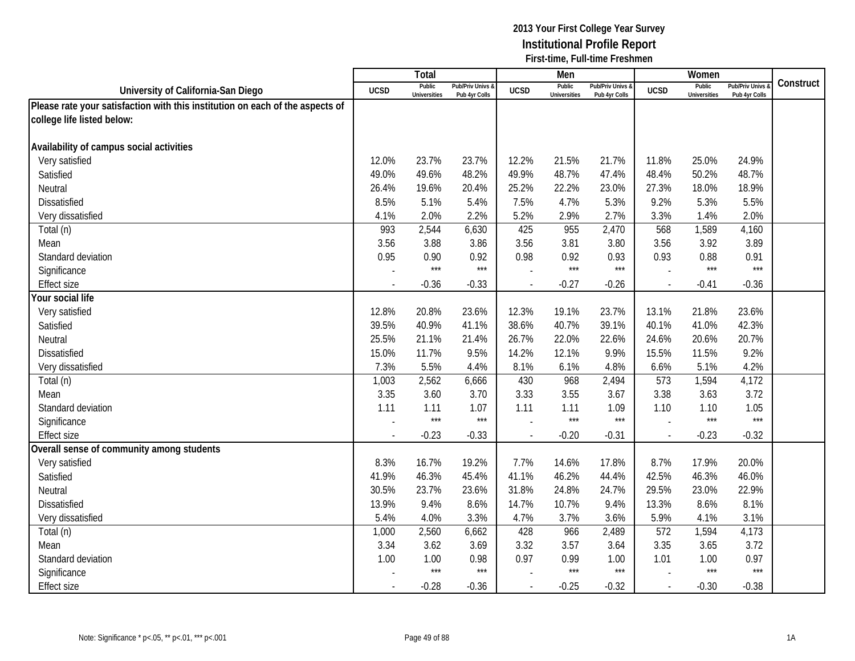|                                                                               |             | Total                         |                                   |                | Men                           |                                   |             | Women                         |                                        |           |
|-------------------------------------------------------------------------------|-------------|-------------------------------|-----------------------------------|----------------|-------------------------------|-----------------------------------|-------------|-------------------------------|----------------------------------------|-----------|
| University of California-San Diego                                            | <b>UCSD</b> | Public<br><b>Universities</b> | Pub/Priv Univs &<br>Pub 4yr Colls | <b>UCSD</b>    | Public<br><b>Universities</b> | Pub/Priv Univs &<br>Pub 4yr Colls | <b>UCSD</b> | Public<br><b>Universities</b> | <b>Pub/Priv Univs</b><br>Pub 4yr Colls | Construct |
| Please rate your satisfaction with this institution on each of the aspects of |             |                               |                                   |                |                               |                                   |             |                               |                                        |           |
| college life listed below:                                                    |             |                               |                                   |                |                               |                                   |             |                               |                                        |           |
|                                                                               |             |                               |                                   |                |                               |                                   |             |                               |                                        |           |
| Availability of campus social activities                                      |             |                               |                                   |                |                               |                                   |             |                               |                                        |           |
| Very satisfied                                                                | 12.0%       | 23.7%                         | 23.7%                             | 12.2%          | 21.5%                         | 21.7%                             | 11.8%       | 25.0%                         | 24.9%                                  |           |
| Satisfied                                                                     | 49.0%       | 49.6%                         | 48.2%                             | 49.9%          | 48.7%                         | 47.4%                             | 48.4%       | 50.2%                         | 48.7%                                  |           |
| Neutral                                                                       | 26.4%       | 19.6%                         | 20.4%                             | 25.2%          | 22.2%                         | 23.0%                             | 27.3%       | 18.0%                         | 18.9%                                  |           |
| Dissatisfied                                                                  | 8.5%        | 5.1%                          | 5.4%                              | 7.5%           | 4.7%                          | 5.3%                              | 9.2%        | 5.3%                          | 5.5%                                   |           |
| Very dissatisfied                                                             | 4.1%        | 2.0%                          | 2.2%                              | 5.2%           | 2.9%                          | 2.7%                              | 3.3%        | 1.4%                          | 2.0%                                   |           |
| Total (n)                                                                     | 993         | 2,544                         | 6,630                             | 425            | 955                           | 2,470                             | 568         | 1,589                         | 4,160                                  |           |
| Mean                                                                          | 3.56        | 3.88                          | 3.86                              | 3.56           | 3.81                          | 3.80                              | 3.56        | 3.92                          | 3.89                                   |           |
| Standard deviation                                                            | 0.95        | 0.90                          | 0.92                              | 0.98           | 0.92                          | 0.93                              | 0.93        | 0.88                          | 0.91                                   |           |
| Significance                                                                  |             | $***$                         | $***$                             |                | $***$                         | $***$                             |             | $***$                         | $***$                                  |           |
| <b>Effect size</b>                                                            |             | $-0.36$                       | $-0.33$                           | $\blacksquare$ | $-0.27$                       | $-0.26$                           | $\sim$      | $-0.41$                       | $-0.36$                                |           |
| Your social life                                                              |             |                               |                                   |                |                               |                                   |             |                               |                                        |           |
| Very satisfied                                                                | 12.8%       | 20.8%                         | 23.6%                             | 12.3%          | 19.1%                         | 23.7%                             | 13.1%       | 21.8%                         | 23.6%                                  |           |
| Satisfied                                                                     | 39.5%       | 40.9%                         | 41.1%                             | 38.6%          | 40.7%                         | 39.1%                             | 40.1%       | 41.0%                         | 42.3%                                  |           |
| Neutral                                                                       | 25.5%       | 21.1%                         | 21.4%                             | 26.7%          | 22.0%                         | 22.6%                             | 24.6%       | 20.6%                         | 20.7%                                  |           |
| <b>Dissatisfied</b>                                                           | 15.0%       | 11.7%                         | 9.5%                              | 14.2%          | 12.1%                         | 9.9%                              | 15.5%       | 11.5%                         | 9.2%                                   |           |
| Very dissatisfied                                                             | 7.3%        | 5.5%                          | 4.4%                              | 8.1%           | 6.1%                          | 4.8%                              | 6.6%        | 5.1%                          | 4.2%                                   |           |
| Total (n)                                                                     | 1,003       | 2,562                         | 6,666                             | 430            | 968                           | 2,494                             | 573         | 1,594                         | 4,172                                  |           |
| Mean                                                                          | 3.35        | 3.60                          | 3.70                              | 3.33           | 3.55                          | 3.67                              | 3.38        | 3.63                          | 3.72                                   |           |
| Standard deviation                                                            | 1.11        | 1.11                          | 1.07                              | 1.11           | 1.11                          | 1.09                              | 1.10        | 1.10                          | 1.05                                   |           |
| Significance                                                                  |             | $***$                         | $***$                             |                | $***$                         | $***$                             |             | $***$                         | $***$                                  |           |
| <b>Effect size</b>                                                            |             | $-0.23$                       | $-0.33$                           |                | $-0.20$                       | $-0.31$                           | $\sim$      | $-0.23$                       | $-0.32$                                |           |
| Overall sense of community among students                                     |             |                               |                                   |                |                               |                                   |             |                               |                                        |           |
| Very satisfied                                                                | 8.3%        | 16.7%                         | 19.2%                             | 7.7%           | 14.6%                         | 17.8%                             | 8.7%        | 17.9%                         | 20.0%                                  |           |
| Satisfied                                                                     | 41.9%       | 46.3%                         | 45.4%                             | 41.1%          | 46.2%                         | 44.4%                             | 42.5%       | 46.3%                         | 46.0%                                  |           |
| Neutral                                                                       | 30.5%       | 23.7%                         | 23.6%                             | 31.8%          | 24.8%                         | 24.7%                             | 29.5%       | 23.0%                         | 22.9%                                  |           |
| <b>Dissatisfied</b>                                                           | 13.9%       | 9.4%                          | 8.6%                              | 14.7%          | 10.7%                         | 9.4%                              | 13.3%       | 8.6%                          | 8.1%                                   |           |
| Very dissatisfied                                                             | 5.4%        | 4.0%                          | 3.3%                              | 4.7%           | 3.7%                          | 3.6%                              | 5.9%        | 4.1%                          | 3.1%                                   |           |
| Total (n)                                                                     | 1,000       | 2,560                         | 6,662                             | 428            | 966                           | 2,489                             | 572         | 1,594                         | 4,173                                  |           |
| Mean                                                                          | 3.34        | 3.62                          | 3.69                              | 3.32           | 3.57                          | 3.64                              | 3.35        | 3.65                          | 3.72                                   |           |
| Standard deviation                                                            | 1.00        | 1.00                          | 0.98                              | 0.97           | 0.99                          | 1.00                              | 1.01        | 1.00                          | 0.97                                   |           |
| Significance                                                                  |             | $***$                         | $***$                             |                | $***$                         | $***$                             |             | $***$                         | $***$                                  |           |
| <b>Effect size</b>                                                            |             | $-0.28$                       | $-0.36$                           | $\blacksquare$ | $-0.25$                       | $-0.32$                           | $\sim$      | $-0.30$                       | $-0.38$                                |           |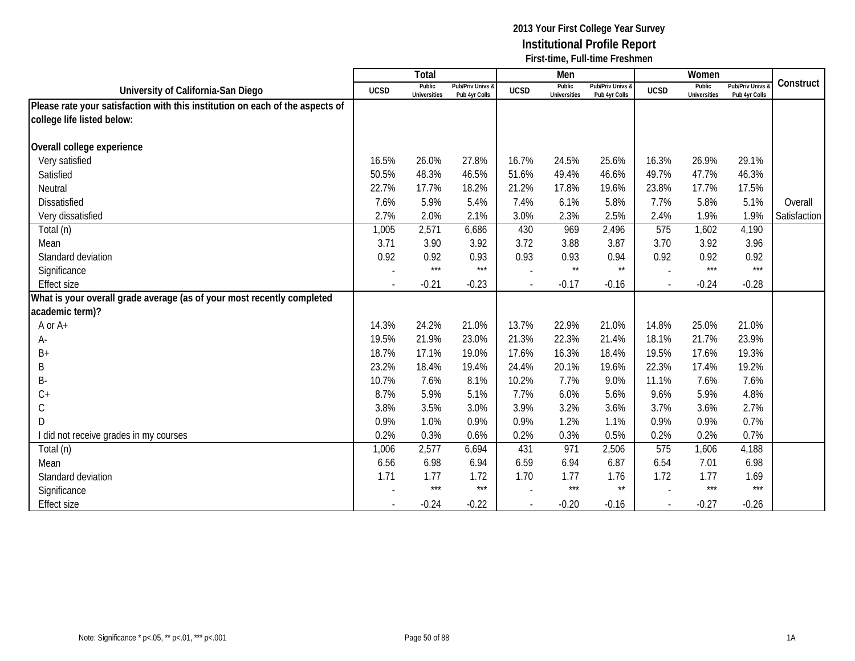|                                                                               |             | Total                         |                                   |                | Men                           |                                   |             | Women                         |                                        |              |
|-------------------------------------------------------------------------------|-------------|-------------------------------|-----------------------------------|----------------|-------------------------------|-----------------------------------|-------------|-------------------------------|----------------------------------------|--------------|
| University of California-San Diego                                            | <b>UCSD</b> | Public<br><b>Universities</b> | Pub/Priv Univs &<br>Pub 4yr Colls | <b>UCSD</b>    | Public<br><b>Universities</b> | Pub/Priv Univs &<br>Pub 4yr Colls | <b>UCSD</b> | Public<br><b>Universities</b> | <b>Pub/Priv Univs</b><br>Pub 4yr Colls | Construct    |
| Please rate your satisfaction with this institution on each of the aspects of |             |                               |                                   |                |                               |                                   |             |                               |                                        |              |
| college life listed below:                                                    |             |                               |                                   |                |                               |                                   |             |                               |                                        |              |
|                                                                               |             |                               |                                   |                |                               |                                   |             |                               |                                        |              |
| Overall college experience                                                    |             |                               |                                   |                |                               |                                   |             |                               |                                        |              |
| Very satisfied                                                                | 16.5%       | 26.0%                         | 27.8%                             | 16.7%          | 24.5%                         | 25.6%                             | 16.3%       | 26.9%                         | 29.1%                                  |              |
| Satisfied                                                                     | 50.5%       | 48.3%                         | 46.5%                             | 51.6%          | 49.4%                         | 46.6%                             | 49.7%       | 47.7%                         | 46.3%                                  |              |
| Neutral                                                                       | 22.7%       | 17.7%                         | 18.2%                             | 21.2%          | 17.8%                         | 19.6%                             | 23.8%       | 17.7%                         | 17.5%                                  |              |
| Dissatisfied                                                                  | 7.6%        | 5.9%                          | 5.4%                              | 7.4%           | 6.1%                          | 5.8%                              | 7.7%        | 5.8%                          | 5.1%                                   | Overall      |
| Very dissatisfied                                                             | 2.7%        | 2.0%                          | 2.1%                              | 3.0%           | 2.3%                          | 2.5%                              | 2.4%        | 1.9%                          | 1.9%                                   | Satisfaction |
| Total (n)                                                                     | 1,005       | 2,571                         | 6,686                             | 430            | 969                           | 2,496                             | 575         | 1,602                         | 4,190                                  |              |
| Mean                                                                          | 3.71        | 3.90                          | 3.92                              | 3.72           | 3.88                          | 3.87                              | 3.70        | 3.92                          | 3.96                                   |              |
| Standard deviation                                                            | 0.92        | 0.92                          | 0.93                              | 0.93           | 0.93                          | 0.94                              | 0.92        | 0.92                          | 0.92                                   |              |
| Significance                                                                  |             | $***$                         | ***                               |                | $\star\star$                  | $\star\star$                      |             | $***$                         | $***$                                  |              |
| <b>Effect size</b>                                                            |             | $-0.21$                       | $-0.23$                           | $\blacksquare$ | $-0.17$                       | $-0.16$                           |             | $-0.24$                       | $-0.28$                                |              |
| What is your overall grade average (as of your most recently completed        |             |                               |                                   |                |                               |                                   |             |                               |                                        |              |
| academic term)?                                                               |             |                               |                                   |                |                               |                                   |             |                               |                                        |              |
| A or A+                                                                       | 14.3%       | 24.2%                         | 21.0%                             | 13.7%          | 22.9%                         | 21.0%                             | 14.8%       | 25.0%                         | 21.0%                                  |              |
| А-                                                                            | 19.5%       | 21.9%                         | 23.0%                             | 21.3%          | 22.3%                         | 21.4%                             | 18.1%       | 21.7%                         | 23.9%                                  |              |
| $B+$                                                                          | 18.7%       | 17.1%                         | 19.0%                             | 17.6%          | 16.3%                         | 18.4%                             | 19.5%       | 17.6%                         | 19.3%                                  |              |
| B                                                                             | 23.2%       | 18.4%                         | 19.4%                             | 24.4%          | 20.1%                         | 19.6%                             | 22.3%       | 17.4%                         | 19.2%                                  |              |
| <b>B-</b>                                                                     | 10.7%       | 7.6%                          | 8.1%                              | 10.2%          | 7.7%                          | 9.0%                              | 11.1%       | 7.6%                          | 7.6%                                   |              |
| $C+$                                                                          | 8.7%        | 5.9%                          | 5.1%                              | 7.7%           | 6.0%                          | 5.6%                              | 9.6%        | 5.9%                          | 4.8%                                   |              |
| $\mathsf C$                                                                   | 3.8%        | 3.5%                          | 3.0%                              | 3.9%           | 3.2%                          | 3.6%                              | 3.7%        | 3.6%                          | 2.7%                                   |              |
| D                                                                             | 0.9%        | 1.0%                          | 0.9%                              | 0.9%           | 1.2%                          | 1.1%                              | 0.9%        | 0.9%                          | 0.7%                                   |              |
| I did not receive grades in my courses                                        | 0.2%        | 0.3%                          | 0.6%                              | 0.2%           | 0.3%                          | 0.5%                              | 0.2%        | 0.2%                          | 0.7%                                   |              |
| Total (n)                                                                     | 1,006       | 2,577                         | 6,694                             | 431            | 971                           | 2,506                             | 575         | 1,606                         | 4,188                                  |              |
| Mean                                                                          | 6.56        | 6.98                          | 6.94                              | 6.59           | 6.94                          | 6.87                              | 6.54        | 7.01                          | 6.98                                   |              |
| Standard deviation                                                            | 1.71        | 1.77                          | 1.72                              | 1.70           | 1.77                          | 1.76                              | 1.72        | 1.77                          | 1.69                                   |              |
| Significance                                                                  |             | $***$                         | $***$                             |                | $***$                         | $\star\star$                      |             | $***$                         | $***$                                  |              |
| <b>Effect size</b>                                                            |             | $-0.24$                       | $-0.22$                           |                | $-0.20$                       | $-0.16$                           |             | $-0.27$                       | $-0.26$                                |              |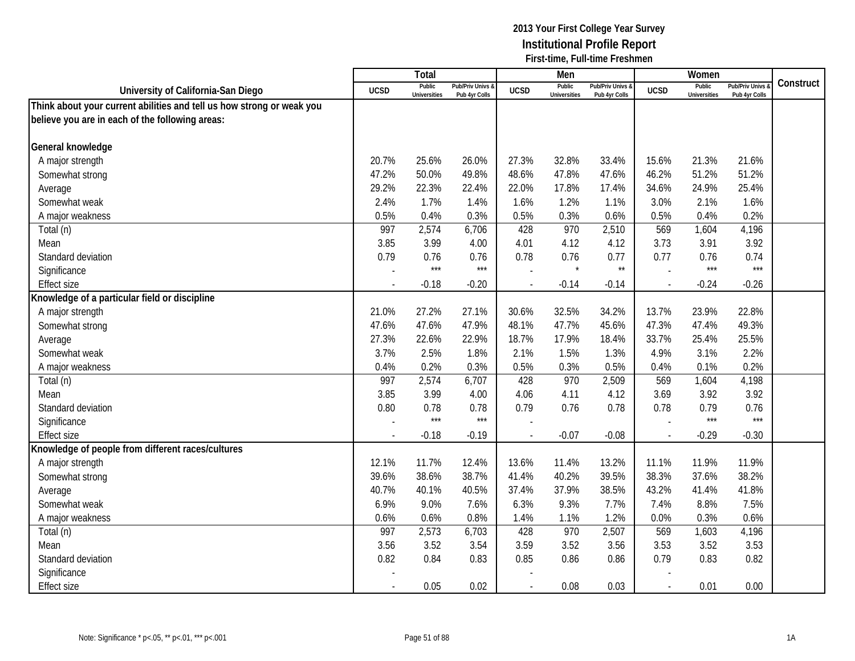|                                                                       |                | <b>Total</b>                  |                                   |                          | Men                           |                                 |             | Women                         |                                        |           |
|-----------------------------------------------------------------------|----------------|-------------------------------|-----------------------------------|--------------------------|-------------------------------|---------------------------------|-------------|-------------------------------|----------------------------------------|-----------|
| University of California-San Diego                                    | <b>UCSD</b>    | Public<br><b>Universities</b> | Pub/Priv Univs &<br>Pub 4yr Colls | <b>UCSD</b>              | Public<br><b>Universities</b> | Pub/Priv Univs<br>Pub 4yr Colls | <b>UCSD</b> | Public<br><b>Universities</b> | <b>Pub/Priv Univs</b><br>Pub 4yr Colls | Construct |
| Think about your current abilities and tell us how strong or weak you |                |                               |                                   |                          |                               |                                 |             |                               |                                        |           |
| believe you are in each of the following areas:                       |                |                               |                                   |                          |                               |                                 |             |                               |                                        |           |
|                                                                       |                |                               |                                   |                          |                               |                                 |             |                               |                                        |           |
| General knowledge                                                     |                |                               |                                   |                          |                               |                                 |             |                               |                                        |           |
| A major strength                                                      | 20.7%          | 25.6%                         | 26.0%                             | 27.3%                    | 32.8%                         | 33.4%                           | 15.6%       | 21.3%                         | 21.6%                                  |           |
| Somewhat strong                                                       | 47.2%          | 50.0%                         | 49.8%                             | 48.6%                    | 47.8%                         | 47.6%                           | 46.2%       | 51.2%                         | 51.2%                                  |           |
| Average                                                               | 29.2%          | 22.3%                         | 22.4%                             | 22.0%                    | 17.8%                         | 17.4%                           | 34.6%       | 24.9%                         | 25.4%                                  |           |
| Somewhat weak                                                         | 2.4%           | 1.7%                          | 1.4%                              | 1.6%                     | 1.2%                          | 1.1%                            | 3.0%        | 2.1%                          | 1.6%                                   |           |
| A major weakness                                                      | 0.5%           | 0.4%                          | 0.3%                              | 0.5%                     | 0.3%                          | 0.6%                            | 0.5%        | 0.4%                          | 0.2%                                   |           |
| Total (n)                                                             | 997            | 2,574                         | 6,706                             | 428                      | 970                           | 2,510                           | 569         | 1,604                         | 4,196                                  |           |
| Mean                                                                  | 3.85           | 3.99                          | 4.00                              | 4.01                     | 4.12                          | 4.12                            | 3.73        | 3.91                          | 3.92                                   |           |
| Standard deviation                                                    | 0.79           | 0.76                          | 0.76                              | 0.78                     | 0.76                          | 0.77                            | 0.77        | 0.76                          | 0.74                                   |           |
| Significance                                                          |                | $***$                         | $***$                             |                          | $\star$                       | $\star\star$                    |             | $***$                         | $***$                                  |           |
| <b>Effect size</b>                                                    |                | $-0.18$                       | $-0.20$                           |                          | $-0.14$                       | $-0.14$                         |             | $-0.24$                       | $-0.26$                                |           |
| Knowledge of a particular field or discipline                         |                |                               |                                   |                          |                               |                                 |             |                               |                                        |           |
| A major strength                                                      | 21.0%          | 27.2%                         | 27.1%                             | 30.6%                    | 32.5%                         | 34.2%                           | 13.7%       | 23.9%                         | 22.8%                                  |           |
| Somewhat strong                                                       | 47.6%          | 47.6%                         | 47.9%                             | 48.1%                    | 47.7%                         | 45.6%                           | 47.3%       | 47.4%                         | 49.3%                                  |           |
| Average                                                               | 27.3%          | 22.6%                         | 22.9%                             | 18.7%                    | 17.9%                         | 18.4%                           | 33.7%       | 25.4%                         | 25.5%                                  |           |
| Somewhat weak                                                         | 3.7%           | 2.5%                          | 1.8%                              | 2.1%                     | 1.5%                          | 1.3%                            | 4.9%        | 3.1%                          | 2.2%                                   |           |
| A major weakness                                                      | 0.4%           | 0.2%                          | 0.3%                              | 0.5%                     | 0.3%                          | 0.5%                            | 0.4%        | 0.1%                          | 0.2%                                   |           |
| Total (n)                                                             | 997            | 2,574                         | 6,707                             | 428                      | 970                           | 2,509                           | 569         | 1,604                         | 4,198                                  |           |
| Mean                                                                  | 3.85           | 3.99                          | 4.00                              | 4.06                     | 4.11                          | 4.12                            | 3.69        | 3.92                          | 3.92                                   |           |
| Standard deviation                                                    | 0.80           | 0.78                          | 0.78                              | 0.79                     | 0.76                          | 0.78                            | 0.78        | 0.79                          | 0.76                                   |           |
| Significance                                                          |                | $***$                         | $***$                             |                          |                               |                                 |             | $***$                         | $***$                                  |           |
| <b>Effect size</b>                                                    |                | $-0.18$                       | $-0.19$                           |                          | $-0.07$                       | $-0.08$                         |             | $-0.29$                       | $-0.30$                                |           |
| Knowledge of people from different races/cultures                     |                |                               |                                   |                          |                               |                                 |             |                               |                                        |           |
| A major strength                                                      | 12.1%          | 11.7%                         | 12.4%                             | 13.6%                    | 11.4%                         | 13.2%                           | 11.1%       | 11.9%                         | 11.9%                                  |           |
| Somewhat strong                                                       | 39.6%          | 38.6%                         | 38.7%                             | 41.4%                    | 40.2%                         | 39.5%                           | 38.3%       | 37.6%                         | 38.2%                                  |           |
| Average                                                               | 40.7%          | 40.1%                         | 40.5%                             | 37.4%                    | 37.9%                         | 38.5%                           | 43.2%       | 41.4%                         | 41.8%                                  |           |
| Somewhat weak                                                         | 6.9%           | 9.0%                          | 7.6%                              | 6.3%                     | 9.3%                          | 7.7%                            | 7.4%        | 8.8%                          | 7.5%                                   |           |
| A major weakness                                                      | 0.6%           | 0.6%                          | 0.8%                              | 1.4%                     | 1.1%                          | 1.2%                            | 0.0%        | 0.3%                          | 0.6%                                   |           |
| Total (n)                                                             | 997            | 2,573                         | 6,703                             | 428                      | 970                           | 2,507                           | 569         | 1,603                         | 4,196                                  |           |
| Mean                                                                  | 3.56           | 3.52                          | 3.54                              | 3.59                     | 3.52                          | 3.56                            | 3.53        | 3.52                          | 3.53                                   |           |
| Standard deviation                                                    | 0.82           | 0.84                          | 0.83                              | 0.85                     | 0.86                          | 0.86                            | 0.79        | 0.83                          | 0.82                                   |           |
| Significance                                                          |                |                               |                                   |                          |                               |                                 |             |                               |                                        |           |
| <b>Effect size</b>                                                    | $\blacksquare$ | 0.05                          | 0.02                              | $\overline{\phantom{a}}$ | 0.08                          | 0.03                            | $\sim$      | 0.01                          | 0.00                                   |           |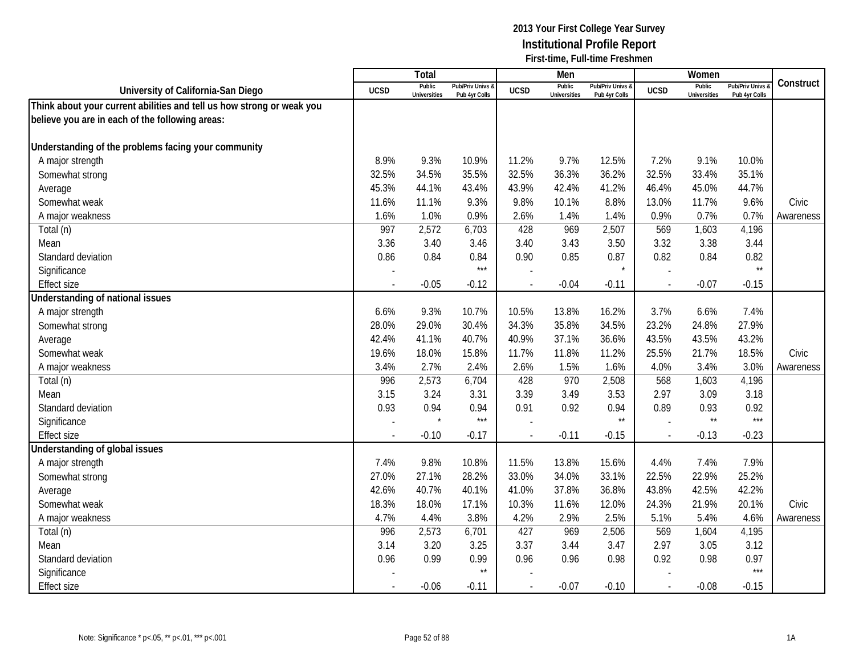|                                                                       |                          | <b>Total</b>                  |                                   |                | Men                           |                                   |                          | Women                         |                                        |           |
|-----------------------------------------------------------------------|--------------------------|-------------------------------|-----------------------------------|----------------|-------------------------------|-----------------------------------|--------------------------|-------------------------------|----------------------------------------|-----------|
| University of California-San Diego                                    | <b>UCSD</b>              | Public<br><b>Universities</b> | Pub/Priv Univs &<br>Pub 4yr Colls | <b>UCSD</b>    | Public<br><b>Universities</b> | Pub/Priv Univs &<br>Pub 4yr Colls | <b>UCSD</b>              | Public<br><b>Universities</b> | <b>Pub/Priv Univs</b><br>Pub 4yr Colls | Construct |
| Think about your current abilities and tell us how strong or weak you |                          |                               |                                   |                |                               |                                   |                          |                               |                                        |           |
| believe you are in each of the following areas:                       |                          |                               |                                   |                |                               |                                   |                          |                               |                                        |           |
|                                                                       |                          |                               |                                   |                |                               |                                   |                          |                               |                                        |           |
| Understanding of the problems facing your community                   |                          |                               |                                   |                |                               |                                   |                          |                               |                                        |           |
| A major strength                                                      | 8.9%                     | 9.3%                          | 10.9%                             | 11.2%          | 9.7%                          | 12.5%                             | 7.2%                     | 9.1%                          | 10.0%                                  |           |
| Somewhat strong                                                       | 32.5%                    | 34.5%                         | 35.5%                             | 32.5%          | 36.3%                         | 36.2%                             | 32.5%                    | 33.4%                         | 35.1%                                  |           |
| Average                                                               | 45.3%                    | 44.1%                         | 43.4%                             | 43.9%          | 42.4%                         | 41.2%                             | 46.4%                    | 45.0%                         | 44.7%                                  |           |
| Somewhat weak                                                         | 11.6%                    | 11.1%                         | 9.3%                              | 9.8%           | 10.1%                         | 8.8%                              | 13.0%                    | 11.7%                         | 9.6%                                   | Civic     |
| A major weakness                                                      | 1.6%                     | 1.0%                          | 0.9%                              | 2.6%           | 1.4%                          | 1.4%                              | 0.9%                     | 0.7%                          | 0.7%                                   | Awareness |
| Total (n)                                                             | 997                      | 2,572                         | 6,703                             | 428            | 969                           | 2,507                             | 569                      | 1,603                         | 4,196                                  |           |
| Mean                                                                  | 3.36                     | 3.40                          | 3.46                              | 3.40           | 3.43                          | 3.50                              | 3.32                     | 3.38                          | 3.44                                   |           |
| Standard deviation                                                    | 0.86                     | 0.84                          | 0.84                              | 0.90           | 0.85                          | 0.87                              | 0.82                     | 0.84                          | 0.82                                   |           |
| Significance                                                          |                          |                               | $***$                             |                |                               | $\star$                           |                          |                               | $\star\star$                           |           |
| <b>Effect size</b>                                                    |                          | $-0.05$                       | $-0.12$                           |                | $-0.04$                       | $-0.11$                           |                          | $-0.07$                       | $-0.15$                                |           |
| Understanding of national issues                                      |                          |                               |                                   |                |                               |                                   |                          |                               |                                        |           |
| A major strength                                                      | 6.6%                     | 9.3%                          | 10.7%                             | 10.5%          | 13.8%                         | 16.2%                             | 3.7%                     | 6.6%                          | 7.4%                                   |           |
| Somewhat strong                                                       | 28.0%                    | 29.0%                         | 30.4%                             | 34.3%          | 35.8%                         | 34.5%                             | 23.2%                    | 24.8%                         | 27.9%                                  |           |
| Average                                                               | 42.4%                    | 41.1%                         | 40.7%                             | 40.9%          | 37.1%                         | 36.6%                             | 43.5%                    | 43.5%                         | 43.2%                                  |           |
| Somewhat weak                                                         | 19.6%                    | 18.0%                         | 15.8%                             | 11.7%          | 11.8%                         | 11.2%                             | 25.5%                    | 21.7%                         | 18.5%                                  | Civic     |
| A major weakness                                                      | 3.4%                     | 2.7%                          | 2.4%                              | 2.6%           | 1.5%                          | 1.6%                              | 4.0%                     | 3.4%                          | 3.0%                                   | Awareness |
| Total (n)                                                             | 996                      | 2,573                         | 6,704                             | 428            | 970                           | 2,508                             | 568                      | 1,603                         | 4,196                                  |           |
| Mean                                                                  | 3.15                     | 3.24                          | 3.31                              | 3.39           | 3.49                          | 3.53                              | 2.97                     | 3.09                          | 3.18                                   |           |
| Standard deviation                                                    | 0.93                     | 0.94                          | 0.94                              | 0.91           | 0.92                          | 0.94                              | 0.89                     | 0.93                          | 0.92                                   |           |
| Significance                                                          |                          |                               | $***$                             |                |                               | $\star\star$                      |                          | $^{\star\star}$               | $***$                                  |           |
| <b>Effect size</b>                                                    | $\overline{\phantom{a}}$ | $-0.10$                       | $-0.17$                           |                | $-0.11$                       | $-0.15$                           | $\overline{\phantom{a}}$ | $-0.13$                       | $-0.23$                                |           |
| Understanding of global issues                                        |                          |                               |                                   |                |                               |                                   |                          |                               |                                        |           |
| A major strength                                                      | 7.4%                     | 9.8%                          | 10.8%                             | 11.5%          | 13.8%                         | 15.6%                             | 4.4%                     | 7.4%                          | 7.9%                                   |           |
| Somewhat strong                                                       | 27.0%                    | 27.1%                         | 28.2%                             | 33.0%          | 34.0%                         | 33.1%                             | 22.5%                    | 22.9%                         | 25.2%                                  |           |
| Average                                                               | 42.6%                    | 40.7%                         | 40.1%                             | 41.0%          | 37.8%                         | 36.8%                             | 43.8%                    | 42.5%                         | 42.2%                                  |           |
| Somewhat weak                                                         | 18.3%                    | 18.0%                         | 17.1%                             | 10.3%          | 11.6%                         | 12.0%                             | 24.3%                    | 21.9%                         | 20.1%                                  | Civic     |
| A major weakness                                                      | 4.7%                     | 4.4%                          | 3.8%                              | 4.2%           | 2.9%                          | 2.5%                              | 5.1%                     | 5.4%                          | 4.6%                                   | Awareness |
| Total (n)                                                             | 996                      | 2,573                         | 6,701                             | 427            | 969                           | 2,506                             | 569                      | 1,604                         | 4,195                                  |           |
| Mean                                                                  | 3.14                     | 3.20                          | 3.25                              | 3.37           | 3.44                          | 3.47                              | 2.97                     | 3.05                          | 3.12                                   |           |
| Standard deviation                                                    | 0.96                     | 0.99                          | 0.99                              | 0.96           | 0.96                          | 0.98                              | 0.92                     | 0.98                          | 0.97                                   |           |
| Significance                                                          |                          |                               | $^{\star\star}$                   |                |                               |                                   |                          |                               | $***$                                  |           |
| <b>Effect size</b>                                                    |                          | $-0.06$                       | $-0.11$                           | $\overline{a}$ | $-0.07$                       | $-0.10$                           | $\overline{\phantom{a}}$ | $-0.08$                       | $-0.15$                                |           |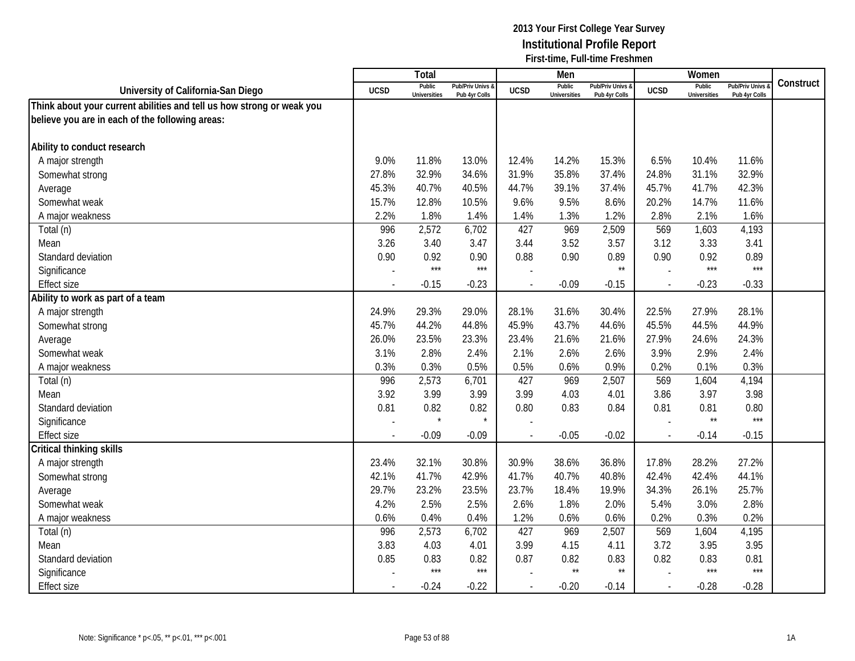|                                                                       |             | <b>Total</b>                  |                                   |             | Men                           |                                   |                          | Women                         |                                        |           |
|-----------------------------------------------------------------------|-------------|-------------------------------|-----------------------------------|-------------|-------------------------------|-----------------------------------|--------------------------|-------------------------------|----------------------------------------|-----------|
| University of California-San Diego                                    | <b>UCSD</b> | Public<br><b>Universities</b> | Pub/Priv Univs &<br>Pub 4yr Colls | <b>UCSD</b> | Public<br><b>Universities</b> | Pub/Priv Univs &<br>Pub 4yr Colls | <b>UCSD</b>              | Public<br><b>Universities</b> | <b>Pub/Priv Univs</b><br>Pub 4yr Colls | Construct |
| Think about your current abilities and tell us how strong or weak you |             |                               |                                   |             |                               |                                   |                          |                               |                                        |           |
| believe you are in each of the following areas:                       |             |                               |                                   |             |                               |                                   |                          |                               |                                        |           |
|                                                                       |             |                               |                                   |             |                               |                                   |                          |                               |                                        |           |
| Ability to conduct research                                           |             |                               |                                   |             |                               |                                   |                          |                               |                                        |           |
| A major strength                                                      | 9.0%        | 11.8%                         | 13.0%                             | 12.4%       | 14.2%                         | 15.3%                             | 6.5%                     | 10.4%                         | 11.6%                                  |           |
| Somewhat strong                                                       | 27.8%       | 32.9%                         | 34.6%                             | 31.9%       | 35.8%                         | 37.4%                             | 24.8%                    | 31.1%                         | 32.9%                                  |           |
| Average                                                               | 45.3%       | 40.7%                         | 40.5%                             | 44.7%       | 39.1%                         | 37.4%                             | 45.7%                    | 41.7%                         | 42.3%                                  |           |
| Somewhat weak                                                         | 15.7%       | 12.8%                         | 10.5%                             | 9.6%        | 9.5%                          | 8.6%                              | 20.2%                    | 14.7%                         | 11.6%                                  |           |
| A major weakness                                                      | 2.2%        | 1.8%                          | 1.4%                              | 1.4%        | 1.3%                          | 1.2%                              | 2.8%                     | 2.1%                          | 1.6%                                   |           |
| Total (n)                                                             | 996         | 2,572                         | 6,702                             | 427         | 969                           | 2,509                             | 569                      | 1,603                         | 4,193                                  |           |
| Mean                                                                  | 3.26        | 3.40                          | 3.47                              | 3.44        | 3.52                          | 3.57                              | 3.12                     | 3.33                          | 3.41                                   |           |
| Standard deviation                                                    | 0.90        | 0.92                          | 0.90                              | 0.88        | 0.90                          | 0.89                              | 0.90                     | 0.92                          | 0.89                                   |           |
| Significance                                                          |             | $***$                         | $***$                             |             |                               | $\star\star$                      |                          | $***$                         | ***                                    |           |
| <b>Effect size</b>                                                    |             | $-0.15$                       | $-0.23$                           |             | $-0.09$                       | $-0.15$                           | $\overline{\phantom{a}}$ | $-0.23$                       | $-0.33$                                |           |
| Ability to work as part of a team                                     |             |                               |                                   |             |                               |                                   |                          |                               |                                        |           |
| A major strength                                                      | 24.9%       | 29.3%                         | 29.0%                             | 28.1%       | 31.6%                         | 30.4%                             | 22.5%                    | 27.9%                         | 28.1%                                  |           |
| Somewhat strong                                                       | 45.7%       | 44.2%                         | 44.8%                             | 45.9%       | 43.7%                         | 44.6%                             | 45.5%                    | 44.5%                         | 44.9%                                  |           |
| Average                                                               | 26.0%       | 23.5%                         | 23.3%                             | 23.4%       | 21.6%                         | 21.6%                             | 27.9%                    | 24.6%                         | 24.3%                                  |           |
| Somewhat weak                                                         | 3.1%        | 2.8%                          | 2.4%                              | 2.1%        | 2.6%                          | 2.6%                              | 3.9%                     | 2.9%                          | 2.4%                                   |           |
| A major weakness                                                      | 0.3%        | 0.3%                          | 0.5%                              | 0.5%        | 0.6%                          | 0.9%                              | 0.2%                     | 0.1%                          | 0.3%                                   |           |
| Total (n)                                                             | 996         | 2,573                         | 6,701                             | 427         | 969                           | 2,507                             | 569                      | 1,604                         | 4,194                                  |           |
| Mean                                                                  | 3.92        | 3.99                          | 3.99                              | 3.99        | 4.03                          | 4.01                              | 3.86                     | 3.97                          | 3.98                                   |           |
| Standard deviation                                                    | 0.81        | 0.82                          | 0.82                              | 0.80        | 0.83                          | 0.84                              | 0.81                     | 0.81                          | 0.80                                   |           |
| Significance                                                          |             |                               | $\star$                           |             |                               |                                   |                          | $\star\star$                  | $***$                                  |           |
| <b>Effect size</b>                                                    |             | $-0.09$                       | $-0.09$                           |             | $-0.05$                       | $-0.02$                           | $\sim$                   | $-0.14$                       | $-0.15$                                |           |
| <b>Critical thinking skills</b>                                       |             |                               |                                   |             |                               |                                   |                          |                               |                                        |           |
| A major strength                                                      | 23.4%       | 32.1%                         | 30.8%                             | 30.9%       | 38.6%                         | 36.8%                             | 17.8%                    | 28.2%                         | 27.2%                                  |           |
| Somewhat strong                                                       | 42.1%       | 41.7%                         | 42.9%                             | 41.7%       | 40.7%                         | 40.8%                             | 42.4%                    | 42.4%                         | 44.1%                                  |           |
| Average                                                               | 29.7%       | 23.2%                         | 23.5%                             | 23.7%       | 18.4%                         | 19.9%                             | 34.3%                    | 26.1%                         | 25.7%                                  |           |
| Somewhat weak                                                         | 4.2%        | 2.5%                          | 2.5%                              | 2.6%        | 1.8%                          | 2.0%                              | 5.4%                     | 3.0%                          | 2.8%                                   |           |
| A major weakness                                                      | 0.6%        | 0.4%                          | 0.4%                              | 1.2%        | 0.6%                          | 0.6%                              | 0.2%                     | 0.3%                          | 0.2%                                   |           |
| Total (n)                                                             | 996         | 2,573                         | 6,702                             | 427         | 969                           | 2,507                             | 569                      | 1,604                         | 4,195                                  |           |
| Mean                                                                  | 3.83        | 4.03                          | 4.01                              | 3.99        | 4.15                          | 4.11                              | 3.72                     | 3.95                          | 3.95                                   |           |
| Standard deviation                                                    | 0.85        | 0.83                          | 0.82                              | 0.87        | 0.82                          | 0.83                              | 0.82                     | 0.83                          | 0.81                                   |           |
| Significance                                                          |             | $***$                         | $***$                             |             | $\star\star$                  | $\star\star$                      |                          | $***$                         | $***$                                  |           |
| <b>Effect size</b>                                                    |             | $-0.24$                       | $-0.22$                           | $\sim$      | $-0.20$                       | $-0.14$                           | $\mathcal{L}$            | $-0.28$                       | $-0.28$                                |           |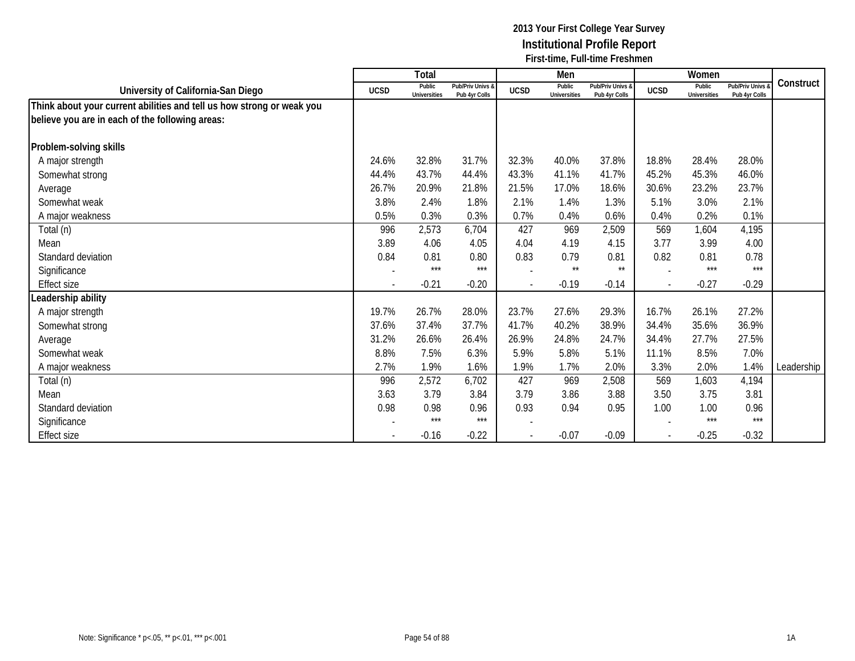|                                                                       |                          | Total                         |                                   |                          | Men                           |                                   |                | Women                         |                                 |            |
|-----------------------------------------------------------------------|--------------------------|-------------------------------|-----------------------------------|--------------------------|-------------------------------|-----------------------------------|----------------|-------------------------------|---------------------------------|------------|
| University of California-San Diego                                    | <b>UCSD</b>              | Public<br><b>Universities</b> | Pub/Priv Univs &<br>Pub 4yr Colls | <b>UCSD</b>              | Public<br><b>Universities</b> | Pub/Priv Univs &<br>Pub 4yr Colls | <b>UCSD</b>    | Public<br><b>Universities</b> | Pub/Priv Univs<br>Pub 4yr Colls | Construct  |
| Think about your current abilities and tell us how strong or weak you |                          |                               |                                   |                          |                               |                                   |                |                               |                                 |            |
| believe you are in each of the following areas:                       |                          |                               |                                   |                          |                               |                                   |                |                               |                                 |            |
|                                                                       |                          |                               |                                   |                          |                               |                                   |                |                               |                                 |            |
| Problem-solving skills                                                |                          |                               |                                   |                          |                               |                                   |                |                               |                                 |            |
| A major strength                                                      | 24.6%                    | 32.8%                         | 31.7%                             | 32.3%                    | 40.0%                         | 37.8%                             | 18.8%          | 28.4%                         | 28.0%                           |            |
| Somewhat strong                                                       | 44.4%                    | 43.7%                         | 44.4%                             | 43.3%                    | 41.1%                         | 41.7%                             | 45.2%          | 45.3%                         | 46.0%                           |            |
| Average                                                               | 26.7%                    | 20.9%                         | 21.8%                             | 21.5%                    | 17.0%                         | 18.6%                             | 30.6%          | 23.2%                         | 23.7%                           |            |
| Somewhat weak                                                         | 3.8%                     | 2.4%                          | 1.8%                              | 2.1%                     | 1.4%                          | 1.3%                              | 5.1%           | 3.0%                          | 2.1%                            |            |
| A major weakness                                                      | 0.5%                     | 0.3%                          | 0.3%                              | 0.7%                     | 0.4%                          | 0.6%                              | 0.4%           | 0.2%                          | 0.1%                            |            |
| Total (n)                                                             | 996                      | 2,573                         | 6,704                             | 427                      | 969                           | 2,509                             | 569            | 1,604                         | 4,195                           |            |
| Mean                                                                  | 3.89                     | 4.06                          | 4.05                              | 4.04                     | 4.19                          | 4.15                              | 3.77           | 3.99                          | 4.00                            |            |
| Standard deviation                                                    | 0.84                     | 0.81                          | 0.80                              | 0.83                     | 0.79                          | 0.81                              | 0.82           | 0.81                          | 0.78                            |            |
| Significance                                                          |                          | $***$                         | $***$                             |                          | $***$                         | $***$                             |                | $***$                         | $***$                           |            |
| Effect size                                                           | $\overline{\phantom{a}}$ | $-0.21$                       | $-0.20$                           | $\overline{\phantom{a}}$ | $-0.19$                       | $-0.14$                           | $\blacksquare$ | $-0.27$                       | $-0.29$                         |            |
| eadership ability                                                     |                          |                               |                                   |                          |                               |                                   |                |                               |                                 |            |
| A major strength                                                      | 19.7%                    | 26.7%                         | 28.0%                             | 23.7%                    | 27.6%                         | 29.3%                             | 16.7%          | 26.1%                         | 27.2%                           |            |
| Somewhat strong                                                       | 37.6%                    | 37.4%                         | 37.7%                             | 41.7%                    | 40.2%                         | 38.9%                             | 34.4%          | 35.6%                         | 36.9%                           |            |
| Average                                                               | 31.2%                    | 26.6%                         | 26.4%                             | 26.9%                    | 24.8%                         | 24.7%                             | 34.4%          | 27.7%                         | 27.5%                           |            |
| Somewhat weak                                                         | 8.8%                     | 7.5%                          | 6.3%                              | 5.9%                     | 5.8%                          | 5.1%                              | 11.1%          | 8.5%                          | 7.0%                            |            |
| A major weakness                                                      | 2.7%                     | 1.9%                          | 1.6%                              | 1.9%                     | 1.7%                          | 2.0%                              | 3.3%           | 2.0%                          | 1.4%                            | Leadership |
| Total (n)                                                             | 996                      | 2,572                         | 6,702                             | 427                      | 969                           | 2,508                             | 569            | 1,603                         | 4,194                           |            |
| Mean                                                                  | 3.63                     | 3.79                          | 3.84                              | 3.79                     | 3.86                          | 3.88                              | 3.50           | 3.75                          | 3.81                            |            |
| Standard deviation                                                    | 0.98                     | 0.98                          | 0.96                              | 0.93                     | 0.94                          | 0.95                              | 1.00           | 1.00                          | 0.96                            |            |
| Significance                                                          |                          | $***$                         | $***$                             |                          |                               |                                   |                | $***$                         | $***$                           |            |
| Effect size                                                           |                          | $-0.16$                       | $-0.22$                           |                          | $-0.07$                       | $-0.09$                           |                | $-0.25$                       | $-0.32$                         |            |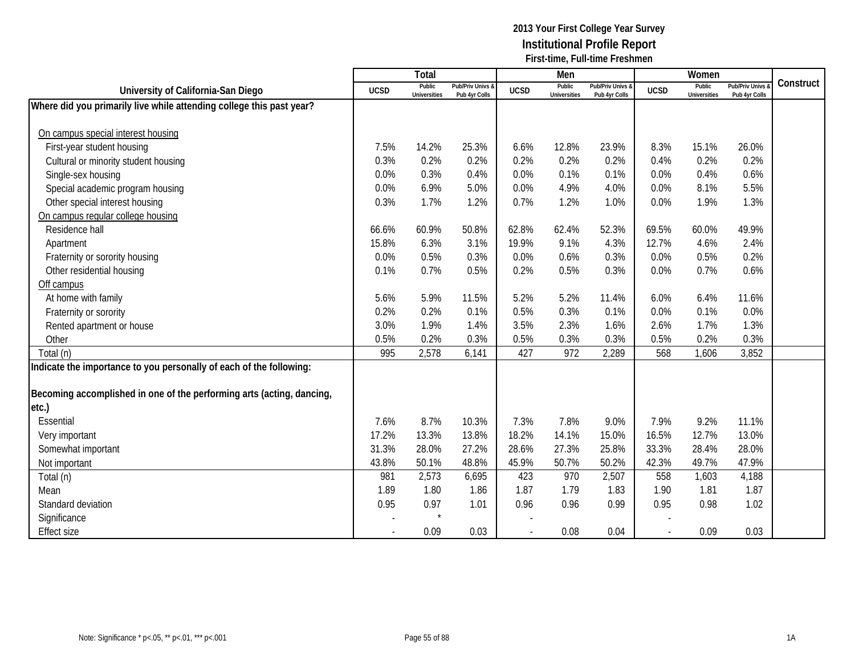|                                                                       |             | Total                         |                                   |             | Men                           |                                   |                          | Women                         |                                        |           |
|-----------------------------------------------------------------------|-------------|-------------------------------|-----------------------------------|-------------|-------------------------------|-----------------------------------|--------------------------|-------------------------------|----------------------------------------|-----------|
| University of California-San Diego                                    | <b>UCSD</b> | Public<br><b>Universities</b> | Pub/Priv Univs &<br>Pub 4yr Colls | <b>UCSD</b> | Public<br><b>Universities</b> | Pub/Priv Univs &<br>Pub 4yr Colls | <b>UCSD</b>              | Public<br><b>Universities</b> | <b>Pub/Priv Univs</b><br>Pub 4yr Colls | Construct |
| Where did you primarily live while attending college this past year?  |             |                               |                                   |             |                               |                                   |                          |                               |                                        |           |
|                                                                       |             |                               |                                   |             |                               |                                   |                          |                               |                                        |           |
| On campus special interest housing                                    |             |                               |                                   |             |                               |                                   |                          |                               |                                        |           |
| First-year student housing                                            | 7.5%        | 14.2%                         | 25.3%                             | 6.6%        | 12.8%                         | 23.9%                             | 8.3%                     | 15.1%                         | 26.0%                                  |           |
| Cultural or minority student housing                                  | 0.3%        | 0.2%                          | 0.2%                              | 0.2%        | 0.2%                          | 0.2%                              | 0.4%                     | 0.2%                          | 0.2%                                   |           |
| Single-sex housing                                                    | 0.0%        | 0.3%                          | 0.4%                              | 0.0%        | 0.1%                          | 0.1%                              | 0.0%                     | 0.4%                          | 0.6%                                   |           |
| Special academic program housing                                      | 0.0%        | 6.9%                          | 5.0%                              | 0.0%        | 4.9%                          | 4.0%                              | 0.0%                     | 8.1%                          | 5.5%                                   |           |
| Other special interest housing                                        | 0.3%        | 1.7%                          | 1.2%                              | 0.7%        | 1.2%                          | 1.0%                              | 0.0%                     | 1.9%                          | 1.3%                                   |           |
| On campus regular college housing                                     |             |                               |                                   |             |                               |                                   |                          |                               |                                        |           |
| Residence hall                                                        | 66.6%       | 60.9%                         | 50.8%                             | 62.8%       | 62.4%                         | 52.3%                             | 69.5%                    | 60.0%                         | 49.9%                                  |           |
| Apartment                                                             | 15.8%       | 6.3%                          | 3.1%                              | 19.9%       | 9.1%                          | 4.3%                              | 12.7%                    | 4.6%                          | 2.4%                                   |           |
| Fraternity or sorority housing                                        | 0.0%        | 0.5%                          | 0.3%                              | 0.0%        | 0.6%                          | 0.3%                              | 0.0%                     | 0.5%                          | 0.2%                                   |           |
| Other residential housing                                             | 0.1%        | 0.7%                          | 0.5%                              | 0.2%        | 0.5%                          | 0.3%                              | 0.0%                     | 0.7%                          | 0.6%                                   |           |
| Off campus                                                            |             |                               |                                   |             |                               |                                   |                          |                               |                                        |           |
| At home with family                                                   | 5.6%        | 5.9%                          | 11.5%                             | 5.2%        | 5.2%                          | 11.4%                             | 6.0%                     | 6.4%                          | 11.6%                                  |           |
| Fraternity or sorority                                                | 0.2%        | 0.2%                          | 0.1%                              | 0.5%        | 0.3%                          | 0.1%                              | 0.0%                     | 0.1%                          | 0.0%                                   |           |
| Rented apartment or house                                             | 3.0%        | 1.9%                          | 1.4%                              | 3.5%        | 2.3%                          | 1.6%                              | 2.6%                     | 1.7%                          | 1.3%                                   |           |
| Other                                                                 | 0.5%        | 0.2%                          | 0.3%                              | 0.5%        | 0.3%                          | 0.3%                              | 0.5%                     | 0.2%                          | 0.3%                                   |           |
| Total (n)                                                             | 995         | 2,578                         | 6,141                             | 427         | 972                           | 2,289                             | 568                      | 1,606                         | 3,852                                  |           |
| Indicate the importance to you personally of each of the following:   |             |                               |                                   |             |                               |                                   |                          |                               |                                        |           |
|                                                                       |             |                               |                                   |             |                               |                                   |                          |                               |                                        |           |
| Becoming accomplished in one of the performing arts (acting, dancing, |             |                               |                                   |             |                               |                                   |                          |                               |                                        |           |
| etc.)                                                                 |             |                               |                                   |             |                               |                                   |                          |                               |                                        |           |
| Essential                                                             | 7.6%        | 8.7%                          | 10.3%                             | 7.3%        | 7.8%                          | 9.0%                              | 7.9%                     | 9.2%                          | 11.1%                                  |           |
| Very important                                                        | 17.2%       | 13.3%                         | 13.8%                             | 18.2%       | 14.1%                         | 15.0%                             | 16.5%                    | 12.7%                         | 13.0%                                  |           |
| Somewhat important                                                    | 31.3%       | 28.0%                         | 27.2%                             | 28.6%       | 27.3%                         | 25.8%                             | 33.3%                    | 28.4%                         | 28.0%                                  |           |
| Not important                                                         | 43.8%       | 50.1%                         | 48.8%                             | 45.9%       | 50.7%                         | 50.2%                             | 42.3%                    | 49.7%                         | 47.9%                                  |           |
| Total (n)                                                             | 981         | 2,573                         | 6,695                             | 423         | 970                           | 2,507                             | 558                      | 1,603                         | 4,188                                  |           |
| Mean                                                                  | 1.89        | 1.80                          | 1.86                              | 1.87        | 1.79                          | 1.83                              | 1.90                     | 1.81                          | 1.87                                   |           |
| Standard deviation                                                    | 0.95        | 0.97                          | 1.01                              | 0.96        | 0.96                          | 0.99                              | 0.95                     | 0.98                          | 1.02                                   |           |
| Significance                                                          |             |                               |                                   |             |                               |                                   |                          |                               |                                        |           |
| <b>Effect size</b>                                                    |             | 0.09                          | 0.03                              |             | 0.08                          | 0.04                              | $\overline{\phantom{a}}$ | 0.09                          | 0.03                                   |           |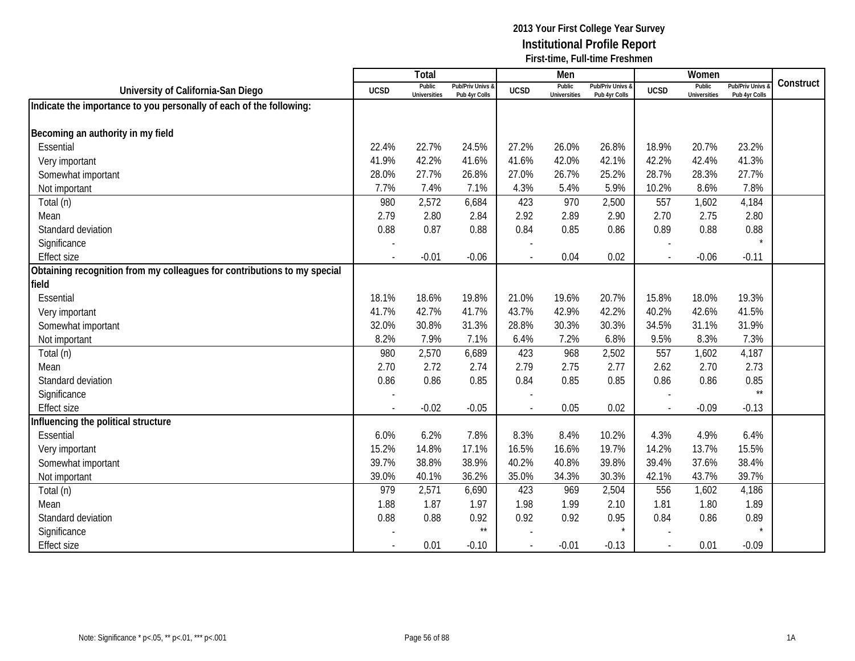|                                                                          |                          | <b>Total</b>                  |                                   |             | Men                           |                                   |             | Women                         |                                        |           |
|--------------------------------------------------------------------------|--------------------------|-------------------------------|-----------------------------------|-------------|-------------------------------|-----------------------------------|-------------|-------------------------------|----------------------------------------|-----------|
| University of California-San Diego                                       | <b>UCSD</b>              | Public<br><b>Universities</b> | Pub/Priv Univs &<br>Pub 4yr Colls | <b>UCSD</b> | Public<br><b>Universities</b> | Pub/Priv Univs &<br>Pub 4yr Colls | <b>UCSD</b> | Public<br><b>Universities</b> | <b>Pub/Priv Univs</b><br>Pub 4yr Colls | Construct |
| Indicate the importance to you personally of each of the following:      |                          |                               |                                   |             |                               |                                   |             |                               |                                        |           |
|                                                                          |                          |                               |                                   |             |                               |                                   |             |                               |                                        |           |
| Becoming an authority in my field                                        |                          |                               |                                   |             |                               |                                   |             |                               |                                        |           |
| Essential                                                                | 22.4%                    | 22.7%                         | 24.5%                             | 27.2%       | 26.0%                         | 26.8%                             | 18.9%       | 20.7%                         | 23.2%                                  |           |
| Very important                                                           | 41.9%                    | 42.2%                         | 41.6%                             | 41.6%       | 42.0%                         | 42.1%                             | 42.2%       | 42.4%                         | 41.3%                                  |           |
| Somewhat important                                                       | 28.0%                    | 27.7%                         | 26.8%                             | 27.0%       | 26.7%                         | 25.2%                             | 28.7%       | 28.3%                         | 27.7%                                  |           |
| Not important                                                            | 7.7%                     | 7.4%                          | 7.1%                              | 4.3%        | 5.4%                          | 5.9%                              | 10.2%       | 8.6%                          | 7.8%                                   |           |
| Total (n)                                                                | 980                      | 2,572                         | 6,684                             | 423         | 970                           | 2,500                             | 557         | 1,602                         | 4,184                                  |           |
| Mean                                                                     | 2.79                     | 2.80                          | 2.84                              | 2.92        | 2.89                          | 2.90                              | 2.70        | 2.75                          | 2.80                                   |           |
| Standard deviation                                                       | 0.88                     | 0.87                          | 0.88                              | 0.84        | 0.85                          | 0.86                              | 0.89        | 0.88                          | 0.88                                   |           |
| Significance                                                             |                          |                               |                                   |             |                               |                                   |             |                               |                                        |           |
| <b>Effect size</b>                                                       |                          | $-0.01$                       | $-0.06$                           |             | 0.04                          | 0.02                              |             | $-0.06$                       | $-0.11$                                |           |
| Obtaining recognition from my colleagues for contributions to my special |                          |                               |                                   |             |                               |                                   |             |                               |                                        |           |
| field                                                                    |                          |                               |                                   |             |                               |                                   |             |                               |                                        |           |
| Essential                                                                | 18.1%                    | 18.6%                         | 19.8%                             | 21.0%       | 19.6%                         | 20.7%                             | 15.8%       | 18.0%                         | 19.3%                                  |           |
| Very important                                                           | 41.7%                    | 42.7%                         | 41.7%                             | 43.7%       | 42.9%                         | 42.2%                             | 40.2%       | 42.6%                         | 41.5%                                  |           |
| Somewhat important                                                       | 32.0%                    | 30.8%                         | 31.3%                             | 28.8%       | 30.3%                         | 30.3%                             | 34.5%       | 31.1%                         | 31.9%                                  |           |
| Not important                                                            | 8.2%                     | 7.9%                          | 7.1%                              | 6.4%        | 7.2%                          | 6.8%                              | 9.5%        | 8.3%                          | 7.3%                                   |           |
| Total (n)                                                                | 980                      | 2,570                         | 6,689                             | 423         | 968                           | 2,502                             | 557         | 1,602                         | 4,187                                  |           |
| Mean                                                                     | 2.70                     | 2.72                          | 2.74                              | 2.79        | 2.75                          | 2.77                              | 2.62        | 2.70                          | 2.73                                   |           |
| Standard deviation                                                       | 0.86                     | 0.86                          | 0.85                              | 0.84        | 0.85                          | 0.85                              | 0.86        | 0.86                          | 0.85                                   |           |
| Significance                                                             |                          |                               |                                   |             |                               |                                   |             |                               | $\star\star$                           |           |
| <b>Effect size</b>                                                       | $\overline{\phantom{a}}$ | $-0.02$                       | $-0.05$                           |             | 0.05                          | 0.02                              |             | $-0.09$                       | $-0.13$                                |           |
| Influencing the political structure                                      |                          |                               |                                   |             |                               |                                   |             |                               |                                        |           |
| Essential                                                                | 6.0%                     | 6.2%                          | 7.8%                              | 8.3%        | 8.4%                          | 10.2%                             | 4.3%        | 4.9%                          | 6.4%                                   |           |
| Very important                                                           | 15.2%                    | 14.8%                         | 17.1%                             | 16.5%       | 16.6%                         | 19.7%                             | 14.2%       | 13.7%                         | 15.5%                                  |           |
| Somewhat important                                                       | 39.7%                    | 38.8%                         | 38.9%                             | 40.2%       | 40.8%                         | 39.8%                             | 39.4%       | 37.6%                         | 38.4%                                  |           |
| Not important                                                            | 39.0%                    | 40.1%                         | 36.2%                             | 35.0%       | 34.3%                         | 30.3%                             | 42.1%       | 43.7%                         | 39.7%                                  |           |
| Total (n)                                                                | 979                      | 2,571                         | 6,690                             | 423         | 969                           | 2,504                             | 556         | 1,602                         | 4,186                                  |           |
| Mean                                                                     | 1.88                     | 1.87                          | 1.97                              | 1.98        | 1.99                          | 2.10                              | 1.81        | 1.80                          | 1.89                                   |           |
| Standard deviation                                                       | 0.88                     | 0.88                          | 0.92                              | 0.92        | 0.92                          | 0.95                              | 0.84        | 0.86                          | 0.89                                   |           |
| Significance                                                             |                          |                               | $\star\star$                      |             |                               | $\star$                           |             |                               |                                        |           |
| <b>Effect size</b>                                                       |                          | 0.01                          | $-0.10$                           |             | $-0.01$                       | $-0.13$                           |             | 0.01                          | $-0.09$                                |           |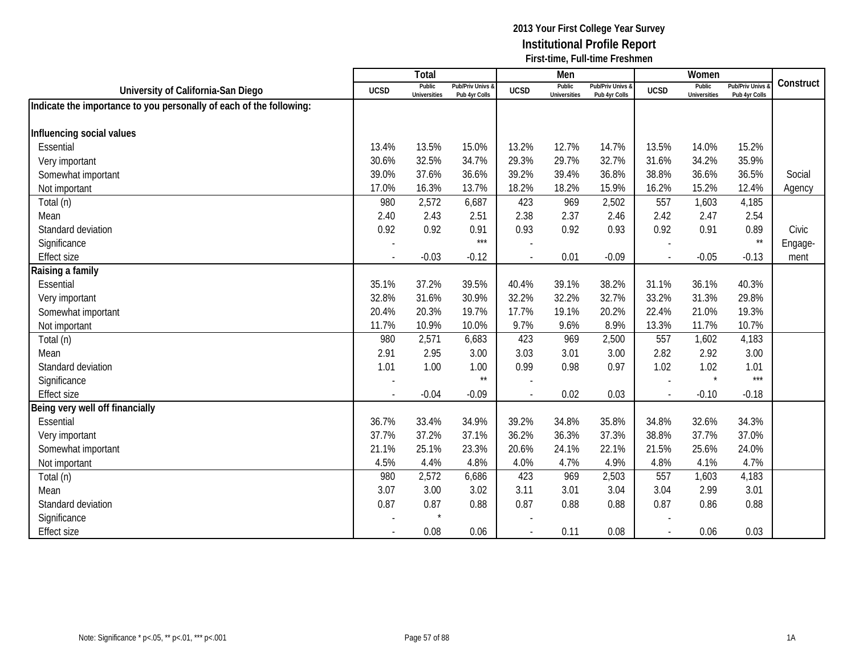|                                                                     |                          | Total                         |                                   |                | Men                           |                                   |                | Women                         |                                        |           |
|---------------------------------------------------------------------|--------------------------|-------------------------------|-----------------------------------|----------------|-------------------------------|-----------------------------------|----------------|-------------------------------|----------------------------------------|-----------|
| University of California-San Diego                                  | <b>UCSD</b>              | Public<br><b>Universities</b> | Pub/Priv Univs &<br>Pub 4yr Colls | <b>UCSD</b>    | Public<br><b>Universities</b> | Pub/Priv Univs &<br>Pub 4yr Colls | <b>UCSD</b>    | Public<br><b>Universities</b> | <b>Pub/Priv Univs</b><br>Pub 4yr Colls | Construct |
| Indicate the importance to you personally of each of the following: |                          |                               |                                   |                |                               |                                   |                |                               |                                        |           |
|                                                                     |                          |                               |                                   |                |                               |                                   |                |                               |                                        |           |
| Influencing social values                                           |                          |                               |                                   |                |                               |                                   |                |                               |                                        |           |
| Essential                                                           | 13.4%                    | 13.5%                         | 15.0%                             | 13.2%          | 12.7%                         | 14.7%                             | 13.5%          | 14.0%                         | 15.2%                                  |           |
| Very important                                                      | 30.6%                    | 32.5%                         | 34.7%                             | 29.3%          | 29.7%                         | 32.7%                             | 31.6%          | 34.2%                         | 35.9%                                  |           |
| Somewhat important                                                  | 39.0%                    | 37.6%                         | 36.6%                             | 39.2%          | 39.4%                         | 36.8%                             | 38.8%          | 36.6%                         | 36.5%                                  | Social    |
| Not important                                                       | 17.0%                    | 16.3%                         | 13.7%                             | 18.2%          | 18.2%                         | 15.9%                             | 16.2%          | 15.2%                         | 12.4%                                  | Agency    |
| Total (n)                                                           | 980                      | 2,572                         | 6,687                             | 423            | 969                           | 2,502                             | 557            | 1,603                         | 4,185                                  |           |
| Mean                                                                | 2.40                     | 2.43                          | 2.51                              | 2.38           | 2.37                          | 2.46                              | 2.42           | 2.47                          | 2.54                                   |           |
| Standard deviation                                                  | 0.92                     | 0.92                          | 0.91                              | 0.93           | 0.92                          | 0.93                              | 0.92           | 0.91                          | 0.89                                   | Civic     |
| Significance                                                        |                          |                               | $***$                             |                |                               |                                   |                |                               | $\star\star$                           | Engage-   |
| <b>Effect size</b>                                                  | $\overline{\phantom{a}}$ | $-0.03$                       | $-0.12$                           | $\overline{a}$ | 0.01                          | $-0.09$                           | $\sim$         | $-0.05$                       | $-0.13$                                | ment      |
| Raising a family                                                    |                          |                               |                                   |                |                               |                                   |                |                               |                                        |           |
| Essential                                                           | 35.1%                    | 37.2%                         | 39.5%                             | 40.4%          | 39.1%                         | 38.2%                             | 31.1%          | 36.1%                         | 40.3%                                  |           |
| Very important                                                      | 32.8%                    | 31.6%                         | 30.9%                             | 32.2%          | 32.2%                         | 32.7%                             | 33.2%          | 31.3%                         | 29.8%                                  |           |
| Somewhat important                                                  | 20.4%                    | 20.3%                         | 19.7%                             | 17.7%          | 19.1%                         | 20.2%                             | 22.4%          | 21.0%                         | 19.3%                                  |           |
| Not important                                                       | 11.7%                    | 10.9%                         | 10.0%                             | 9.7%           | 9.6%                          | 8.9%                              | 13.3%          | 11.7%                         | 10.7%                                  |           |
| Total (n)                                                           | 980                      | 2,571                         | 6,683                             | 423            | 969                           | 2,500                             | 557            | 1,602                         | 4,183                                  |           |
| Mean                                                                | 2.91                     | 2.95                          | 3.00                              | 3.03           | 3.01                          | 3.00                              | 2.82           | 2.92                          | 3.00                                   |           |
| Standard deviation                                                  | 1.01                     | 1.00                          | 1.00                              | 0.99           | 0.98                          | 0.97                              | 1.02           | 1.02                          | 1.01                                   |           |
| Significance                                                        |                          |                               | $^{\star\star}$                   |                |                               |                                   |                | $\star$                       | $***$                                  |           |
| <b>Effect size</b>                                                  |                          | $-0.04$                       | $-0.09$                           |                | 0.02                          | 0.03                              |                | $-0.10$                       | $-0.18$                                |           |
| Being very well off financially                                     |                          |                               |                                   |                |                               |                                   |                |                               |                                        |           |
| Essential                                                           | 36.7%                    | 33.4%                         | 34.9%                             | 39.2%          | 34.8%                         | 35.8%                             | 34.8%          | 32.6%                         | 34.3%                                  |           |
| Very important                                                      | 37.7%                    | 37.2%                         | 37.1%                             | 36.2%          | 36.3%                         | 37.3%                             | 38.8%          | 37.7%                         | 37.0%                                  |           |
| Somewhat important                                                  | 21.1%                    | 25.1%                         | 23.3%                             | 20.6%          | 24.1%                         | 22.1%                             | 21.5%          | 25.6%                         | 24.0%                                  |           |
| Not important                                                       | 4.5%                     | 4.4%                          | 4.8%                              | 4.0%           | 4.7%                          | 4.9%                              | 4.8%           | 4.1%                          | 4.7%                                   |           |
| Total (n)                                                           | 980                      | 2,572                         | 6,686                             | 423            | 969                           | 2,503                             | 557            | 1,603                         | 4,183                                  |           |
| Mean                                                                | 3.07                     | 3.00                          | 3.02                              | 3.11           | 3.01                          | 3.04                              | 3.04           | 2.99                          | 3.01                                   |           |
| Standard deviation                                                  | 0.87                     | 0.87                          | 0.88                              | 0.87           | 0.88                          | 0.88                              | 0.87           | 0.86                          | 0.88                                   |           |
| Significance                                                        |                          | $\star$                       |                                   |                |                               |                                   |                |                               |                                        |           |
| <b>Effect size</b>                                                  |                          | 0.08                          | 0.06                              |                | 0.11                          | 0.08                              | $\blacksquare$ | 0.06                          | 0.03                                   |           |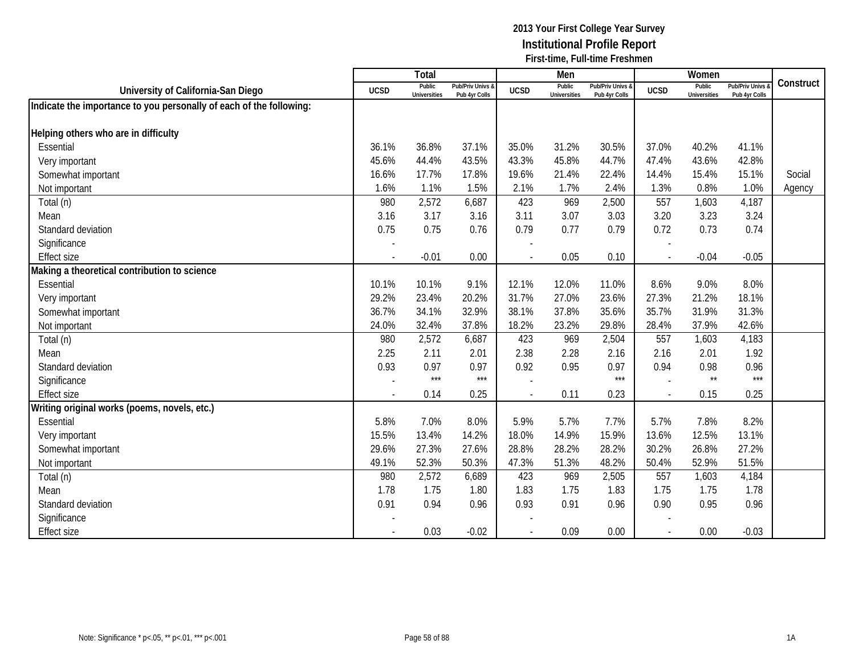|                                                                     |                          | Total                         |                                   |             | Men                           |                                          |                          | Women                         |                                        |           |
|---------------------------------------------------------------------|--------------------------|-------------------------------|-----------------------------------|-------------|-------------------------------|------------------------------------------|--------------------------|-------------------------------|----------------------------------------|-----------|
| University of California-San Diego                                  | <b>UCSD</b>              | Public<br><b>Universities</b> | Pub/Priv Univs &<br>Pub 4yr Colls | <b>UCSD</b> | Public<br><b>Universities</b> | <b>Pub/Priv Univs 8</b><br>Pub 4yr Colls | <b>UCSD</b>              | Public<br><b>Universities</b> | <b>Pub/Priv Univs</b><br>Pub 4yr Colls | Construct |
| Indicate the importance to you personally of each of the following: |                          |                               |                                   |             |                               |                                          |                          |                               |                                        |           |
|                                                                     |                          |                               |                                   |             |                               |                                          |                          |                               |                                        |           |
| Helping others who are in difficulty                                |                          |                               |                                   |             |                               |                                          |                          |                               |                                        |           |
| Essential                                                           | 36.1%                    | 36.8%                         | 37.1%                             | 35.0%       | 31.2%                         | 30.5%                                    | 37.0%                    | 40.2%                         | 41.1%                                  |           |
| Very important                                                      | 45.6%                    | 44.4%                         | 43.5%                             | 43.3%       | 45.8%                         | 44.7%                                    | 47.4%                    | 43.6%                         | 42.8%                                  |           |
| Somewhat important                                                  | 16.6%                    | 17.7%                         | 17.8%                             | 19.6%       | 21.4%                         | 22.4%                                    | 14.4%                    | 15.4%                         | 15.1%                                  | Social    |
| Not important                                                       | 1.6%                     | 1.1%                          | 1.5%                              | 2.1%        | 1.7%                          | 2.4%                                     | 1.3%                     | 0.8%                          | 1.0%                                   | Agency    |
| Total (n)                                                           | 980                      | 2,572                         | 6,687                             | 423         | 969                           | 2,500                                    | 557                      | 1,603                         | 4,187                                  |           |
| Mean                                                                | 3.16                     | 3.17                          | 3.16                              | 3.11        | 3.07                          | 3.03                                     | 3.20                     | 3.23                          | 3.24                                   |           |
| Standard deviation                                                  | 0.75                     | 0.75                          | 0.76                              | 0.79        | 0.77                          | 0.79                                     | 0.72                     | 0.73                          | 0.74                                   |           |
| Significance                                                        |                          |                               |                                   |             |                               |                                          |                          |                               |                                        |           |
| <b>Effect size</b>                                                  |                          | $-0.01$                       | 0.00                              |             | 0.05                          | 0.10                                     | $\blacksquare$           | $-0.04$                       | $-0.05$                                |           |
| Making a theoretical contribution to science                        |                          |                               |                                   |             |                               |                                          |                          |                               |                                        |           |
| Essential                                                           | 10.1%                    | 10.1%                         | 9.1%                              | 12.1%       | 12.0%                         | 11.0%                                    | 8.6%                     | 9.0%                          | 8.0%                                   |           |
| Very important                                                      | 29.2%                    | 23.4%                         | 20.2%                             | 31.7%       | 27.0%                         | 23.6%                                    | 27.3%                    | 21.2%                         | 18.1%                                  |           |
| Somewhat important                                                  | 36.7%                    | 34.1%                         | 32.9%                             | 38.1%       | 37.8%                         | 35.6%                                    | 35.7%                    | 31.9%                         | 31.3%                                  |           |
| Not important                                                       | 24.0%                    | 32.4%                         | 37.8%                             | 18.2%       | 23.2%                         | 29.8%                                    | 28.4%                    | 37.9%                         | 42.6%                                  |           |
| Total (n)                                                           | 980                      | 2,572                         | 6,687                             | 423         | 969                           | 2,504                                    | 557                      | 1,603                         | 4,183                                  |           |
| Mean                                                                | 2.25                     | 2.11                          | 2.01                              | 2.38        | 2.28                          | 2.16                                     | 2.16                     | 2.01                          | 1.92                                   |           |
| Standard deviation                                                  | 0.93                     | 0.97                          | 0.97                              | 0.92        | 0.95                          | 0.97                                     | 0.94                     | 0.98                          | 0.96                                   |           |
| Significance                                                        |                          | $***$                         | $***$                             |             |                               | $***$                                    |                          | $\star\star$                  | $***$                                  |           |
| <b>Effect size</b>                                                  | $\overline{\phantom{a}}$ | 0.14                          | 0.25                              |             | 0.11                          | 0.23                                     | $\blacksquare$           | 0.15                          | 0.25                                   |           |
| Writing original works (poems, novels, etc.)                        |                          |                               |                                   |             |                               |                                          |                          |                               |                                        |           |
| Essential                                                           | 5.8%                     | 7.0%                          | 8.0%                              | 5.9%        | 5.7%                          | 7.7%                                     | 5.7%                     | 7.8%                          | 8.2%                                   |           |
| Very important                                                      | 15.5%                    | 13.4%                         | 14.2%                             | 18.0%       | 14.9%                         | 15.9%                                    | 13.6%                    | 12.5%                         | 13.1%                                  |           |
| Somewhat important                                                  | 29.6%                    | 27.3%                         | 27.6%                             | 28.8%       | 28.2%                         | 28.2%                                    | 30.2%                    | 26.8%                         | 27.2%                                  |           |
| Not important                                                       | 49.1%                    | 52.3%                         | 50.3%                             | 47.3%       | 51.3%                         | 48.2%                                    | 50.4%                    | 52.9%                         | 51.5%                                  |           |
| Total (n)                                                           | 980                      | 2,572                         | 6,689                             | 423         | 969                           | 2,505                                    | 557                      | 1,603                         | 4,184                                  |           |
| Mean                                                                | 1.78                     | 1.75                          | 1.80                              | 1.83        | 1.75                          | 1.83                                     | 1.75                     | 1.75                          | 1.78                                   |           |
| Standard deviation                                                  | 0.91                     | 0.94                          | 0.96                              | 0.93        | 0.91                          | 0.96                                     | 0.90                     | 0.95                          | 0.96                                   |           |
| Significance                                                        |                          |                               |                                   |             |                               |                                          |                          |                               |                                        |           |
| <b>Effect size</b>                                                  |                          | 0.03                          | $-0.02$                           |             | 0.09                          | 0.00                                     | $\overline{\phantom{a}}$ | 0.00                          | $-0.03$                                |           |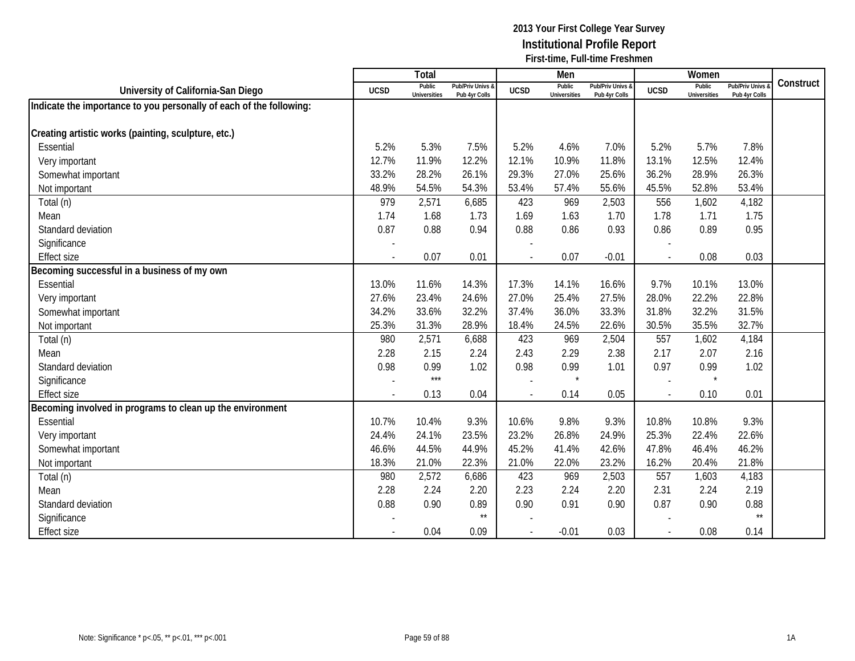|                                                                     |                          | Total                         |                                   |             | Men                           |                                              |             | Women                         |                                        |           |
|---------------------------------------------------------------------|--------------------------|-------------------------------|-----------------------------------|-------------|-------------------------------|----------------------------------------------|-------------|-------------------------------|----------------------------------------|-----------|
| University of California-San Diego                                  | <b>UCSD</b>              | Public<br><b>Universities</b> | Pub/Priv Univs 8<br>Pub 4yr Colls | <b>UCSD</b> | Public<br><b>Universities</b> | <b>Pub/Priv Univs &amp;</b><br>Pub 4yr Colls | <b>UCSD</b> | Public<br><b>Universities</b> | <b>Pub/Priv Univs</b><br>Pub 4yr Colls | Construct |
| Indicate the importance to you personally of each of the following: |                          |                               |                                   |             |                               |                                              |             |                               |                                        |           |
|                                                                     |                          |                               |                                   |             |                               |                                              |             |                               |                                        |           |
| Creating artistic works (painting, sculpture, etc.)                 |                          |                               |                                   |             |                               |                                              |             |                               |                                        |           |
| Essential                                                           | 5.2%                     | 5.3%                          | 7.5%                              | 5.2%        | 4.6%                          | 7.0%                                         | 5.2%        | 5.7%                          | 7.8%                                   |           |
| Very important                                                      | 12.7%                    | 11.9%                         | 12.2%                             | 12.1%       | 10.9%                         | 11.8%                                        | 13.1%       | 12.5%                         | 12.4%                                  |           |
| Somewhat important                                                  | 33.2%                    | 28.2%                         | 26.1%                             | 29.3%       | 27.0%                         | 25.6%                                        | 36.2%       | 28.9%                         | 26.3%                                  |           |
| Not important                                                       | 48.9%                    | 54.5%                         | 54.3%                             | 53.4%       | 57.4%                         | 55.6%                                        | 45.5%       | 52.8%                         | 53.4%                                  |           |
| Total (n)                                                           | 979                      | 2,571                         | 6,685                             | 423         | 969                           | 2,503                                        | 556         | 1,602                         | 4,182                                  |           |
| Mean                                                                | 1.74                     | 1.68                          | 1.73                              | 1.69        | 1.63                          | 1.70                                         | 1.78        | 1.71                          | 1.75                                   |           |
| Standard deviation                                                  | 0.87                     | 0.88                          | 0.94                              | 0.88        | 0.86                          | 0.93                                         | 0.86        | 0.89                          | 0.95                                   |           |
| Significance                                                        |                          |                               |                                   |             |                               |                                              |             |                               |                                        |           |
| <b>Effect size</b>                                                  |                          | 0.07                          | 0.01                              |             | 0.07                          | $-0.01$                                      |             | 0.08                          | 0.03                                   |           |
| Becoming successful in a business of my own                         |                          |                               |                                   |             |                               |                                              |             |                               |                                        |           |
| Essential                                                           | 13.0%                    | 11.6%                         | 14.3%                             | 17.3%       | 14.1%                         | 16.6%                                        | 9.7%        | 10.1%                         | 13.0%                                  |           |
| Very important                                                      | 27.6%                    | 23.4%                         | 24.6%                             | 27.0%       | 25.4%                         | 27.5%                                        | 28.0%       | 22.2%                         | 22.8%                                  |           |
| Somewhat important                                                  | 34.2%                    | 33.6%                         | 32.2%                             | 37.4%       | 36.0%                         | 33.3%                                        | 31.8%       | 32.2%                         | 31.5%                                  |           |
| Not important                                                       | 25.3%                    | 31.3%                         | 28.9%                             | 18.4%       | 24.5%                         | 22.6%                                        | 30.5%       | 35.5%                         | 32.7%                                  |           |
| Total (n)                                                           | 980                      | 2,571                         | 6,688                             | 423         | 969                           | 2,504                                        | 557         | 1,602                         | 4,184                                  |           |
| Mean                                                                | 2.28                     | 2.15                          | 2.24                              | 2.43        | 2.29                          | 2.38                                         | 2.17        | 2.07                          | 2.16                                   |           |
| Standard deviation                                                  | 0.98                     | 0.99                          | 1.02                              | 0.98        | 0.99                          | 1.01                                         | 0.97        | 0.99                          | 1.02                                   |           |
| Significance                                                        |                          | $***$                         |                                   |             |                               |                                              |             | $\star$                       |                                        |           |
| <b>Effect size</b>                                                  | $\overline{\phantom{a}}$ | 0.13                          | 0.04                              |             | 0.14                          | 0.05                                         | $\sim$      | 0.10                          | 0.01                                   |           |
| Becoming involved in programs to clean up the environment           |                          |                               |                                   |             |                               |                                              |             |                               |                                        |           |
| Essential                                                           | 10.7%                    | 10.4%                         | 9.3%                              | 10.6%       | 9.8%                          | 9.3%                                         | 10.8%       | 10.8%                         | 9.3%                                   |           |
| Very important                                                      | 24.4%                    | 24.1%                         | 23.5%                             | 23.2%       | 26.8%                         | 24.9%                                        | 25.3%       | 22.4%                         | 22.6%                                  |           |
| Somewhat important                                                  | 46.6%                    | 44.5%                         | 44.9%                             | 45.2%       | 41.4%                         | 42.6%                                        | 47.8%       | 46.4%                         | 46.2%                                  |           |
| Not important                                                       | 18.3%                    | 21.0%                         | 22.3%                             | 21.0%       | 22.0%                         | 23.2%                                        | 16.2%       | 20.4%                         | 21.8%                                  |           |
| Total (n)                                                           | 980                      | 2,572                         | 6,686                             | 423         | 969                           | 2,503                                        | 557         | 1,603                         | 4,183                                  |           |
| Mean                                                                | 2.28                     | 2.24                          | 2.20                              | 2.23        | 2.24                          | 2.20                                         | 2.31        | 2.24                          | 2.19                                   |           |
| Standard deviation                                                  | 0.88                     | 0.90                          | 0.89                              | 0.90        | 0.91                          | 0.90                                         | 0.87        | 0.90                          | 0.88                                   |           |
| Significance                                                        |                          |                               | $\star\star$                      |             |                               |                                              |             |                               | $\star\star$                           |           |
| <b>Effect size</b>                                                  |                          | 0.04                          | 0.09                              |             | $-0.01$                       | 0.03                                         |             | 0.08                          | 0.14                                   |           |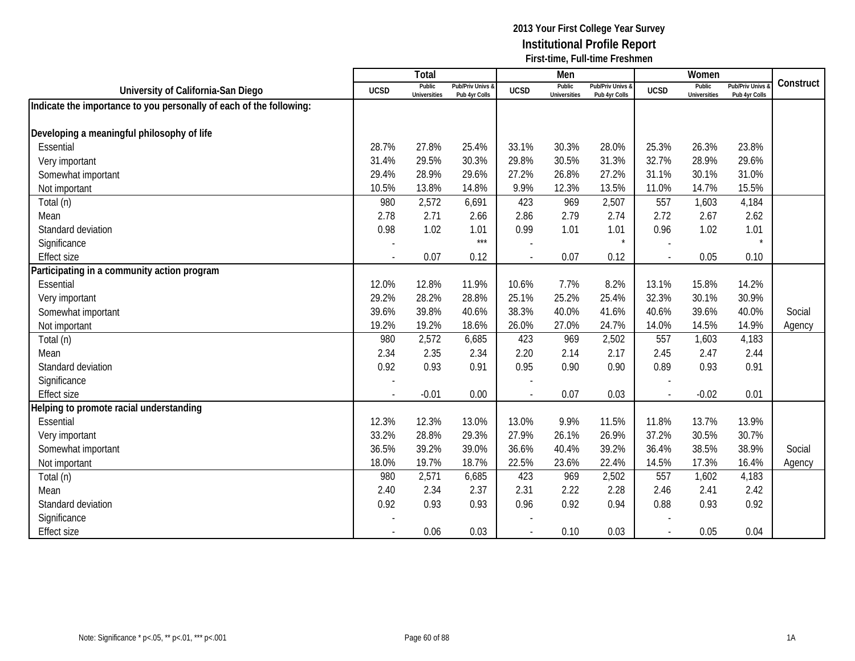|                                                                     |             | Total                         |                                   |             | Men                           |                                   |                | Women                         |                                        |           |
|---------------------------------------------------------------------|-------------|-------------------------------|-----------------------------------|-------------|-------------------------------|-----------------------------------|----------------|-------------------------------|----------------------------------------|-----------|
| University of California-San Diego                                  | <b>UCSD</b> | Public<br><b>Universities</b> | Pub/Priv Univs &<br>Pub 4yr Colls | <b>UCSD</b> | Public<br><b>Universities</b> | Pub/Priv Univs &<br>Pub 4yr Colls | <b>UCSD</b>    | Public<br><b>Universities</b> | <b>Pub/Priv Univs</b><br>Pub 4yr Colls | Construct |
| Indicate the importance to you personally of each of the following: |             |                               |                                   |             |                               |                                   |                |                               |                                        |           |
|                                                                     |             |                               |                                   |             |                               |                                   |                |                               |                                        |           |
| Developing a meaningful philosophy of life                          |             |                               |                                   |             |                               |                                   |                |                               |                                        |           |
| Essential                                                           | 28.7%       | 27.8%                         | 25.4%                             | 33.1%       | 30.3%                         | 28.0%                             | 25.3%          | 26.3%                         | 23.8%                                  |           |
| Very important                                                      | 31.4%       | 29.5%                         | 30.3%                             | 29.8%       | 30.5%                         | 31.3%                             | 32.7%          | 28.9%                         | 29.6%                                  |           |
| Somewhat important                                                  | 29.4%       | 28.9%                         | 29.6%                             | 27.2%       | 26.8%                         | 27.2%                             | 31.1%          | 30.1%                         | 31.0%                                  |           |
| Not important                                                       | 10.5%       | 13.8%                         | 14.8%                             | 9.9%        | 12.3%                         | 13.5%                             | 11.0%          | 14.7%                         | 15.5%                                  |           |
| Total (n)                                                           | 980         | 2,572                         | 6,691                             | 423         | 969                           | 2,507                             | 557            | 1,603                         | 4,184                                  |           |
| Mean                                                                | 2.78        | 2.71                          | 2.66                              | 2.86        | 2.79                          | 2.74                              | 2.72           | 2.67                          | 2.62                                   |           |
| Standard deviation                                                  | 0.98        | 1.02                          | 1.01                              | 0.99        | 1.01                          | 1.01                              | 0.96           | 1.02                          | 1.01                                   |           |
| Significance                                                        |             |                               | $***$                             |             |                               |                                   |                |                               |                                        |           |
| <b>Effect size</b>                                                  |             | 0.07                          | 0.12                              |             | 0.07                          | 0.12                              |                | 0.05                          | 0.10                                   |           |
| Participating in a community action program                         |             |                               |                                   |             |                               |                                   |                |                               |                                        |           |
| Essential                                                           | 12.0%       | 12.8%                         | 11.9%                             | 10.6%       | 7.7%                          | 8.2%                              | 13.1%          | 15.8%                         | 14.2%                                  |           |
| Very important                                                      | 29.2%       | 28.2%                         | 28.8%                             | 25.1%       | 25.2%                         | 25.4%                             | 32.3%          | 30.1%                         | 30.9%                                  |           |
| Somewhat important                                                  | 39.6%       | 39.8%                         | 40.6%                             | 38.3%       | 40.0%                         | 41.6%                             | 40.6%          | 39.6%                         | 40.0%                                  | Social    |
| Not important                                                       | 19.2%       | 19.2%                         | 18.6%                             | 26.0%       | 27.0%                         | 24.7%                             | 14.0%          | 14.5%                         | 14.9%                                  | Agency    |
| Total (n)                                                           | 980         | 2,572                         | 6,685                             | 423         | 969                           | 2,502                             | 557            | 1,603                         | 4,183                                  |           |
| Mean                                                                | 2.34        | 2.35                          | 2.34                              | 2.20        | 2.14                          | 2.17                              | 2.45           | 2.47                          | 2.44                                   |           |
| Standard deviation                                                  | 0.92        | 0.93                          | 0.91                              | 0.95        | 0.90                          | 0.90                              | 0.89           | 0.93                          | 0.91                                   |           |
| Significance                                                        |             |                               |                                   |             |                               |                                   |                |                               |                                        |           |
| <b>Effect size</b>                                                  |             | $-0.01$                       | 0.00                              |             | 0.07                          | 0.03                              |                | $-0.02$                       | 0.01                                   |           |
| Helping to promote racial understanding                             |             |                               |                                   |             |                               |                                   |                |                               |                                        |           |
| Essential                                                           | 12.3%       | 12.3%                         | 13.0%                             | 13.0%       | 9.9%                          | 11.5%                             | 11.8%          | 13.7%                         | 13.9%                                  |           |
| Very important                                                      | 33.2%       | 28.8%                         | 29.3%                             | 27.9%       | 26.1%                         | 26.9%                             | 37.2%          | 30.5%                         | 30.7%                                  |           |
| Somewhat important                                                  | 36.5%       | 39.2%                         | 39.0%                             | 36.6%       | 40.4%                         | 39.2%                             | 36.4%          | 38.5%                         | 38.9%                                  | Social    |
| Not important                                                       | 18.0%       | 19.7%                         | 18.7%                             | 22.5%       | 23.6%                         | 22.4%                             | 14.5%          | 17.3%                         | 16.4%                                  | Agency    |
| Total (n)                                                           | 980         | 2,571                         | 6,685                             | 423         | 969                           | 2,502                             | 557            | 1,602                         | 4,183                                  |           |
| Mean                                                                | 2.40        | 2.34                          | 2.37                              | 2.31        | 2.22                          | 2.28                              | 2.46           | 2.41                          | 2.42                                   |           |
| Standard deviation                                                  | 0.92        | 0.93                          | 0.93                              | 0.96        | 0.92                          | 0.94                              | 0.88           | 0.93                          | 0.92                                   |           |
| Significance                                                        |             |                               |                                   |             |                               |                                   |                |                               |                                        |           |
| <b>Effect size</b>                                                  |             | 0.06                          | 0.03                              |             | 0.10                          | 0.03                              | $\blacksquare$ | 0.05                          | 0.04                                   |           |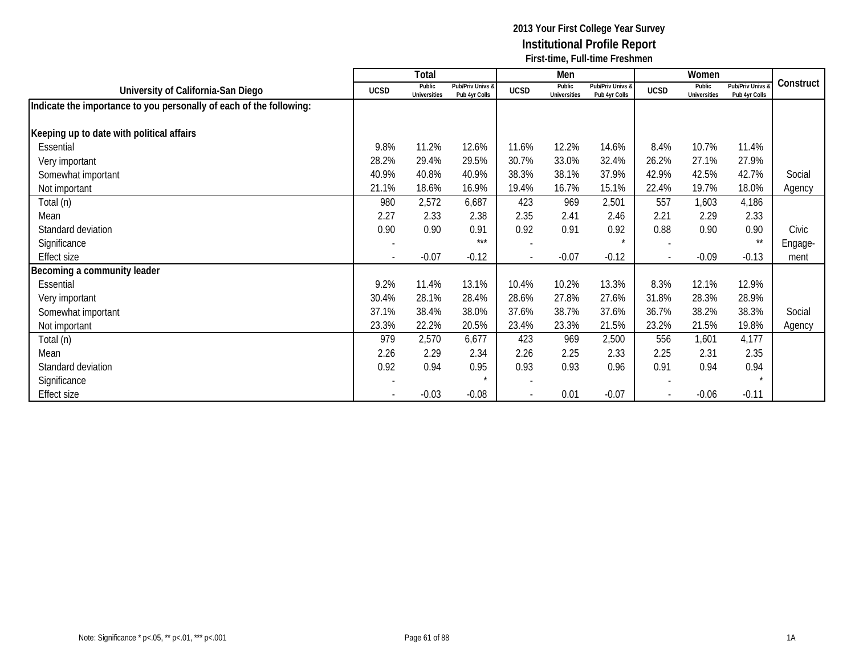|                                                                     |                          | Total                         |                                   |             | Men                           |                                   |             | Women                         |                                   |           |
|---------------------------------------------------------------------|--------------------------|-------------------------------|-----------------------------------|-------------|-------------------------------|-----------------------------------|-------------|-------------------------------|-----------------------------------|-----------|
| University of California-San Diego                                  | <b>UCSD</b>              | Public<br><b>Universities</b> | Pub/Priv Univs &<br>Pub 4yr Colls | <b>UCSD</b> | Public<br><b>Universities</b> | Pub/Priv Univs &<br>Pub 4yr Colls | <b>UCSD</b> | Public<br><b>Universities</b> | Pub/Priv Univs &<br>Pub 4yr Colls | Construct |
| Indicate the importance to you personally of each of the following: |                          |                               |                                   |             |                               |                                   |             |                               |                                   |           |
| Keeping up to date with political affairs                           |                          |                               |                                   |             |                               |                                   |             |                               |                                   |           |
| Essential                                                           | 9.8%                     | 11.2%                         | 12.6%                             | 11.6%       | 12.2%                         | 14.6%                             | 8.4%        | 10.7%                         | 11.4%                             |           |
| Very important                                                      | 28.2%                    | 29.4%                         | 29.5%                             | 30.7%       | 33.0%                         | 32.4%                             | 26.2%       | 27.1%                         | 27.9%                             |           |
| Somewhat important                                                  | 40.9%                    | 40.8%                         | 40.9%                             | 38.3%       | 38.1%                         | 37.9%                             | 42.9%       | 42.5%                         | 42.7%                             | Social    |
| Not important                                                       | 21.1%                    | 18.6%                         | 16.9%                             | 19.4%       | 16.7%                         | 15.1%                             | 22.4%       | 19.7%                         | 18.0%                             | Agency    |
| Total (n)                                                           | 980                      | 2,572                         | 6,687                             | 423         | 969                           | 2,501                             | 557         | 1,603                         | 4,186                             |           |
| Mean                                                                | 2.27                     | 2.33                          | 2.38                              | 2.35        | 2.41                          | 2.46                              | 2.21        | 2.29                          | 2.33                              |           |
| Standard deviation                                                  | 0.90                     | 0.90                          | 0.91                              | 0.92        | 0.91                          | 0.92                              | 0.88        | 0.90                          | 0.90                              | Civic     |
| Significance                                                        | $\overline{a}$           |                               | ***                               |             |                               | $\star$                           |             |                               | $\star\star$                      | Engage-   |
| <b>Effect size</b>                                                  | $\overline{\phantom{a}}$ | $-0.07$                       | $-0.12$                           |             | $-0.07$                       | $-0.12$                           |             | $-0.09$                       | $-0.13$                           | ment      |
| Becoming a community leader                                         |                          |                               |                                   |             |                               |                                   |             |                               |                                   |           |
| Essential                                                           | 9.2%                     | 11.4%                         | 13.1%                             | 10.4%       | 10.2%                         | 13.3%                             | 8.3%        | 12.1%                         | 12.9%                             |           |
| Very important                                                      | 30.4%                    | 28.1%                         | 28.4%                             | 28.6%       | 27.8%                         | 27.6%                             | 31.8%       | 28.3%                         | 28.9%                             |           |
| Somewhat important                                                  | 37.1%                    | 38.4%                         | 38.0%                             | 37.6%       | 38.7%                         | 37.6%                             | 36.7%       | 38.2%                         | 38.3%                             | Social    |
| Not important                                                       | 23.3%                    | 22.2%                         | 20.5%                             | 23.4%       | 23.3%                         | 21.5%                             | 23.2%       | 21.5%                         | 19.8%                             | Agency    |
| Total (n)                                                           | 979                      | 2,570                         | 6,677                             | 423         | 969                           | 2,500                             | 556         | 1,601                         | 4,177                             |           |
| Mean                                                                | 2.26                     | 2.29                          | 2.34                              | 2.26        | 2.25                          | 2.33                              | 2.25        | 2.31                          | 2.35                              |           |
| Standard deviation                                                  | 0.92                     | 0.94                          | 0.95                              | 0.93        | 0.93                          | 0.96                              | 0.91        | 0.94                          | 0.94                              |           |
| Significance                                                        |                          |                               |                                   |             |                               |                                   |             |                               |                                   |           |
| Effect size                                                         |                          | $-0.03$                       | $-0.08$                           |             | 0.01                          | $-0.07$                           |             | $-0.06$                       | $-0.11$                           |           |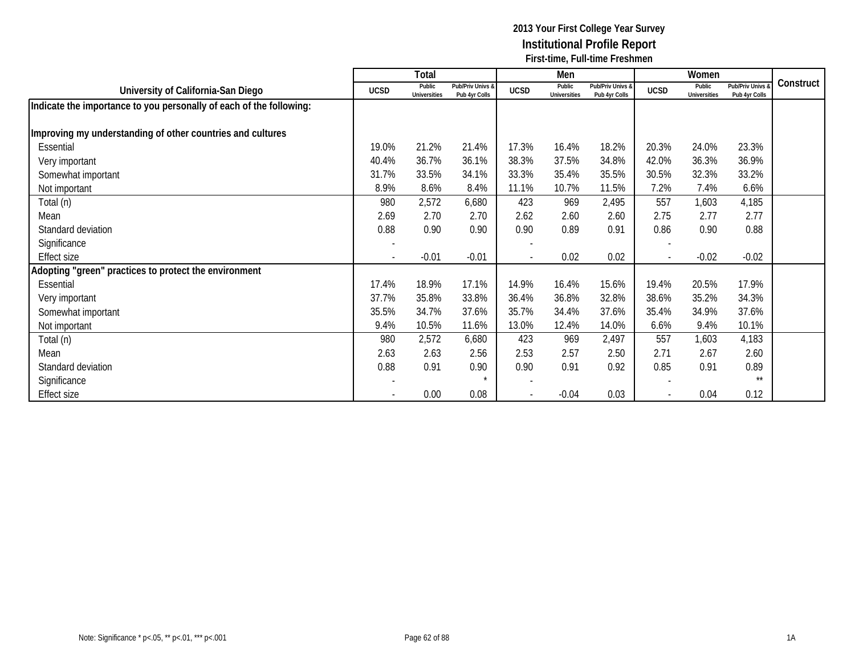|                                                                     |                          | Total                  |                                   |                          | Men                           |                                   |                          | Women                         |                                   |           |
|---------------------------------------------------------------------|--------------------------|------------------------|-----------------------------------|--------------------------|-------------------------------|-----------------------------------|--------------------------|-------------------------------|-----------------------------------|-----------|
| University of California-San Diego                                  | <b>UCSD</b>              | Public<br>Universities | Pub/Priv Univs &<br>Pub 4yr Colls | <b>UCSD</b>              | Public<br><b>Universities</b> | Pub/Priv Univs &<br>Pub 4yr Colls | <b>UCSD</b>              | Public<br><b>Universities</b> | Pub/Priv Univs &<br>Pub 4yr Colls | Construct |
| Indicate the importance to you personally of each of the following: |                          |                        |                                   |                          |                               |                                   |                          |                               |                                   |           |
| Improving my understanding of other countries and cultures          |                          |                        |                                   |                          |                               |                                   |                          |                               |                                   |           |
| Essential                                                           | 19.0%                    | 21.2%                  | 21.4%                             | 17.3%                    | 16.4%                         | 18.2%                             | 20.3%                    | 24.0%                         | 23.3%                             |           |
| Very important                                                      | 40.4%                    | 36.7%                  | 36.1%                             | 38.3%                    | 37.5%                         | 34.8%                             | 42.0%                    | 36.3%                         | 36.9%                             |           |
| Somewhat important                                                  | 31.7%                    | 33.5%                  | 34.1%                             | 33.3%                    | 35.4%                         | 35.5%                             | 30.5%                    | 32.3%                         | 33.2%                             |           |
| Not important                                                       | 8.9%                     | 8.6%                   | 8.4%                              | 11.1%                    | 10.7%                         | 11.5%                             | 7.2%                     | 7.4%                          | 6.6%                              |           |
| Total (n)                                                           | 980                      | 2,572                  | 6,680                             | 423                      | 969                           | 2,495                             | 557                      | 1,603                         | 4,185                             |           |
| Mean                                                                | 2.69                     | 2.70                   | 2.70                              | 2.62                     | 2.60                          | 2.60                              | 2.75                     | 2.77                          | 2.77                              |           |
| Standard deviation                                                  | 0.88                     | 0.90                   | 0.90                              | 0.90                     | 0.89                          | 0.91                              | 0.86                     | 0.90                          | 0.88                              |           |
| Significance                                                        | $\overline{\phantom{a}}$ |                        |                                   |                          |                               |                                   |                          |                               |                                   |           |
| <b>Effect size</b>                                                  | $\overline{\phantom{a}}$ | $-0.01$                | $-0.01$                           | $\overline{\phantom{a}}$ | 0.02                          | 0.02                              | $\overline{\phantom{a}}$ | $-0.02$                       | $-0.02$                           |           |
| Adopting "green" practices to protect the environment               |                          |                        |                                   |                          |                               |                                   |                          |                               |                                   |           |
| Essential                                                           | 17.4%                    | 18.9%                  | 17.1%                             | 14.9%                    | 16.4%                         | 15.6%                             | 19.4%                    | 20.5%                         | 17.9%                             |           |
| Very important                                                      | 37.7%                    | 35.8%                  | 33.8%                             | 36.4%                    | 36.8%                         | 32.8%                             | 38.6%                    | 35.2%                         | 34.3%                             |           |
| Somewhat important                                                  | 35.5%                    | 34.7%                  | 37.6%                             | 35.7%                    | 34.4%                         | 37.6%                             | 35.4%                    | 34.9%                         | 37.6%                             |           |
| Not important                                                       | 9.4%                     | 10.5%                  | 11.6%                             | 13.0%                    | 12.4%                         | 14.0%                             | 6.6%                     | 9.4%                          | 10.1%                             |           |
| Total (n)                                                           | 980                      | 2,572                  | 6,680                             | 423                      | 969                           | 2,497                             | 557                      | 1,603                         | 4,183                             |           |
| Mean                                                                | 2.63                     | 2.63                   | 2.56                              | 2.53                     | 2.57                          | 2.50                              | 2.71                     | 2.67                          | 2.60                              |           |
| Standard deviation                                                  | 0.88                     | 0.91                   | 0.90                              | 0.90                     | 0.91                          | 0.92                              | 0.85                     | 0.91                          | 0.89                              |           |
| Significance                                                        |                          |                        | $\star$                           |                          |                               |                                   |                          |                               | $***$                             |           |
| <b>Effect size</b>                                                  |                          | 0.00                   | 0.08                              |                          | $-0.04$                       | 0.03                              |                          | 0.04                          | 0.12                              |           |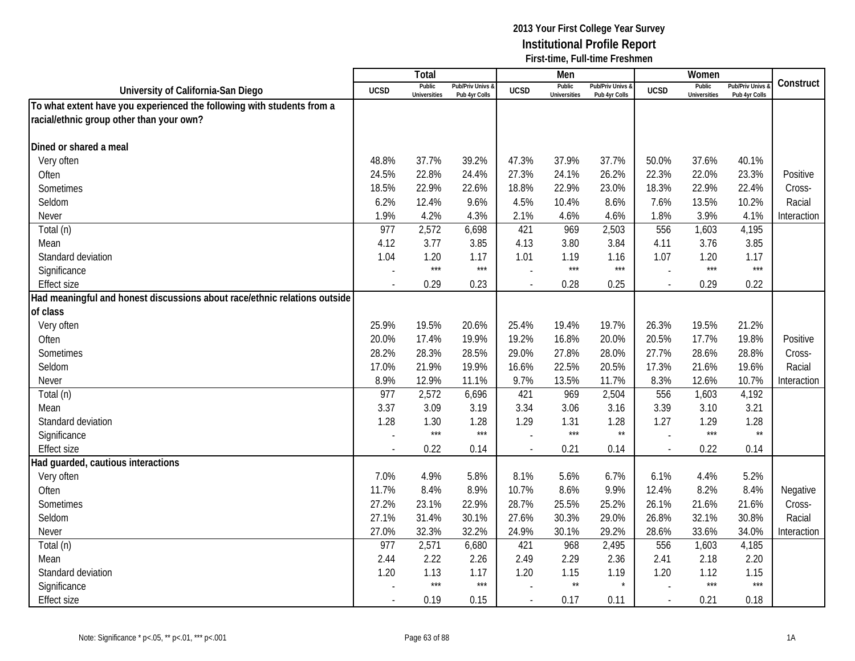|                                                                           |                          | <b>Total</b>                  |                                   |                          | Men                           |                                   |                          | Women                         |                                        |             |
|---------------------------------------------------------------------------|--------------------------|-------------------------------|-----------------------------------|--------------------------|-------------------------------|-----------------------------------|--------------------------|-------------------------------|----------------------------------------|-------------|
| University of California-San Diego                                        | <b>UCSD</b>              | Public<br><b>Universities</b> | Pub/Priv Univs &<br>Pub 4yr Colls | <b>UCSD</b>              | Public<br><b>Universities</b> | Pub/Priv Univs &<br>Pub 4yr Colls | <b>UCSD</b>              | Public<br><b>Universities</b> | <b>Pub/Priv Univs</b><br>Pub 4yr Colls | Construct   |
| To what extent have you experienced the following with students from a    |                          |                               |                                   |                          |                               |                                   |                          |                               |                                        |             |
| racial/ethnic group other than your own?                                  |                          |                               |                                   |                          |                               |                                   |                          |                               |                                        |             |
|                                                                           |                          |                               |                                   |                          |                               |                                   |                          |                               |                                        |             |
| Dined or shared a meal                                                    |                          |                               |                                   |                          |                               |                                   |                          |                               |                                        |             |
| Very often                                                                | 48.8%                    | 37.7%                         | 39.2%                             | 47.3%                    | 37.9%                         | 37.7%                             | 50.0%                    | 37.6%                         | 40.1%                                  |             |
| Often                                                                     | 24.5%                    | 22.8%                         | 24.4%                             | 27.3%                    | 24.1%                         | 26.2%                             | 22.3%                    | 22.0%                         | 23.3%                                  | Positive    |
| Sometimes                                                                 | 18.5%                    | 22.9%                         | 22.6%                             | 18.8%                    | 22.9%                         | 23.0%                             | 18.3%                    | 22.9%                         | 22.4%                                  | Cross-      |
| Seldom                                                                    | 6.2%                     | 12.4%                         | 9.6%                              | 4.5%                     | 10.4%                         | 8.6%                              | 7.6%                     | 13.5%                         | 10.2%                                  | Racial      |
| Never                                                                     | 1.9%                     | 4.2%                          | 4.3%                              | 2.1%                     | 4.6%                          | 4.6%                              | 1.8%                     | 3.9%                          | 4.1%                                   | Interaction |
| Total (n)                                                                 | 977                      | 2,572                         | 6,698                             | 421                      | 969                           | 2,503                             | 556                      | 1,603                         | 4,195                                  |             |
| Mean                                                                      | 4.12                     | 3.77                          | 3.85                              | 4.13                     | 3.80                          | 3.84                              | 4.11                     | 3.76                          | 3.85                                   |             |
| Standard deviation                                                        | 1.04                     | 1.20                          | 1.17                              | 1.01                     | 1.19                          | 1.16                              | 1.07                     | 1.20                          | 1.17                                   |             |
| Significance                                                              |                          | $***$                         | $***$                             |                          | $***$                         | $***$                             |                          | $***$                         | $***$                                  |             |
| <b>Effect size</b>                                                        | $\overline{\phantom{a}}$ | 0.29                          | 0.23                              | $\overline{\phantom{a}}$ | 0.28                          | 0.25                              | $\sim$                   | 0.29                          | 0.22                                   |             |
| Had meaningful and honest discussions about race/ethnic relations outside |                          |                               |                                   |                          |                               |                                   |                          |                               |                                        |             |
| of class                                                                  |                          |                               |                                   |                          |                               |                                   |                          |                               |                                        |             |
| Very often                                                                | 25.9%                    | 19.5%                         | 20.6%                             | 25.4%                    | 19.4%                         | 19.7%                             | 26.3%                    | 19.5%                         | 21.2%                                  |             |
| Often                                                                     | 20.0%                    | 17.4%                         | 19.9%                             | 19.2%                    | 16.8%                         | 20.0%                             | 20.5%                    | 17.7%                         | 19.8%                                  | Positive    |
| Sometimes                                                                 | 28.2%                    | 28.3%                         | 28.5%                             | 29.0%                    | 27.8%                         | 28.0%                             | 27.7%                    | 28.6%                         | 28.8%                                  | Cross-      |
| Seldom                                                                    | 17.0%                    | 21.9%                         | 19.9%                             | 16.6%                    | 22.5%                         | 20.5%                             | 17.3%                    | 21.6%                         | 19.6%                                  | Racial      |
| Never                                                                     | 8.9%                     | 12.9%                         | 11.1%                             | 9.7%                     | 13.5%                         | 11.7%                             | 8.3%                     | 12.6%                         | 10.7%                                  | Interaction |
| Total (n)                                                                 | 977                      | 2,572                         | 6,696                             | 421                      | 969                           | 2,504                             | 556                      | 1,603                         | 4,192                                  |             |
| Mean                                                                      | 3.37                     | 3.09                          | 3.19                              | 3.34                     | 3.06                          | 3.16                              | 3.39                     | 3.10                          | 3.21                                   |             |
| Standard deviation                                                        | 1.28                     | 1.30                          | 1.28                              | 1.29                     | 1.31                          | 1.28                              | 1.27                     | 1.29                          | 1.28                                   |             |
| Significance                                                              |                          | $***$                         | $***$                             |                          | $***$                         | $\star\star$                      |                          | $***$                         | $\star\star$                           |             |
| <b>Effect size</b>                                                        |                          | 0.22                          | 0.14                              |                          | 0.21                          | 0.14                              | $\overline{\phantom{a}}$ | 0.22                          | 0.14                                   |             |
| Had guarded, cautious interactions                                        |                          |                               |                                   |                          |                               |                                   |                          |                               |                                        |             |
| Very often                                                                | 7.0%                     | 4.9%                          | 5.8%                              | 8.1%                     | 5.6%                          | 6.7%                              | 6.1%                     | 4.4%                          | 5.2%                                   |             |
| Often                                                                     | 11.7%                    | 8.4%                          | 8.9%                              | 10.7%                    | 8.6%                          | 9.9%                              | 12.4%                    | 8.2%                          | 8.4%                                   | Negative    |
| Sometimes                                                                 | 27.2%                    | 23.1%                         | 22.9%                             | 28.7%                    | 25.5%                         | 25.2%                             | 26.1%                    | 21.6%                         | 21.6%                                  | Cross-      |
| Seldom                                                                    | 27.1%                    | 31.4%                         | 30.1%                             | 27.6%                    | 30.3%                         | 29.0%                             | 26.8%                    | 32.1%                         | 30.8%                                  | Racial      |
| Never                                                                     | 27.0%                    | 32.3%                         | 32.2%                             | 24.9%                    | 30.1%                         | 29.2%                             | 28.6%                    | 33.6%                         | 34.0%                                  | Interaction |
| Total (n)                                                                 | 977                      | 2,571                         | 6,680                             | 421                      | 968                           | 2,495                             | 556                      | 1,603                         | 4,185                                  |             |
| Mean                                                                      | 2.44                     | 2.22                          | 2.26                              | 2.49                     | 2.29                          | 2.36                              | 2.41                     | 2.18                          | 2.20                                   |             |
| Standard deviation                                                        | 1.20                     | 1.13                          | 1.17                              | 1.20                     | 1.15                          | 1.19                              | 1.20                     | 1.12                          | 1.15                                   |             |
| Significance                                                              |                          | $***$                         | $***$                             |                          | $\star\star$                  | $\star$                           |                          | $***$                         | $***$                                  |             |
| <b>Effect size</b>                                                        | $\overline{a}$           | 0.19                          | 0.15                              | $\overline{\phantom{a}}$ | 0.17                          | 0.11                              | $\blacksquare$           | 0.21                          | 0.18                                   |             |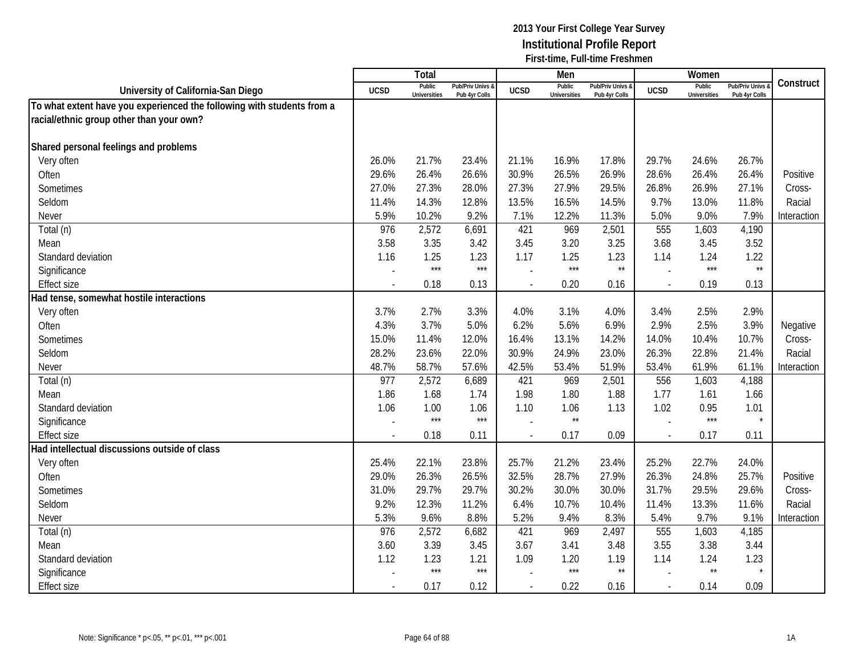|                                                                        |                          | Total                         |                                   |                          | Men                           |                                   |                          | Women                         |                                        |             |
|------------------------------------------------------------------------|--------------------------|-------------------------------|-----------------------------------|--------------------------|-------------------------------|-----------------------------------|--------------------------|-------------------------------|----------------------------------------|-------------|
| University of California-San Diego                                     | <b>UCSD</b>              | Public<br><b>Universities</b> | Pub/Priv Univs &<br>Pub 4yr Colls | <b>UCSD</b>              | Public<br><b>Universities</b> | Pub/Priv Univs &<br>Pub 4yr Colls | <b>UCSD</b>              | Public<br><b>Universities</b> | <b>Pub/Priv Univs</b><br>Pub 4yr Colls | Construct   |
| To what extent have you experienced the following with students from a |                          |                               |                                   |                          |                               |                                   |                          |                               |                                        |             |
| racial/ethnic group other than your own?                               |                          |                               |                                   |                          |                               |                                   |                          |                               |                                        |             |
|                                                                        |                          |                               |                                   |                          |                               |                                   |                          |                               |                                        |             |
| Shared personal feelings and problems                                  |                          |                               |                                   |                          |                               |                                   |                          |                               |                                        |             |
| Very often                                                             | 26.0%                    | 21.7%                         | 23.4%                             | 21.1%                    | 16.9%                         | 17.8%                             | 29.7%                    | 24.6%                         | 26.7%                                  |             |
| Often                                                                  | 29.6%                    | 26.4%                         | 26.6%                             | 30.9%                    | 26.5%                         | 26.9%                             | 28.6%                    | 26.4%                         | 26.4%                                  | Positive    |
| Sometimes                                                              | 27.0%                    | 27.3%                         | 28.0%                             | 27.3%                    | 27.9%                         | 29.5%                             | 26.8%                    | 26.9%                         | 27.1%                                  | Cross-      |
| Seldom                                                                 | 11.4%                    | 14.3%                         | 12.8%                             | 13.5%                    | 16.5%                         | 14.5%                             | 9.7%                     | 13.0%                         | 11.8%                                  | Racial      |
| Never                                                                  | 5.9%                     | 10.2%                         | 9.2%                              | 7.1%                     | 12.2%                         | 11.3%                             | 5.0%                     | 9.0%                          | 7.9%                                   | Interaction |
| Total (n)                                                              | 976                      | 2,572                         | 6,691                             | 421                      | 969                           | 2,501                             | 555                      | 1,603                         | 4,190                                  |             |
| Mean                                                                   | 3.58                     | 3.35                          | 3.42                              | 3.45                     | 3.20                          | 3.25                              | 3.68                     | 3.45                          | 3.52                                   |             |
| Standard deviation                                                     | 1.16                     | 1.25                          | 1.23                              | 1.17                     | 1.25                          | 1.23                              | 1.14                     | 1.24                          | 1.22                                   |             |
| Significance                                                           |                          | $***$                         | $***$                             |                          | $***$                         | $\star\star$                      |                          | $***$                         | $\star\star$                           |             |
| <b>Effect size</b>                                                     |                          | 0.18                          | 0.13                              |                          | 0.20                          | 0.16                              |                          | 0.19                          | 0.13                                   |             |
| Had tense, somewhat hostile interactions                               |                          |                               |                                   |                          |                               |                                   |                          |                               |                                        |             |
| Very often                                                             | 3.7%                     | 2.7%                          | 3.3%                              | 4.0%                     | 3.1%                          | 4.0%                              | 3.4%                     | 2.5%                          | 2.9%                                   |             |
| Often                                                                  | 4.3%                     | 3.7%                          | 5.0%                              | 6.2%                     | 5.6%                          | 6.9%                              | 2.9%                     | 2.5%                          | 3.9%                                   | Negative    |
| Sometimes                                                              | 15.0%                    | 11.4%                         | 12.0%                             | 16.4%                    | 13.1%                         | 14.2%                             | 14.0%                    | 10.4%                         | 10.7%                                  | Cross-      |
| Seldom                                                                 | 28.2%                    | 23.6%                         | 22.0%                             | 30.9%                    | 24.9%                         | 23.0%                             | 26.3%                    | 22.8%                         | 21.4%                                  | Racial      |
| Never                                                                  | 48.7%                    | 58.7%                         | 57.6%                             | 42.5%                    | 53.4%                         | 51.9%                             | 53.4%                    | 61.9%                         | 61.1%                                  | Interaction |
| Total (n)                                                              | 977                      | 2,572                         | 6,689                             | 421                      | 969                           | 2,501                             | 556                      | 1,603                         | 4,188                                  |             |
| Mean                                                                   | 1.86                     | 1.68                          | 1.74                              | 1.98                     | 1.80                          | 1.88                              | 1.77                     | 1.61                          | 1.66                                   |             |
| Standard deviation                                                     | 1.06                     | 1.00                          | 1.06                              | 1.10                     | 1.06                          | 1.13                              | 1.02                     | 0.95                          | 1.01                                   |             |
| Significance                                                           |                          | $***$                         | $***$                             |                          | $\star\star$                  |                                   |                          | $***$                         | $\star$                                |             |
| <b>Effect size</b>                                                     |                          | 0.18                          | 0.11                              |                          | 0.17                          | 0.09                              | $\sim$                   | 0.17                          | 0.11                                   |             |
| Had intellectual discussions outside of class                          |                          |                               |                                   |                          |                               |                                   |                          |                               |                                        |             |
| Very often                                                             | 25.4%                    | 22.1%                         | 23.8%                             | 25.7%                    | 21.2%                         | 23.4%                             | 25.2%                    | 22.7%                         | 24.0%                                  |             |
| Often                                                                  | 29.0%                    | 26.3%                         | 26.5%                             | 32.5%                    | 28.7%                         | 27.9%                             | 26.3%                    | 24.8%                         | 25.7%                                  | Positive    |
| Sometimes                                                              | 31.0%                    | 29.7%                         | 29.7%                             | 30.2%                    | 30.0%                         | 30.0%                             | 31.7%                    | 29.5%                         | 29.6%                                  | Cross-      |
| Seldom                                                                 | 9.2%                     | 12.3%                         | 11.2%                             | 6.4%                     | 10.7%                         | 10.4%                             | 11.4%                    | 13.3%                         | 11.6%                                  | Racial      |
| Never                                                                  | 5.3%                     | 9.6%                          | 8.8%                              | 5.2%                     | 9.4%                          | 8.3%                              | 5.4%                     | 9.7%                          | 9.1%                                   | Interaction |
| Total (n)                                                              | 976                      | 2,572                         | 6,682                             | 421                      | 969                           | 2,497                             | 555                      | 1,603                         | 4,185                                  |             |
| Mean                                                                   | 3.60                     | 3.39                          | 3.45                              | 3.67                     | 3.41                          | 3.48                              | 3.55                     | 3.38                          | 3.44                                   |             |
| Standard deviation                                                     | 1.12                     | 1.23                          | 1.21                              | 1.09                     | 1.20                          | 1.19                              | 1.14                     | 1.24                          | 1.23                                   |             |
| Significance                                                           |                          | $***$                         | $***$                             |                          | $***$                         | $\star\star$                      |                          | $\star\star$                  |                                        |             |
| <b>Effect size</b>                                                     | $\overline{\phantom{a}}$ | 0.17                          | 0.12                              | $\overline{\phantom{a}}$ | 0.22                          | 0.16                              | $\overline{\phantom{a}}$ | 0.14                          | 0.09                                   |             |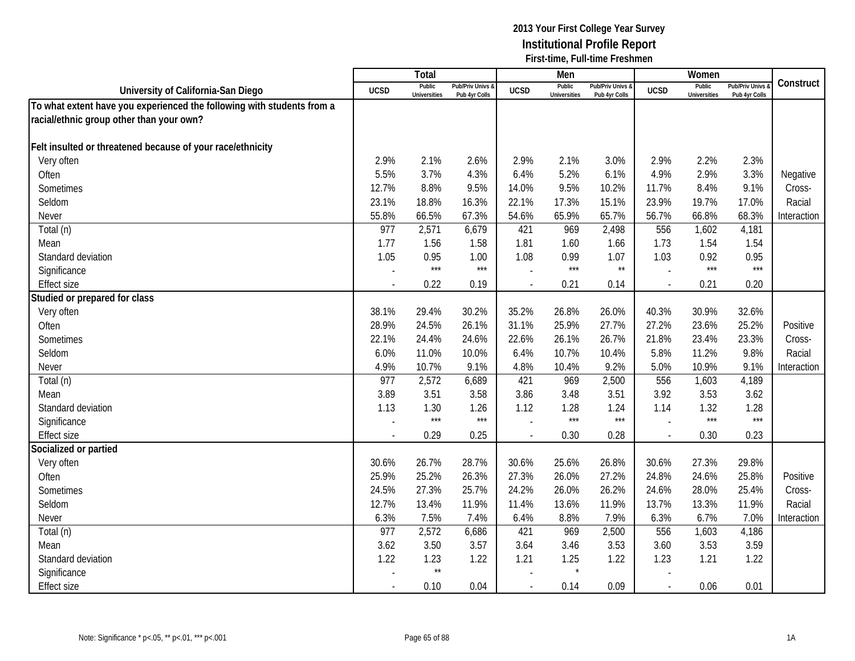|                                                                        |                          | Total                         |                                   |                          | Men                           |                                 |             | Women                         |                                        |             |
|------------------------------------------------------------------------|--------------------------|-------------------------------|-----------------------------------|--------------------------|-------------------------------|---------------------------------|-------------|-------------------------------|----------------------------------------|-------------|
| University of California-San Diego                                     | <b>UCSD</b>              | Public<br><b>Universities</b> | Pub/Priv Univs &<br>Pub 4yr Colls | <b>UCSD</b>              | Public<br><b>Universities</b> | Pub/Priv Univs<br>Pub 4yr Colls | <b>UCSD</b> | Public<br><b>Universities</b> | <b>Pub/Priv Univs</b><br>Pub 4yr Colls | Construct   |
| To what extent have you experienced the following with students from a |                          |                               |                                   |                          |                               |                                 |             |                               |                                        |             |
| racial/ethnic group other than your own?                               |                          |                               |                                   |                          |                               |                                 |             |                               |                                        |             |
|                                                                        |                          |                               |                                   |                          |                               |                                 |             |                               |                                        |             |
| Felt insulted or threatened because of your race/ethnicity             |                          |                               |                                   |                          |                               |                                 |             |                               |                                        |             |
| Very often                                                             | 2.9%                     | 2.1%                          | 2.6%                              | 2.9%                     | 2.1%                          | 3.0%                            | 2.9%        | 2.2%                          | 2.3%                                   |             |
| Often                                                                  | 5.5%                     | 3.7%                          | 4.3%                              | 6.4%                     | 5.2%                          | 6.1%                            | 4.9%        | 2.9%                          | 3.3%                                   | Negative    |
| Sometimes                                                              | 12.7%                    | 8.8%                          | 9.5%                              | 14.0%                    | 9.5%                          | 10.2%                           | 11.7%       | 8.4%                          | 9.1%                                   | Cross-      |
| Seldom                                                                 | 23.1%                    | 18.8%                         | 16.3%                             | 22.1%                    | 17.3%                         | 15.1%                           | 23.9%       | 19.7%                         | 17.0%                                  | Racial      |
| Never                                                                  | 55.8%                    | 66.5%                         | 67.3%                             | 54.6%                    | 65.9%                         | 65.7%                           | 56.7%       | 66.8%                         | 68.3%                                  | Interaction |
| Total (n)                                                              | 977                      | 2,571                         | 6,679                             | 421                      | 969                           | 2,498                           | 556         | 1,602                         | 4,181                                  |             |
| Mean                                                                   | 1.77                     | 1.56                          | 1.58                              | 1.81                     | 1.60                          | 1.66                            | 1.73        | 1.54                          | 1.54                                   |             |
| Standard deviation                                                     | 1.05                     | 0.95                          | 1.00                              | 1.08                     | 0.99                          | 1.07                            | 1.03        | 0.92                          | 0.95                                   |             |
| Significance                                                           |                          | $***$                         | $***$                             |                          | $***$                         | $\star\star$                    |             | $***$                         | $***$                                  |             |
| <b>Effect size</b>                                                     |                          | 0.22                          | 0.19                              |                          | 0.21                          | 0.14                            |             | 0.21                          | 0.20                                   |             |
| Studied or prepared for class                                          |                          |                               |                                   |                          |                               |                                 |             |                               |                                        |             |
| Very often                                                             | 38.1%                    | 29.4%                         | 30.2%                             | 35.2%                    | 26.8%                         | 26.0%                           | 40.3%       | 30.9%                         | 32.6%                                  |             |
| Often                                                                  | 28.9%                    | 24.5%                         | 26.1%                             | 31.1%                    | 25.9%                         | 27.7%                           | 27.2%       | 23.6%                         | 25.2%                                  | Positive    |
| Sometimes                                                              | 22.1%                    | 24.4%                         | 24.6%                             | 22.6%                    | 26.1%                         | 26.7%                           | 21.8%       | 23.4%                         | 23.3%                                  | Cross-      |
| Seldom                                                                 | 6.0%                     | 11.0%                         | 10.0%                             | 6.4%                     | 10.7%                         | 10.4%                           | 5.8%        | 11.2%                         | 9.8%                                   | Racial      |
| <b>Never</b>                                                           | 4.9%                     | 10.7%                         | 9.1%                              | 4.8%                     | 10.4%                         | 9.2%                            | 5.0%        | 10.9%                         | 9.1%                                   | Interaction |
| Total (n)                                                              | 977                      | 2,572                         | 6,689                             | 421                      | 969                           | 2,500                           | 556         | 1,603                         | 4,189                                  |             |
| Mean                                                                   | 3.89                     | 3.51                          | 3.58                              | 3.86                     | 3.48                          | 3.51                            | 3.92        | 3.53                          | 3.62                                   |             |
| Standard deviation                                                     | 1.13                     | 1.30                          | 1.26                              | 1.12                     | 1.28                          | 1.24                            | 1.14        | 1.32                          | 1.28                                   |             |
| Significance                                                           |                          | $***$                         | $***$                             |                          | $***$                         | $***$                           |             | $***$                         | $***$                                  |             |
| <b>Effect size</b>                                                     |                          | 0.29                          | 0.25                              |                          | 0.30                          | 0.28                            |             | 0.30                          | 0.23                                   |             |
| Socialized or partied                                                  |                          |                               |                                   |                          |                               |                                 |             |                               |                                        |             |
| Very often                                                             | 30.6%                    | 26.7%                         | 28.7%                             | 30.6%                    | 25.6%                         | 26.8%                           | 30.6%       | 27.3%                         | 29.8%                                  |             |
| Often                                                                  | 25.9%                    | 25.2%                         | 26.3%                             | 27.3%                    | 26.0%                         | 27.2%                           | 24.8%       | 24.6%                         | 25.8%                                  | Positive    |
| Sometimes                                                              | 24.5%                    | 27.3%                         | 25.7%                             | 24.2%                    | 26.0%                         | 26.2%                           | 24.6%       | 28.0%                         | 25.4%                                  | Cross-      |
| Seldom                                                                 | 12.7%                    | 13.4%                         | 11.9%                             | 11.4%                    | 13.6%                         | 11.9%                           | 13.7%       | 13.3%                         | 11.9%                                  | Racial      |
| Never                                                                  | 6.3%                     | 7.5%                          | 7.4%                              | 6.4%                     | 8.8%                          | 7.9%                            | 6.3%        | 6.7%                          | 7.0%                                   | Interaction |
| Total (n)                                                              | 977                      | 2,572                         | 6,686                             | 421                      | 969                           | 2,500                           | 556         | 1,603                         | 4,186                                  |             |
| Mean                                                                   | 3.62                     | 3.50                          | 3.57                              | 3.64                     | 3.46                          | 3.53                            | 3.60        | 3.53                          | 3.59                                   |             |
| Standard deviation                                                     | 1.22                     | 1.23                          | 1.22                              | 1.21                     | 1.25                          | 1.22                            | 1.23        | 1.21                          | 1.22                                   |             |
| Significance                                                           |                          | $\star\star$                  |                                   |                          |                               |                                 |             |                               |                                        |             |
| <b>Effect size</b>                                                     | $\overline{\phantom{a}}$ | 0.10                          | 0.04                              | $\overline{\phantom{a}}$ | 0.14                          | 0.09                            | $\sim$      | 0.06                          | 0.01                                   |             |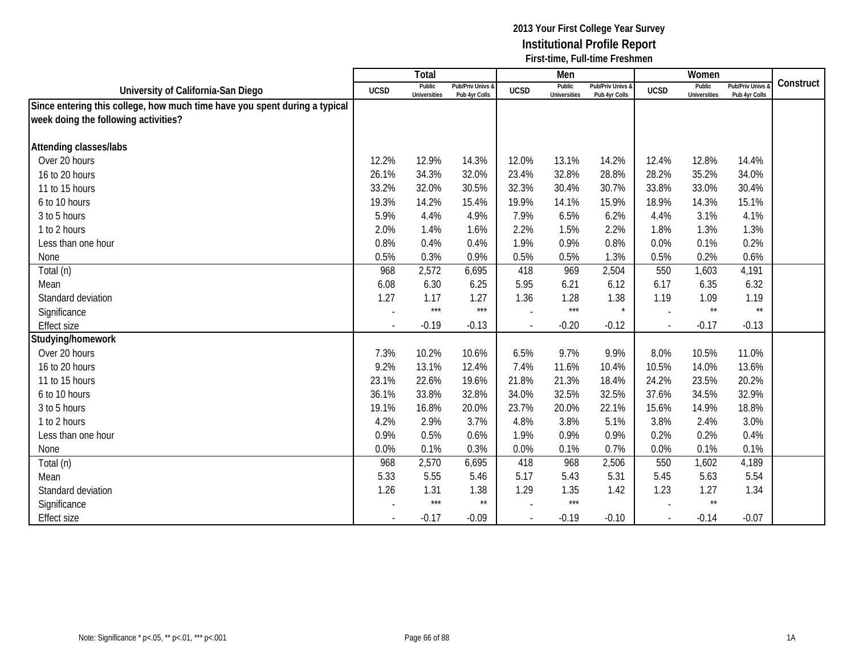|                                                                            |                          | Total                         |                                   |                          | Men                           |                                   |             | Women                         |                                        |           |
|----------------------------------------------------------------------------|--------------------------|-------------------------------|-----------------------------------|--------------------------|-------------------------------|-----------------------------------|-------------|-------------------------------|----------------------------------------|-----------|
| University of California-San Diego                                         | <b>UCSD</b>              | Public<br><b>Universities</b> | Pub/Priv Univs &<br>Pub 4yr Colls | <b>UCSD</b>              | Public<br><b>Universities</b> | Pub/Priv Univs &<br>Pub 4yr Colls | <b>UCSD</b> | Public<br><b>Universities</b> | <b>Pub/Priv Univs</b><br>Pub 4yr Colls | Construct |
| Since entering this college, how much time have you spent during a typical |                          |                               |                                   |                          |                               |                                   |             |                               |                                        |           |
| week doing the following activities?                                       |                          |                               |                                   |                          |                               |                                   |             |                               |                                        |           |
|                                                                            |                          |                               |                                   |                          |                               |                                   |             |                               |                                        |           |
| <b>Attending classes/labs</b>                                              |                          |                               |                                   |                          |                               |                                   |             |                               |                                        |           |
| Over 20 hours                                                              | 12.2%                    | 12.9%                         | 14.3%                             | 12.0%                    | 13.1%                         | 14.2%                             | 12.4%       | 12.8%                         | 14.4%                                  |           |
| 16 to 20 hours                                                             | 26.1%                    | 34.3%                         | 32.0%                             | 23.4%                    | 32.8%                         | 28.8%                             | 28.2%       | 35.2%                         | 34.0%                                  |           |
| 11 to 15 hours                                                             | 33.2%                    | 32.0%                         | 30.5%                             | 32.3%                    | 30.4%                         | 30.7%                             | 33.8%       | 33.0%                         | 30.4%                                  |           |
| 6 to 10 hours                                                              | 19.3%                    | 14.2%                         | 15.4%                             | 19.9%                    | 14.1%                         | 15.9%                             | 18.9%       | 14.3%                         | 15.1%                                  |           |
| 3 to 5 hours                                                               | 5.9%                     | 4.4%                          | 4.9%                              | 7.9%                     | 6.5%                          | 6.2%                              | 4.4%        | 3.1%                          | 4.1%                                   |           |
| 1 to 2 hours                                                               | 2.0%                     | 1.4%                          | 1.6%                              | 2.2%                     | 1.5%                          | 2.2%                              | 1.8%        | 1.3%                          | 1.3%                                   |           |
| Less than one hour                                                         | 0.8%                     | 0.4%                          | 0.4%                              | 1.9%                     | 0.9%                          | 0.8%                              | 0.0%        | 0.1%                          | 0.2%                                   |           |
| None                                                                       | 0.5%                     | 0.3%                          | 0.9%                              | 0.5%                     | 0.5%                          | 1.3%                              | 0.5%        | 0.2%                          | 0.6%                                   |           |
| Total (n)                                                                  | 968                      | 2,572                         | 6,695                             | 418                      | 969                           | 2,504                             | 550         | 1,603                         | 4,191                                  |           |
| Mean                                                                       | 6.08                     | 6.30                          | 6.25                              | 5.95                     | 6.21                          | 6.12                              | 6.17        | 6.35                          | 6.32                                   |           |
| Standard deviation                                                         | 1.27                     | 1.17                          | 1.27                              | 1.36                     | 1.28                          | 1.38                              | 1.19        | 1.09                          | 1.19                                   |           |
| Significance                                                               |                          | $***$                         | $***$                             |                          | $***$                         | $\star$                           |             | $^{\star\star}$               | $\star\star$                           |           |
| <b>Effect size</b>                                                         |                          | $-0.19$                       | $-0.13$                           | $\overline{\phantom{a}}$ | $-0.20$                       | $-0.12$                           | $\sim$      | $-0.17$                       | $-0.13$                                |           |
| Studying/homework                                                          |                          |                               |                                   |                          |                               |                                   |             |                               |                                        |           |
| Over 20 hours                                                              | 7.3%                     | 10.2%                         | 10.6%                             | 6.5%                     | 9.7%                          | 9.9%                              | 8.0%        | 10.5%                         | 11.0%                                  |           |
| 16 to 20 hours                                                             | 9.2%                     | 13.1%                         | 12.4%                             | 7.4%                     | 11.6%                         | 10.4%                             | 10.5%       | 14.0%                         | 13.6%                                  |           |
| 11 to 15 hours                                                             | 23.1%                    | 22.6%                         | 19.6%                             | 21.8%                    | 21.3%                         | 18.4%                             | 24.2%       | 23.5%                         | 20.2%                                  |           |
| 6 to 10 hours                                                              | 36.1%                    | 33.8%                         | 32.8%                             | 34.0%                    | 32.5%                         | 32.5%                             | 37.6%       | 34.5%                         | 32.9%                                  |           |
| 3 to 5 hours                                                               | 19.1%                    | 16.8%                         | 20.0%                             | 23.7%                    | 20.0%                         | 22.1%                             | 15.6%       | 14.9%                         | 18.8%                                  |           |
| 1 to 2 hours                                                               | 4.2%                     | 2.9%                          | 3.7%                              | 4.8%                     | 3.8%                          | 5.1%                              | 3.8%        | 2.4%                          | 3.0%                                   |           |
| Less than one hour                                                         | 0.9%                     | 0.5%                          | 0.6%                              | 1.9%                     | 0.9%                          | 0.9%                              | 0.2%        | 0.2%                          | 0.4%                                   |           |
| None                                                                       | 0.0%                     | 0.1%                          | 0.3%                              | 0.0%                     | 0.1%                          | 0.7%                              | 0.0%        | 0.1%                          | 0.1%                                   |           |
| Total (n)                                                                  | 968                      | 2,570                         | 6,695                             | 418                      | 968                           | 2,506                             | 550         | 1,602                         | 4,189                                  |           |
| Mean                                                                       | 5.33                     | 5.55                          | 5.46                              | 5.17                     | 5.43                          | 5.31                              | 5.45        | 5.63                          | 5.54                                   |           |
| Standard deviation                                                         | 1.26                     | 1.31                          | 1.38                              | 1.29                     | 1.35                          | 1.42                              | 1.23        | 1.27                          | 1.34                                   |           |
| Significance                                                               |                          | $***$                         | $\star\star$                      |                          | $***$                         |                                   |             | $^{\star\star}$               |                                        |           |
| <b>Effect size</b>                                                         | $\overline{\phantom{a}}$ | $-0.17$                       | $-0.09$                           | $\overline{\phantom{a}}$ | $-0.19$                       | $-0.10$                           | $\sim$      | $-0.14$                       | $-0.07$                                |           |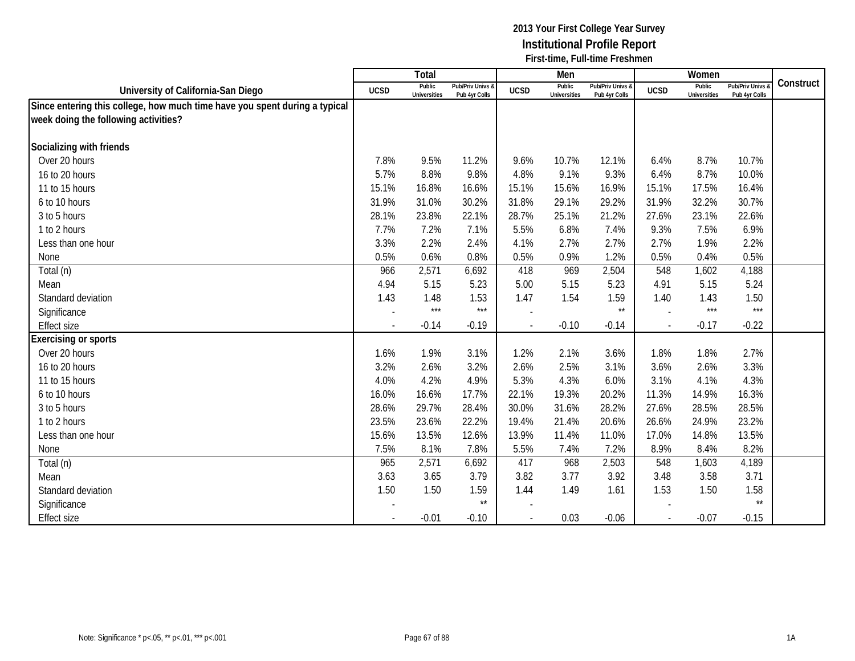|                                                                            |                          | Total                         |                                   |                          | Men                           |                                   |                | Women                         |                                        |           |
|----------------------------------------------------------------------------|--------------------------|-------------------------------|-----------------------------------|--------------------------|-------------------------------|-----------------------------------|----------------|-------------------------------|----------------------------------------|-----------|
| University of California-San Diego                                         | <b>UCSD</b>              | Public<br><b>Universities</b> | Pub/Priv Univs &<br>Pub 4yr Colls | <b>UCSD</b>              | Public<br><b>Universities</b> | Pub/Priv Univs &<br>Pub 4yr Colls | <b>UCSD</b>    | Public<br><b>Universities</b> | <b>Pub/Priv Univs</b><br>Pub 4yr Colls | Construct |
| Since entering this college, how much time have you spent during a typical |                          |                               |                                   |                          |                               |                                   |                |                               |                                        |           |
| week doing the following activities?                                       |                          |                               |                                   |                          |                               |                                   |                |                               |                                        |           |
|                                                                            |                          |                               |                                   |                          |                               |                                   |                |                               |                                        |           |
| Socializing with friends                                                   |                          |                               |                                   |                          |                               |                                   |                |                               |                                        |           |
| Over 20 hours                                                              | 7.8%                     | 9.5%                          | 11.2%                             | 9.6%                     | 10.7%                         | 12.1%                             | 6.4%           | 8.7%                          | 10.7%                                  |           |
| 16 to 20 hours                                                             | 5.7%                     | 8.8%                          | 9.8%                              | 4.8%                     | 9.1%                          | 9.3%                              | 6.4%           | 8.7%                          | 10.0%                                  |           |
| 11 to 15 hours                                                             | 15.1%                    | 16.8%                         | 16.6%                             | 15.1%                    | 15.6%                         | 16.9%                             | 15.1%          | 17.5%                         | 16.4%                                  |           |
| 6 to 10 hours                                                              | 31.9%                    | 31.0%                         | 30.2%                             | 31.8%                    | 29.1%                         | 29.2%                             | 31.9%          | 32.2%                         | 30.7%                                  |           |
| 3 to 5 hours                                                               | 28.1%                    | 23.8%                         | 22.1%                             | 28.7%                    | 25.1%                         | 21.2%                             | 27.6%          | 23.1%                         | 22.6%                                  |           |
| 1 to 2 hours                                                               | 7.7%                     | 7.2%                          | 7.1%                              | 5.5%                     | 6.8%                          | 7.4%                              | 9.3%           | 7.5%                          | 6.9%                                   |           |
| Less than one hour                                                         | 3.3%                     | 2.2%                          | 2.4%                              | 4.1%                     | 2.7%                          | 2.7%                              | 2.7%           | 1.9%                          | 2.2%                                   |           |
| None                                                                       | 0.5%                     | 0.6%                          | 0.8%                              | 0.5%                     | 0.9%                          | 1.2%                              | 0.5%           | 0.4%                          | 0.5%                                   |           |
| Total (n)                                                                  | 966                      | 2,571                         | 6,692                             | 418                      | 969                           | 2,504                             | 548            | 1,602                         | 4,188                                  |           |
| Mean                                                                       | 4.94                     | 5.15                          | 5.23                              | 5.00                     | 5.15                          | 5.23                              | 4.91           | 5.15                          | 5.24                                   |           |
| Standard deviation                                                         | 1.43                     | 1.48                          | 1.53                              | 1.47                     | 1.54                          | 1.59                              | 1.40           | 1.43                          | 1.50                                   |           |
| Significance                                                               |                          | $***$                         | $***$                             |                          |                               | $\star\star$                      |                | $***$                         | $***$                                  |           |
| <b>Effect size</b>                                                         |                          | $-0.14$                       | $-0.19$                           | $\overline{\phantom{a}}$ | $-0.10$                       | $-0.14$                           | $\sim$         | $-0.17$                       | $-0.22$                                |           |
| Exercising or sports                                                       |                          |                               |                                   |                          |                               |                                   |                |                               |                                        |           |
| Over 20 hours                                                              | 1.6%                     | 1.9%                          | 3.1%                              | 1.2%                     | 2.1%                          | 3.6%                              | 1.8%           | 1.8%                          | 2.7%                                   |           |
| 16 to 20 hours                                                             | 3.2%                     | 2.6%                          | 3.2%                              | 2.6%                     | 2.5%                          | 3.1%                              | 3.6%           | 2.6%                          | 3.3%                                   |           |
| 11 to 15 hours                                                             | 4.0%                     | 4.2%                          | 4.9%                              | 5.3%                     | 4.3%                          | 6.0%                              | 3.1%           | 4.1%                          | 4.3%                                   |           |
| 6 to 10 hours                                                              | 16.0%                    | 16.6%                         | 17.7%                             | 22.1%                    | 19.3%                         | 20.2%                             | 11.3%          | 14.9%                         | 16.3%                                  |           |
| 3 to 5 hours                                                               | 28.6%                    | 29.7%                         | 28.4%                             | 30.0%                    | 31.6%                         | 28.2%                             | 27.6%          | 28.5%                         | 28.5%                                  |           |
| 1 to 2 hours                                                               | 23.5%                    | 23.6%                         | 22.2%                             | 19.4%                    | 21.4%                         | 20.6%                             | 26.6%          | 24.9%                         | 23.2%                                  |           |
| Less than one hour                                                         | 15.6%                    | 13.5%                         | 12.6%                             | 13.9%                    | 11.4%                         | 11.0%                             | 17.0%          | 14.8%                         | 13.5%                                  |           |
| None                                                                       | 7.5%                     | 8.1%                          | 7.8%                              | 5.5%                     | 7.4%                          | 7.2%                              | 8.9%           | 8.4%                          | 8.2%                                   |           |
| Total (n)                                                                  | 965                      | 2,571                         | 6,692                             | 417                      | 968                           | 2,503                             | 548            | 1,603                         | 4,189                                  |           |
| Mean                                                                       | 3.63                     | 3.65                          | 3.79                              | 3.82                     | 3.77                          | 3.92                              | 3.48           | 3.58                          | 3.71                                   |           |
| Standard deviation                                                         | 1.50                     | 1.50                          | 1.59                              | 1.44                     | 1.49                          | 1.61                              | 1.53           | 1.50                          | 1.58                                   |           |
| Significance                                                               |                          |                               | $\star\star$                      |                          |                               |                                   |                |                               | $\star\star$                           |           |
| <b>Effect size</b>                                                         | $\overline{\phantom{a}}$ | $-0.01$                       | $-0.10$                           | $\overline{\phantom{a}}$ | 0.03                          | $-0.06$                           | $\blacksquare$ | $-0.07$                       | $-0.15$                                |           |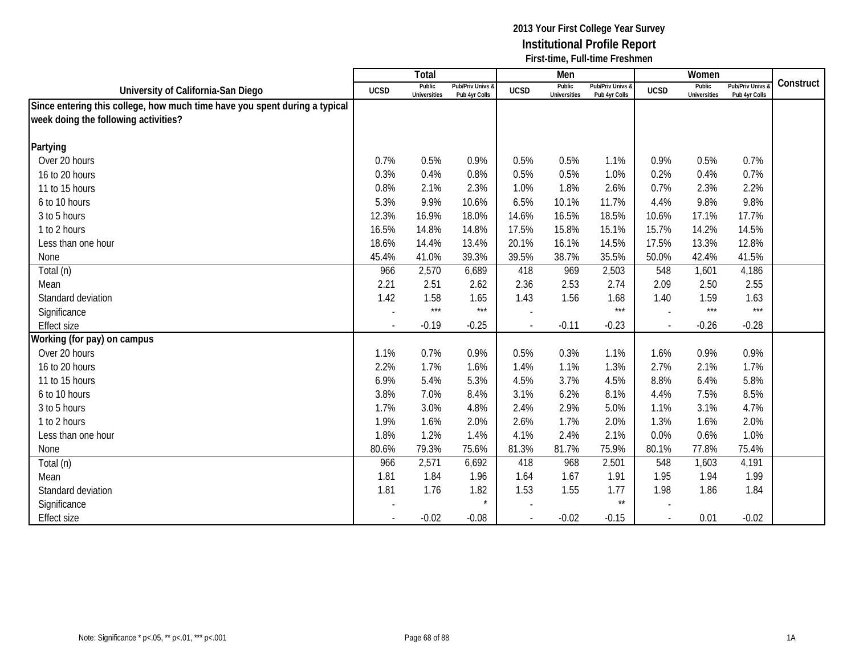|                                                                            |             | Total                         |                                   |                          | Men                           |                                   |                          | Women                  |                                        |           |
|----------------------------------------------------------------------------|-------------|-------------------------------|-----------------------------------|--------------------------|-------------------------------|-----------------------------------|--------------------------|------------------------|----------------------------------------|-----------|
| University of California-San Diego                                         | <b>UCSD</b> | Public<br><b>Universities</b> | Pub/Priv Univs &<br>Pub 4yr Colls | <b>UCSD</b>              | Public<br><b>Universities</b> | Pub/Priv Univs &<br>Pub 4yr Colls | <b>UCSD</b>              | Public<br>Universities | <b>Pub/Priv Univs</b><br>Pub 4yr Colls | Construct |
| Since entering this college, how much time have you spent during a typical |             |                               |                                   |                          |                               |                                   |                          |                        |                                        |           |
| week doing the following activities?                                       |             |                               |                                   |                          |                               |                                   |                          |                        |                                        |           |
|                                                                            |             |                               |                                   |                          |                               |                                   |                          |                        |                                        |           |
| Partying                                                                   |             |                               |                                   |                          |                               |                                   |                          |                        |                                        |           |
| Over 20 hours                                                              | 0.7%        | 0.5%                          | 0.9%                              | 0.5%                     | 0.5%                          | 1.1%                              | 0.9%                     | 0.5%                   | 0.7%                                   |           |
| 16 to 20 hours                                                             | 0.3%        | 0.4%                          | 0.8%                              | 0.5%                     | 0.5%                          | 1.0%                              | 0.2%                     | 0.4%                   | 0.7%                                   |           |
| 11 to 15 hours                                                             | 0.8%        | 2.1%                          | 2.3%                              | 1.0%                     | 1.8%                          | 2.6%                              | 0.7%                     | 2.3%                   | 2.2%                                   |           |
| 6 to 10 hours                                                              | 5.3%        | 9.9%                          | 10.6%                             | 6.5%                     | 10.1%                         | 11.7%                             | 4.4%                     | 9.8%                   | 9.8%                                   |           |
| 3 to 5 hours                                                               | 12.3%       | 16.9%                         | 18.0%                             | 14.6%                    | 16.5%                         | 18.5%                             | 10.6%                    | 17.1%                  | 17.7%                                  |           |
| 1 to 2 hours                                                               | 16.5%       | 14.8%                         | 14.8%                             | 17.5%                    | 15.8%                         | 15.1%                             | 15.7%                    | 14.2%                  | 14.5%                                  |           |
| Less than one hour                                                         | 18.6%       | 14.4%                         | 13.4%                             | 20.1%                    | 16.1%                         | 14.5%                             | 17.5%                    | 13.3%                  | 12.8%                                  |           |
| None                                                                       | 45.4%       | 41.0%                         | 39.3%                             | 39.5%                    | 38.7%                         | 35.5%                             | 50.0%                    | 42.4%                  | 41.5%                                  |           |
| Total (n)                                                                  | 966         | 2,570                         | 6,689                             | 418                      | 969                           | 2,503                             | 548                      | 1,601                  | 4,186                                  |           |
| Mean                                                                       | 2.21        | 2.51                          | 2.62                              | 2.36                     | 2.53                          | 2.74                              | 2.09                     | 2.50                   | 2.55                                   |           |
| Standard deviation                                                         | 1.42        | 1.58                          | 1.65                              | 1.43                     | 1.56                          | 1.68                              | 1.40                     | 1.59                   | 1.63                                   |           |
| Significance                                                               |             | $***$                         | $***$                             |                          |                               | $***$                             |                          | $***$                  | $***$                                  |           |
| <b>Effect size</b>                                                         |             | $-0.19$                       | $-0.25$                           | $\overline{\phantom{a}}$ | $-0.11$                       | $-0.23$                           | $\sim$                   | $-0.26$                | $-0.28$                                |           |
| Working (for pay) on campus                                                |             |                               |                                   |                          |                               |                                   |                          |                        |                                        |           |
| Over 20 hours                                                              | 1.1%        | 0.7%                          | 0.9%                              | 0.5%                     | 0.3%                          | 1.1%                              | 1.6%                     | 0.9%                   | 0.9%                                   |           |
| 16 to 20 hours                                                             | 2.2%        | 1.7%                          | 1.6%                              | 1.4%                     | 1.1%                          | 1.3%                              | 2.7%                     | 2.1%                   | 1.7%                                   |           |
| 11 to 15 hours                                                             | 6.9%        | 5.4%                          | 5.3%                              | 4.5%                     | 3.7%                          | 4.5%                              | 8.8%                     | 6.4%                   | 5.8%                                   |           |
| 6 to 10 hours                                                              | 3.8%        | 7.0%                          | 8.4%                              | 3.1%                     | 6.2%                          | 8.1%                              | 4.4%                     | 7.5%                   | 8.5%                                   |           |
| 3 to 5 hours                                                               | 1.7%        | 3.0%                          | 4.8%                              | 2.4%                     | 2.9%                          | 5.0%                              | 1.1%                     | 3.1%                   | 4.7%                                   |           |
| 1 to 2 hours                                                               | 1.9%        | 1.6%                          | 2.0%                              | 2.6%                     | 1.7%                          | 2.0%                              | 1.3%                     | 1.6%                   | 2.0%                                   |           |
| Less than one hour                                                         | 1.8%        | 1.2%                          | 1.4%                              | 4.1%                     | 2.4%                          | 2.1%                              | 0.0%                     | 0.6%                   | 1.0%                                   |           |
| None                                                                       | 80.6%       | 79.3%                         | 75.6%                             | 81.3%                    | 81.7%                         | 75.9%                             | 80.1%                    | 77.8%                  | 75.4%                                  |           |
| Total (n)                                                                  | 966         | 2,571                         | 6,692                             | 418                      | 968                           | 2,501                             | 548                      | 1,603                  | 4,191                                  |           |
| Mean                                                                       | 1.81        | 1.84                          | 1.96                              | 1.64                     | 1.67                          | 1.91                              | 1.95                     | 1.94                   | 1.99                                   |           |
| Standard deviation                                                         | 1.81        | 1.76                          | 1.82                              | 1.53                     | 1.55                          | 1.77                              | 1.98                     | 1.86                   | 1.84                                   |           |
| Significance                                                               |             |                               | $\star$                           |                          |                               | $\star\star$                      |                          |                        |                                        |           |
| <b>Effect size</b>                                                         |             | $-0.02$                       | $-0.08$                           | $\overline{\phantom{a}}$ | $-0.02$                       | $-0.15$                           | $\overline{\phantom{a}}$ | 0.01                   | $-0.02$                                |           |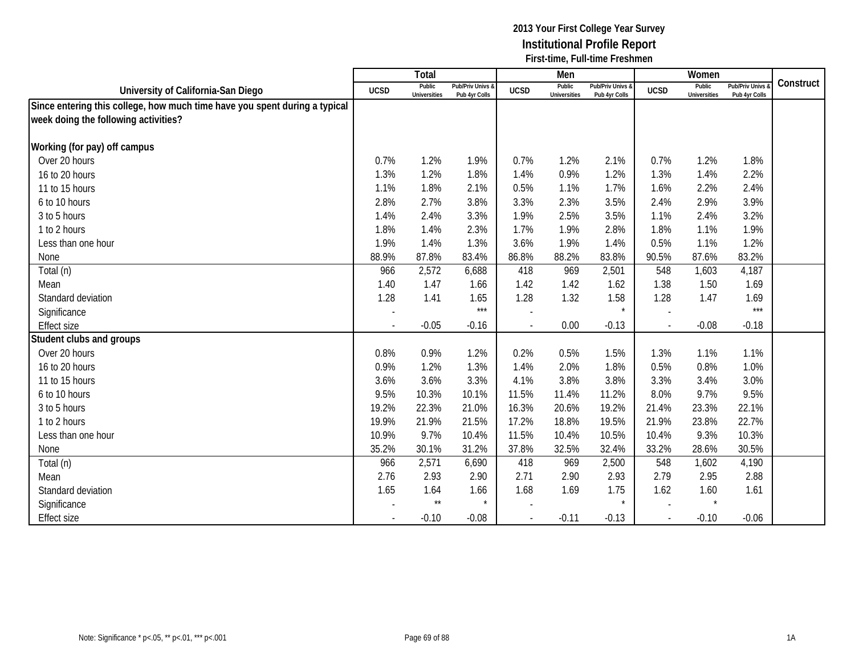|                                                                            |                | Total                         |                                   |                          | Men                           |                                   |             | Women                  |                                        |           |
|----------------------------------------------------------------------------|----------------|-------------------------------|-----------------------------------|--------------------------|-------------------------------|-----------------------------------|-------------|------------------------|----------------------------------------|-----------|
| University of California-San Diego                                         | <b>UCSD</b>    | Public<br><b>Universities</b> | Pub/Priv Univs &<br>Pub 4yr Colls | <b>UCSD</b>              | Public<br><b>Universities</b> | Pub/Priv Univs &<br>Pub 4yr Colls | <b>UCSD</b> | Public<br>Universities | <b>Pub/Priv Univs</b><br>Pub 4yr Colls | Construct |
| Since entering this college, how much time have you spent during a typical |                |                               |                                   |                          |                               |                                   |             |                        |                                        |           |
| week doing the following activities?                                       |                |                               |                                   |                          |                               |                                   |             |                        |                                        |           |
|                                                                            |                |                               |                                   |                          |                               |                                   |             |                        |                                        |           |
| Working (for pay) off campus                                               |                |                               |                                   |                          |                               |                                   |             |                        |                                        |           |
| Over 20 hours                                                              | 0.7%           | 1.2%                          | 1.9%                              | 0.7%                     | 1.2%                          | 2.1%                              | 0.7%        | 1.2%                   | 1.8%                                   |           |
| 16 to 20 hours                                                             | 1.3%           | 1.2%                          | 1.8%                              | 1.4%                     | 0.9%                          | 1.2%                              | 1.3%        | 1.4%                   | 2.2%                                   |           |
| 11 to 15 hours                                                             | 1.1%           | 1.8%                          | 2.1%                              | 0.5%                     | 1.1%                          | 1.7%                              | 1.6%        | 2.2%                   | 2.4%                                   |           |
| 6 to 10 hours                                                              | 2.8%           | 2.7%                          | 3.8%                              | 3.3%                     | 2.3%                          | 3.5%                              | 2.4%        | 2.9%                   | 3.9%                                   |           |
| 3 to 5 hours                                                               | 1.4%           | 2.4%                          | 3.3%                              | 1.9%                     | 2.5%                          | 3.5%                              | 1.1%        | 2.4%                   | 3.2%                                   |           |
| 1 to 2 hours                                                               | 1.8%           | 1.4%                          | 2.3%                              | 1.7%                     | 1.9%                          | 2.8%                              | 1.8%        | 1.1%                   | 1.9%                                   |           |
| Less than one hour                                                         | 1.9%           | 1.4%                          | 1.3%                              | 3.6%                     | 1.9%                          | 1.4%                              | 0.5%        | 1.1%                   | 1.2%                                   |           |
| None                                                                       | 88.9%          | 87.8%                         | 83.4%                             | 86.8%                    | 88.2%                         | 83.8%                             | 90.5%       | 87.6%                  | 83.2%                                  |           |
| Total (n)                                                                  | 966            | 2,572                         | 6,688                             | 418                      | 969                           | 2,501                             | 548         | 1,603                  | 4,187                                  |           |
| Mean                                                                       | 1.40           | 1.47                          | 1.66                              | 1.42                     | 1.42                          | 1.62                              | 1.38        | 1.50                   | 1.69                                   |           |
| Standard deviation                                                         | 1.28           | 1.41                          | 1.65                              | 1.28                     | 1.32                          | 1.58                              | 1.28        | 1.47                   | 1.69                                   |           |
| Significance                                                               |                |                               | $***$                             |                          |                               |                                   |             |                        | $***$                                  |           |
| <b>Effect size</b>                                                         |                | $-0.05$                       | $-0.16$                           | $\overline{a}$           | 0.00                          | $-0.13$                           | $\sim$      | $-0.08$                | $-0.18$                                |           |
| Student clubs and groups                                                   |                |                               |                                   |                          |                               |                                   |             |                        |                                        |           |
| Over 20 hours                                                              | 0.8%           | 0.9%                          | 1.2%                              | 0.2%                     | 0.5%                          | 1.5%                              | 1.3%        | 1.1%                   | 1.1%                                   |           |
| 16 to 20 hours                                                             | 0.9%           | 1.2%                          | 1.3%                              | 1.4%                     | 2.0%                          | 1.8%                              | 0.5%        | 0.8%                   | 1.0%                                   |           |
| 11 to 15 hours                                                             | 3.6%           | 3.6%                          | 3.3%                              | 4.1%                     | 3.8%                          | 3.8%                              | 3.3%        | 3.4%                   | 3.0%                                   |           |
| 6 to 10 hours                                                              | 9.5%           | 10.3%                         | 10.1%                             | 11.5%                    | 11.4%                         | 11.2%                             | 8.0%        | 9.7%                   | 9.5%                                   |           |
| 3 to 5 hours                                                               | 19.2%          | 22.3%                         | 21.0%                             | 16.3%                    | 20.6%                         | 19.2%                             | 21.4%       | 23.3%                  | 22.1%                                  |           |
| 1 to 2 hours                                                               | 19.9%          | 21.9%                         | 21.5%                             | 17.2%                    | 18.8%                         | 19.5%                             | 21.9%       | 23.8%                  | 22.7%                                  |           |
| Less than one hour                                                         | 10.9%          | 9.7%                          | 10.4%                             | 11.5%                    | 10.4%                         | 10.5%                             | 10.4%       | 9.3%                   | 10.3%                                  |           |
| None                                                                       | 35.2%          | 30.1%                         | 31.2%                             | 37.8%                    | 32.5%                         | 32.4%                             | 33.2%       | 28.6%                  | 30.5%                                  |           |
| Total (n)                                                                  | 966            | 2,571                         | 6,690                             | 418                      | 969                           | 2,500                             | 548         | 1,602                  | 4,190                                  |           |
| Mean                                                                       | 2.76           | 2.93                          | 2.90                              | 2.71                     | 2.90                          | 2.93                              | 2.79        | 2.95                   | 2.88                                   |           |
| Standard deviation                                                         | 1.65           | 1.64                          | 1.66                              | 1.68                     | 1.69                          | 1.75                              | 1.62        | 1.60                   | 1.61                                   |           |
| Significance                                                               |                | $\star\star$                  | $\star$                           |                          |                               | $\star$                           |             | $\star$                |                                        |           |
| <b>Effect size</b>                                                         | $\blacksquare$ | $-0.10$                       | $-0.08$                           | $\overline{\phantom{a}}$ | $-0.11$                       | $-0.13$                           | $\sim$      | $-0.10$                | $-0.06$                                |           |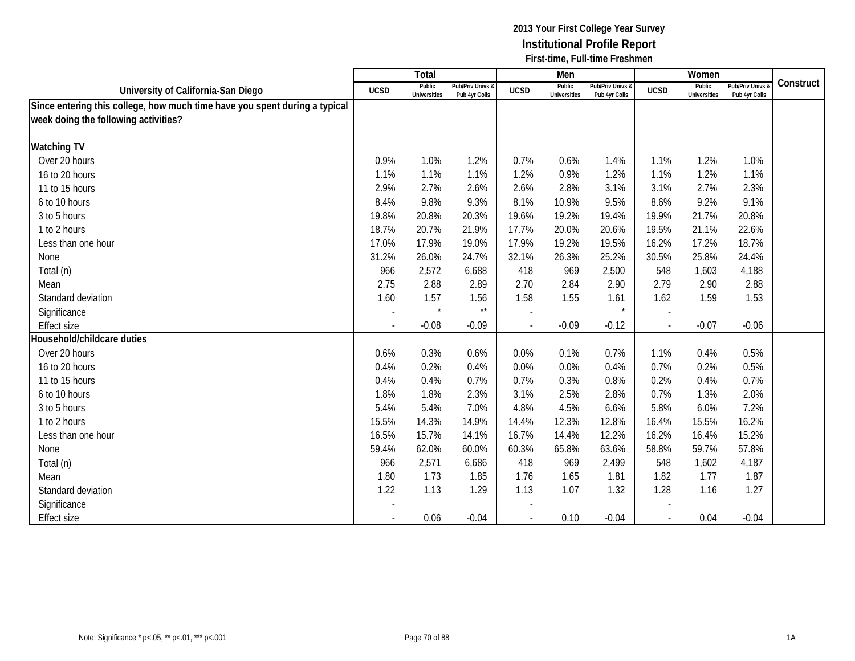|                                                                            |                          | Total                         |                                   |                          | Men                           |                                   |             | Women                         |                                        |           |
|----------------------------------------------------------------------------|--------------------------|-------------------------------|-----------------------------------|--------------------------|-------------------------------|-----------------------------------|-------------|-------------------------------|----------------------------------------|-----------|
| University of California-San Diego                                         | <b>UCSD</b>              | Public<br><b>Universities</b> | Pub/Priv Univs &<br>Pub 4yr Colls | <b>UCSD</b>              | Public<br><b>Universities</b> | Pub/Priv Univs &<br>Pub 4yr Colls | <b>UCSD</b> | Public<br><b>Universities</b> | <b>Pub/Priv Univs</b><br>Pub 4yr Colls | Construct |
| Since entering this college, how much time have you spent during a typical |                          |                               |                                   |                          |                               |                                   |             |                               |                                        |           |
| week doing the following activities?                                       |                          |                               |                                   |                          |                               |                                   |             |                               |                                        |           |
|                                                                            |                          |                               |                                   |                          |                               |                                   |             |                               |                                        |           |
| <b>Watching TV</b>                                                         |                          |                               |                                   |                          |                               |                                   |             |                               |                                        |           |
| Over 20 hours                                                              | 0.9%                     | 1.0%                          | 1.2%                              | 0.7%                     | 0.6%                          | 1.4%                              | 1.1%        | 1.2%                          | 1.0%                                   |           |
| 16 to 20 hours                                                             | 1.1%                     | 1.1%                          | 1.1%                              | 1.2%                     | 0.9%                          | 1.2%                              | 1.1%        | 1.2%                          | 1.1%                                   |           |
| 11 to 15 hours                                                             | 2.9%                     | 2.7%                          | 2.6%                              | 2.6%                     | 2.8%                          | 3.1%                              | 3.1%        | 2.7%                          | 2.3%                                   |           |
| 6 to 10 hours                                                              | 8.4%                     | 9.8%                          | 9.3%                              | 8.1%                     | 10.9%                         | 9.5%                              | 8.6%        | 9.2%                          | 9.1%                                   |           |
| 3 to 5 hours                                                               | 19.8%                    | 20.8%                         | 20.3%                             | 19.6%                    | 19.2%                         | 19.4%                             | 19.9%       | 21.7%                         | 20.8%                                  |           |
| 1 to 2 hours                                                               | 18.7%                    | 20.7%                         | 21.9%                             | 17.7%                    | 20.0%                         | 20.6%                             | 19.5%       | 21.1%                         | 22.6%                                  |           |
| Less than one hour                                                         | 17.0%                    | 17.9%                         | 19.0%                             | 17.9%                    | 19.2%                         | 19.5%                             | 16.2%       | 17.2%                         | 18.7%                                  |           |
| None                                                                       | 31.2%                    | 26.0%                         | 24.7%                             | 32.1%                    | 26.3%                         | 25.2%                             | 30.5%       | 25.8%                         | 24.4%                                  |           |
| Total (n)                                                                  | 966                      | 2,572                         | 6,688                             | 418                      | 969                           | 2,500                             | 548         | 1,603                         | 4,188                                  |           |
| Mean                                                                       | 2.75                     | 2.88                          | 2.89                              | 2.70                     | 2.84                          | 2.90                              | 2.79        | 2.90                          | 2.88                                   |           |
| Standard deviation                                                         | 1.60                     | 1.57                          | 1.56                              | 1.58                     | 1.55                          | 1.61                              | 1.62        | 1.59                          | 1.53                                   |           |
| Significance                                                               | $\overline{a}$           | $\star$                       | $^{\star\star}$                   |                          |                               |                                   |             |                               |                                        |           |
| <b>Effect size</b>                                                         | $\overline{\phantom{a}}$ | $-0.08$                       | $-0.09$                           | $\overline{\phantom{a}}$ | $-0.09$                       | $-0.12$                           | $\sim$      | $-0.07$                       | $-0.06$                                |           |
| Household/childcare duties                                                 |                          |                               |                                   |                          |                               |                                   |             |                               |                                        |           |
| Over 20 hours                                                              | 0.6%                     | 0.3%                          | 0.6%                              | 0.0%                     | 0.1%                          | 0.7%                              | 1.1%        | 0.4%                          | 0.5%                                   |           |
| 16 to 20 hours                                                             | 0.4%                     | 0.2%                          | 0.4%                              | 0.0%                     | 0.0%                          | 0.4%                              | 0.7%        | 0.2%                          | 0.5%                                   |           |
| 11 to 15 hours                                                             | 0.4%                     | 0.4%                          | 0.7%                              | 0.7%                     | 0.3%                          | 0.8%                              | 0.2%        | 0.4%                          | 0.7%                                   |           |
| 6 to 10 hours                                                              | 1.8%                     | 1.8%                          | 2.3%                              | 3.1%                     | 2.5%                          | 2.8%                              | 0.7%        | 1.3%                          | 2.0%                                   |           |
| 3 to 5 hours                                                               | 5.4%                     | 5.4%                          | 7.0%                              | 4.8%                     | 4.5%                          | 6.6%                              | 5.8%        | 6.0%                          | 7.2%                                   |           |
| 1 to 2 hours                                                               | 15.5%                    | 14.3%                         | 14.9%                             | 14.4%                    | 12.3%                         | 12.8%                             | 16.4%       | 15.5%                         | 16.2%                                  |           |
| Less than one hour                                                         | 16.5%                    | 15.7%                         | 14.1%                             | 16.7%                    | 14.4%                         | 12.2%                             | 16.2%       | 16.4%                         | 15.2%                                  |           |
| None                                                                       | 59.4%                    | 62.0%                         | 60.0%                             | 60.3%                    | 65.8%                         | 63.6%                             | 58.8%       | 59.7%                         | 57.8%                                  |           |
| Total (n)                                                                  | 966                      | 2,571                         | 6,686                             | 418                      | 969                           | 2,499                             | 548         | 1,602                         | 4,187                                  |           |
| Mean                                                                       | 1.80                     | 1.73                          | 1.85                              | 1.76                     | 1.65                          | 1.81                              | 1.82        | 1.77                          | 1.87                                   |           |
| Standard deviation                                                         | 1.22                     | 1.13                          | 1.29                              | 1.13                     | 1.07                          | 1.32                              | 1.28        | 1.16                          | 1.27                                   |           |
| Significance                                                               |                          |                               |                                   |                          |                               |                                   |             |                               |                                        |           |
| <b>Effect size</b>                                                         |                          | 0.06                          | $-0.04$                           |                          | 0.10                          | $-0.04$                           |             | 0.04                          | $-0.04$                                |           |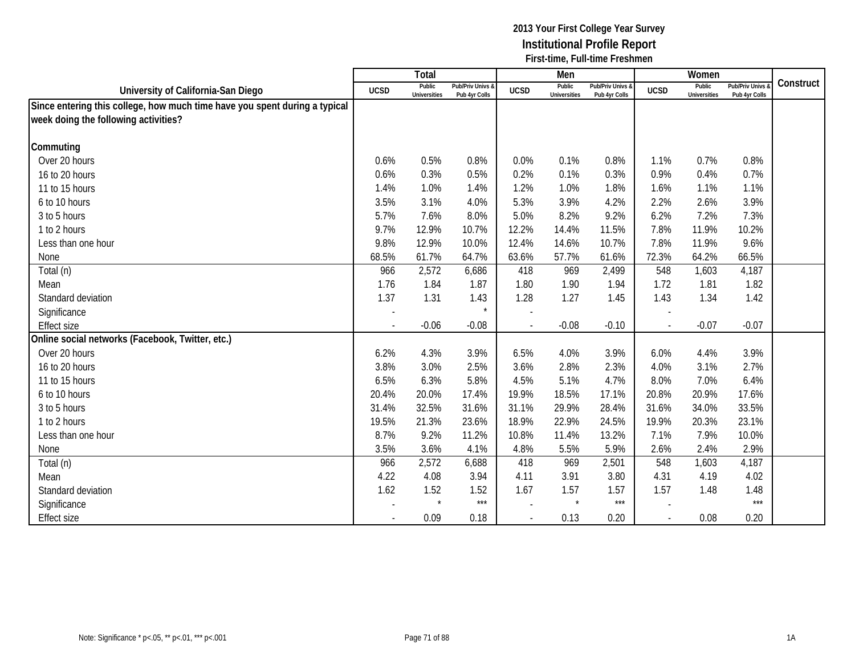|                                                                            |                          | Total                         |                                   |                          | Men                           |                                   |                | Women                  |                                        |           |
|----------------------------------------------------------------------------|--------------------------|-------------------------------|-----------------------------------|--------------------------|-------------------------------|-----------------------------------|----------------|------------------------|----------------------------------------|-----------|
| University of California-San Diego                                         | <b>UCSD</b>              | Public<br><b>Universities</b> | Pub/Priv Univs &<br>Pub 4yr Colls | <b>UCSD</b>              | Public<br><b>Universities</b> | Pub/Priv Univs &<br>Pub 4yr Colls | <b>UCSD</b>    | Public<br>Universities | <b>Pub/Priv Univs</b><br>Pub 4yr Colls | Construct |
| Since entering this college, how much time have you spent during a typical |                          |                               |                                   |                          |                               |                                   |                |                        |                                        |           |
| week doing the following activities?                                       |                          |                               |                                   |                          |                               |                                   |                |                        |                                        |           |
|                                                                            |                          |                               |                                   |                          |                               |                                   |                |                        |                                        |           |
| Commuting                                                                  |                          |                               |                                   |                          |                               |                                   |                |                        |                                        |           |
| Over 20 hours                                                              | 0.6%                     | 0.5%                          | 0.8%                              | 0.0%                     | 0.1%                          | 0.8%                              | 1.1%           | 0.7%                   | 0.8%                                   |           |
| 16 to 20 hours                                                             | 0.6%                     | 0.3%                          | 0.5%                              | 0.2%                     | 0.1%                          | 0.3%                              | 0.9%           | 0.4%                   | 0.7%                                   |           |
| 11 to 15 hours                                                             | 1.4%                     | 1.0%                          | 1.4%                              | 1.2%                     | 1.0%                          | 1.8%                              | 1.6%           | 1.1%                   | 1.1%                                   |           |
| 6 to 10 hours                                                              | 3.5%                     | 3.1%                          | 4.0%                              | 5.3%                     | 3.9%                          | 4.2%                              | 2.2%           | 2.6%                   | 3.9%                                   |           |
| 3 to 5 hours                                                               | 5.7%                     | 7.6%                          | 8.0%                              | 5.0%                     | 8.2%                          | 9.2%                              | 6.2%           | 7.2%                   | 7.3%                                   |           |
| 1 to 2 hours                                                               | 9.7%                     | 12.9%                         | 10.7%                             | 12.2%                    | 14.4%                         | 11.5%                             | 7.8%           | 11.9%                  | 10.2%                                  |           |
| Less than one hour                                                         | 9.8%                     | 12.9%                         | 10.0%                             | 12.4%                    | 14.6%                         | 10.7%                             | 7.8%           | 11.9%                  | 9.6%                                   |           |
| None                                                                       | 68.5%                    | 61.7%                         | 64.7%                             | 63.6%                    | 57.7%                         | 61.6%                             | 72.3%          | 64.2%                  | 66.5%                                  |           |
| Total (n)                                                                  | 966                      | 2,572                         | 6,686                             | 418                      | 969                           | 2,499                             | 548            | 1,603                  | 4,187                                  |           |
| Mean                                                                       | 1.76                     | 1.84                          | 1.87                              | 1.80                     | 1.90                          | 1.94                              | 1.72           | 1.81                   | 1.82                                   |           |
| Standard deviation                                                         | 1.37                     | 1.31                          | 1.43                              | 1.28                     | 1.27                          | 1.45                              | 1.43           | 1.34                   | 1.42                                   |           |
| Significance                                                               | $\overline{\phantom{a}}$ |                               |                                   | $\overline{\phantom{a}}$ |                               |                                   |                |                        |                                        |           |
| <b>Effect size</b>                                                         |                          | $-0.06$                       | $-0.08$                           | $\overline{\phantom{a}}$ | $-0.08$                       | $-0.10$                           |                | $-0.07$                | $-0.07$                                |           |
| Online social networks (Facebook, Twitter, etc.)                           |                          |                               |                                   |                          |                               |                                   |                |                        |                                        |           |
| Over 20 hours                                                              | 6.2%                     | 4.3%                          | 3.9%                              | 6.5%                     | 4.0%                          | 3.9%                              | 6.0%           | 4.4%                   | 3.9%                                   |           |
| 16 to 20 hours                                                             | 3.8%                     | 3.0%                          | 2.5%                              | 3.6%                     | 2.8%                          | 2.3%                              | 4.0%           | 3.1%                   | 2.7%                                   |           |
| 11 to 15 hours                                                             | 6.5%                     | 6.3%                          | 5.8%                              | 4.5%                     | 5.1%                          | 4.7%                              | 8.0%           | 7.0%                   | 6.4%                                   |           |
| 6 to 10 hours                                                              | 20.4%                    | 20.0%                         | 17.4%                             | 19.9%                    | 18.5%                         | 17.1%                             | 20.8%          | 20.9%                  | 17.6%                                  |           |
| 3 to 5 hours                                                               | 31.4%                    | 32.5%                         | 31.6%                             | 31.1%                    | 29.9%                         | 28.4%                             | 31.6%          | 34.0%                  | 33.5%                                  |           |
| 1 to 2 hours                                                               | 19.5%                    | 21.3%                         | 23.6%                             | 18.9%                    | 22.9%                         | 24.5%                             | 19.9%          | 20.3%                  | 23.1%                                  |           |
| Less than one hour                                                         | 8.7%                     | 9.2%                          | 11.2%                             | 10.8%                    | 11.4%                         | 13.2%                             | 7.1%           | 7.9%                   | 10.0%                                  |           |
| None                                                                       | 3.5%                     | 3.6%                          | 4.1%                              | 4.8%                     | 5.5%                          | 5.9%                              | 2.6%           | 2.4%                   | 2.9%                                   |           |
| Total (n)                                                                  | 966                      | 2,572                         | 6,688                             | 418                      | 969                           | 2,501                             | 548            | 1,603                  | 4,187                                  |           |
| Mean                                                                       | 4.22                     | 4.08                          | 3.94                              | 4.11                     | 3.91                          | 3.80                              | 4.31           | 4.19                   | 4.02                                   |           |
| Standard deviation                                                         | 1.62                     | 1.52                          | 1.52                              | 1.67                     | 1.57                          | 1.57                              | 1.57           | 1.48                   | 1.48                                   |           |
| Significance                                                               | $\overline{\phantom{a}}$ | $\star$                       | $***$                             | $\overline{\phantom{a}}$ | $\star$                       | $***$                             |                |                        | $***$                                  |           |
| <b>Effect size</b>                                                         | $\overline{\phantom{a}}$ | 0.09                          | 0.18                              | $\overline{\phantom{a}}$ | 0.13                          | 0.20                              | $\blacksquare$ | 0.08                   | 0.20                                   |           |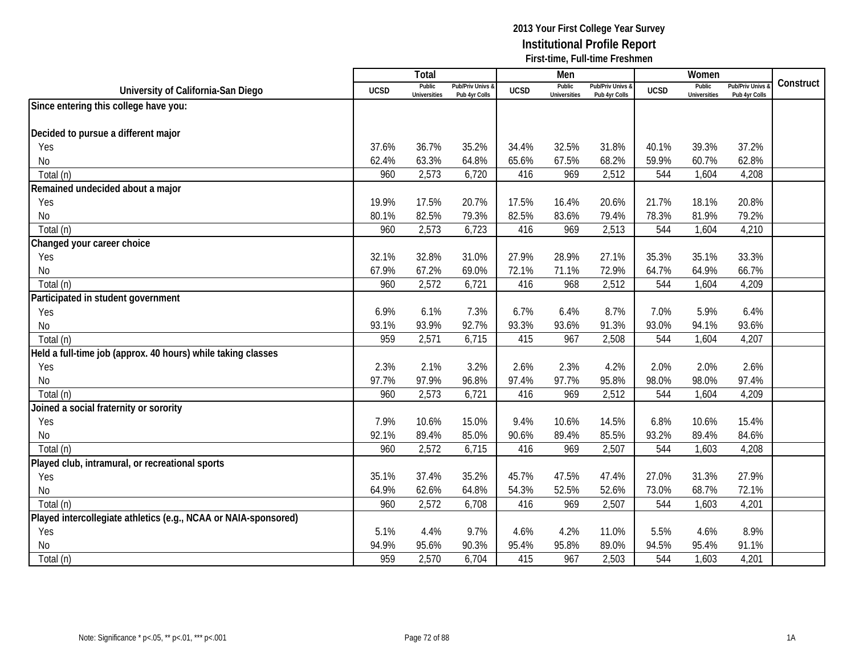|                                                                 |             | <b>Total</b>                  |                                   |             | Men                           |                                   |             | Women                         |                                 |           |
|-----------------------------------------------------------------|-------------|-------------------------------|-----------------------------------|-------------|-------------------------------|-----------------------------------|-------------|-------------------------------|---------------------------------|-----------|
| University of California-San Diego                              | <b>UCSD</b> | Public<br><b>Universities</b> | Pub/Priv Univs 8<br>Pub 4yr Colls | <b>UCSD</b> | Public<br><b>Universities</b> | Pub/Priv Univs &<br>Pub 4yr Colls | <b>UCSD</b> | Public<br><b>Universities</b> | Pub/Priv Univs<br>Pub 4yr Colls | Construct |
| Since entering this college have you:                           |             |                               |                                   |             |                               |                                   |             |                               |                                 |           |
|                                                                 |             |                               |                                   |             |                               |                                   |             |                               |                                 |           |
| Decided to pursue a different major                             |             |                               |                                   |             |                               |                                   |             |                               |                                 |           |
| Yes                                                             | 37.6%       | 36.7%                         | 35.2%                             | 34.4%       | 32.5%                         | 31.8%                             | 40.1%       | 39.3%                         | 37.2%                           |           |
| <b>No</b>                                                       | 62.4%       | 63.3%                         | 64.8%                             | 65.6%       | 67.5%                         | 68.2%                             | 59.9%       | 60.7%                         | 62.8%                           |           |
| Total (n)                                                       | 960         | 2,573                         | 6,720                             | 416         | 969                           | 2,512                             | 544         | 1,604                         | 4,208                           |           |
| Remained undecided about a major                                |             |                               |                                   |             |                               |                                   |             |                               |                                 |           |
| Yes                                                             | 19.9%       | 17.5%                         | 20.7%                             | 17.5%       | 16.4%                         | 20.6%                             | 21.7%       | 18.1%                         | 20.8%                           |           |
| No                                                              | 80.1%       | 82.5%                         | 79.3%                             | 82.5%       | 83.6%                         | 79.4%                             | 78.3%       | 81.9%                         | 79.2%                           |           |
| Total (n)                                                       | 960         | 2,573                         | 6,723                             | 416         | 969                           | 2,513                             | 544         | 1,604                         | 4,210                           |           |
| Changed your career choice                                      |             |                               |                                   |             |                               |                                   |             |                               |                                 |           |
| Yes                                                             | 32.1%       | 32.8%                         | 31.0%                             | 27.9%       | 28.9%                         | 27.1%                             | 35.3%       | 35.1%                         | 33.3%                           |           |
| <b>No</b>                                                       | 67.9%       | 67.2%                         | 69.0%                             | 72.1%       | 71.1%                         | 72.9%                             | 64.7%       | 64.9%                         | 66.7%                           |           |
| Total (n)                                                       | 960         | 2,572                         | 6,721                             | 416         | 968                           | 2,512                             | 544         | 1,604                         | 4,209                           |           |
| Participated in student government                              |             |                               |                                   |             |                               |                                   |             |                               |                                 |           |
| Yes                                                             | 6.9%        | 6.1%                          | 7.3%                              | 6.7%        | 6.4%                          | 8.7%                              | 7.0%        | 5.9%                          | 6.4%                            |           |
| <b>No</b>                                                       | 93.1%       | 93.9%                         | 92.7%                             | 93.3%       | 93.6%                         | 91.3%                             | 93.0%       | 94.1%                         | 93.6%                           |           |
| Total (n)                                                       | 959         | 2,571                         | 6,715                             | 415         | 967                           | 2,508                             | 544         | 1,604                         | 4,207                           |           |
| Held a full-time job (approx. 40 hours) while taking classes    |             |                               |                                   |             |                               |                                   |             |                               |                                 |           |
| Yes                                                             | 2.3%        | 2.1%                          | 3.2%                              | 2.6%        | 2.3%                          | 4.2%                              | 2.0%        | 2.0%                          | 2.6%                            |           |
| <b>No</b>                                                       | 97.7%       | 97.9%                         | 96.8%                             | 97.4%       | 97.7%                         | 95.8%                             | 98.0%       | 98.0%                         | 97.4%                           |           |
| Total (n)                                                       | 960         | 2,573                         | 6,721                             | 416         | 969                           | 2,512                             | 544         | 1,604                         | 4,209                           |           |
| Joined a social fraternity or sorority                          |             |                               |                                   |             |                               |                                   |             |                               |                                 |           |
| Yes                                                             | 7.9%        | 10.6%                         | 15.0%                             | 9.4%        | 10.6%                         | 14.5%                             | 6.8%        | 10.6%                         | 15.4%                           |           |
| No                                                              | 92.1%       | 89.4%                         | 85.0%                             | 90.6%       | 89.4%                         | 85.5%                             | 93.2%       | 89.4%                         | 84.6%                           |           |
| Total (n)                                                       | 960         | 2,572                         | 6,715                             | 416         | 969                           | 2,507                             | 544         | 1,603                         | 4,208                           |           |
| Played club, intramural, or recreational sports                 |             |                               |                                   |             |                               |                                   |             |                               |                                 |           |
| Yes                                                             | 35.1%       | 37.4%                         | 35.2%                             | 45.7%       | 47.5%                         | 47.4%                             | 27.0%       | 31.3%                         | 27.9%                           |           |
| No                                                              | 64.9%       | 62.6%                         | 64.8%                             | 54.3%       | 52.5%                         | 52.6%                             | 73.0%       | 68.7%                         | 72.1%                           |           |
| Total (n)                                                       | 960         | 2,572                         | 6,708                             | 416         | 969                           | 2,507                             | 544         | 1,603                         | 4,201                           |           |
| Played intercollegiate athletics (e.g., NCAA or NAIA-sponsored) |             |                               |                                   |             |                               |                                   |             |                               |                                 |           |
| Yes                                                             | 5.1%        | 4.4%                          | 9.7%                              | 4.6%        | 4.2%                          | 11.0%                             | 5.5%        | 4.6%                          | 8.9%                            |           |
| <b>No</b>                                                       | 94.9%       | 95.6%                         | 90.3%                             | 95.4%       | 95.8%                         | 89.0%                             | 94.5%       | 95.4%                         | 91.1%                           |           |
| Total (n)                                                       | 959         | 2,570                         | 6,704                             | 415         | 967                           | 2,503                             | 544         | 1,603                         | 4,201                           |           |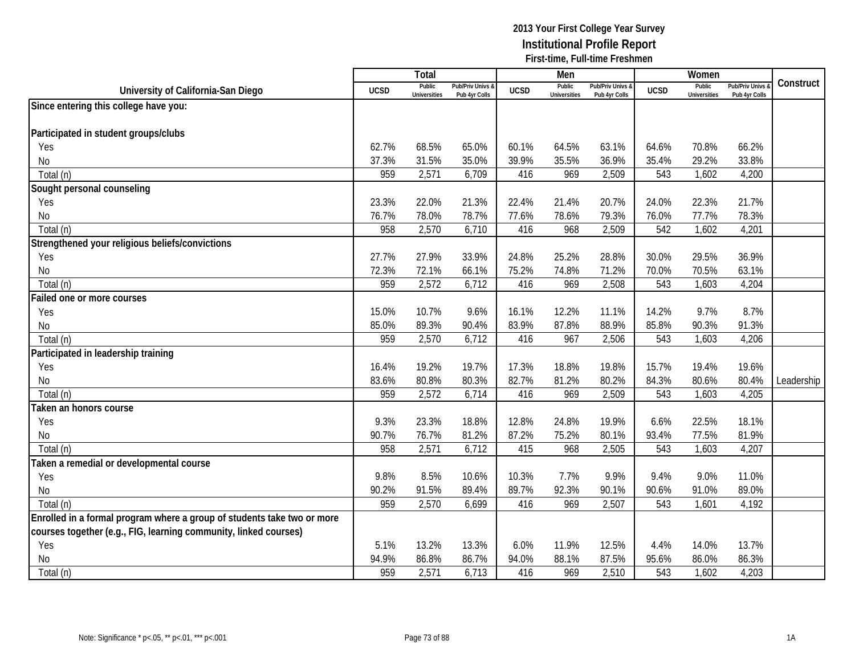|                                                                         |             | <b>Total</b>                  |                                   |             | Men                           |                                   |             | Women                         |                                        |            |
|-------------------------------------------------------------------------|-------------|-------------------------------|-----------------------------------|-------------|-------------------------------|-----------------------------------|-------------|-------------------------------|----------------------------------------|------------|
| University of California-San Diego                                      | <b>UCSD</b> | Public<br><b>Universities</b> | Pub/Priv Univs &<br>Pub 4yr Colls | <b>UCSD</b> | Public<br><b>Universities</b> | Pub/Priv Univs &<br>Pub 4yr Colls | <b>UCSD</b> | Public<br><b>Universities</b> | <b>Pub/Priv Univs</b><br>Pub 4yr Colls | Construct  |
| Since entering this college have you:                                   |             |                               |                                   |             |                               |                                   |             |                               |                                        |            |
|                                                                         |             |                               |                                   |             |                               |                                   |             |                               |                                        |            |
| Participated in student groups/clubs                                    |             |                               |                                   |             |                               |                                   |             |                               |                                        |            |
| Yes                                                                     | 62.7%       | 68.5%                         | 65.0%                             | 60.1%       | 64.5%                         | 63.1%                             | 64.6%       | 70.8%                         | 66.2%                                  |            |
| No                                                                      | 37.3%       | 31.5%                         | 35.0%                             | 39.9%       | 35.5%                         | 36.9%                             | 35.4%       | 29.2%                         | 33.8%                                  |            |
| Total (n)                                                               | 959         | 2,571                         | 6,709                             | 416         | 969                           | 2,509                             | 543         | 1,602                         | 4,200                                  |            |
| Sought personal counseling                                              |             |                               |                                   |             |                               |                                   |             |                               |                                        |            |
| Yes                                                                     | 23.3%       | 22.0%                         | 21.3%                             | 22.4%       | 21.4%                         | 20.7%                             | 24.0%       | 22.3%                         | 21.7%                                  |            |
| No                                                                      | 76.7%       | 78.0%                         | 78.7%                             | 77.6%       | 78.6%                         | 79.3%                             | 76.0%       | 77.7%                         | 78.3%                                  |            |
| Total (n)                                                               | 958         | 2,570                         | 6,710                             | 416         | 968                           | 2,509                             | 542         | 1,602                         | 4,201                                  |            |
| Strengthened your religious beliefs/convictions                         |             |                               |                                   |             |                               |                                   |             |                               |                                        |            |
| Yes                                                                     | 27.7%       | 27.9%                         | 33.9%                             | 24.8%       | 25.2%                         | 28.8%                             | 30.0%       | 29.5%                         | 36.9%                                  |            |
| No                                                                      | 72.3%       | 72.1%                         | 66.1%                             | 75.2%       | 74.8%                         | 71.2%                             | 70.0%       | 70.5%                         | 63.1%                                  |            |
| Total (n)                                                               | 959         | 2,572                         | 6,712                             | 416         | 969                           | 2,508                             | 543         | 1,603                         | 4,204                                  |            |
| Failed one or more courses                                              |             |                               |                                   |             |                               |                                   |             |                               |                                        |            |
| Yes                                                                     | 15.0%       | 10.7%                         | 9.6%                              | 16.1%       | 12.2%                         | 11.1%                             | 14.2%       | 9.7%                          | 8.7%                                   |            |
| No                                                                      | 85.0%       | 89.3%                         | 90.4%                             | 83.9%       | 87.8%                         | 88.9%                             | 85.8%       | 90.3%                         | 91.3%                                  |            |
| Total (n)                                                               | 959         | 2,570                         | 6,712                             | 416         | 967                           | 2,506                             | 543         | 1,603                         | 4,206                                  |            |
| Participated in leadership training                                     |             |                               |                                   |             |                               |                                   |             |                               |                                        |            |
| Yes                                                                     | 16.4%       | 19.2%                         | 19.7%                             | 17.3%       | 18.8%                         | 19.8%                             | 15.7%       | 19.4%                         | 19.6%                                  |            |
| No                                                                      | 83.6%       | 80.8%                         | 80.3%                             | 82.7%       | 81.2%                         | 80.2%                             | 84.3%       | 80.6%                         | 80.4%                                  | Leadership |
| Total (n)                                                               | 959         | 2,572                         | 6,714                             | 416         | 969                           | 2,509                             | 543         | 1,603                         | 4,205                                  |            |
| Taken an honors course                                                  |             |                               |                                   |             |                               |                                   |             |                               |                                        |            |
| Yes                                                                     | 9.3%        | 23.3%                         | 18.8%                             | 12.8%       | 24.8%                         | 19.9%                             | 6.6%        | 22.5%                         | 18.1%                                  |            |
| No                                                                      | 90.7%       | 76.7%                         | 81.2%                             | 87.2%       | 75.2%                         | 80.1%                             | 93.4%       | 77.5%                         | 81.9%                                  |            |
| Total (n)                                                               | 958         | 2,571                         | 6,712                             | 415         | 968                           | 2,505                             | 543         | 1,603                         | 4,207                                  |            |
| Taken a remedial or developmental course                                |             |                               |                                   |             |                               |                                   |             |                               |                                        |            |
| Yes                                                                     | 9.8%        | 8.5%                          | 10.6%                             | 10.3%       | 7.7%                          | 9.9%                              | 9.4%        | 9.0%                          | 11.0%                                  |            |
| No                                                                      | 90.2%       | 91.5%                         | 89.4%                             | 89.7%       | 92.3%                         | 90.1%                             | 90.6%       | 91.0%                         | 89.0%                                  |            |
| Total (n)                                                               | 959         | 2,570                         | 6,699                             | 416         | 969                           | 2,507                             | 543         | 1,601                         | 4,192                                  |            |
| Enrolled in a formal program where a group of students take two or more |             |                               |                                   |             |                               |                                   |             |                               |                                        |            |
| courses together (e.g., FIG, learning community, linked courses)        |             |                               |                                   |             |                               |                                   |             |                               |                                        |            |
| Yes                                                                     | 5.1%        | 13.2%                         | 13.3%                             | 6.0%        | 11.9%                         | 12.5%                             | 4.4%        | 14.0%                         | 13.7%                                  |            |
| <b>No</b>                                                               | 94.9%       | 86.8%                         | 86.7%                             | 94.0%       | 88.1%                         | 87.5%                             | 95.6%       | 86.0%                         | 86.3%                                  |            |
| Total (n)                                                               | 959         | 2,571                         | 6,713                             | 416         | 969                           | 2,510                             | 543         | 1,602                         | 4,203                                  |            |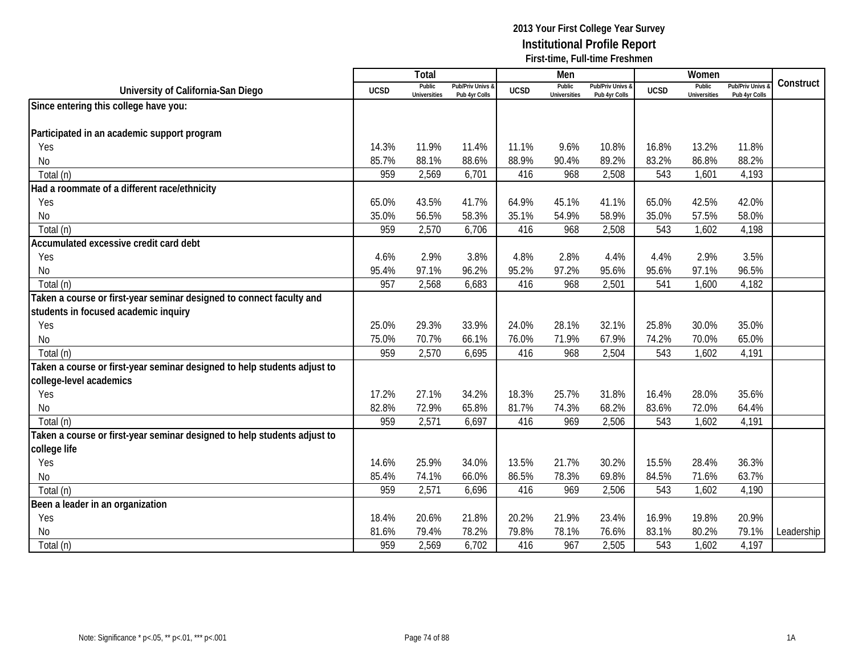|                                                                          |             | Total                         |                                   |             | Men                           |                                   |             | Women                         |                                        |            |
|--------------------------------------------------------------------------|-------------|-------------------------------|-----------------------------------|-------------|-------------------------------|-----------------------------------|-------------|-------------------------------|----------------------------------------|------------|
| University of California-San Diego                                       | <b>UCSD</b> | Public<br><b>Universities</b> | Pub/Priv Univs 8<br>Pub 4yr Colls | <b>UCSD</b> | Public<br><b>Universities</b> | Pub/Priv Univs &<br>Pub 4yr Colls | <b>UCSD</b> | Public<br><b>Universities</b> | <b>Pub/Priv Univs</b><br>Pub 4yr Colls | Construct  |
| Since entering this college have you:                                    |             |                               |                                   |             |                               |                                   |             |                               |                                        |            |
|                                                                          |             |                               |                                   |             |                               |                                   |             |                               |                                        |            |
| Participated in an academic support program                              |             |                               |                                   |             |                               |                                   |             |                               |                                        |            |
| Yes                                                                      | 14.3%       | 11.9%                         | 11.4%                             | 11.1%       | 9.6%                          | 10.8%                             | 16.8%       | 13.2%                         | 11.8%                                  |            |
| No                                                                       | 85.7%       | 88.1%                         | 88.6%                             | 88.9%       | 90.4%                         | 89.2%                             | 83.2%       | 86.8%                         | 88.2%                                  |            |
| Total (n)                                                                | 959         | 2,569                         | 6,701                             | 416         | 968                           | 2,508                             | 543         | 1,601                         | 4,193                                  |            |
| Had a roommate of a different race/ethnicity                             |             |                               |                                   |             |                               |                                   |             |                               |                                        |            |
| Yes                                                                      | 65.0%       | 43.5%                         | 41.7%                             | 64.9%       | 45.1%                         | 41.1%                             | 65.0%       | 42.5%                         | 42.0%                                  |            |
| No                                                                       | 35.0%       | 56.5%                         | 58.3%                             | 35.1%       | 54.9%                         | 58.9%                             | 35.0%       | 57.5%                         | 58.0%                                  |            |
| Total (n)                                                                | 959         | 2,570                         | 6,706                             | 416         | 968                           | 2,508                             | 543         | 1,602                         | 4,198                                  |            |
| Accumulated excessive credit card debt                                   |             |                               |                                   |             |                               |                                   |             |                               |                                        |            |
| Yes                                                                      | 4.6%        | 2.9%                          | 3.8%                              | 4.8%        | 2.8%                          | 4.4%                              | 4.4%        | 2.9%                          | 3.5%                                   |            |
| No                                                                       | 95.4%       | 97.1%                         | 96.2%                             | 95.2%       | 97.2%                         | 95.6%                             | 95.6%       | 97.1%                         | 96.5%                                  |            |
| Total (n)                                                                | 957         | 2,568                         | 6,683                             | 416         | 968                           | 2,501                             | 541         | 1,600                         | 4,182                                  |            |
| Taken a course or first-year seminar designed to connect faculty and     |             |                               |                                   |             |                               |                                   |             |                               |                                        |            |
| students in focused academic inquiry                                     |             |                               |                                   |             |                               |                                   |             |                               |                                        |            |
| Yes                                                                      | 25.0%       | 29.3%                         | 33.9%                             | 24.0%       | 28.1%                         | 32.1%                             | 25.8%       | 30.0%                         | 35.0%                                  |            |
| No                                                                       | 75.0%       | 70.7%                         | 66.1%                             | 76.0%       | 71.9%                         | 67.9%                             | 74.2%       | 70.0%                         | 65.0%                                  |            |
| Total (n)                                                                | 959         | 2,570                         | 6,695                             | 416         | 968                           | 2,504                             | 543         | 1,602                         | 4,191                                  |            |
| Taken a course or first-year seminar designed to help students adjust to |             |                               |                                   |             |                               |                                   |             |                               |                                        |            |
| college-level academics                                                  |             |                               |                                   |             |                               |                                   |             |                               |                                        |            |
| Yes                                                                      | 17.2%       | 27.1%                         | 34.2%                             | 18.3%       | 25.7%                         | 31.8%                             | 16.4%       | 28.0%                         | 35.6%                                  |            |
| No                                                                       | 82.8%       | 72.9%                         | 65.8%                             | 81.7%       | 74.3%                         | 68.2%                             | 83.6%       | 72.0%                         | 64.4%                                  |            |
| Total (n)                                                                | 959         | 2,571                         | 6,697                             | 416         | 969                           | 2,506                             | 543         | 1,602                         | 4,191                                  |            |
| Taken a course or first-year seminar designed to help students adjust to |             |                               |                                   |             |                               |                                   |             |                               |                                        |            |
| college life                                                             |             |                               |                                   |             |                               |                                   |             |                               |                                        |            |
| Yes                                                                      | 14.6%       | 25.9%                         | 34.0%                             | 13.5%       | 21.7%                         | 30.2%                             | 15.5%       | 28.4%                         | 36.3%                                  |            |
| <b>No</b>                                                                | 85.4%       | 74.1%                         | 66.0%                             | 86.5%       | 78.3%                         | 69.8%                             | 84.5%       | 71.6%                         | 63.7%                                  |            |
| Total (n)                                                                | 959         | 2,571                         | 6,696                             | 416         | 969                           | 2,506                             | 543         | 1,602                         | 4,190                                  |            |
| Been a leader in an organization                                         |             |                               |                                   |             |                               |                                   |             |                               |                                        |            |
| Yes                                                                      | 18.4%       | 20.6%                         | 21.8%                             | 20.2%       | 21.9%                         | 23.4%                             | 16.9%       | 19.8%                         | 20.9%                                  |            |
| <b>No</b>                                                                | 81.6%       | 79.4%                         | 78.2%                             | 79.8%       | 78.1%                         | 76.6%                             | 83.1%       | 80.2%                         | 79.1%                                  | Leadership |
| Total (n)                                                                | 959         | 2,569                         | 6,702                             | 416         | 967                           | 2,505                             | 543         | 1,602                         | 4,197                                  |            |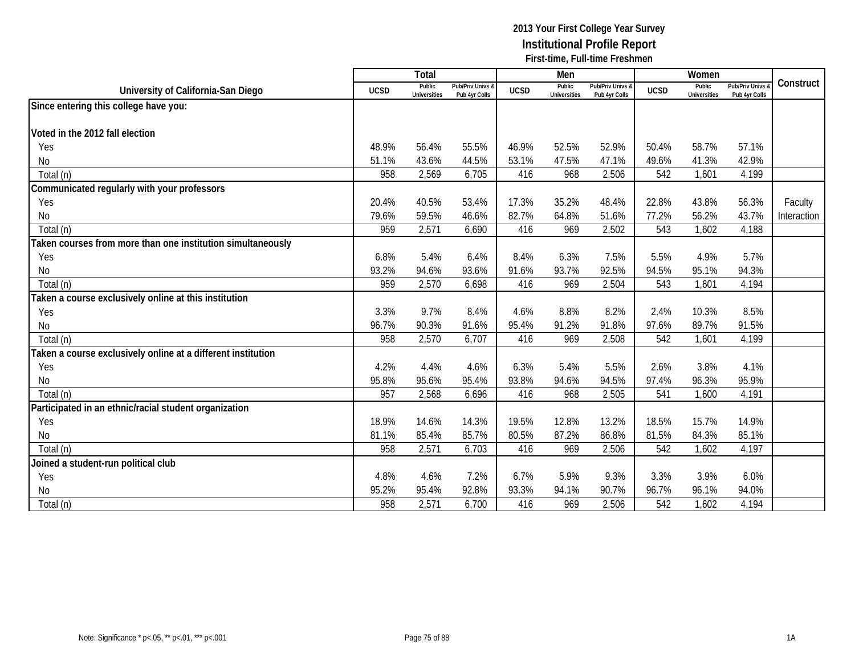|                                                              |             | Total                         |                                   |             | Men                           |                                   |             | Women                         |                                        |             |
|--------------------------------------------------------------|-------------|-------------------------------|-----------------------------------|-------------|-------------------------------|-----------------------------------|-------------|-------------------------------|----------------------------------------|-------------|
| University of California-San Diego                           | <b>UCSD</b> | Public<br><b>Universities</b> | Pub/Priv Univs &<br>Pub 4yr Colls | <b>UCSD</b> | Public<br><b>Universities</b> | Pub/Priv Univs &<br>Pub 4yr Colls | <b>UCSD</b> | Public<br><b>Universities</b> | <b>Pub/Priv Univs</b><br>Pub 4yr Colls | Construct   |
| Since entering this college have you:                        |             |                               |                                   |             |                               |                                   |             |                               |                                        |             |
|                                                              |             |                               |                                   |             |                               |                                   |             |                               |                                        |             |
| Voted in the 2012 fall election                              |             |                               |                                   |             |                               |                                   |             |                               |                                        |             |
| Yes                                                          | 48.9%       | 56.4%                         | 55.5%                             | 46.9%       | 52.5%                         | 52.9%                             | 50.4%       | 58.7%                         | 57.1%                                  |             |
| No                                                           | 51.1%       | 43.6%                         | 44.5%                             | 53.1%       | 47.5%                         | 47.1%                             | 49.6%       | 41.3%                         | 42.9%                                  |             |
| Total (n)                                                    | 958         | 2,569                         | 6,705                             | 416         | 968                           | 2,506                             | 542         | 1,601                         | 4,199                                  |             |
| Communicated regularly with your professors                  |             |                               |                                   |             |                               |                                   |             |                               |                                        |             |
| Yes                                                          | 20.4%       | 40.5%                         | 53.4%                             | 17.3%       | 35.2%                         | 48.4%                             | 22.8%       | 43.8%                         | 56.3%                                  | Faculty     |
| No                                                           | 79.6%       | 59.5%                         | 46.6%                             | 82.7%       | 64.8%                         | 51.6%                             | 77.2%       | 56.2%                         | 43.7%                                  | Interaction |
| Total (n)                                                    | 959         | 2,571                         | 6,690                             | 416         | 969                           | 2,502                             | 543         | 1,602                         | 4,188                                  |             |
| Taken courses from more than one institution simultaneously  |             |                               |                                   |             |                               |                                   |             |                               |                                        |             |
| Yes                                                          | 6.8%        | 5.4%                          | 6.4%                              | 8.4%        | 6.3%                          | 7.5%                              | 5.5%        | 4.9%                          | 5.7%                                   |             |
| No                                                           | 93.2%       | 94.6%                         | 93.6%                             | 91.6%       | 93.7%                         | 92.5%                             | 94.5%       | 95.1%                         | 94.3%                                  |             |
| Total (n)                                                    | 959         | 2,570                         | 6,698                             | 416         | 969                           | 2,504                             | 543         | 1,601                         | 4,194                                  |             |
| Taken a course exclusively online at this institution        |             |                               |                                   |             |                               |                                   |             |                               |                                        |             |
| Yes                                                          | 3.3%        | 9.7%                          | 8.4%                              | 4.6%        | 8.8%                          | 8.2%                              | 2.4%        | 10.3%                         | 8.5%                                   |             |
| No                                                           | 96.7%       | 90.3%                         | 91.6%                             | 95.4%       | 91.2%                         | 91.8%                             | 97.6%       | 89.7%                         | 91.5%                                  |             |
| Total (n)                                                    | 958         | 2,570                         | 6,707                             | 416         | 969                           | 2,508                             | 542         | 1,601                         | 4,199                                  |             |
| Taken a course exclusively online at a different institution |             |                               |                                   |             |                               |                                   |             |                               |                                        |             |
| Yes                                                          | 4.2%        | 4.4%                          | 4.6%                              | 6.3%        | 5.4%                          | 5.5%                              | 2.6%        | 3.8%                          | 4.1%                                   |             |
| No                                                           | 95.8%       | 95.6%                         | 95.4%                             | 93.8%       | 94.6%                         | 94.5%                             | 97.4%       | 96.3%                         | 95.9%                                  |             |
| Total (n)                                                    | 957         | 2,568                         | 6,696                             | 416         | 968                           | 2,505                             | 541         | 1,600                         | 4,191                                  |             |
| Participated in an ethnic/racial student organization        |             |                               |                                   |             |                               |                                   |             |                               |                                        |             |
| Yes                                                          | 18.9%       | 14.6%                         | 14.3%                             | 19.5%       | 12.8%                         | 13.2%                             | 18.5%       | 15.7%                         | 14.9%                                  |             |
| No                                                           | 81.1%       | 85.4%                         | 85.7%                             | 80.5%       | 87.2%                         | 86.8%                             | 81.5%       | 84.3%                         | 85.1%                                  |             |
| Total (n)                                                    | 958         | 2,571                         | 6,703                             | 416         | 969                           | 2,506                             | 542         | 1,602                         | 4,197                                  |             |
| Joined a student-run political club                          |             |                               |                                   |             |                               |                                   |             |                               |                                        |             |
| Yes                                                          | 4.8%        | 4.6%                          | 7.2%                              | 6.7%        | 5.9%                          | 9.3%                              | 3.3%        | 3.9%                          | 6.0%                                   |             |
| No                                                           | 95.2%       | 95.4%                         | 92.8%                             | 93.3%       | 94.1%                         | 90.7%                             | 96.7%       | 96.1%                         | 94.0%                                  |             |
| Total (n)                                                    | 958         | 2,571                         | 6,700                             | 416         | 969                           | 2,506                             | 542         | 1,602                         | 4,194                                  |             |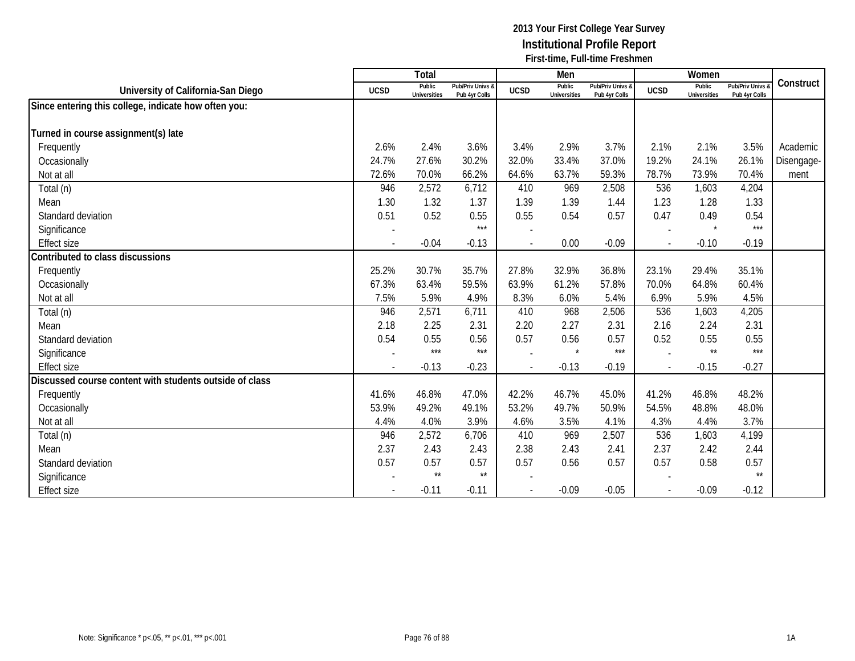|                                                         |                          | Total                         |                                   |                          | Men                           |                                   |             | Women                         |                                        |            |
|---------------------------------------------------------|--------------------------|-------------------------------|-----------------------------------|--------------------------|-------------------------------|-----------------------------------|-------------|-------------------------------|----------------------------------------|------------|
| University of California-San Diego                      | <b>UCSD</b>              | Public<br><b>Universities</b> | Pub/Priv Univs &<br>Pub 4yr Colls | <b>UCSD</b>              | Public<br><b>Universities</b> | Pub/Priv Univs &<br>Pub 4yr Colls | <b>UCSD</b> | Public<br><b>Universities</b> | <b>Pub/Priv Univs</b><br>Pub 4yr Colls | Construct  |
| Since entering this college, indicate how often you:    |                          |                               |                                   |                          |                               |                                   |             |                               |                                        |            |
|                                                         |                          |                               |                                   |                          |                               |                                   |             |                               |                                        |            |
| Turned in course assignment(s) late                     |                          |                               |                                   |                          |                               |                                   |             |                               |                                        |            |
| Frequently                                              | 2.6%                     | 2.4%                          | 3.6%                              | 3.4%                     | 2.9%                          | 3.7%                              | 2.1%        | 2.1%                          | 3.5%                                   | Academic   |
| Occasionally                                            | 24.7%                    | 27.6%                         | 30.2%                             | 32.0%                    | 33.4%                         | 37.0%                             | 19.2%       | 24.1%                         | 26.1%                                  | Disengage- |
| Not at all                                              | 72.6%                    | 70.0%                         | 66.2%                             | 64.6%                    | 63.7%                         | 59.3%                             | 78.7%       | 73.9%                         | 70.4%                                  | ment       |
| Total (n)                                               | 946                      | 2,572                         | 6,712                             | 410                      | 969                           | 2,508                             | 536         | 1,603                         | 4,204                                  |            |
| Mean                                                    | 1.30                     | 1.32                          | 1.37                              | 1.39                     | 1.39                          | 1.44                              | 1.23        | 1.28                          | 1.33                                   |            |
| Standard deviation                                      | 0.51                     | 0.52                          | 0.55                              | 0.55                     | 0.54                          | 0.57                              | 0.47        | 0.49                          | 0.54                                   |            |
| Significance                                            |                          |                               | $***$                             |                          |                               |                                   |             |                               | $***$                                  |            |
| <b>Effect size</b>                                      | $\overline{\phantom{a}}$ | $-0.04$                       | $-0.13$                           |                          | 0.00                          | $-0.09$                           |             | $-0.10$                       | $-0.19$                                |            |
| Contributed to class discussions                        |                          |                               |                                   |                          |                               |                                   |             |                               |                                        |            |
| Frequently                                              | 25.2%                    | 30.7%                         | 35.7%                             | 27.8%                    | 32.9%                         | 36.8%                             | 23.1%       | 29.4%                         | 35.1%                                  |            |
| Occasionally                                            | 67.3%                    | 63.4%                         | 59.5%                             | 63.9%                    | 61.2%                         | 57.8%                             | 70.0%       | 64.8%                         | 60.4%                                  |            |
| Not at all                                              | 7.5%                     | 5.9%                          | 4.9%                              | 8.3%                     | 6.0%                          | 5.4%                              | 6.9%        | 5.9%                          | 4.5%                                   |            |
| Total (n)                                               | 946                      | 2,571                         | 6,711                             | 410                      | 968                           | 2,506                             | 536         | 1,603                         | 4,205                                  |            |
| Mean                                                    | 2.18                     | 2.25                          | 2.31                              | 2.20                     | 2.27                          | 2.31                              | 2.16        | 2.24                          | 2.31                                   |            |
| Standard deviation                                      | 0.54                     | 0.55                          | 0.56                              | 0.57                     | 0.56                          | 0.57                              | 0.52        | 0.55                          | 0.55                                   |            |
| Significance                                            | $\overline{a}$           | $***$                         | $***$                             |                          | $\star$                       | $***$                             |             | $\star\star$                  | $***$                                  |            |
| <b>Effect size</b>                                      | $\overline{\phantom{a}}$ | $-0.13$                       | $-0.23$                           | $\overline{\phantom{a}}$ | $-0.13$                       | $-0.19$                           |             | $-0.15$                       | $-0.27$                                |            |
| Discussed course content with students outside of class |                          |                               |                                   |                          |                               |                                   |             |                               |                                        |            |
| Frequently                                              | 41.6%                    | 46.8%                         | 47.0%                             | 42.2%                    | 46.7%                         | 45.0%                             | 41.2%       | 46.8%                         | 48.2%                                  |            |
| Occasionally                                            | 53.9%                    | 49.2%                         | 49.1%                             | 53.2%                    | 49.7%                         | 50.9%                             | 54.5%       | 48.8%                         | 48.0%                                  |            |
| Not at all                                              | 4.4%                     | 4.0%                          | 3.9%                              | 4.6%                     | 3.5%                          | 4.1%                              | 4.3%        | 4.4%                          | 3.7%                                   |            |
| Total (n)                                               | 946                      | 2,572                         | 6,706                             | 410                      | 969                           | 2,507                             | 536         | 1,603                         | 4,199                                  |            |
| Mean                                                    | 2.37                     | 2.43                          | 2.43                              | 2.38                     | 2.43                          | 2.41                              | 2.37        | 2.42                          | 2.44                                   |            |
| Standard deviation                                      | 0.57                     | 0.57                          | 0.57                              | 0.57                     | 0.56                          | 0.57                              | 0.57        | 0.58                          | 0.57                                   |            |
| Significance                                            |                          | $\star\star$                  | $^{\star\star}$                   |                          |                               |                                   |             |                               | $\star\star$                           |            |
| <b>Effect size</b>                                      |                          | $-0.11$                       | $-0.11$                           |                          | $-0.09$                       | $-0.05$                           |             | $-0.09$                       | $-0.12$                                |            |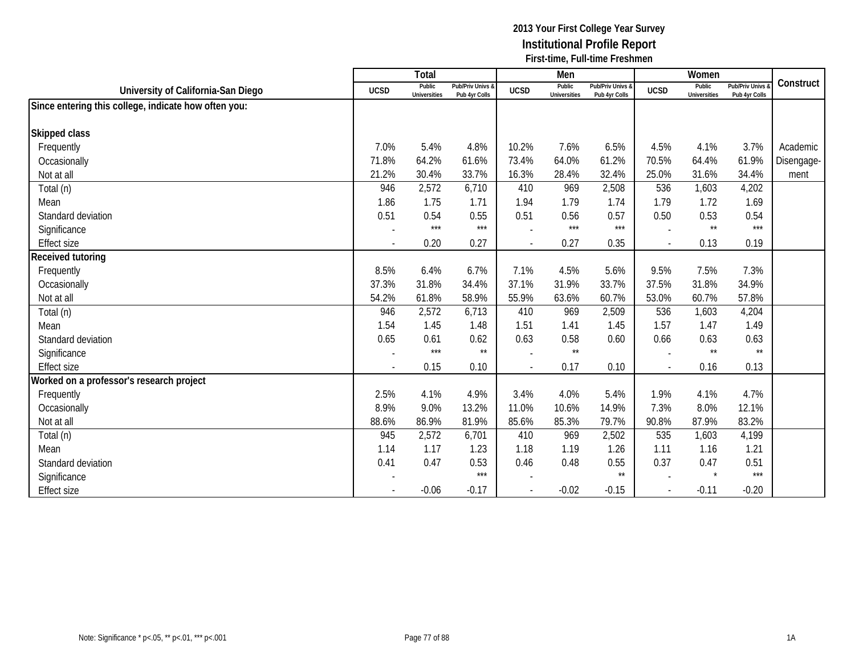|                                                      |                          | Total                         |                                   |                          | Men                           |                                   |             | Women                         |                                 |            |
|------------------------------------------------------|--------------------------|-------------------------------|-----------------------------------|--------------------------|-------------------------------|-----------------------------------|-------------|-------------------------------|---------------------------------|------------|
| University of California-San Diego                   | <b>UCSD</b>              | Public<br><b>Universities</b> | Pub/Priv Univs &<br>Pub 4yr Colls | <b>UCSD</b>              | Public<br><b>Universities</b> | Pub/Priv Univs &<br>Pub 4yr Colls | <b>UCSD</b> | Public<br><b>Universities</b> | Pub/Priv Univs<br>Pub 4yr Colls | Construct  |
| Since entering this college, indicate how often you: |                          |                               |                                   |                          |                               |                                   |             |                               |                                 |            |
|                                                      |                          |                               |                                   |                          |                               |                                   |             |                               |                                 |            |
| Skipped class                                        |                          |                               |                                   |                          |                               |                                   |             |                               |                                 |            |
| Frequently                                           | 7.0%                     | 5.4%                          | 4.8%                              | 10.2%                    | 7.6%                          | 6.5%                              | 4.5%        | 4.1%                          | 3.7%                            | Academic   |
| Occasionally                                         | 71.8%                    | 64.2%                         | 61.6%                             | 73.4%                    | 64.0%                         | 61.2%                             | 70.5%       | 64.4%                         | 61.9%                           | Disengage- |
| Not at all                                           | 21.2%                    | 30.4%                         | 33.7%                             | 16.3%                    | 28.4%                         | 32.4%                             | 25.0%       | 31.6%                         | 34.4%                           | ment       |
| Total (n)                                            | 946                      | 2,572                         | 6,710                             | 410                      | 969                           | 2,508                             | 536         | 1,603                         | 4,202                           |            |
| Mean                                                 | 1.86                     | 1.75                          | 1.71                              | 1.94                     | 1.79                          | 1.74                              | 1.79        | 1.72                          | 1.69                            |            |
| Standard deviation                                   | 0.51                     | 0.54                          | 0.55                              | 0.51                     | 0.56                          | 0.57                              | 0.50        | 0.53                          | 0.54                            |            |
| Significance                                         |                          | $***$                         | $***$                             |                          | $***$                         | $***$                             |             | $\star\star$                  | $***$                           |            |
| <b>Effect size</b>                                   | $\overline{\phantom{a}}$ | 0.20                          | 0.27                              | $\sim$                   | 0.27                          | 0.35                              | $\sim$      | 0.13                          | 0.19                            |            |
| Received tutoring                                    |                          |                               |                                   |                          |                               |                                   |             |                               |                                 |            |
| Frequently                                           | 8.5%                     | 6.4%                          | 6.7%                              | 7.1%                     | 4.5%                          | 5.6%                              | 9.5%        | 7.5%                          | 7.3%                            |            |
| Occasionally                                         | 37.3%                    | 31.8%                         | 34.4%                             | 37.1%                    | 31.9%                         | 33.7%                             | 37.5%       | 31.8%                         | 34.9%                           |            |
| Not at all                                           | 54.2%                    | 61.8%                         | 58.9%                             | 55.9%                    | 63.6%                         | 60.7%                             | 53.0%       | 60.7%                         | 57.8%                           |            |
| Total (n)                                            | 946                      | 2,572                         | 6,713                             | 410                      | 969                           | 2,509                             | 536         | 1,603                         | 4,204                           |            |
| Mean                                                 | 1.54                     | 1.45                          | 1.48                              | 1.51                     | 1.41                          | 1.45                              | 1.57        | 1.47                          | 1.49                            |            |
| Standard deviation                                   | 0.65                     | 0.61                          | 0.62                              | 0.63                     | 0.58                          | 0.60                              | 0.66        | 0.63                          | 0.63                            |            |
| Significance                                         | $\overline{\phantom{a}}$ | $***$                         | $\star\star$                      |                          | $\star\star$                  |                                   |             | $\star\star$                  | $***$                           |            |
| <b>Effect size</b>                                   | $\blacksquare$           | 0.15                          | 0.10                              | $\sim$                   | 0.17                          | 0.10                              | $\sim$      | 0.16                          | 0.13                            |            |
| Worked on a professor's research project             |                          |                               |                                   |                          |                               |                                   |             |                               |                                 |            |
| Frequently                                           | 2.5%                     | 4.1%                          | 4.9%                              | 3.4%                     | 4.0%                          | 5.4%                              | 1.9%        | 4.1%                          | 4.7%                            |            |
| Occasionally                                         | 8.9%                     | 9.0%                          | 13.2%                             | 11.0%                    | 10.6%                         | 14.9%                             | 7.3%        | 8.0%                          | 12.1%                           |            |
| Not at all                                           | 88.6%                    | 86.9%                         | 81.9%                             | 85.6%                    | 85.3%                         | 79.7%                             | 90.8%       | 87.9%                         | 83.2%                           |            |
| Total (n)                                            | 945                      | 2,572                         | 6,701                             | 410                      | 969                           | 2,502                             | 535         | 1,603                         | 4,199                           |            |
| Mean                                                 | 1.14                     | 1.17                          | 1.23                              | 1.18                     | 1.19                          | 1.26                              | 1.11        | 1.16                          | 1.21                            |            |
| Standard deviation                                   | 0.41                     | 0.47                          | 0.53                              | 0.46                     | 0.48                          | 0.55                              | 0.37        | 0.47                          | 0.51                            |            |
| Significance                                         |                          |                               | $***$                             |                          |                               | $\star\star$                      |             |                               | $***$                           |            |
| <b>Effect size</b>                                   |                          | $-0.06$                       | $-0.17$                           | $\overline{\phantom{a}}$ | $-0.02$                       | $-0.15$                           |             | $-0.11$                       | $-0.20$                         |            |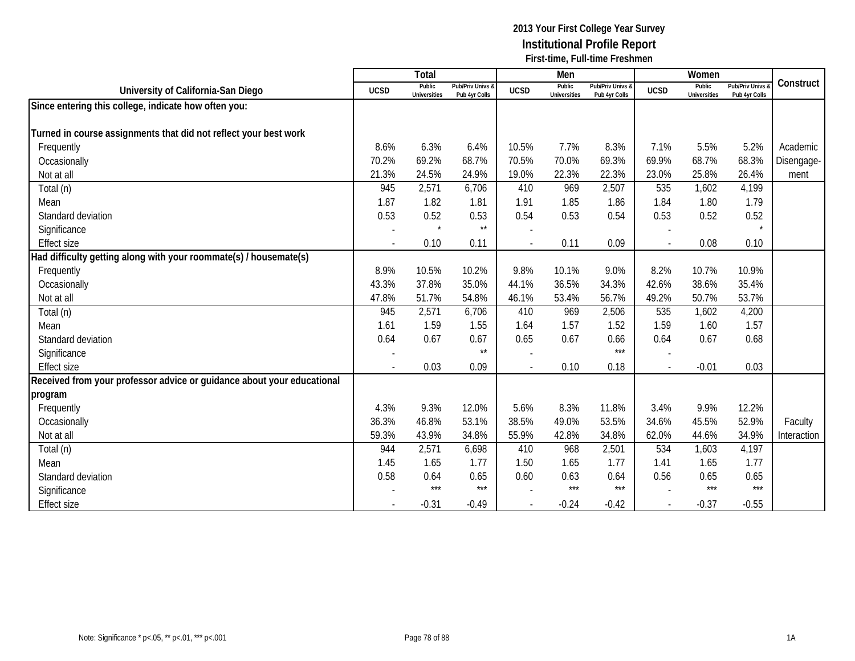|                                                                        |                | <b>Total</b>                  |                                   |                          | Men                           |                                   |             | Women                         |                                        |             |
|------------------------------------------------------------------------|----------------|-------------------------------|-----------------------------------|--------------------------|-------------------------------|-----------------------------------|-------------|-------------------------------|----------------------------------------|-------------|
| University of California-San Diego                                     | <b>UCSD</b>    | Public<br><b>Universities</b> | Pub/Priv Univs &<br>Pub 4yr Colls | <b>UCSD</b>              | Public<br><b>Universities</b> | Pub/Priv Univs &<br>Pub 4yr Colls | <b>UCSD</b> | Public<br><b>Universities</b> | <b>Pub/Priv Univs</b><br>Pub 4yr Colls | Construct   |
| Since entering this college, indicate how often you:                   |                |                               |                                   |                          |                               |                                   |             |                               |                                        |             |
|                                                                        |                |                               |                                   |                          |                               |                                   |             |                               |                                        |             |
| Turned in course assignments that did not reflect your best work       |                |                               |                                   |                          |                               |                                   |             |                               |                                        |             |
| Frequently                                                             | 8.6%           | 6.3%                          | 6.4%                              | 10.5%                    | 7.7%                          | 8.3%                              | 7.1%        | 5.5%                          | 5.2%                                   | Academic    |
| Occasionally                                                           | 70.2%          | 69.2%                         | 68.7%                             | 70.5%                    | 70.0%                         | 69.3%                             | 69.9%       | 68.7%                         | 68.3%                                  | Disengage-  |
| Not at all                                                             | 21.3%          | 24.5%                         | 24.9%                             | 19.0%                    | 22.3%                         | 22.3%                             | 23.0%       | 25.8%                         | 26.4%                                  | ment        |
| Total (n)                                                              | 945            | 2,571                         | 6,706                             | 410                      | 969                           | 2,507                             | 535         | 1,602                         | 4,199                                  |             |
| Mean                                                                   | 1.87           | 1.82                          | 1.81                              | 1.91                     | 1.85                          | 1.86                              | 1.84        | 1.80                          | 1.79                                   |             |
| Standard deviation                                                     | 0.53           | 0.52                          | 0.53                              | 0.54                     | 0.53                          | 0.54                              | 0.53        | 0.52                          | 0.52                                   |             |
| Significance                                                           |                | $\star$                       | $\star\star$                      |                          |                               |                                   |             |                               |                                        |             |
| <b>Effect size</b>                                                     |                | 0.10                          | 0.11                              |                          | 0.11                          | 0.09                              |             | 0.08                          | 0.10                                   |             |
| Had difficulty getting along with your roommate(s) / housemate(s)      |                |                               |                                   |                          |                               |                                   |             |                               |                                        |             |
| Frequently                                                             | 8.9%           | 10.5%                         | 10.2%                             | 9.8%                     | 10.1%                         | 9.0%                              | 8.2%        | 10.7%                         | 10.9%                                  |             |
| Occasionally                                                           | 43.3%          | 37.8%                         | 35.0%                             | 44.1%                    | 36.5%                         | 34.3%                             | 42.6%       | 38.6%                         | 35.4%                                  |             |
| Not at all                                                             | 47.8%          | 51.7%                         | 54.8%                             | 46.1%                    | 53.4%                         | 56.7%                             | 49.2%       | 50.7%                         | 53.7%                                  |             |
| Total (n)                                                              | 945            | 2,571                         | 6,706                             | 410                      | 969                           | 2,506                             | 535         | 1,602                         | 4,200                                  |             |
| Mean                                                                   | 1.61           | 1.59                          | 1.55                              | 1.64                     | 1.57                          | 1.52                              | 1.59        | 1.60                          | 1.57                                   |             |
| Standard deviation                                                     | 0.64           | 0.67                          | 0.67                              | 0.65                     | 0.67                          | 0.66                              | 0.64        | 0.67                          | 0.68                                   |             |
| Significance                                                           |                |                               | $\star\star$                      |                          |                               | $***$                             |             |                               |                                        |             |
| <b>Effect size</b>                                                     | $\overline{a}$ | 0.03                          | 0.09                              | $\overline{\phantom{a}}$ | 0.10                          | 0.18                              |             | $-0.01$                       | 0.03                                   |             |
| Received from your professor advice or guidance about your educational |                |                               |                                   |                          |                               |                                   |             |                               |                                        |             |
| program                                                                |                |                               |                                   |                          |                               |                                   |             |                               |                                        |             |
| Frequently                                                             | 4.3%           | 9.3%                          | 12.0%                             | 5.6%                     | 8.3%                          | 11.8%                             | 3.4%        | 9.9%                          | 12.2%                                  |             |
| Occasionally                                                           | 36.3%          | 46.8%                         | 53.1%                             | 38.5%                    | 49.0%                         | 53.5%                             | 34.6%       | 45.5%                         | 52.9%                                  | Faculty     |
| Not at all                                                             | 59.3%          | 43.9%                         | 34.8%                             | 55.9%                    | 42.8%                         | 34.8%                             | 62.0%       | 44.6%                         | 34.9%                                  | Interaction |
| Total (n)                                                              | 944            | 2,571                         | 6,698                             | 410                      | 968                           | 2,501                             | 534         | 1,603                         | 4,197                                  |             |
| Mean                                                                   | 1.45           | 1.65                          | 1.77                              | 1.50                     | 1.65                          | 1.77                              | 1.41        | 1.65                          | 1.77                                   |             |
| Standard deviation                                                     | 0.58           | 0.64                          | 0.65                              | 0.60                     | 0.63                          | 0.64                              | 0.56        | 0.65                          | 0.65                                   |             |
| Significance                                                           |                | $***$                         | $***$                             |                          | $***$                         | $***$                             |             | $***$                         | $***$                                  |             |
| <b>Effect size</b>                                                     | $\blacksquare$ | $-0.31$                       | $-0.49$                           | $\overline{\phantom{a}}$ | $-0.24$                       | $-0.42$                           |             | $-0.37$                       | $-0.55$                                |             |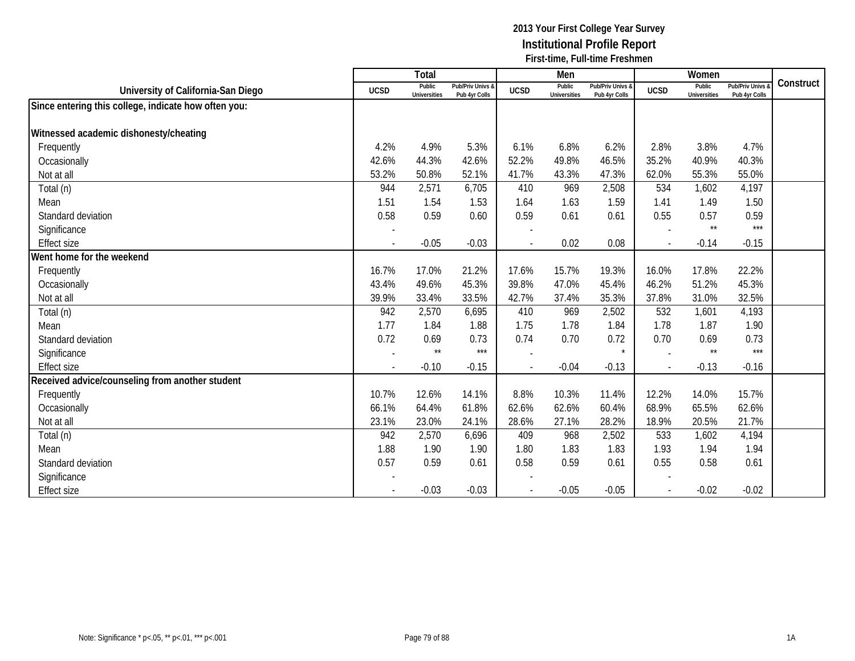|                                                      |                | Total                         |                                   |                | Men                           |                                   |              | Women                         |                                        |           |
|------------------------------------------------------|----------------|-------------------------------|-----------------------------------|----------------|-------------------------------|-----------------------------------|--------------|-------------------------------|----------------------------------------|-----------|
| University of California-San Diego                   | <b>UCSD</b>    | Public<br><b>Universities</b> | Pub/Priv Univs &<br>Pub 4yr Colls | <b>UCSD</b>    | Public<br><b>Universities</b> | Pub/Priv Univs &<br>Pub 4yr Colls | <b>UCSD</b>  | Public<br><b>Universities</b> | <b>Pub/Priv Univs</b><br>Pub 4yr Colls | Construct |
| Since entering this college, indicate how often you: |                |                               |                                   |                |                               |                                   |              |                               |                                        |           |
|                                                      |                |                               |                                   |                |                               |                                   |              |                               |                                        |           |
| Witnessed academic dishonesty/cheating               |                |                               |                                   |                |                               |                                   |              |                               |                                        |           |
| Frequently                                           | 4.2%           | 4.9%                          | 5.3%                              | 6.1%           | 6.8%                          | 6.2%                              | 2.8%         | 3.8%                          | 4.7%                                   |           |
| Occasionally                                         | 42.6%          | 44.3%                         | 42.6%                             | 52.2%          | 49.8%                         | 46.5%                             | 35.2%        | 40.9%                         | 40.3%                                  |           |
| Not at all                                           | 53.2%          | 50.8%                         | 52.1%                             | 41.7%          | 43.3%                         | 47.3%                             | 62.0%        | 55.3%                         | 55.0%                                  |           |
| Total (n)                                            | 944            | 2,571                         | 6,705                             | 410            | 969                           | 2,508                             | 534          | 1,602                         | 4,197                                  |           |
| Mean                                                 | 1.51           | 1.54                          | 1.53                              | 1.64           | 1.63                          | 1.59                              | 1.41         | 1.49                          | 1.50                                   |           |
| Standard deviation                                   | 0.58           | 0.59                          | 0.60                              | 0.59           | 0.61                          | 0.61                              | 0.55         | 0.57                          | 0.59                                   |           |
| Significance                                         |                |                               |                                   |                |                               |                                   |              | $\star\star$                  | $***$                                  |           |
| <b>Effect size</b>                                   |                | $-0.05$                       | $-0.03$                           |                | 0.02                          | 0.08                              |              | $-0.14$                       | $-0.15$                                |           |
| Went home for the weekend                            |                |                               |                                   |                |                               |                                   |              |                               |                                        |           |
| Frequently                                           | 16.7%          | 17.0%                         | 21.2%                             | 17.6%          | 15.7%                         | 19.3%                             | 16.0%        | 17.8%                         | 22.2%                                  |           |
| Occasionally                                         | 43.4%          | 49.6%                         | 45.3%                             | 39.8%          | 47.0%                         | 45.4%                             | 46.2%        | 51.2%                         | 45.3%                                  |           |
| Not at all                                           | 39.9%          | 33.4%                         | 33.5%                             | 42.7%          | 37.4%                         | 35.3%                             | 37.8%        | 31.0%                         | 32.5%                                  |           |
| Total (n)                                            | 942            | 2,570                         | 6,695                             | 410            | 969                           | 2,502                             | 532          | 1,601                         | 4,193                                  |           |
| Mean                                                 | 1.77           | 1.84                          | 1.88                              | 1.75           | 1.78                          | 1.84                              | 1.78         | 1.87                          | 1.90                                   |           |
| Standard deviation                                   | 0.72           | 0.69                          | 0.73                              | 0.74           | 0.70                          | 0.72                              | 0.70         | 0.69                          | 0.73                                   |           |
| Significance                                         |                | $\star\star$                  | $***$                             |                |                               | $\star$                           |              | $\star\star$                  | $***$                                  |           |
| <b>Effect size</b>                                   | $\blacksquare$ | $-0.10$                       | $-0.15$                           | $\overline{a}$ | $-0.04$                       | $-0.13$                           | $\mathbf{r}$ | $-0.13$                       | $-0.16$                                |           |
| Received advice/counseling from another student      |                |                               |                                   |                |                               |                                   |              |                               |                                        |           |
| Frequently                                           | 10.7%          | 12.6%                         | 14.1%                             | 8.8%           | 10.3%                         | 11.4%                             | 12.2%        | 14.0%                         | 15.7%                                  |           |
| Occasionally                                         | 66.1%          | 64.4%                         | 61.8%                             | 62.6%          | 62.6%                         | 60.4%                             | 68.9%        | 65.5%                         | 62.6%                                  |           |
| Not at all                                           | 23.1%          | 23.0%                         | 24.1%                             | 28.6%          | 27.1%                         | 28.2%                             | 18.9%        | 20.5%                         | 21.7%                                  |           |
| Total (n)                                            | 942            | 2,570                         | 6,696                             | 409            | 968                           | 2,502                             | 533          | 1,602                         | 4,194                                  |           |
| Mean                                                 | 1.88           | 1.90                          | 1.90                              | 1.80           | 1.83                          | 1.83                              | 1.93         | 1.94                          | 1.94                                   |           |
| Standard deviation                                   | 0.57           | 0.59                          | 0.61                              | 0.58           | 0.59                          | 0.61                              | 0.55         | 0.58                          | 0.61                                   |           |
| Significance                                         |                |                               |                                   |                |                               |                                   |              |                               |                                        |           |
| <b>Effect size</b>                                   |                | $-0.03$                       | $-0.03$                           |                | $-0.05$                       | $-0.05$                           |              | $-0.02$                       | $-0.02$                                |           |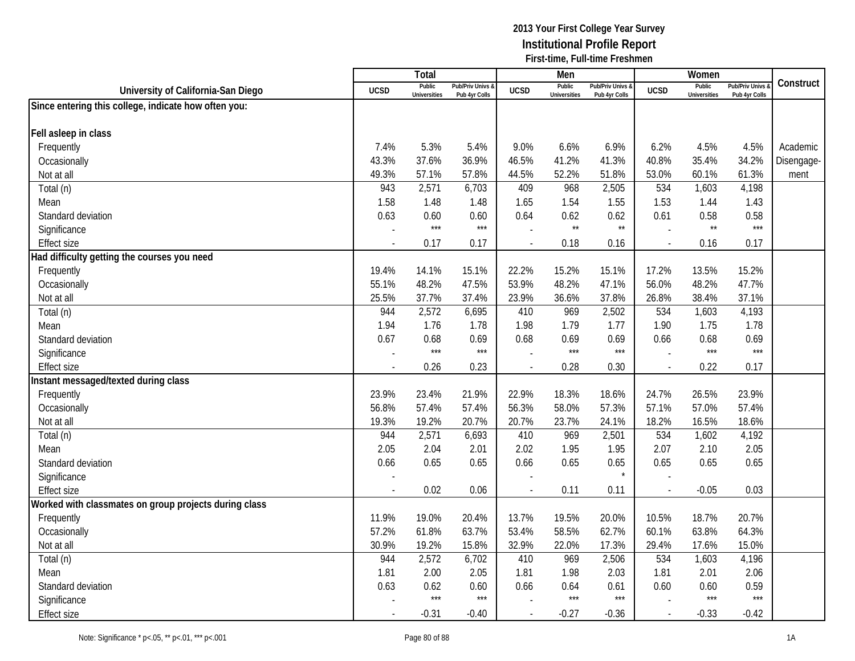|                                                       |                          | Total                         |                                   |             | Men                           |                                 |             | Women                         |                                        |            |
|-------------------------------------------------------|--------------------------|-------------------------------|-----------------------------------|-------------|-------------------------------|---------------------------------|-------------|-------------------------------|----------------------------------------|------------|
| University of California-San Diego                    | <b>UCSD</b>              | Public<br><b>Universities</b> | Pub/Priv Univs &<br>Pub 4yr Colls | <b>UCSD</b> | Public<br><b>Universities</b> | Pub/Priv Univs<br>Pub 4yr Colls | <b>UCSD</b> | Public<br><b>Universities</b> | <b>Pub/Priv Univs</b><br>Pub 4yr Colls | Construct  |
| Since entering this college, indicate how often you:  |                          |                               |                                   |             |                               |                                 |             |                               |                                        |            |
|                                                       |                          |                               |                                   |             |                               |                                 |             |                               |                                        |            |
| Fell asleep in class                                  |                          |                               |                                   |             |                               |                                 |             |                               |                                        |            |
| Frequently                                            | 7.4%                     | 5.3%                          | 5.4%                              | 9.0%        | 6.6%                          | 6.9%                            | 6.2%        | 4.5%                          | 4.5%                                   | Academic   |
| Occasionally                                          | 43.3%                    | 37.6%                         | 36.9%                             | 46.5%       | 41.2%                         | 41.3%                           | 40.8%       | 35.4%                         | 34.2%                                  | Disengage- |
| Not at all                                            | 49.3%                    | 57.1%                         | 57.8%                             | 44.5%       | 52.2%                         | 51.8%                           | 53.0%       | 60.1%                         | 61.3%                                  | ment       |
| Total (n)                                             | 943                      | 2,571                         | 6,703                             | 409         | 968                           | 2,505                           | 534         | 1,603                         | 4,198                                  |            |
| Mean                                                  | 1.58                     | 1.48                          | 1.48                              | 1.65        | 1.54                          | 1.55                            | 1.53        | 1.44                          | 1.43                                   |            |
| Standard deviation                                    | 0.63                     | 0.60                          | 0.60                              | 0.64        | 0.62                          | 0.62                            | 0.61        | 0.58                          | 0.58                                   |            |
| Significance                                          |                          | $***$                         | $***$                             |             | $\star\star$                  | $\star\star$                    |             | $\star\star$                  | $***$                                  |            |
| <b>Effect size</b>                                    | $\sim$                   | 0.17                          | 0.17                              |             | 0.18                          | 0.16                            | $\sim$      | 0.16                          | 0.17                                   |            |
| Had difficulty getting the courses you need           |                          |                               |                                   |             |                               |                                 |             |                               |                                        |            |
| Frequently                                            | 19.4%                    | 14.1%                         | 15.1%                             | 22.2%       | 15.2%                         | 15.1%                           | 17.2%       | 13.5%                         | 15.2%                                  |            |
| Occasionally                                          | 55.1%                    | 48.2%                         | 47.5%                             | 53.9%       | 48.2%                         | 47.1%                           | 56.0%       | 48.2%                         | 47.7%                                  |            |
| Not at all                                            | 25.5%                    | 37.7%                         | 37.4%                             | 23.9%       | 36.6%                         | 37.8%                           | 26.8%       | 38.4%                         | 37.1%                                  |            |
| Total (n)                                             | 944                      | 2,572                         | 6,695                             | 410         | 969                           | 2,502                           | 534         | 1,603                         | 4,193                                  |            |
| Mean                                                  | 1.94                     | 1.76                          | 1.78                              | 1.98        | 1.79                          | 1.77                            | 1.90        | 1.75                          | 1.78                                   |            |
| Standard deviation                                    | 0.67                     | 0.68                          | 0.69                              | 0.68        | 0.69                          | 0.69                            | 0.66        | 0.68                          | 0.69                                   |            |
| Significance                                          |                          | $***$                         | $***$                             |             | $***$                         | $***$                           |             | $***$                         | $***$                                  |            |
| <b>Effect size</b>                                    | $\overline{\phantom{a}}$ | 0.26                          | 0.23                              |             | 0.28                          | 0.30                            | $\sim$      | 0.22                          | 0.17                                   |            |
| Instant messaged/texted during class                  |                          |                               |                                   |             |                               |                                 |             |                               |                                        |            |
| Frequently                                            | 23.9%                    | 23.4%                         | 21.9%                             | 22.9%       | 18.3%                         | 18.6%                           | 24.7%       | 26.5%                         | 23.9%                                  |            |
| Occasionally                                          | 56.8%                    | 57.4%                         | 57.4%                             | 56.3%       | 58.0%                         | 57.3%                           | 57.1%       | 57.0%                         | 57.4%                                  |            |
| Not at all                                            | 19.3%                    | 19.2%                         | 20.7%                             | 20.7%       | 23.7%                         | 24.1%                           | 18.2%       | 16.5%                         | 18.6%                                  |            |
| Total (n)                                             | 944                      | 2,571                         | 6,693                             | 410         | 969                           | 2,501                           | 534         | 1,602                         | 4,192                                  |            |
| Mean                                                  | 2.05                     | 2.04                          | 2.01                              | 2.02        | 1.95                          | 1.95                            | 2.07        | 2.10                          | 2.05                                   |            |
| Standard deviation                                    | 0.66                     | 0.65                          | 0.65                              | 0.66        | 0.65                          | 0.65                            | 0.65        | 0.65                          | 0.65                                   |            |
| Significance                                          |                          |                               |                                   |             |                               |                                 |             |                               |                                        |            |
| <b>Effect size</b>                                    |                          | 0.02                          | 0.06                              |             | 0.11                          | 0.11                            |             | $-0.05$                       | 0.03                                   |            |
| Worked with classmates on group projects during class |                          |                               |                                   |             |                               |                                 |             |                               |                                        |            |
| Frequently                                            | 11.9%                    | 19.0%                         | 20.4%                             | 13.7%       | 19.5%                         | 20.0%                           | 10.5%       | 18.7%                         | 20.7%                                  |            |
| Occasionally                                          | 57.2%                    | 61.8%                         | 63.7%                             | 53.4%       | 58.5%                         | 62.7%                           | 60.1%       | 63.8%                         | 64.3%                                  |            |
| Not at all                                            | 30.9%                    | 19.2%                         | 15.8%                             | 32.9%       | 22.0%                         | 17.3%                           | 29.4%       | 17.6%                         | 15.0%                                  |            |
| Total (n)                                             | 944                      | 2,572                         | 6,702                             | 410         | 969                           | 2,506                           | 534         | 1,603                         | 4,196                                  |            |
| Mean                                                  | 1.81                     | 2.00                          | 2.05                              | 1.81        | 1.98                          | 2.03                            | 1.81        | 2.01                          | 2.06                                   |            |
| Standard deviation                                    | 0.63                     | 0.62                          | 0.60                              | 0.66        | 0.64                          | 0.61                            | 0.60        | 0.60                          | 0.59                                   |            |
| Significance                                          |                          | $***$                         | $***$                             |             | $***$                         | $***$                           |             | $***$                         | $***$                                  |            |
| <b>Effect size</b>                                    |                          | $-0.31$                       | $-0.40$                           |             | $-0.27$                       | $-0.36$                         |             | $-0.33$                       | $-0.42$                                |            |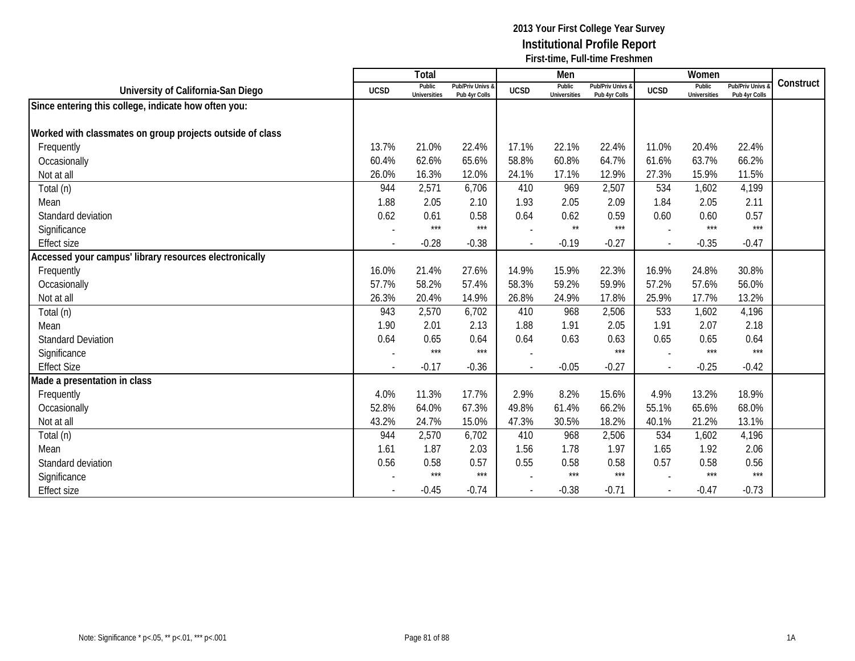|                                                           |                          | Total                         |                                   |                          | Men                           |                                   |                          | Women                         |                                        |           |
|-----------------------------------------------------------|--------------------------|-------------------------------|-----------------------------------|--------------------------|-------------------------------|-----------------------------------|--------------------------|-------------------------------|----------------------------------------|-----------|
| University of California-San Diego                        | <b>UCSD</b>              | Public<br><b>Universities</b> | Pub/Priv Univs &<br>Pub 4yr Colls | <b>UCSD</b>              | Public<br><b>Universities</b> | Pub/Priv Univs &<br>Pub 4yr Colls | <b>UCSD</b>              | Public<br><b>Universities</b> | <b>Pub/Priv Univs</b><br>Pub 4yr Colls | Construct |
| Since entering this college, indicate how often you:      |                          |                               |                                   |                          |                               |                                   |                          |                               |                                        |           |
|                                                           |                          |                               |                                   |                          |                               |                                   |                          |                               |                                        |           |
| Worked with classmates on group projects outside of class |                          |                               |                                   |                          |                               |                                   |                          |                               |                                        |           |
| Frequently                                                | 13.7%                    | 21.0%                         | 22.4%                             | 17.1%                    | 22.1%                         | 22.4%                             | 11.0%                    | 20.4%                         | 22.4%                                  |           |
| Occasionally                                              | 60.4%                    | 62.6%                         | 65.6%                             | 58.8%                    | 60.8%                         | 64.7%                             | 61.6%                    | 63.7%                         | 66.2%                                  |           |
| Not at all                                                | 26.0%                    | 16.3%                         | 12.0%                             | 24.1%                    | 17.1%                         | 12.9%                             | 27.3%                    | 15.9%                         | 11.5%                                  |           |
| Total (n)                                                 | 944                      | 2,571                         | 6,706                             | 410                      | 969                           | 2,507                             | 534                      | 1,602                         | 4,199                                  |           |
| Mean                                                      | 1.88                     | 2.05                          | 2.10                              | 1.93                     | 2.05                          | 2.09                              | 1.84                     | 2.05                          | 2.11                                   |           |
| Standard deviation                                        | 0.62                     | 0.61                          | 0.58                              | 0.64                     | 0.62                          | 0.59                              | 0.60                     | 0.60                          | 0.57                                   |           |
| Significance                                              |                          | $***$                         | $***$                             |                          | $\star\star$                  | $***$                             |                          | $***$                         | $***$                                  |           |
| <b>Effect size</b>                                        | $\overline{\phantom{a}}$ | $-0.28$                       | $-0.38$                           | $\blacksquare$           | $-0.19$                       | $-0.27$                           | $\sim$                   | $-0.35$                       | $-0.47$                                |           |
| Accessed your campus' library resources electronically    |                          |                               |                                   |                          |                               |                                   |                          |                               |                                        |           |
| Frequently                                                | 16.0%                    | 21.4%                         | 27.6%                             | 14.9%                    | 15.9%                         | 22.3%                             | 16.9%                    | 24.8%                         | 30.8%                                  |           |
| Occasionally                                              | 57.7%                    | 58.2%                         | 57.4%                             | 58.3%                    | 59.2%                         | 59.9%                             | 57.2%                    | 57.6%                         | 56.0%                                  |           |
| Not at all                                                | 26.3%                    | 20.4%                         | 14.9%                             | 26.8%                    | 24.9%                         | 17.8%                             | 25.9%                    | 17.7%                         | 13.2%                                  |           |
| Total (n)                                                 | 943                      | 2,570                         | 6,702                             | 410                      | 968                           | 2,506                             | 533                      | 1,602                         | 4,196                                  |           |
| Mean                                                      | 1.90                     | 2.01                          | 2.13                              | 1.88                     | 1.91                          | 2.05                              | 1.91                     | 2.07                          | 2.18                                   |           |
| <b>Standard Deviation</b>                                 | 0.64                     | 0.65                          | 0.64                              | 0.64                     | 0.63                          | 0.63                              | 0.65                     | 0.65                          | 0.64                                   |           |
| Significance                                              |                          | $***$                         | $***$                             |                          |                               | $***$                             |                          | $***$                         | $***$                                  |           |
| <b>Effect Size</b>                                        | $\blacksquare$           | $-0.17$                       | $-0.36$                           | $\overline{\phantom{a}}$ | $-0.05$                       | $-0.27$                           | $\overline{\phantom{a}}$ | $-0.25$                       | $-0.42$                                |           |
| Made a presentation in class                              |                          |                               |                                   |                          |                               |                                   |                          |                               |                                        |           |
| Frequently                                                | 4.0%                     | 11.3%                         | 17.7%                             | 2.9%                     | 8.2%                          | 15.6%                             | 4.9%                     | 13.2%                         | 18.9%                                  |           |
| Occasionally                                              | 52.8%                    | 64.0%                         | 67.3%                             | 49.8%                    | 61.4%                         | 66.2%                             | 55.1%                    | 65.6%                         | 68.0%                                  |           |
| Not at all                                                | 43.2%                    | 24.7%                         | 15.0%                             | 47.3%                    | 30.5%                         | 18.2%                             | 40.1%                    | 21.2%                         | 13.1%                                  |           |
| Total (n)                                                 | 944                      | 2,570                         | 6,702                             | 410                      | 968                           | 2,506                             | 534                      | 1,602                         | 4,196                                  |           |
| Mean                                                      | 1.61                     | 1.87                          | 2.03                              | 1.56                     | 1.78                          | 1.97                              | 1.65                     | 1.92                          | 2.06                                   |           |
| Standard deviation                                        | 0.56                     | 0.58                          | 0.57                              | 0.55                     | 0.58                          | 0.58                              | 0.57                     | 0.58                          | 0.56                                   |           |
| Significance                                              |                          | $***$                         | $***$                             |                          | $***$                         | $***$                             |                          | $***$                         | $***$                                  |           |
| <b>Effect size</b>                                        |                          | $-0.45$                       | $-0.74$                           |                          | $-0.38$                       | $-0.71$                           |                          | $-0.47$                       | $-0.73$                                |           |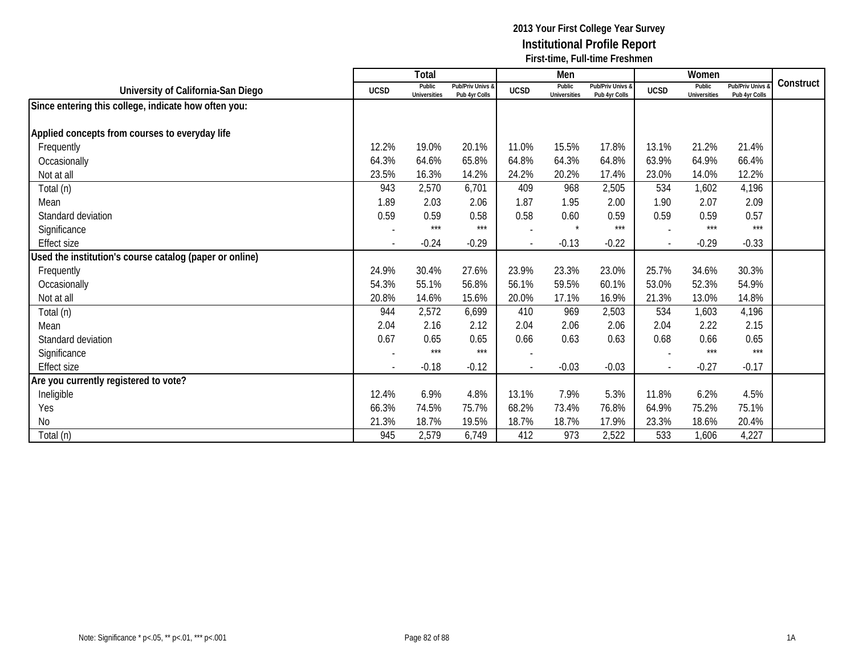|                                                         |                | Total                         |                                   |             | Men                           |                                   |                | Women                         |                                        |           |
|---------------------------------------------------------|----------------|-------------------------------|-----------------------------------|-------------|-------------------------------|-----------------------------------|----------------|-------------------------------|----------------------------------------|-----------|
| University of California-San Diego                      | <b>UCSD</b>    | Public<br><b>Universities</b> | Pub/Priv Univs &<br>Pub 4yr Colls | <b>UCSD</b> | Public<br><b>Universities</b> | Pub/Priv Univs &<br>Pub 4yr Colls | <b>UCSD</b>    | Public<br><b>Universities</b> | <b>Pub/Priv Univs</b><br>Pub 4yr Colls | Construct |
| Since entering this college, indicate how often you:    |                |                               |                                   |             |                               |                                   |                |                               |                                        |           |
|                                                         |                |                               |                                   |             |                               |                                   |                |                               |                                        |           |
| Applied concepts from courses to everyday life          |                |                               |                                   |             |                               |                                   |                |                               |                                        |           |
| Frequently                                              | 12.2%          | 19.0%                         | 20.1%                             | 11.0%       | 15.5%                         | 17.8%                             | 13.1%          | 21.2%                         | 21.4%                                  |           |
| Occasionally                                            | 64.3%          | 64.6%                         | 65.8%                             | 64.8%       | 64.3%                         | 64.8%                             | 63.9%          | 64.9%                         | 66.4%                                  |           |
| Not at all                                              | 23.5%          | 16.3%                         | 14.2%                             | 24.2%       | 20.2%                         | 17.4%                             | 23.0%          | 14.0%                         | 12.2%                                  |           |
| Total (n)                                               | 943            | 2,570                         | 6,701                             | 409         | 968                           | 2,505                             | 534            | 1,602                         | 4,196                                  |           |
| Mean                                                    | 1.89           | 2.03                          | 2.06                              | 1.87        | 1.95                          | 2.00                              | 1.90           | 2.07                          | 2.09                                   |           |
| Standard deviation                                      | 0.59           | 0.59                          | 0.58                              | 0.58        | 0.60                          | 0.59                              | 0.59           | 0.59                          | 0.57                                   |           |
| Significance                                            |                | $***$                         | ***                               |             | $\star$                       | $***$                             |                | $***$                         | $***$                                  |           |
| <b>Effect size</b>                                      |                | $-0.24$                       | $-0.29$                           |             | $-0.13$                       | $-0.22$                           |                | $-0.29$                       | $-0.33$                                |           |
| Used the institution's course catalog (paper or online) |                |                               |                                   |             |                               |                                   |                |                               |                                        |           |
| Frequently                                              | 24.9%          | 30.4%                         | 27.6%                             | 23.9%       | 23.3%                         | 23.0%                             | 25.7%          | 34.6%                         | 30.3%                                  |           |
| Occasionally                                            | 54.3%          | 55.1%                         | 56.8%                             | 56.1%       | 59.5%                         | 60.1%                             | 53.0%          | 52.3%                         | 54.9%                                  |           |
| Not at all                                              | 20.8%          | 14.6%                         | 15.6%                             | 20.0%       | 17.1%                         | 16.9%                             | 21.3%          | 13.0%                         | 14.8%                                  |           |
| Total (n)                                               | 944            | 2,572                         | 6,699                             | 410         | 969                           | 2,503                             | 534            | 1,603                         | 4,196                                  |           |
| Mean                                                    | 2.04           | 2.16                          | 2.12                              | 2.04        | 2.06                          | 2.06                              | 2.04           | 2.22                          | 2.15                                   |           |
| Standard deviation                                      | 0.67           | 0.65                          | 0.65                              | 0.66        | 0.63                          | 0.63                              | 0.68           | 0.66                          | 0.65                                   |           |
| Significance                                            |                | $***$                         | $***$                             |             |                               |                                   |                | $***$                         | $***$                                  |           |
| <b>Effect size</b>                                      | $\overline{a}$ | $-0.18$                       | $-0.12$                           |             | $-0.03$                       | $-0.03$                           | $\overline{a}$ | $-0.27$                       | $-0.17$                                |           |
| Are you currently registered to vote?                   |                |                               |                                   |             |                               |                                   |                |                               |                                        |           |
| Ineligible                                              | 12.4%          | 6.9%                          | 4.8%                              | 13.1%       | 7.9%                          | 5.3%                              | 11.8%          | 6.2%                          | 4.5%                                   |           |
| Yes                                                     | 66.3%          | 74.5%                         | 75.7%                             | 68.2%       | 73.4%                         | 76.8%                             | 64.9%          | 75.2%                         | 75.1%                                  |           |
| <b>No</b>                                               | 21.3%          | 18.7%                         | 19.5%                             | 18.7%       | 18.7%                         | 17.9%                             | 23.3%          | 18.6%                         | 20.4%                                  |           |
| Total (n)                                               | 945            | 2,579                         | 6,749                             | 412         | 973                           | 2,522                             | 533            | 1,606                         | 4,227                                  |           |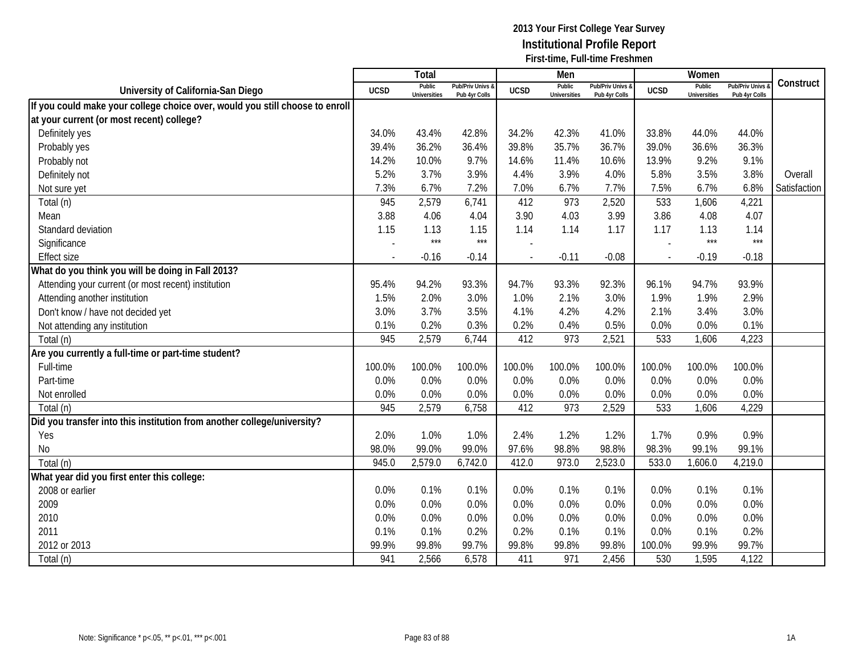|                                                                              |             | Total                         |                                   |             | Men                           |                                   |                          | Women                         |                                        |              |
|------------------------------------------------------------------------------|-------------|-------------------------------|-----------------------------------|-------------|-------------------------------|-----------------------------------|--------------------------|-------------------------------|----------------------------------------|--------------|
| University of California-San Diego                                           | <b>UCSD</b> | Public<br><b>Universities</b> | Pub/Priv Univs &<br>Pub 4yr Colls | <b>UCSD</b> | Public<br><b>Universities</b> | Pub/Priv Univs &<br>Pub 4yr Colls | <b>UCSD</b>              | Public<br><b>Universities</b> | <b>Pub/Priv Univs</b><br>Pub 4yr Colls | Construct    |
| If you could make your college choice over, would you still choose to enroll |             |                               |                                   |             |                               |                                   |                          |                               |                                        |              |
| at your current (or most recent) college?                                    |             |                               |                                   |             |                               |                                   |                          |                               |                                        |              |
| Definitely yes                                                               | 34.0%       | 43.4%                         | 42.8%                             | 34.2%       | 42.3%                         | 41.0%                             | 33.8%                    | 44.0%                         | 44.0%                                  |              |
| Probably yes                                                                 | 39.4%       | 36.2%                         | 36.4%                             | 39.8%       | 35.7%                         | 36.7%                             | 39.0%                    | 36.6%                         | 36.3%                                  |              |
| Probably not                                                                 | 14.2%       | 10.0%                         | 9.7%                              | 14.6%       | 11.4%                         | 10.6%                             | 13.9%                    | 9.2%                          | 9.1%                                   |              |
| Definitely not                                                               | 5.2%        | 3.7%                          | 3.9%                              | 4.4%        | 3.9%                          | 4.0%                              | 5.8%                     | 3.5%                          | 3.8%                                   | Overall      |
| Not sure yet                                                                 | 7.3%        | 6.7%                          | 7.2%                              | 7.0%        | 6.7%                          | 7.7%                              | 7.5%                     | 6.7%                          | 6.8%                                   | Satisfaction |
| Total (n)                                                                    | 945         | 2,579                         | 6,741                             | 412         | 973                           | 2,520                             | 533                      | 1,606                         | 4,221                                  |              |
| Mean                                                                         | 3.88        | 4.06                          | 4.04                              | 3.90        | 4.03                          | 3.99                              | 3.86                     | 4.08                          | 4.07                                   |              |
| Standard deviation                                                           | 1.15        | 1.13                          | 1.15                              | 1.14        | 1.14                          | 1.17                              | 1.17                     | 1.13                          | 1.14                                   |              |
| Significance                                                                 |             | $***$                         | $***$                             |             |                               |                                   |                          | $***$                         | $***$                                  |              |
| <b>Effect size</b>                                                           |             | $-0.16$                       | $-0.14$                           |             | $-0.11$                       | $-0.08$                           | $\overline{\phantom{a}}$ | $-0.19$                       | $-0.18$                                |              |
| What do you think you will be doing in Fall 2013?                            |             |                               |                                   |             |                               |                                   |                          |                               |                                        |              |
| Attending your current (or most recent) institution                          | 95.4%       | 94.2%                         | 93.3%                             | 94.7%       | 93.3%                         | 92.3%                             | 96.1%                    | 94.7%                         | 93.9%                                  |              |
| Attending another institution                                                | 1.5%        | 2.0%                          | 3.0%                              | 1.0%        | 2.1%                          | 3.0%                              | 1.9%                     | 1.9%                          | 2.9%                                   |              |
| Don't know / have not decided yet                                            | 3.0%        | 3.7%                          | 3.5%                              | 4.1%        | 4.2%                          | 4.2%                              | 2.1%                     | 3.4%                          | 3.0%                                   |              |
| Not attending any institution                                                | 0.1%        | 0.2%                          | 0.3%                              | 0.2%        | 0.4%                          | 0.5%                              | 0.0%                     | 0.0%                          | 0.1%                                   |              |
| Total (n)                                                                    | 945         | 2,579                         | 6,744                             | 412         | 973                           | 2,521                             | 533                      | 1,606                         | 4,223                                  |              |
| Are you currently a full-time or part-time student?                          |             |                               |                                   |             |                               |                                   |                          |                               |                                        |              |
| Full-time                                                                    | 100.0%      | 100.0%                        | 100.0%                            | 100.0%      | 100.0%                        | 100.0%                            | 100.0%                   | 100.0%                        | 100.0%                                 |              |
| Part-time                                                                    | 0.0%        | 0.0%                          | 0.0%                              | 0.0%        | 0.0%                          | 0.0%                              | 0.0%                     | 0.0%                          | 0.0%                                   |              |
| Not enrolled                                                                 | 0.0%        | 0.0%                          | 0.0%                              | 0.0%        | 0.0%                          | 0.0%                              | 0.0%                     | 0.0%                          | 0.0%                                   |              |
| Total (n)                                                                    | 945         | 2,579                         | 6,758                             | 412         | 973                           | 2,529                             | 533                      | 1,606                         | 4,229                                  |              |
| Did you transfer into this institution from another college/university?      |             |                               |                                   |             |                               |                                   |                          |                               |                                        |              |
| Yes                                                                          | 2.0%        | 1.0%                          | 1.0%                              | 2.4%        | 1.2%                          | 1.2%                              | 1.7%                     | 0.9%                          | 0.9%                                   |              |
| <b>No</b>                                                                    | 98.0%       | 99.0%                         | 99.0%                             | 97.6%       | 98.8%                         | 98.8%                             | 98.3%                    | 99.1%                         | 99.1%                                  |              |
| Total (n)                                                                    | 945.0       | 2,579.0                       | 6,742.0                           | 412.0       | 973.0                         | 2,523.0                           | 533.0                    | 1,606.0                       | 4,219.0                                |              |
| What year did you first enter this college:                                  |             |                               |                                   |             |                               |                                   |                          |                               |                                        |              |
| 2008 or earlier                                                              | 0.0%        | 0.1%                          | 0.1%                              | 0.0%        | 0.1%                          | 0.1%                              | 0.0%                     | 0.1%                          | 0.1%                                   |              |
| 2009                                                                         | 0.0%        | 0.0%                          | 0.0%                              | 0.0%        | 0.0%                          | 0.0%                              | 0.0%                     | 0.0%                          | 0.0%                                   |              |
| 2010                                                                         | 0.0%        | 0.0%                          | 0.0%                              | 0.0%        | 0.0%                          | 0.0%                              | 0.0%                     | 0.0%                          | 0.0%                                   |              |
| 2011                                                                         | 0.1%        | 0.1%                          | 0.2%                              | 0.2%        | 0.1%                          | 0.1%                              | 0.0%                     | 0.1%                          | 0.2%                                   |              |
| 2012 or 2013                                                                 | 99.9%       | 99.8%                         | 99.7%                             | 99.8%       | 99.8%                         | 99.8%                             | 100.0%                   | 99.9%                         | 99.7%                                  |              |
| Total (n)                                                                    | 941         | 2,566                         | 6,578                             | 411         | 971                           | 2,456                             | 530                      | 1,595                         | 4,122                                  |              |